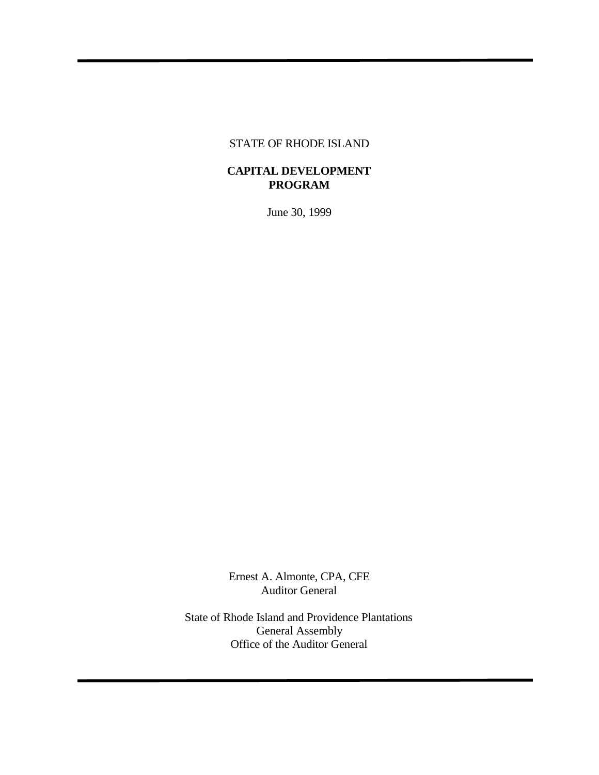#### STATE OF RHODE ISLAND

## **CAPITAL DEVELOPMENT PROGRAM**

June 30, 1999

Ernest A. Almonte, CPA, CFE Auditor General

State of Rhode Island and Providence Plantations General Assembly Office of the Auditor General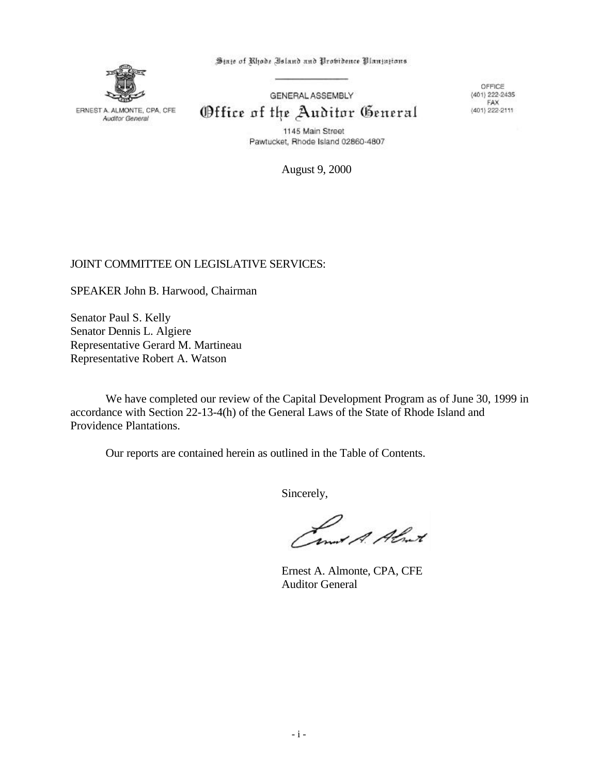ERNEST A. ALMONTE, CPA, CFE Auditor General

State of Rhode Island and Probidence Plantations

GENERAL ASSEMBLY Office of the Auditor General

OFFICE  $(401)$  222-2435 FAX  $(401)$  222-2111

1145 Main Street Pawtucket, Rhode Island 02860-4807

August 9, 2000

## JOINT COMMITTEE ON LEGISLATIVE SERVICES:

SPEAKER John B. Harwood, Chairman

Senator Paul S. Kelly Senator Dennis L. Algiere Representative Gerard M. Martineau Representative Robert A. Watson

We have completed our review of the Capital Development Program as of June 30, 1999 in accordance with Section 22-13-4(h) of the General Laws of the State of Rhode Island and Providence Plantations.

Our reports are contained herein as outlined in the Table of Contents.

Sincerely,

Camit A. Almit

Ernest A. Almonte, CPA, CFE Auditor General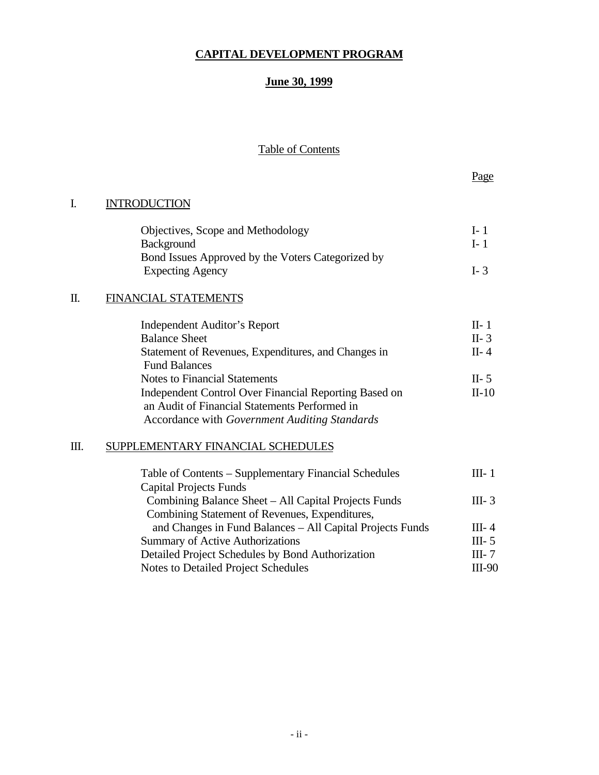## **CAPITAL DEVELOPMENT PROGRAM**

## **June 30, 1999**

## Table of Contents

## I. INTRODUCTION

| Objectives, Scope and Methodology                 | L <sub>1</sub> |
|---------------------------------------------------|----------------|
| <b>Background</b>                                 | $L_{1}$        |
| Bond Issues Approved by the Voters Categorized by |                |
| <b>Expecting Agency</b>                           | $I - 3$        |

## II. FINANCIAL STATEMENTS

| $II - 1$ |
|----------|
| $II-3$   |
| $II-4$   |
|          |
| $II-5$   |
| $II-10$  |
|          |
|          |
|          |

## III. SUPPLEMENTARY FINANCIAL SCHEDULES

| Table of Contents – Supplementary Financial Schedules     | III- 1    |
|-----------------------------------------------------------|-----------|
| <b>Capital Projects Funds</b>                             |           |
| Combining Balance Sheet – All Capital Projects Funds      | $III - 3$ |
| Combining Statement of Revenues, Expenditures,            |           |
| and Changes in Fund Balances – All Capital Projects Funds | $III - 4$ |
| <b>Summary of Active Authorizations</b>                   | III- $5$  |
| Detailed Project Schedules by Bond Authorization          | III- $7$  |
| Notes to Detailed Project Schedules                       | $III-90$  |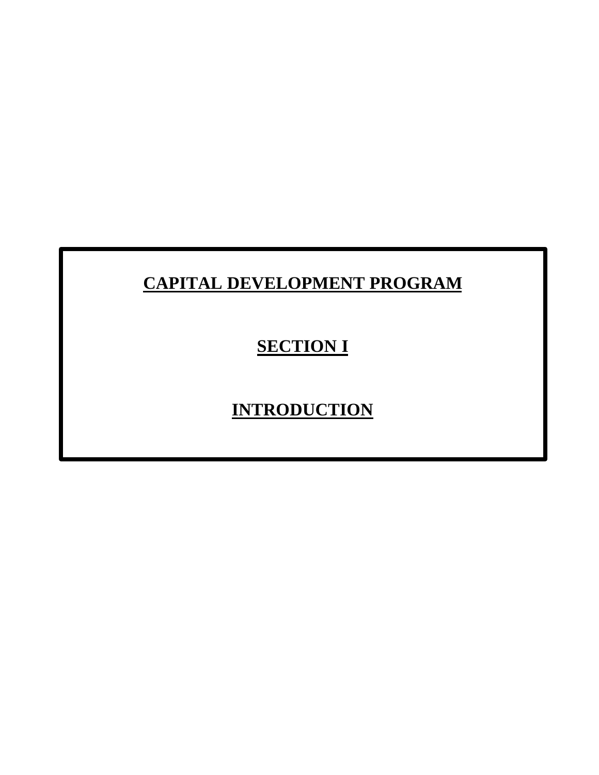## **CAPITAL DEVELOPMENT PROGRAM**

## **SECTION I**

# **INTRODUCTION**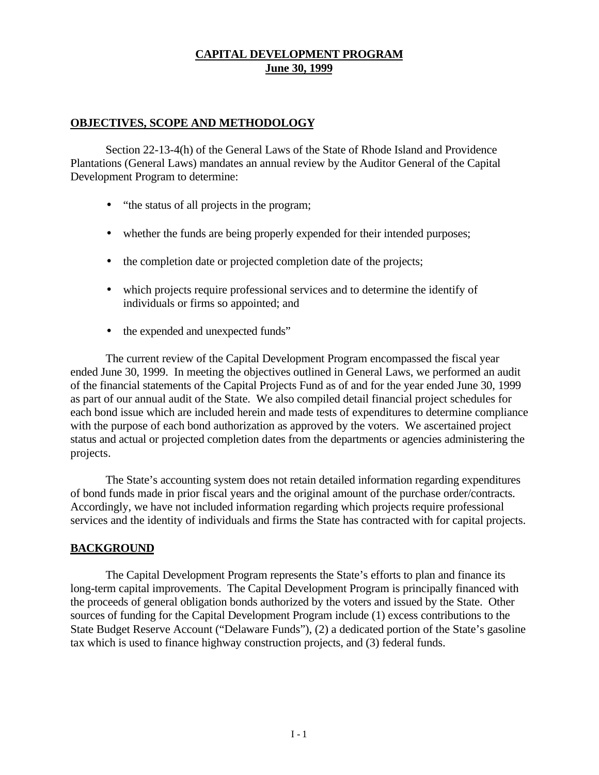### **OBJECTIVES, SCOPE AND METHODOLOGY**

Section 22-13-4(h) of the General Laws of the State of Rhode Island and Providence Plantations (General Laws) mandates an annual review by the Auditor General of the Capital Development Program to determine:

- "the status of all projects in the program;
- whether the funds are being properly expended for their intended purposes;
- the completion date or projected completion date of the projects;
- which projects require professional services and to determine the identify of individuals or firms so appointed; and
- the expended and unexpected funds"

The current review of the Capital Development Program encompassed the fiscal year ended June 30, 1999. In meeting the objectives outlined in General Laws, we performed an audit of the financial statements of the Capital Projects Fund as of and for the year ended June 30, 1999 as part of our annual audit of the State. We also compiled detail financial project schedules for each bond issue which are included herein and made tests of expenditures to determine compliance with the purpose of each bond authorization as approved by the voters. We ascertained project status and actual or projected completion dates from the departments or agencies administering the projects.

The State's accounting system does not retain detailed information regarding expenditures of bond funds made in prior fiscal years and the original amount of the purchase order/contracts. Accordingly, we have not included information regarding which projects require professional services and the identity of individuals and firms the State has contracted with for capital projects.

#### **BACKGROUND**

The Capital Development Program represents the State's efforts to plan and finance its long-term capital improvements. The Capital Development Program is principally financed with the proceeds of general obligation bonds authorized by the voters and issued by the State. Other sources of funding for the Capital Development Program include (1) excess contributions to the State Budget Reserve Account ("Delaware Funds"), (2) a dedicated portion of the State's gasoline tax which is used to finance highway construction projects, and (3) federal funds.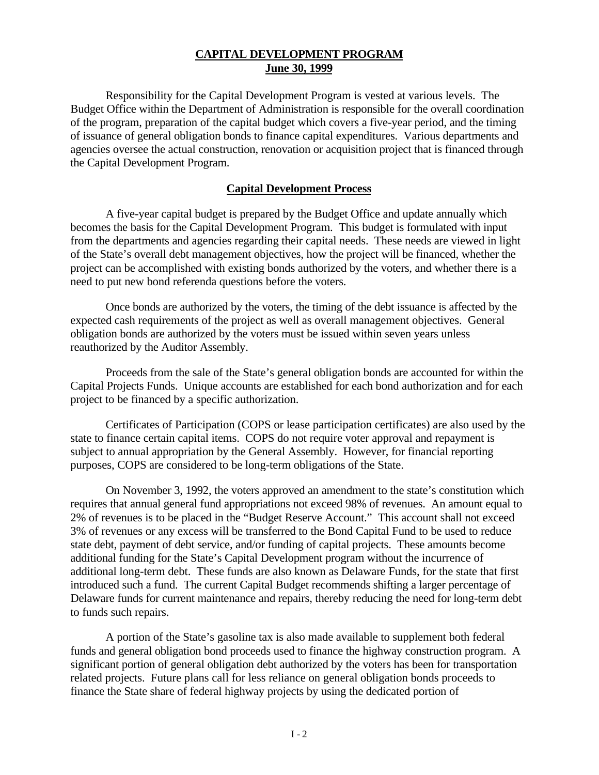Responsibility for the Capital Development Program is vested at various levels. The Budget Office within the Department of Administration is responsible for the overall coordination of the program, preparation of the capital budget which covers a five-year period, and the timing of issuance of general obligation bonds to finance capital expenditures. Various departments and agencies oversee the actual construction, renovation or acquisition project that is financed through the Capital Development Program.

## **Capital Development Process**

A five-year capital budget is prepared by the Budget Office and update annually which becomes the basis for the Capital Development Program. This budget is formulated with input from the departments and agencies regarding their capital needs. These needs are viewed in light of the State's overall debt management objectives, how the project will be financed, whether the project can be accomplished with existing bonds authorized by the voters, and whether there is a need to put new bond referenda questions before the voters.

Once bonds are authorized by the voters, the timing of the debt issuance is affected by the expected cash requirements of the project as well as overall management objectives. General obligation bonds are authorized by the voters must be issued within seven years unless reauthorized by the Auditor Assembly.

Proceeds from the sale of the State's general obligation bonds are accounted for within the Capital Projects Funds. Unique accounts are established for each bond authorization and for each project to be financed by a specific authorization.

Certificates of Participation (COPS or lease participation certificates) are also used by the state to finance certain capital items. COPS do not require voter approval and repayment is subject to annual appropriation by the General Assembly. However, for financial reporting purposes, COPS are considered to be long-term obligations of the State.

On November 3, 1992, the voters approved an amendment to the state's constitution which requires that annual general fund appropriations not exceed 98% of revenues. An amount equal to 2% of revenues is to be placed in the "Budget Reserve Account." This account shall not exceed 3% of revenues or any excess will be transferred to the Bond Capital Fund to be used to reduce state debt, payment of debt service, and/or funding of capital projects. These amounts become additional funding for the State's Capital Development program without the incurrence of additional long-term debt. These funds are also known as Delaware Funds, for the state that first introduced such a fund. The current Capital Budget recommends shifting a larger percentage of Delaware funds for current maintenance and repairs, thereby reducing the need for long-term debt to funds such repairs.

A portion of the State's gasoline tax is also made available to supplement both federal funds and general obligation bond proceeds used to finance the highway construction program. A significant portion of general obligation debt authorized by the voters has been for transportation related projects. Future plans call for less reliance on general obligation bonds proceeds to finance the State share of federal highway projects by using the dedicated portion of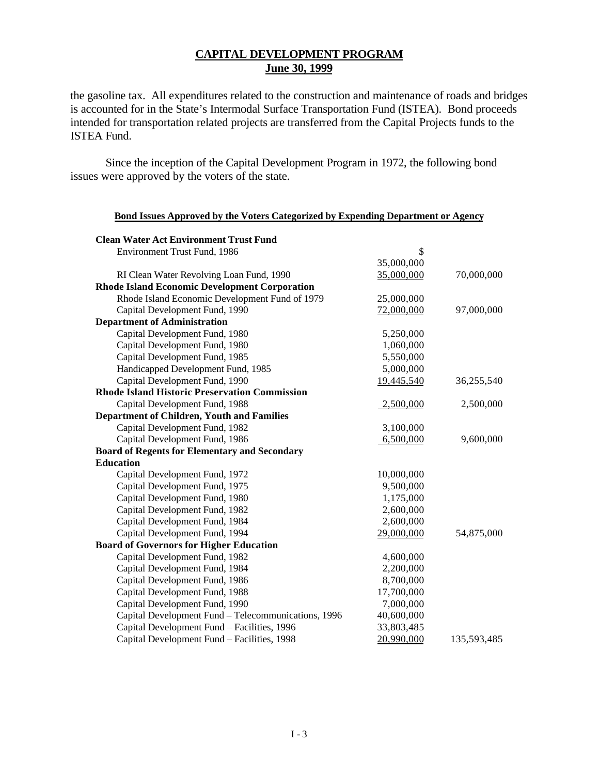the gasoline tax. All expenditures related to the construction and maintenance of roads and bridges is accounted for in the State's Intermodal Surface Transportation Fund (ISTEA). Bond proceeds intended for transportation related projects are transferred from the Capital Projects funds to the ISTEA Fund.

**Bond Issues Approved by the Voters Categorized by Expending Department or Agency**

Since the inception of the Capital Development Program in 1972, the following bond issues were approved by the voters of the state.

| <b>Clean Water Act Environment Trust Fund</b>        |            |             |
|------------------------------------------------------|------------|-------------|
| <b>Environment Trust Fund, 1986</b>                  | \$         |             |
|                                                      | 35,000,000 |             |
| RI Clean Water Revolving Loan Fund, 1990             | 35,000,000 | 70,000,000  |
| <b>Rhode Island Economic Development Corporation</b> |            |             |
| Rhode Island Economic Development Fund of 1979       | 25,000,000 |             |
| Capital Development Fund, 1990                       | 72,000,000 | 97,000,000  |
| <b>Department of Administration</b>                  |            |             |
| Capital Development Fund, 1980                       | 5,250,000  |             |
| Capital Development Fund, 1980                       | 1,060,000  |             |
| Capital Development Fund, 1985                       | 5,550,000  |             |
| Handicapped Development Fund, 1985                   | 5,000,000  |             |
| Capital Development Fund, 1990                       | 19,445,540 | 36,255,540  |
| <b>Rhode Island Historic Preservation Commission</b> |            |             |
| Capital Development Fund, 1988                       | 2,500,000  | 2,500,000   |
| <b>Department of Children, Youth and Families</b>    |            |             |
| Capital Development Fund, 1982                       | 3,100,000  |             |
| Capital Development Fund, 1986                       | 6,500,000  | 9,600,000   |
| <b>Board of Regents for Elementary and Secondary</b> |            |             |
| <b>Education</b>                                     |            |             |
| Capital Development Fund, 1972                       | 10,000,000 |             |
| Capital Development Fund, 1975                       | 9,500,000  |             |
| Capital Development Fund, 1980                       | 1,175,000  |             |
| Capital Development Fund, 1982                       | 2,600,000  |             |
| Capital Development Fund, 1984                       | 2,600,000  |             |
| Capital Development Fund, 1994                       | 29,000,000 | 54,875,000  |
| <b>Board of Governors for Higher Education</b>       |            |             |
| Capital Development Fund, 1982                       | 4,600,000  |             |
| Capital Development Fund, 1984                       | 2,200,000  |             |
| Capital Development Fund, 1986                       | 8,700,000  |             |
| Capital Development Fund, 1988                       | 17,700,000 |             |
| Capital Development Fund, 1990                       | 7,000,000  |             |
| Capital Development Fund - Telecommunications, 1996  | 40,600,000 |             |
| Capital Development Fund - Facilities, 1996          | 33,803,485 |             |
| Capital Development Fund - Facilities, 1998          | 20,990,000 | 135,593,485 |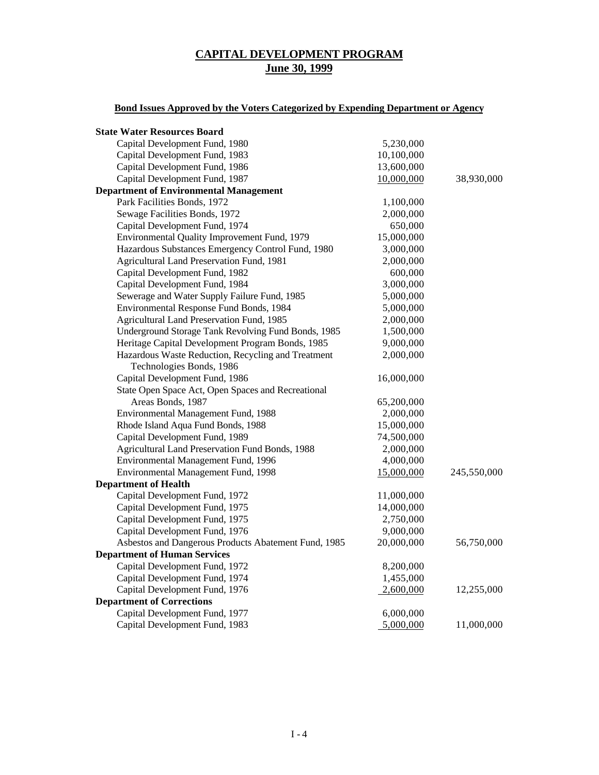## **Bond Issues Approved by the Voters Categorized by Expending Department or Agency**

| <b>State Water Resources Board</b>                   |            |             |
|------------------------------------------------------|------------|-------------|
| Capital Development Fund, 1980                       | 5,230,000  |             |
| Capital Development Fund, 1983                       | 10,100,000 |             |
| Capital Development Fund, 1986                       | 13,600,000 |             |
| Capital Development Fund, 1987                       | 10,000,000 | 38,930,000  |
| <b>Department of Environmental Management</b>        |            |             |
| Park Facilities Bonds, 1972                          | 1,100,000  |             |
| Sewage Facilities Bonds, 1972                        | 2,000,000  |             |
| Capital Development Fund, 1974                       | 650,000    |             |
| Environmental Quality Improvement Fund, 1979         | 15,000,000 |             |
| Hazardous Substances Emergency Control Fund, 1980    | 3,000,000  |             |
| Agricultural Land Preservation Fund, 1981            | 2,000,000  |             |
| Capital Development Fund, 1982                       | 600,000    |             |
| Capital Development Fund, 1984                       | 3,000,000  |             |
| Sewerage and Water Supply Failure Fund, 1985         | 5,000,000  |             |
| Environmental Response Fund Bonds, 1984              | 5,000,000  |             |
| Agricultural Land Preservation Fund, 1985            | 2,000,000  |             |
| Underground Storage Tank Revolving Fund Bonds, 1985  | 1,500,000  |             |
| Heritage Capital Development Program Bonds, 1985     | 9,000,000  |             |
| Hazardous Waste Reduction, Recycling and Treatment   | 2,000,000  |             |
| Technologies Bonds, 1986                             |            |             |
| Capital Development Fund, 1986                       | 16,000,000 |             |
| State Open Space Act, Open Spaces and Recreational   |            |             |
| Areas Bonds, 1987                                    | 65,200,000 |             |
| Environmental Management Fund, 1988                  | 2,000,000  |             |
| Rhode Island Aqua Fund Bonds, 1988                   | 15,000,000 |             |
| Capital Development Fund, 1989                       | 74,500,000 |             |
| Agricultural Land Preservation Fund Bonds, 1988      | 2,000,000  |             |
| Environmental Management Fund, 1996                  | 4,000,000  |             |
| Environmental Management Fund, 1998                  | 15,000,000 | 245,550,000 |
| <b>Department of Health</b>                          |            |             |
| Capital Development Fund, 1972                       | 11,000,000 |             |
| Capital Development Fund, 1975                       | 14,000,000 |             |
| Capital Development Fund, 1975                       | 2,750,000  |             |
| Capital Development Fund, 1976                       | 9,000,000  |             |
| Asbestos and Dangerous Products Abatement Fund, 1985 | 20,000,000 | 56,750,000  |
| <b>Department of Human Services</b>                  |            |             |
| Capital Development Fund, 1972                       | 8,200,000  |             |
| Capital Development Fund, 1974                       | 1,455,000  |             |
| Capital Development Fund, 1976                       | 2,600,000  | 12,255,000  |
| <b>Department of Corrections</b>                     |            |             |
| Capital Development Fund, 1977                       | 6,000,000  |             |
| Capital Development Fund, 1983                       | 5,000,000  | 11,000,000  |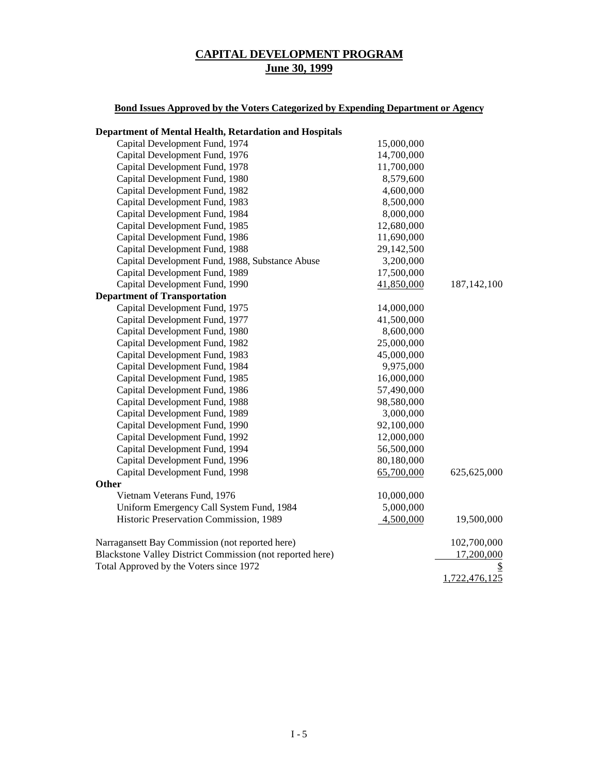## **Bond Issues Approved by the Voters Categorized by Expending Department or Agency**

| <b>Department of Mental Health, Retardation and Hospitals</b> |            |               |
|---------------------------------------------------------------|------------|---------------|
| Capital Development Fund, 1974                                | 15,000,000 |               |
| Capital Development Fund, 1976                                | 14,700,000 |               |
| Capital Development Fund, 1978                                | 11,700,000 |               |
| Capital Development Fund, 1980                                | 8,579,600  |               |
| Capital Development Fund, 1982                                | 4,600,000  |               |
| Capital Development Fund, 1983                                | 8,500,000  |               |
| Capital Development Fund, 1984                                | 8,000,000  |               |
| Capital Development Fund, 1985                                | 12,680,000 |               |
| Capital Development Fund, 1986                                | 11,690,000 |               |
| Capital Development Fund, 1988                                | 29,142,500 |               |
| Capital Development Fund, 1988, Substance Abuse               | 3,200,000  |               |
| Capital Development Fund, 1989                                | 17,500,000 |               |
| Capital Development Fund, 1990                                | 41,850,000 | 187, 142, 100 |
| <b>Department of Transportation</b>                           |            |               |
| Capital Development Fund, 1975                                | 14,000,000 |               |
| Capital Development Fund, 1977                                | 41,500,000 |               |
| Capital Development Fund, 1980                                | 8,600,000  |               |
| Capital Development Fund, 1982                                | 25,000,000 |               |
| Capital Development Fund, 1983                                | 45,000,000 |               |
| Capital Development Fund, 1984                                | 9,975,000  |               |
| Capital Development Fund, 1985                                | 16,000,000 |               |
| Capital Development Fund, 1986                                | 57,490,000 |               |
| Capital Development Fund, 1988                                | 98,580,000 |               |
| Capital Development Fund, 1989                                | 3,000,000  |               |
| Capital Development Fund, 1990                                | 92,100,000 |               |
| Capital Development Fund, 1992                                | 12,000,000 |               |
| Capital Development Fund, 1994                                | 56,500,000 |               |
| Capital Development Fund, 1996                                | 80,180,000 |               |
| Capital Development Fund, 1998                                | 65,700,000 | 625,625,000   |
| Other                                                         |            |               |
| Vietnam Veterans Fund, 1976                                   | 10,000,000 |               |
| Uniform Emergency Call System Fund, 1984                      | 5,000,000  |               |
| Historic Preservation Commission, 1989                        | 4,500,000  | 19,500,000    |
| Narragansett Bay Commission (not reported here)               |            | 102,700,000   |
| Blackstone Valley District Commission (not reported here)     |            | 17,200,000    |
| Total Approved by the Voters since 1972                       |            |               |
|                                                               |            | 1,722,476,125 |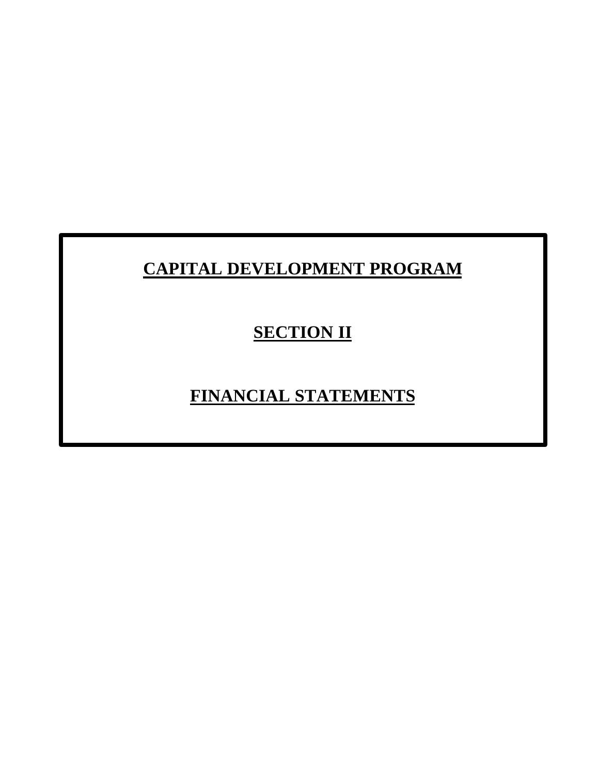# **CAPITAL DEVELOPMENT PROGRAM**

# **SECTION II**

## **FINANCIAL STATEMENTS**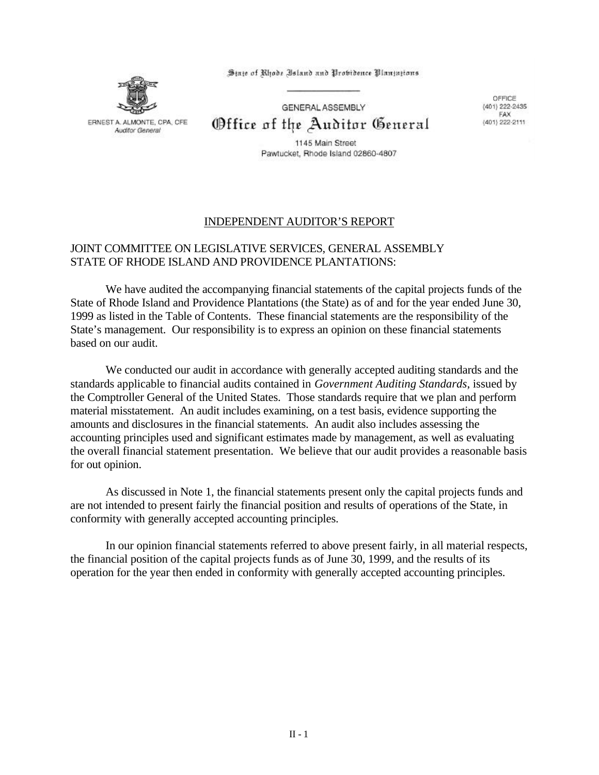ERNEST A. ALMONTE, CPA, CFE Auditor General

State of Rhode Island and Probidence Plantations

GENERAL ASSEMBLY

Office of the Auditor General

OFFICE (401) 222-2435 FAX (401) 222-2111

1145 Main Street Pawtucket, Rhode Island 02860-4807

## INDEPENDENT AUDITOR'S REPORT

## JOINT COMMITTEE ON LEGISLATIVE SERVICES, GENERAL ASSEMBLY STATE OF RHODE ISLAND AND PROVIDENCE PLANTATIONS:

We have audited the accompanying financial statements of the capital projects funds of the State of Rhode Island and Providence Plantations (the State) as of and for the year ended June 30, 1999 as listed in the Table of Contents. These financial statements are the responsibility of the State's management. Our responsibility is to express an opinion on these financial statements based on our audit.

We conducted our audit in accordance with generally accepted auditing standards and the standards applicable to financial audits contained in *Government Auditing Standards*, issued by the Comptroller General of the United States. Those standards require that we plan and perform material misstatement. An audit includes examining, on a test basis, evidence supporting the amounts and disclosures in the financial statements. An audit also includes assessing the accounting principles used and significant estimates made by management, as well as evaluating the overall financial statement presentation. We believe that our audit provides a reasonable basis for out opinion.

As discussed in Note 1, the financial statements present only the capital projects funds and are not intended to present fairly the financial position and results of operations of the State, in conformity with generally accepted accounting principles.

In our opinion financial statements referred to above present fairly, in all material respects, the financial position of the capital projects funds as of June 30, 1999, and the results of its operation for the year then ended in conformity with generally accepted accounting principles.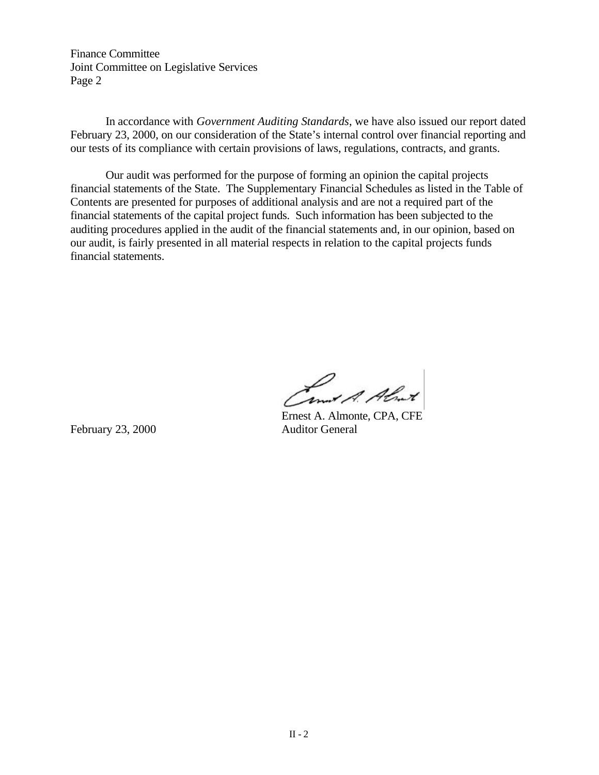Finance Committee Joint Committee on Legislative Services Page 2

In accordance with *Government Auditing Standards*, we have also issued our report dated February 23, 2000, on our consideration of the State's internal control over financial reporting and our tests of its compliance with certain provisions of laws, regulations, contracts, and grants.

Our audit was performed for the purpose of forming an opinion the capital projects financial statements of the State. The Supplementary Financial Schedules as listed in the Table of Contents are presented for purposes of additional analysis and are not a required part of the financial statements of the capital project funds. Such information has been subjected to the auditing procedures applied in the audit of the financial statements and, in our opinion, based on our audit, is fairly presented in all material respects in relation to the capital projects funds financial statements.

Land A. Almet

February 23, 2000 Auditor General

Ernest A. Almonte, CPA, CFE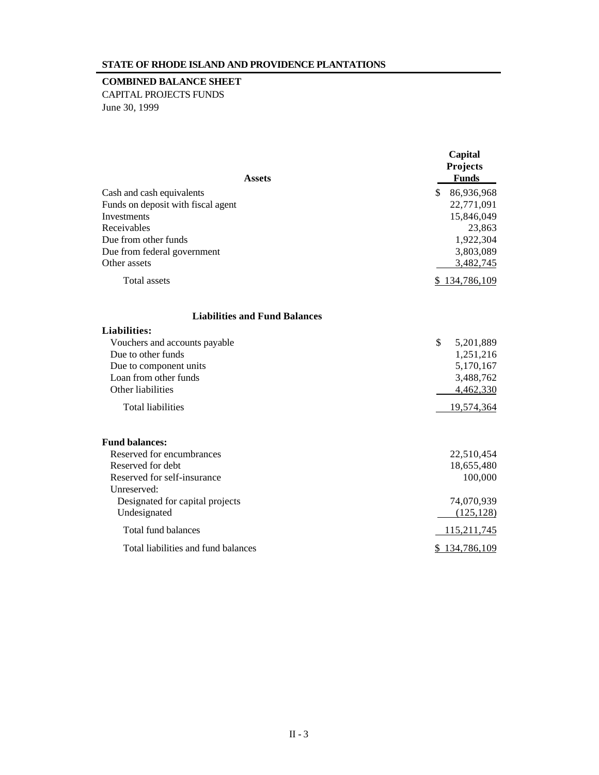#### **STATE OF RHODE ISLAND AND PROVIDENCE PLANTATIONS**

#### **COMBINED BALANCE SHEET**

CAPITAL PROJECTS FUNDS June 30, 1999

|                                      | Capital<br><b>Projects</b> |  |  |
|--------------------------------------|----------------------------|--|--|
| <b>Assets</b>                        | <b>Funds</b>               |  |  |
| Cash and cash equivalents            | \$ 86,936,968              |  |  |
| Funds on deposit with fiscal agent   | 22,771,091                 |  |  |
| Investments                          | 15,846,049                 |  |  |
| Receivables                          | 23,863                     |  |  |
| Due from other funds                 | 1,922,304                  |  |  |
| Due from federal government          | 3,803,089                  |  |  |
| Other assets                         | 3,482,745                  |  |  |
| Total assets                         | \$134,786,109              |  |  |
| <b>Liabilities and Fund Balances</b> |                            |  |  |
| <b>Liabilities:</b>                  |                            |  |  |
| Vouchers and accounts payable        | \$<br>5,201,889            |  |  |
| Due to other funds                   | 1,251,216                  |  |  |
| Due to component units               | 5,170,167                  |  |  |
| Loan from other funds                | 3,488,762                  |  |  |
| Other liabilities                    | 4,462,330                  |  |  |
| <b>Total liabilities</b>             | 19,574,364                 |  |  |
| <b>Fund balances:</b>                |                            |  |  |
| Reserved for encumbrances            | 22,510,454                 |  |  |
| Reserved for debt                    | 18,655,480                 |  |  |
| Reserved for self-insurance          | 100,000                    |  |  |
| Unreserved:                          |                            |  |  |
| Designated for capital projects      | 74,070,939                 |  |  |
| Undesignated                         | (125, 128)                 |  |  |
| Total fund balances                  | 115,211,745                |  |  |
| Total liabilities and fund balances  | \$134,786,109              |  |  |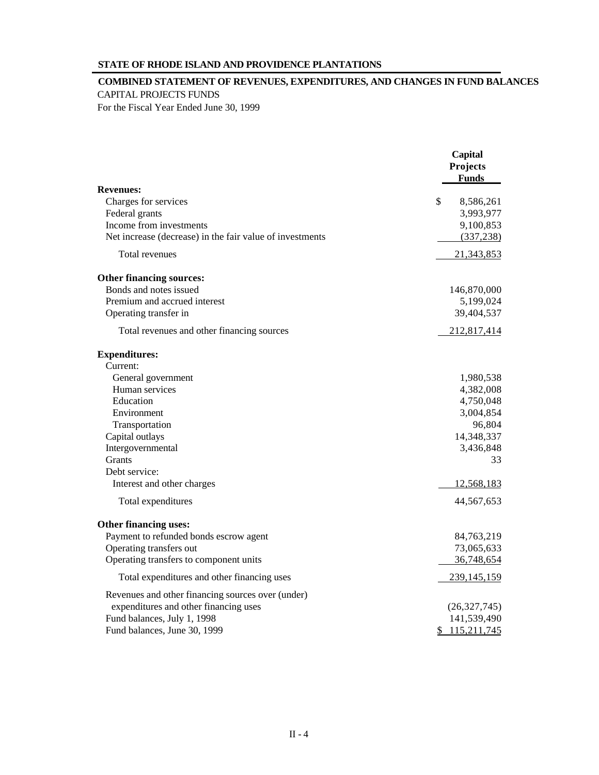#### **STATE OF RHODE ISLAND AND PROVIDENCE PLANTATIONS**

#### **COMBINED STATEMENT OF REVENUES, EXPENDITURES, AND CHANGES IN FUND BALANCES** CAPITAL PROJECTS FUNDS

For the Fiscal Year Ended June 30, 1999

|                                                          | Capital<br>Projects<br><b>Funds</b> |
|----------------------------------------------------------|-------------------------------------|
| <b>Revenues:</b>                                         |                                     |
| Charges for services                                     | \$<br>8,586,261                     |
| Federal grants                                           | 3,993,977                           |
| Income from investments                                  | 9,100,853                           |
| Net increase (decrease) in the fair value of investments | (337, 238)                          |
| Total revenues                                           | 21,343,853                          |
| Other financing sources:                                 |                                     |
| Bonds and notes issued                                   | 146,870,000                         |
| Premium and accrued interest                             | 5,199,024                           |
| Operating transfer in                                    | 39,404,537                          |
| Total revenues and other financing sources               | 212,817,414                         |
| <b>Expenditures:</b>                                     |                                     |
| Current:                                                 |                                     |
| General government                                       | 1,980,538                           |
| Human services                                           | 4,382,008                           |
| Education                                                | 4,750,048                           |
| Environment                                              | 3,004,854                           |
| Transportation                                           | 96,804                              |
| Capital outlays                                          | 14,348,337                          |
| Intergovernmental                                        | 3,436,848                           |
| <b>Grants</b>                                            | 33                                  |
| Debt service:                                            |                                     |
| Interest and other charges                               | 12,568,183                          |
| Total expenditures                                       | 44,567,653                          |
| Other financing uses:                                    |                                     |
| Payment to refunded bonds escrow agent                   | 84,763,219                          |
| Operating transfers out                                  | 73,065,633                          |
| Operating transfers to component units                   | 36,748,654                          |
| Total expenditures and other financing uses              | 239,145,159                         |
| Revenues and other financing sources over (under)        |                                     |
| expenditures and other financing uses                    | (26, 327, 745)                      |
| Fund balances, July 1, 1998                              | 141,539,490                         |
| Fund balances, June 30, 1999                             | \$115,211,745                       |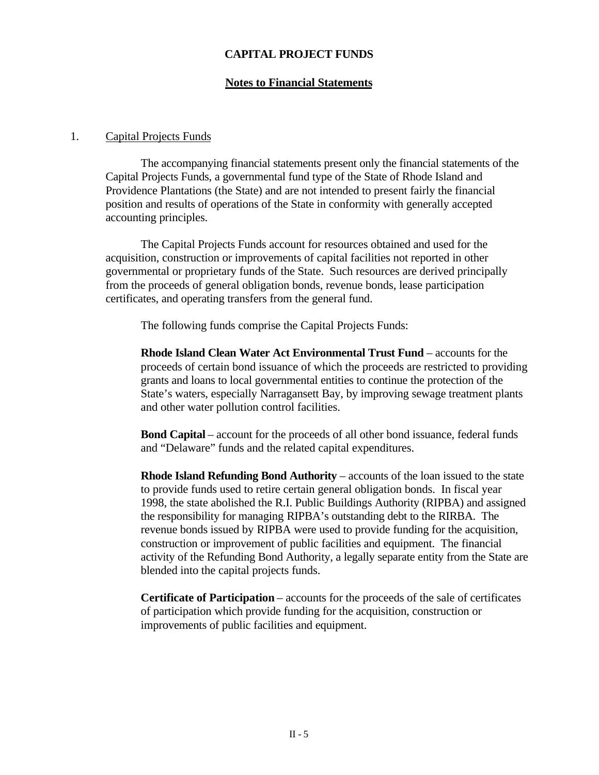### **CAPITAL PROJECT FUNDS**

#### **Notes to Financial Statements**

#### 1. Capital Projects Funds

The accompanying financial statements present only the financial statements of the Capital Projects Funds, a governmental fund type of the State of Rhode Island and Providence Plantations (the State) and are not intended to present fairly the financial position and results of operations of the State in conformity with generally accepted accounting principles.

The Capital Projects Funds account for resources obtained and used for the acquisition, construction or improvements of capital facilities not reported in other governmental or proprietary funds of the State. Such resources are derived principally from the proceeds of general obligation bonds, revenue bonds, lease participation certificates, and operating transfers from the general fund.

The following funds comprise the Capital Projects Funds:

**Rhode Island Clean Water Act Environmental Trust Fund** – accounts for the proceeds of certain bond issuance of which the proceeds are restricted to providing grants and loans to local governmental entities to continue the protection of the State's waters, especially Narragansett Bay, by improving sewage treatment plants and other water pollution control facilities.

**Bond Capital** – account for the proceeds of all other bond issuance, federal funds and "Delaware" funds and the related capital expenditures.

**Rhode Island Refunding Bond Authority** – accounts of the loan issued to the state to provide funds used to retire certain general obligation bonds. In fiscal year 1998, the state abolished the R.I. Public Buildings Authority (RIPBA) and assigned the responsibility for managing RIPBA's outstanding debt to the RIRBA. The revenue bonds issued by RIPBA were used to provide funding for the acquisition, construction or improvement of public facilities and equipment. The financial activity of the Refunding Bond Authority, a legally separate entity from the State are blended into the capital projects funds.

**Certificate of Participation** – accounts for the proceeds of the sale of certificates of participation which provide funding for the acquisition, construction or improvements of public facilities and equipment.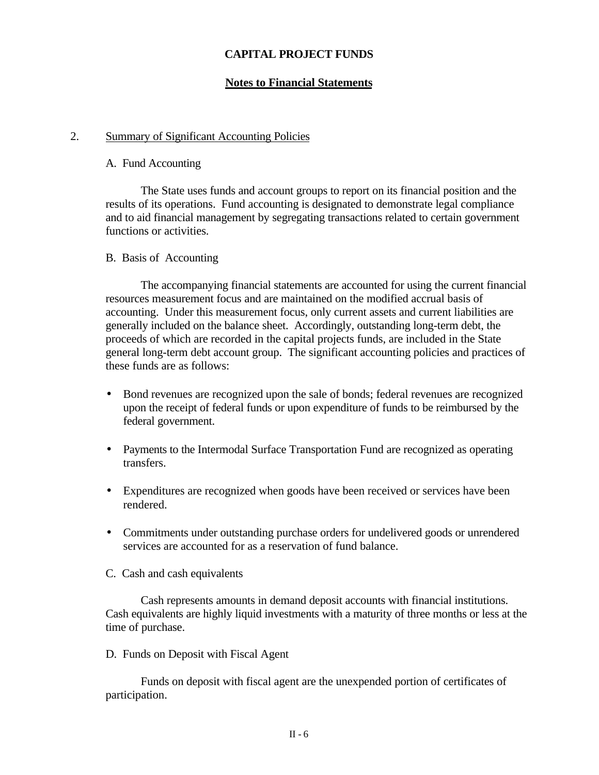## **CAPITAL PROJECT FUNDS**

#### **Notes to Financial Statements**

#### 2. Summary of Significant Accounting Policies

#### A. Fund Accounting

The State uses funds and account groups to report on its financial position and the results of its operations. Fund accounting is designated to demonstrate legal compliance and to aid financial management by segregating transactions related to certain government functions or activities.

#### B. Basis of Accounting

The accompanying financial statements are accounted for using the current financial resources measurement focus and are maintained on the modified accrual basis of accounting. Under this measurement focus, only current assets and current liabilities are generally included on the balance sheet. Accordingly, outstanding long-term debt, the proceeds of which are recorded in the capital projects funds, are included in the State general long-term debt account group. The significant accounting policies and practices of these funds are as follows:

- Bond revenues are recognized upon the sale of bonds; federal revenues are recognized upon the receipt of federal funds or upon expenditure of funds to be reimbursed by the federal government.
- Payments to the Intermodal Surface Transportation Fund are recognized as operating transfers.
- Expenditures are recognized when goods have been received or services have been rendered.
- Commitments under outstanding purchase orders for undelivered goods or unrendered services are accounted for as a reservation of fund balance.
- C. Cash and cash equivalents

Cash represents amounts in demand deposit accounts with financial institutions. Cash equivalents are highly liquid investments with a maturity of three months or less at the time of purchase.

#### D. Funds on Deposit with Fiscal Agent

Funds on deposit with fiscal agent are the unexpended portion of certificates of participation.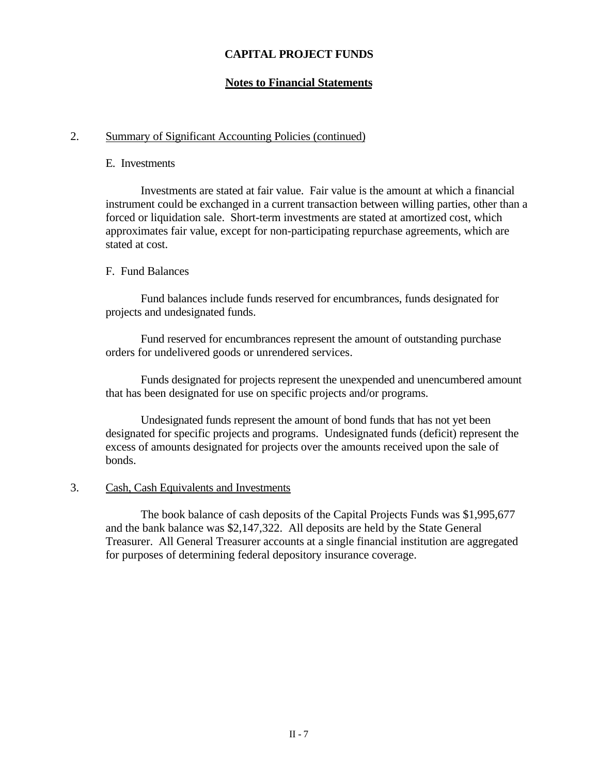## **CAPITAL PROJECT FUNDS**

## **Notes to Financial Statements**

#### 2. Summary of Significant Accounting Policies (continued)

#### E. Investments

Investments are stated at fair value. Fair value is the amount at which a financial instrument could be exchanged in a current transaction between willing parties, other than a forced or liquidation sale. Short-term investments are stated at amortized cost, which approximates fair value, except for non-participating repurchase agreements, which are stated at cost.

#### F. Fund Balances

Fund balances include funds reserved for encumbrances, funds designated for projects and undesignated funds.

Fund reserved for encumbrances represent the amount of outstanding purchase orders for undelivered goods or unrendered services.

Funds designated for projects represent the unexpended and unencumbered amount that has been designated for use on specific projects and/or programs.

Undesignated funds represent the amount of bond funds that has not yet been designated for specific projects and programs. Undesignated funds (deficit) represent the excess of amounts designated for projects over the amounts received upon the sale of bonds.

#### 3. Cash, Cash Equivalents and Investments

The book balance of cash deposits of the Capital Projects Funds was \$1,995,677 and the bank balance was \$2,147,322. All deposits are held by the State General Treasurer. All General Treasurer accounts at a single financial institution are aggregated for purposes of determining federal depository insurance coverage.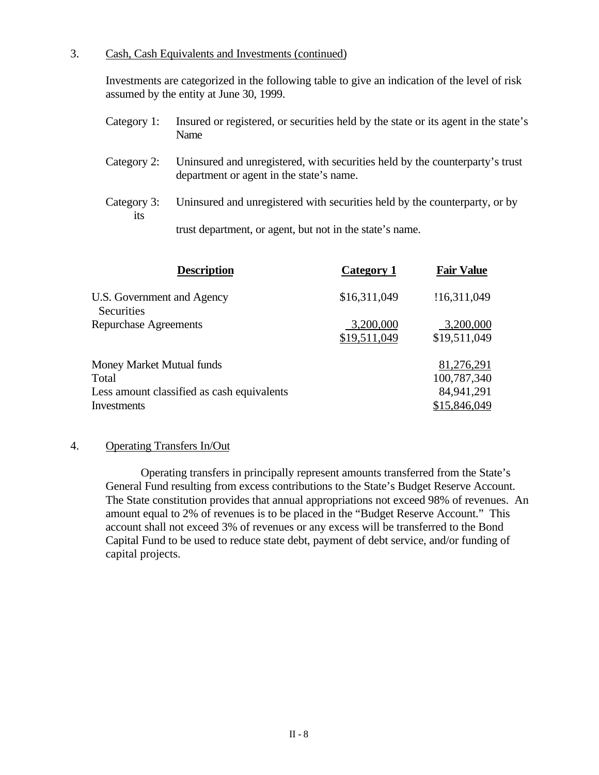## 3. Cash, Cash Equivalents and Investments (continued)

Investments are categorized in the following table to give an indication of the level of risk assumed by the entity at June 30, 1999.

- Category 1: Insured or registered, or securities held by the state or its agent in the state's Name
- Category 2: Uninsured and unregistered, with securities held by the counterparty's trust department or agent in the state's name.
- Category 3: Uninsured and unregistered with securities held by the counterparty, or by its

trust department, or agent, but not in the state's name.

| <b>Description</b>                         | Category 1                | <b>Fair Value</b>         |
|--------------------------------------------|---------------------------|---------------------------|
| U.S. Government and Agency<br>Securities   | \$16,311,049              | !16,311,049               |
| <b>Repurchase Agreements</b>               | 3,200,000<br>\$19,511,049 | 3,200,000<br>\$19,511,049 |
| Money Market Mutual funds                  |                           | 81,276,291                |
| Total                                      |                           | 100,787,340               |
| Less amount classified as cash equivalents |                           | 84,941,291                |
| <b>Investments</b>                         |                           | \$15,846,049              |

#### 4. Operating Transfers In/Out

Operating transfers in principally represent amounts transferred from the State's General Fund resulting from excess contributions to the State's Budget Reserve Account. The State constitution provides that annual appropriations not exceed 98% of revenues. An amount equal to 2% of revenues is to be placed in the "Budget Reserve Account." This account shall not exceed 3% of revenues or any excess will be transferred to the Bond Capital Fund to be used to reduce state debt, payment of debt service, and/or funding of capital projects.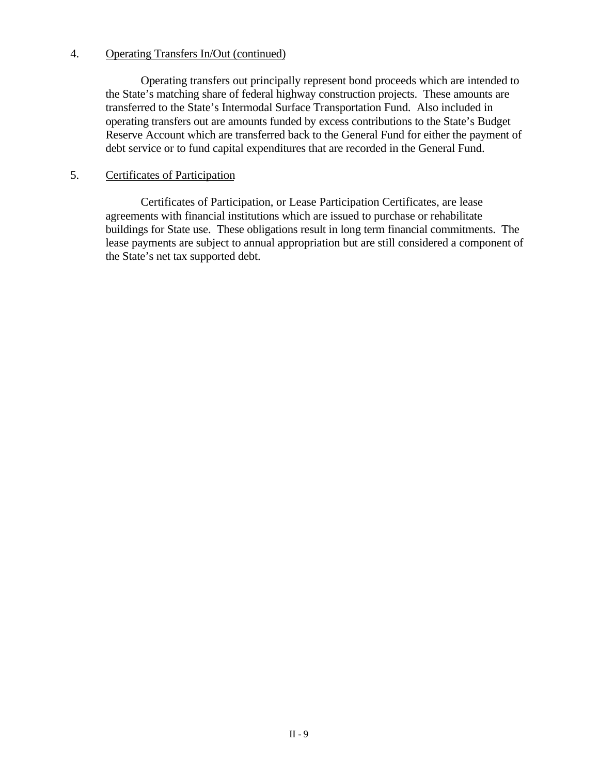### 4. Operating Transfers In/Out (continued)

Operating transfers out principally represent bond proceeds which are intended to the State's matching share of federal highway construction projects. These amounts are transferred to the State's Intermodal Surface Transportation Fund. Also included in operating transfers out are amounts funded by excess contributions to the State's Budget Reserve Account which are transferred back to the General Fund for either the payment of debt service or to fund capital expenditures that are recorded in the General Fund.

## 5. Certificates of Participation

Certificates of Participation, or Lease Participation Certificates, are lease agreements with financial institutions which are issued to purchase or rehabilitate buildings for State use. These obligations result in long term financial commitments. The lease payments are subject to annual appropriation but are still considered a component of the State's net tax supported debt.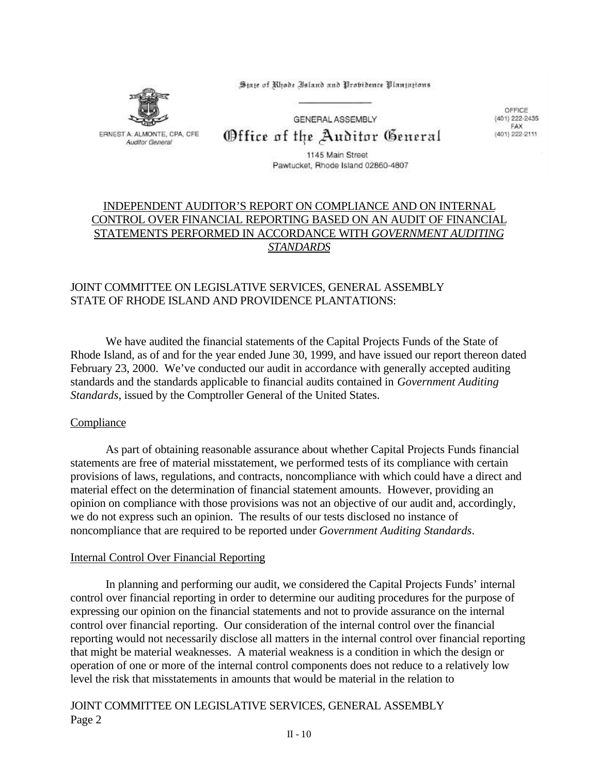State of Rhode Island and Probidence Plantations



GENERAL ASSEMBLY Office of the Auditor General

OFFICE (401) 222-2435 FAX (401) 222-2111

1145 Main Street Pawtucket, Rhode Island 02860-4807

## INDEPENDENT AUDITOR'S REPORT ON COMPLIANCE AND ON INTERNAL CONTROL OVER FINANCIAL REPORTING BASED ON AN AUDIT OF FINANCIAL STATEMENTS PERFORMED IN ACCORDANCE WITH *GOVERNMENT AUDITING STANDARDS*

## JOINT COMMITTEE ON LEGISLATIVE SERVICES, GENERAL ASSEMBLY STATE OF RHODE ISLAND AND PROVIDENCE PLANTATIONS:

We have audited the financial statements of the Capital Projects Funds of the State of Rhode Island, as of and for the year ended June 30, 1999, and have issued our report thereon dated February 23, 2000. We've conducted our audit in accordance with generally accepted auditing standards and the standards applicable to financial audits contained in *Government Auditing Standards*, issued by the Comptroller General of the United States.

#### Compliance

As part of obtaining reasonable assurance about whether Capital Projects Funds financial statements are free of material misstatement, we performed tests of its compliance with certain provisions of laws, regulations, and contracts, noncompliance with which could have a direct and material effect on the determination of financial statement amounts. However, providing an opinion on compliance with those provisions was not an objective of our audit and, accordingly, we do not express such an opinion. The results of our tests disclosed no instance of noncompliance that are required to be reported under *Government Auditing Standards*.

#### Internal Control Over Financial Reporting

In planning and performing our audit, we considered the Capital Projects Funds' internal control over financial reporting in order to determine our auditing procedures for the purpose of expressing our opinion on the financial statements and not to provide assurance on the internal control over financial reporting. Our consideration of the internal control over the financial reporting would not necessarily disclose all matters in the internal control over financial reporting that might be material weaknesses. A material weakness is a condition in which the design or operation of one or more of the internal control components does not reduce to a relatively low level the risk that misstatements in amounts that would be material in the relation to

JOINT COMMITTEE ON LEGISLATIVE SERVICES, GENERAL ASSEMBLY Page 2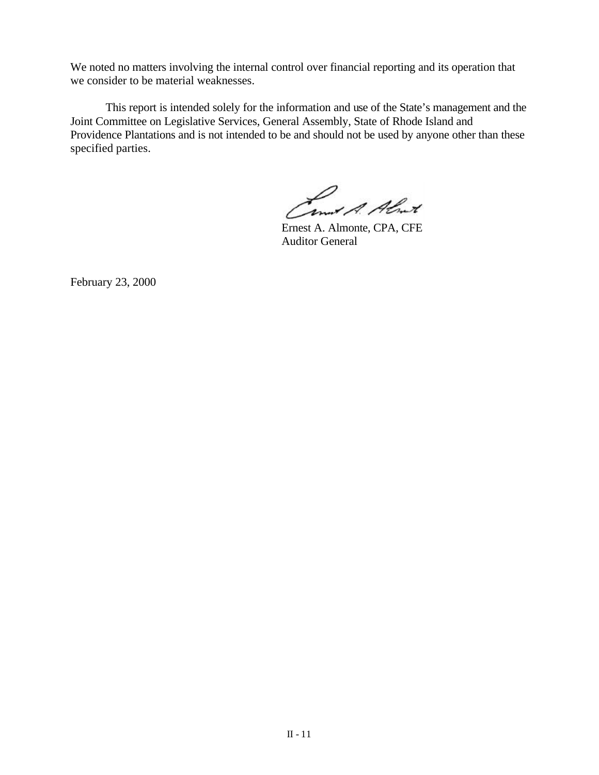We noted no matters involving the internal control over financial reporting and its operation that we consider to be material weaknesses.

This report is intended solely for the information and use of the State's management and the Joint Committee on Legislative Services, General Assembly, State of Rhode Island and Providence Plantations and is not intended to be and should not be used by anyone other than these specified parties.

Camit A. Almit

Ernest A. Almonte, CPA, CFE Auditor General

February 23, 2000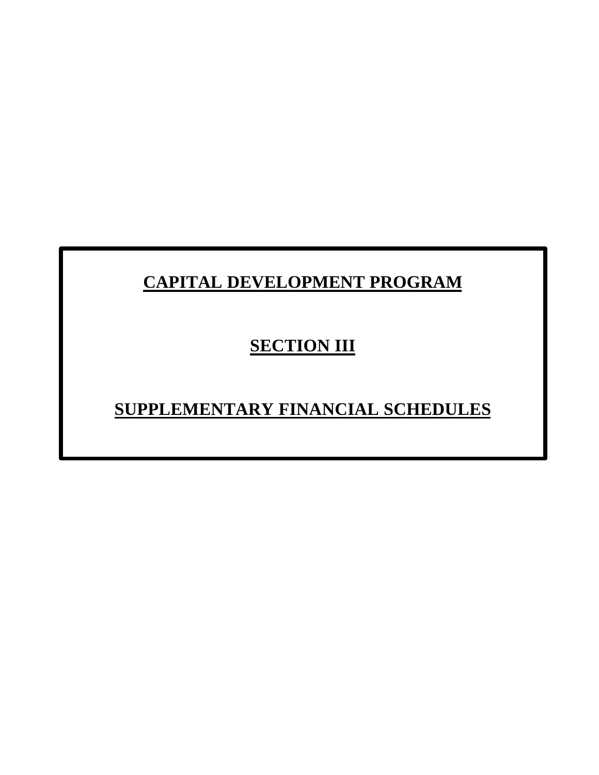# **CAPITAL DEVELOPMENT PROGRAM**

## **SECTION III**

# **SUPPLEMENTARY FINANCIAL SCHEDULES**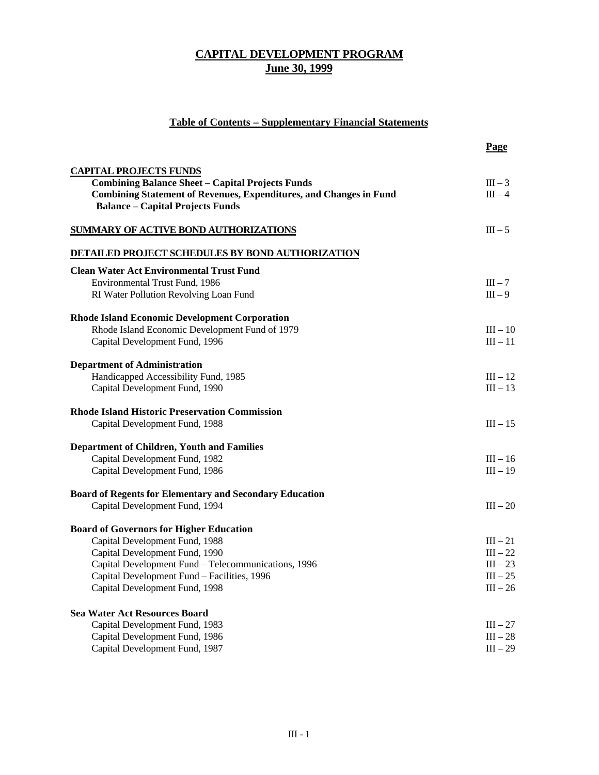## **Table of Contents – Supplementary Financial Statements**

|                                                                           | Page       |
|---------------------------------------------------------------------------|------------|
| <b>CAPITAL PROJECTS FUNDS</b>                                             |            |
| <b>Combining Balance Sheet - Capital Projects Funds</b>                   | $III - 3$  |
| <b>Combining Statement of Revenues, Expenditures, and Changes in Fund</b> | $III - 4$  |
| <b>Balance - Capital Projects Funds</b>                                   |            |
| <b>SUMMARY OF ACTIVE BOND AUTHORIZATIONS</b>                              | $III - 5$  |
| <b>DETAILED PROJECT SCHEDULES BY BOND AUTHORIZATION</b>                   |            |
| <b>Clean Water Act Environmental Trust Fund</b>                           |            |
| Environmental Trust Fund, 1986                                            | $III - 7$  |
| RI Water Pollution Revolving Loan Fund                                    | $III - 9$  |
| <b>Rhode Island Economic Development Corporation</b>                      |            |
| Rhode Island Economic Development Fund of 1979                            | $III - 10$ |
| Capital Development Fund, 1996                                            | $III - 11$ |
| <b>Department of Administration</b>                                       |            |
| Handicapped Accessibility Fund, 1985                                      | $III - 12$ |
| Capital Development Fund, 1990                                            | $III - 13$ |
| <b>Rhode Island Historic Preservation Commission</b>                      |            |
| Capital Development Fund, 1988                                            | $III - 15$ |
| <b>Department of Children, Youth and Families</b>                         |            |
| Capital Development Fund, 1982                                            | $III - 16$ |
| Capital Development Fund, 1986                                            | $III - 19$ |
| <b>Board of Regents for Elementary and Secondary Education</b>            |            |
| Capital Development Fund, 1994                                            | $III - 20$ |
| <b>Board of Governors for Higher Education</b>                            |            |
| Capital Development Fund, 1988                                            | $III - 21$ |
| Capital Development Fund, 1990                                            | $III - 22$ |
| Capital Development Fund - Telecommunications, 1996                       | $III - 23$ |
| Capital Development Fund - Facilities, 1996                               | $III - 25$ |
| Capital Development Fund, 1998                                            | $III - 26$ |
| <b>Sea Water Act Resources Board</b>                                      |            |
| Capital Development Fund, 1983                                            | $III - 27$ |
| Capital Development Fund, 1986                                            | $III - 28$ |
| Capital Development Fund, 1987                                            | $III - 29$ |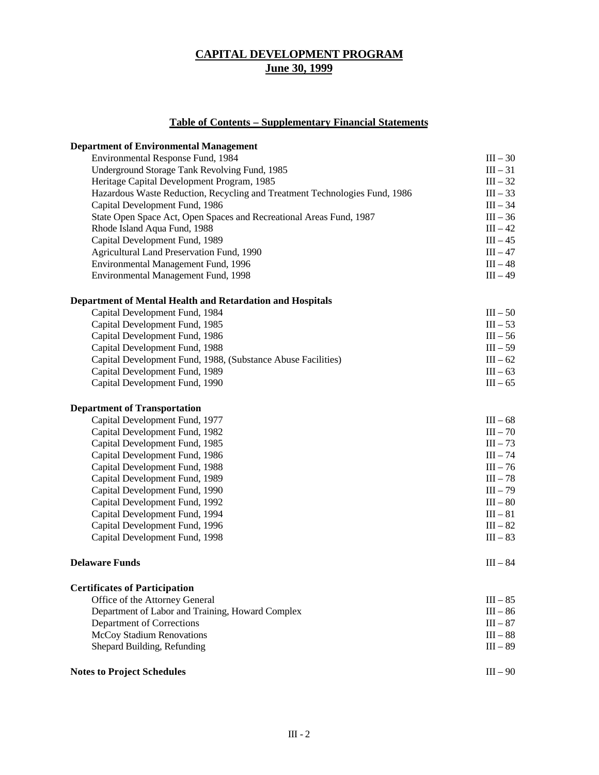## **Table of Contents – Supplementary Financial Statements**

| <b>Department of Environmental Management</b>                              |            |
|----------------------------------------------------------------------------|------------|
| Environmental Response Fund, 1984                                          | $III - 30$ |
| Underground Storage Tank Revolving Fund, 1985                              | $III - 31$ |
| Heritage Capital Development Program, 1985                                 | $III - 32$ |
| Hazardous Waste Reduction, Recycling and Treatment Technologies Fund, 1986 | $III - 33$ |
| Capital Development Fund, 1986                                             | $III - 34$ |
| State Open Space Act, Open Spaces and Recreational Areas Fund, 1987        | $III - 36$ |
| Rhode Island Aqua Fund, 1988                                               | $III - 42$ |
| Capital Development Fund, 1989                                             | $III - 45$ |
| Agricultural Land Preservation Fund, 1990                                  | $III - 47$ |
| Environmental Management Fund, 1996                                        | $III - 48$ |
| Environmental Management Fund, 1998                                        | $III - 49$ |
| Department of Mental Health and Retardation and Hospitals                  |            |
| Capital Development Fund, 1984                                             | $III - 50$ |
| Capital Development Fund, 1985                                             | $III - 53$ |
| Capital Development Fund, 1986                                             | $III - 56$ |
| Capital Development Fund, 1988                                             | $III - 59$ |
| Capital Development Fund, 1988, (Substance Abuse Facilities)               | $III - 62$ |
| Capital Development Fund, 1989                                             | $III - 63$ |
| Capital Development Fund, 1990                                             | $III - 65$ |
| <b>Department of Transportation</b>                                        |            |
| Capital Development Fund, 1977                                             | $III - 68$ |
| Capital Development Fund, 1982                                             | $III - 70$ |
| Capital Development Fund, 1985                                             | $III - 73$ |
| Capital Development Fund, 1986                                             | $III - 74$ |
| Capital Development Fund, 1988                                             | $III - 76$ |
| Capital Development Fund, 1989                                             | $III - 78$ |
| Capital Development Fund, 1990                                             | $III - 79$ |
| Capital Development Fund, 1992                                             | $III - 80$ |
| Capital Development Fund, 1994                                             | $III - 81$ |
| Capital Development Fund, 1996                                             | $III - 82$ |
| Capital Development Fund, 1998                                             | $III - 83$ |
| <b>Delaware Funds</b>                                                      | $III - 84$ |
| <b>Certificates of Participation</b>                                       |            |
| Office of the Attorney General                                             | $III - 85$ |
| Department of Labor and Training, Howard Complex                           | $III - 86$ |
| Department of Corrections                                                  | $III - 87$ |
| McCoy Stadium Renovations                                                  | $III - 88$ |
| Shepard Building, Refunding                                                | $III - 89$ |
| <b>Notes to Project Schedules</b>                                          | $III - 90$ |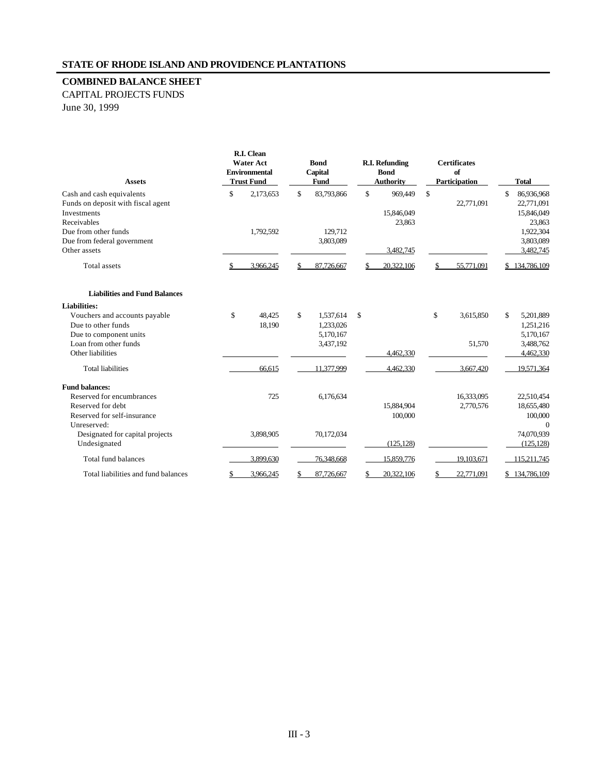#### **COMBINED BALANCE SHEET**

CAPITAL PROJECTS FUNDS June 30, 1999

| <b>Assets</b>                                                                                                                 |    | R.I. Clean<br><b>Water Act</b><br><b>Environmental</b><br><b>Trust Fund</b> |              | <b>Bond</b><br>Capital<br>Fund                   | <b>R.I. Refunding</b><br><b>Bond</b><br><b>Authority</b> |    | <b>Certificates</b><br>of<br>Participation |    | <b>Total</b>                                     |
|-------------------------------------------------------------------------------------------------------------------------------|----|-----------------------------------------------------------------------------|--------------|--------------------------------------------------|----------------------------------------------------------|----|--------------------------------------------|----|--------------------------------------------------|
| Cash and cash equivalents<br>Funds on deposit with fiscal agent<br>Investments<br>Receivables                                 | \$ | 2,173,653                                                                   | $\mathbb{S}$ | 83,793,866                                       | \$<br>969,449<br>15,846,049<br>23,863                    | \$ | 22,771,091                                 | \$ | 86,936,968<br>22,771,091<br>15,846,049<br>23,863 |
| Due from other funds<br>Due from federal government<br>Other assets                                                           |    | 1,792,592                                                                   |              | 129,712<br>3,803,089                             | 3,482,745                                                |    |                                            |    | 1,922,304<br>3,803,089<br>3,482,745              |
| <b>Total</b> assets                                                                                                           | S. | 3,966,245                                                                   | \$           | 87,726,667                                       | 20.322,106                                               | S. | 55,771,091                                 |    | \$134,786,109                                    |
| <b>Liabilities and Fund Balances</b>                                                                                          |    |                                                                             |              |                                                  |                                                          |    |                                            |    |                                                  |
| <b>Liabilities:</b><br>Vouchers and accounts payable<br>Due to other funds<br>Due to component units<br>Loan from other funds | \$ | 48,425<br>18,190                                                            | \$           | 1,537,614<br>1,233,026<br>5,170,167<br>3,437,192 | \$                                                       | \$ | 3,615,850<br>51,570                        | \$ | 5,201,889<br>1,251,216<br>5,170,167<br>3,488,762 |
| Other liabilities<br><b>Total liabilities</b>                                                                                 |    | 66,615                                                                      |              | 11,377,999                                       | 4.462.330<br>4,462,330                                   |    | 3,667,420                                  |    | 4,462,330<br>19,571,364                          |
| <b>Fund balances:</b><br>Reserved for encumbrances<br>Reserved for debt.<br>Reserved for self-insurance                       |    | 725                                                                         |              | 6,176,634                                        | 15,884,904<br>100,000                                    |    | 16,333,095<br>2,770,576                    |    | 22,510,454<br>18,655,480<br>100,000              |
| Unreserved:<br>Designated for capital projects<br>Undesignated                                                                |    | 3,898,905                                                                   |              | 70,172,034                                       | (125, 128)                                               |    |                                            |    | $\mathbf 0$<br>74,070,939<br>(125, 128)          |
| Total fund balances                                                                                                           |    | 3,899,630                                                                   |              | 76,348,668                                       | 15,859,776                                               |    | 19,103,671                                 |    | 115,211,745                                      |
| Total liabilities and fund balances                                                                                           | S  | 3,966,245                                                                   | \$           | 87,726,667                                       | 20,322,106                                               | S  | 22,771,091                                 | S. | 134,786,109                                      |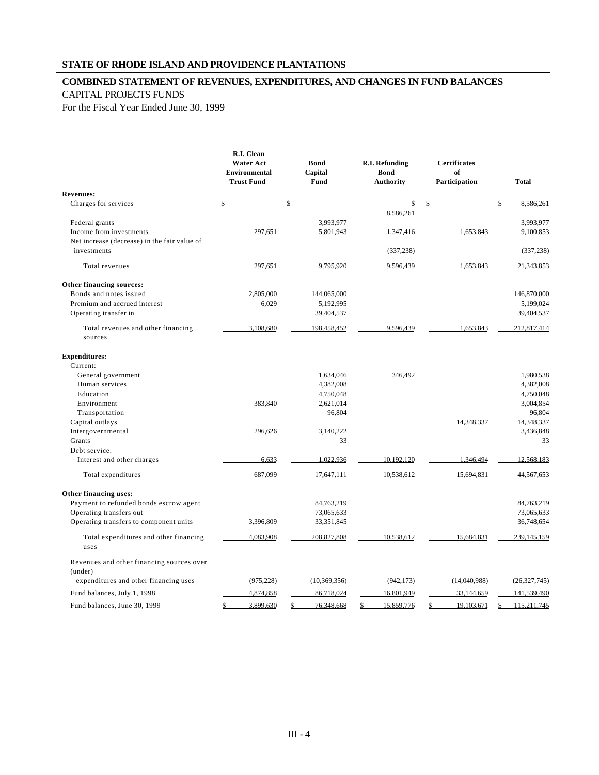#### **STATE OF RHODE ISLAND AND PROVIDENCE PLANTATIONS**

#### **COMBINED STATEMENT OF REVENUES, EXPENDITURES, AND CHANGES IN FUND BALANCES**

#### CAPITAL PROJECTS FUNDS

For the Fiscal Year Ended June 30, 1999

|                                                      | R.I. Clean<br><b>Water Act</b><br><b>Environmental</b><br><b>Trust Fund</b> | Bond<br>Capital<br>Fund | R.I. Refunding<br><b>Bond</b><br><b>Authority</b> | <b>Certificates</b><br>of<br>Participation | <b>Total</b>           |
|------------------------------------------------------|-----------------------------------------------------------------------------|-------------------------|---------------------------------------------------|--------------------------------------------|------------------------|
| <b>Revenues:</b>                                     |                                                                             |                         |                                                   |                                            |                        |
| Charges for services                                 | \$                                                                          | $\mathbb{S}$            | \$                                                | \$                                         | \$<br>8,586,261        |
|                                                      |                                                                             |                         | 8,586,261                                         |                                            |                        |
| Federal grants<br>Income from investments            | 297,651                                                                     | 3,993,977<br>5,801,943  |                                                   | 1,653,843                                  | 3,993,977<br>9,100,853 |
| Net increase (decrease) in the fair value of         |                                                                             |                         | 1,347,416                                         |                                            |                        |
| investments                                          |                                                                             |                         | (337, 238)                                        |                                            | (337, 238)             |
|                                                      |                                                                             |                         |                                                   |                                            |                        |
| Total revenues                                       | 297,651                                                                     | 9,795,920               | 9,596,439                                         | 1.653.843                                  | 21,343,853             |
| Other financing sources:                             |                                                                             |                         |                                                   |                                            |                        |
| Bonds and notes issued                               | 2,805,000                                                                   | 144,065,000             |                                                   |                                            | 146,870,000            |
| Premium and accrued interest                         | 6,029                                                                       | 5,192,995               |                                                   |                                            | 5,199,024              |
| Operating transfer in                                |                                                                             | 39,404,537              |                                                   |                                            | 39,404,537             |
| Total revenues and other financing<br>sources        | 3,108,680                                                                   | 198,458,452             | 9.596.439                                         | 1,653,843                                  | 212,817,414            |
| <b>Expenditures:</b>                                 |                                                                             |                         |                                                   |                                            |                        |
| Current:                                             |                                                                             |                         |                                                   |                                            |                        |
| General government                                   |                                                                             | 1,634,046               | 346,492                                           |                                            | 1,980,538              |
| Human services                                       |                                                                             | 4,382,008               |                                                   |                                            | 4,382,008              |
| Education                                            |                                                                             | 4,750,048               |                                                   |                                            | 4,750,048              |
| Environment                                          | 383,840                                                                     | 2,621,014               |                                                   |                                            | 3,004,854              |
| Transportation                                       |                                                                             | 96,804                  |                                                   |                                            | 96,804                 |
| Capital outlays                                      |                                                                             |                         |                                                   | 14,348,337                                 | 14,348,337             |
| Intergovernmental                                    | 296,626                                                                     | 3,140,222               |                                                   |                                            | 3,436,848              |
| Grants                                               |                                                                             | 33                      |                                                   |                                            | 33                     |
| Debt service:                                        |                                                                             |                         |                                                   |                                            |                        |
| Interest and other charges                           | 6,633                                                                       | 1,022,936               | 10,192,120                                        | 1,346,494                                  | 12,568,183             |
| Total expenditures                                   | 687,099                                                                     | 17,647,111              | 10,538,612                                        | 15,694,831                                 | 44,567,653             |
| Other financing uses:                                |                                                                             |                         |                                                   |                                            |                        |
| Payment to refunded bonds escrow agent               |                                                                             | 84,763,219              |                                                   |                                            | 84,763,219             |
| Operating transfers out                              |                                                                             | 73,065,633              |                                                   |                                            | 73,065,633             |
| Operating transfers to component units               | 3,396,809                                                                   | 33,351,845              |                                                   |                                            | 36,748,654             |
| Total expenditures and other financing<br>uses       | 4,083,908                                                                   | 208,827,808             | 10,538,612                                        | 15,684,831                                 | 239,145,159            |
| Revenues and other financing sources over<br>(under) |                                                                             |                         |                                                   |                                            |                        |
| expenditures and other financing uses                | (975, 228)                                                                  | (10, 369, 356)          | (942, 173)                                        | (14,040,988)                               | (26, 327, 745)         |
| Fund balances, July 1, 1998                          | 4,874,858                                                                   | 86,718,024              | 16,801,949                                        | 33,144,659                                 | 141,539,490            |
| Fund balances, June 30, 1999                         | 3,899,630<br>\$                                                             | 76,348,668<br>\$        | 15,859,776<br>\$                                  | 19,103,671<br>\$                           | 115,211,745            |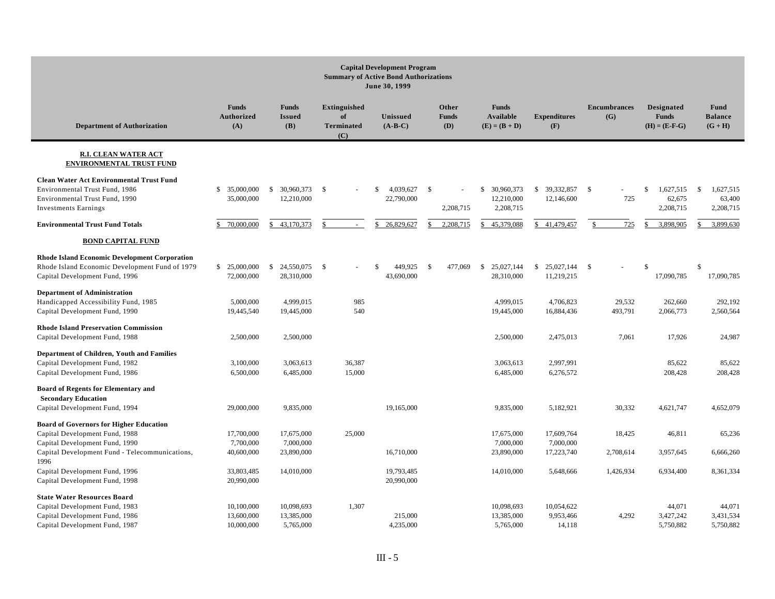|                                                                                                                                                    | <b>Capital Development Program</b><br><b>Summary of Active Bond Authorizations</b><br>June 30, 1999 |                                           |                                                       |                                        |                              |                                                     |                                          |                            |                                                      |                                                  |
|----------------------------------------------------------------------------------------------------------------------------------------------------|-----------------------------------------------------------------------------------------------------|-------------------------------------------|-------------------------------------------------------|----------------------------------------|------------------------------|-----------------------------------------------------|------------------------------------------|----------------------------|------------------------------------------------------|--------------------------------------------------|
| <b>Department of Authorization</b>                                                                                                                 | <b>Funds</b><br><b>Authorized</b><br>(A)                                                            | <b>Funds</b><br><b>Issued</b><br>(B)      | <b>Extinguished</b><br>of<br><b>Terminated</b><br>(C) | <b>Unissued</b><br>$(A-B-C)$           | Other<br><b>Funds</b><br>(D) | <b>Funds</b><br><b>Available</b><br>$(E) = (B + D)$ | <b>Expenditures</b><br>(F)               | <b>Encumbrances</b><br>(G) | <b>Designated</b><br><b>Funds</b><br>$(H) = (E-F-G)$ | Fund<br><b>Balance</b><br>$(G + H)$              |
| <b>R.I. CLEAN WATER ACT</b><br><b>ENVIRONMENTAL TRUST FUND</b>                                                                                     |                                                                                                     |                                           |                                                       |                                        |                              |                                                     |                                          |                            |                                                      |                                                  |
| <b>Clean Water Act Environmental Trust Fund</b><br>Environmental Trust Fund, 1986<br>Environmental Trust Fund, 1990<br><b>Investments Earnings</b> | \$ 35,000,000<br>35,000,000                                                                         | 30,960,373<br><sup>\$</sup><br>12,210,000 | $\mathbf{s}$                                          | 4.039.627<br>\$.<br>22,790,000         | $\mathbf{s}$<br>2,208,715    | 30,960,373<br>\$.<br>12,210,000<br>2,208,715        | 39,332,857<br>$\mathbb{S}$<br>12,146,600 | - S<br>725                 | 1.627.515<br>\$<br>62,675<br>2,208,715               | 1.627.515<br>$\mathbb{S}$<br>63,400<br>2,208,715 |
| <b>Environmental Trust Fund Totals</b>                                                                                                             | 70,000,000                                                                                          | 43,170,373<br>$\mathcal{S}$               | $\mathcal{S}$<br>$\Delta \phi$                        | 26,829,627<br>$\mathbf{\hat{S}}$       | 2,208,715                    | 45,379,088                                          | 41,479,457<br>$\mathcal{S}$              | 725<br>$\mathbf{s}$        | 3,898,905<br>\$                                      | 3,899,630                                        |
| <b>BOND CAPITAL FUND</b>                                                                                                                           |                                                                                                     |                                           |                                                       |                                        |                              |                                                     |                                          |                            |                                                      |                                                  |
| <b>Rhode Island Economic Development Corporation</b><br>Rhode Island Economic Development Fund of 1979<br>Capital Development Fund, 1996           | \$ 25,000,000<br>72,000,000                                                                         | <sup>S</sup><br>24,550,075<br>28,310,000  | -S                                                    | 449.925<br>$\mathcal{S}$<br>43,690,000 | $\mathbb{S}$<br>477,069      | $\mathbb{S}$<br>25,027,144<br>28,310,000            | 25,027,144<br>$\mathbb{S}$<br>11,219,215 | - \$                       | $\mathcal{S}$<br>17,090,785                          | $\mathbb{S}$<br>17,090,785                       |
| <b>Department of Administration</b><br>Handicapped Accessibility Fund, 1985<br>Capital Development Fund, 1990                                      | 5,000,000<br>19,445,540                                                                             | 4,999,015<br>19,445,000                   | 985<br>540                                            |                                        |                              | 4,999,015<br>19,445,000                             | 4,706,823<br>16,884,436                  | 29,532<br>493,791          | 262,660<br>2,066,773                                 | 292,192<br>2,560,564                             |
| <b>Rhode Island Preservation Commission</b><br>Capital Development Fund, 1988                                                                      | 2,500,000                                                                                           | 2,500,000                                 |                                                       |                                        |                              | 2,500,000                                           | 2,475,013                                | 7,061                      | 17,926                                               | 24,987                                           |
| Department of Children, Youth and Families<br>Capital Development Fund, 1982<br>Capital Development Fund, 1986                                     | 3,100,000<br>6,500,000                                                                              | 3,063,613<br>6,485,000                    | 36,387<br>15,000                                      |                                        |                              | 3,063,613<br>6,485,000                              | 2,997,991<br>6,276,572                   |                            | 85,622<br>208,428                                    | 85,622<br>208,428                                |
| Board of Regents for Elementary and<br><b>Secondary Education</b><br>Capital Development Fund, 1994                                                | 29,000,000                                                                                          | 9,835,000                                 |                                                       | 19,165,000                             |                              | 9,835,000                                           | 5,182,921                                | 30,332                     | 4,621,747                                            | 4,652,079                                        |
| <b>Board of Governors for Higher Education</b><br>Capital Development Fund, 1988<br>Capital Development Fund, 1990                                 | 17,700,000<br>7,700,000                                                                             | 17,675,000<br>7,000,000                   | 25,000                                                |                                        |                              | 17,675,000<br>7,000,000                             | 17,609,764<br>7,000,000                  | 18,425                     | 46,811                                               | 65,236                                           |
| Capital Development Fund - Telecommunications,                                                                                                     | 40,600,000                                                                                          | 23,890,000                                |                                                       | 16,710,000                             |                              | 23,890,000                                          | 17,223,740                               | 2,708,614                  | 3,957,645                                            | 6,666,260                                        |
| 1996<br>Capital Development Fund, 1996<br>Capital Development Fund, 1998                                                                           | 33,803,485<br>20,990,000                                                                            | 14,010,000                                |                                                       | 19,793,485<br>20,990,000               |                              | 14,010,000                                          | 5,648,666                                | 1,426,934                  | 6,934,400                                            | 8,361,334                                        |
| <b>State Water Resources Board</b><br>Capital Development Fund, 1983<br>Capital Development Fund, 1986<br>Capital Development Fund, 1987           | 10,100,000<br>13,600,000<br>10,000,000                                                              | 10,098,693<br>13,385,000<br>5,765,000     | 1,307                                                 | 215,000<br>4,235,000                   |                              | 10,098,693<br>13,385,000<br>5,765,000               | 10,054,622<br>9,953,466<br>14,118        | 4,292                      | 44,071<br>3,427,242<br>5,750,882                     | 44,071<br>3,431,534<br>5,750,882                 |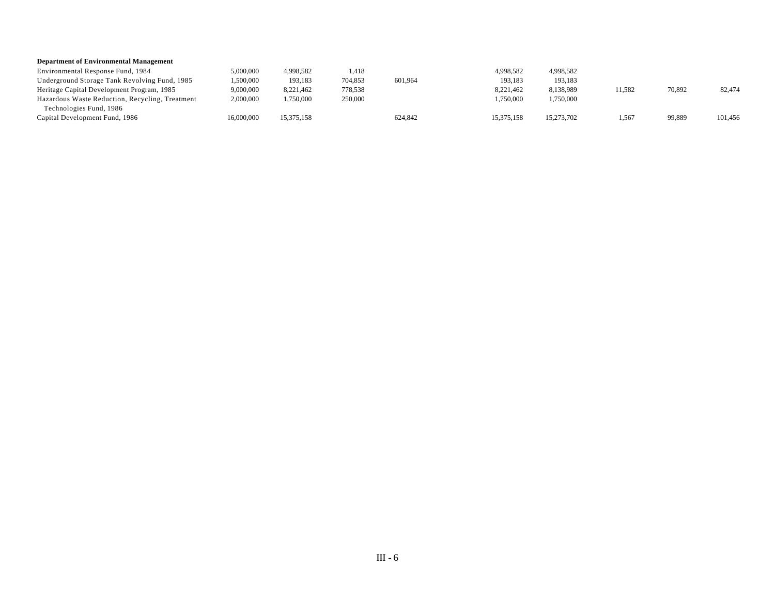#### **Department of Environmental Management**

| Environmental Response Fund, 1984               | 5,000,000  | 4.998.582  | 1,418   |         | 4,998,582  | 4.998.582  |        |        |         |
|-------------------------------------------------|------------|------------|---------|---------|------------|------------|--------|--------|---------|
| Underground Storage Tank Revolving Fund, 1985   | 1.500.000  | 193,183    | 704,853 | 601.964 | 193,183    | 193.183    |        |        |         |
| Heritage Capital Development Program, 1985      | 9,000,000  | 8,221,462  | 778,538 |         | 8,221,462  | 8,138,989  | 11,582 | 70,892 | 82,474  |
| Hazardous Waste Reduction, Recycling, Treatment | 2,000,000  | ,750,000   | 250,000 |         | 1,750,000  | 1,750,000  |        |        |         |
| Technologies Fund, 1986                         |            |            |         |         |            |            |        |        |         |
| Capital Development Fund, 1986                  | 16,000,000 | 15,375,158 |         | 624,842 | 15,375,158 | 15,273,702 | 1,567  | 99,889 | 101,456 |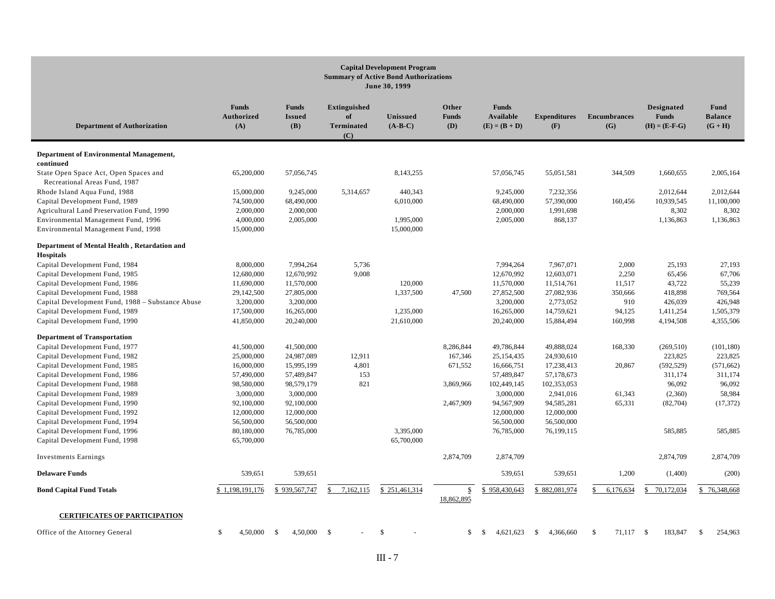|                                                                                                             |                                          |                                      |                                                       | <b>Capital Development Program</b><br><b>Summary of Active Bond Authorizations</b><br>June 30, 1999 |                              |                                              |                                      |                            |                                                      |                                     |
|-------------------------------------------------------------------------------------------------------------|------------------------------------------|--------------------------------------|-------------------------------------------------------|-----------------------------------------------------------------------------------------------------|------------------------------|----------------------------------------------|--------------------------------------|----------------------------|------------------------------------------------------|-------------------------------------|
| <b>Department of Authorization</b>                                                                          | <b>Funds</b><br><b>Authorized</b><br>(A) | <b>Funds</b><br><b>Issued</b><br>(B) | <b>Extinguished</b><br>of<br><b>Terminated</b><br>(C) | Unissued<br>$(A-B-C)$                                                                               | Other<br><b>Funds</b><br>(D) | <b>Funds</b><br>Available<br>$(E) = (B + D)$ | <b>Expenditures</b><br>(F)           | <b>Encumbrances</b><br>(G) | <b>Designated</b><br><b>Funds</b><br>$(H) = (E-F-G)$ | Fund<br><b>Balance</b><br>$(G + H)$ |
| <b>Department of Environmental Management,</b><br>continued                                                 |                                          |                                      |                                                       |                                                                                                     |                              |                                              |                                      |                            |                                                      |                                     |
| State Open Space Act, Open Spaces and<br>Recreational Areas Fund, 1987                                      | 65,200,000                               | 57,056,745                           |                                                       | 8,143,255                                                                                           |                              | 57,056,745                                   | 55,051,581                           | 344,509                    | 1,660,655                                            | 2,005,164                           |
| Rhode Island Aqua Fund, 1988<br>Capital Development Fund, 1989<br>Agricultural Land Preservation Fund, 1990 | 15,000,000<br>74,500,000<br>2,000,000    | 9,245,000<br>68,490,000<br>2,000,000 | 5,314,657                                             | 440,343<br>6,010,000                                                                                |                              | 9,245,000<br>68,490,000<br>2,000,000         | 7,232,356<br>57,390,000<br>1,991,698 | 160,456                    | 2,012,644<br>10,939,545<br>8,302                     | 2,012,644<br>11,100,000<br>8,302    |
| Environmental Management Fund, 1996<br>Environmental Management Fund, 1998                                  | 4,000,000<br>15,000,000                  | 2,005,000                            |                                                       | 1,995,000<br>15,000,000                                                                             |                              | 2,005,000                                    | 868,137                              |                            | 1,136,863                                            | 1,136,863                           |
| Department of Mental Health, Retardation and<br><b>Hospitals</b>                                            |                                          |                                      |                                                       |                                                                                                     |                              |                                              |                                      |                            |                                                      |                                     |
| Capital Development Fund, 1984                                                                              | 8,000,000                                | 7,994,264                            | 5,736                                                 |                                                                                                     |                              | 7,994,264                                    | 7,967,071                            | 2,000                      | 25,193                                               | 27,193                              |
| Capital Development Fund, 1985                                                                              | 12,680,000                               | 12,670,992                           | 9,008                                                 |                                                                                                     |                              | 12,670,992                                   | 12,603,071                           | 2,250                      | 65,456                                               | 67,706                              |
| Capital Development Fund, 1986                                                                              | 11,690,000                               | 11,570,000                           |                                                       | 120,000                                                                                             |                              | 11,570,000                                   | 11,514,761                           | 11,517                     | 43,722                                               | 55,239                              |
| Capital Development Fund, 1988                                                                              | 29,142,500                               | 27,805,000                           |                                                       | 1,337,500                                                                                           | 47,500                       | 27,852,500                                   | 27,082,936                           | 350,666                    | 418,898                                              | 769,564                             |
| Capital Development Fund, 1988 - Substance Abuse                                                            | 3,200,000                                | 3,200,000                            |                                                       |                                                                                                     |                              | 3,200,000                                    | 2,773,052                            | 910                        | 426,039                                              | 426,948                             |
| Capital Development Fund, 1989                                                                              | 17,500,000                               | 16,265,000                           |                                                       | 1,235,000                                                                                           |                              | 16,265,000                                   | 14,759,621                           | 94,125                     | 1,411,254                                            | 1,505,379                           |
| Capital Development Fund, 1990                                                                              | 41,850,000                               | 20,240,000                           |                                                       | 21,610,000                                                                                          |                              | 20,240,000                                   | 15,884,494                           | 160,998                    | 4,194,508                                            | 4,355,506                           |
| <b>Department of Transportation</b>                                                                         |                                          |                                      |                                                       |                                                                                                     |                              |                                              |                                      |                            |                                                      |                                     |
| Capital Development Fund, 1977                                                                              | 41,500,000                               | 41,500,000                           |                                                       |                                                                                                     | 8,286,844                    | 49,786,844                                   | 49,888,024                           | 168,330                    | (269, 510)                                           | (101, 180)                          |
| Capital Development Fund, 1982                                                                              | 25,000,000                               | 24,987,089                           | 12,911                                                |                                                                                                     | 167,346                      | 25,154,435                                   | 24,930,610                           |                            | 223,825                                              | 223,825                             |
| Capital Development Fund, 1985                                                                              | 16,000,000                               | 15,995,199                           | 4,801                                                 |                                                                                                     | 671,552                      | 16,666,751                                   | 17,238,413                           | 20,867                     | (592, 529)                                           | (571, 662)                          |
| Capital Development Fund, 1986                                                                              | 57,490,000                               | 57,489,847                           | 153                                                   |                                                                                                     |                              | 57,489,847                                   | 57,178,673                           |                            | 311,174                                              | 311,174                             |
| Capital Development Fund, 1988                                                                              | 98,580,000                               | 98,579,179                           | 821                                                   |                                                                                                     | 3,869,966                    | 102,449,145                                  | 102,353,053                          |                            | 96,092                                               | 96,092                              |
| Capital Development Fund, 1989                                                                              | 3,000,000                                | 3,000,000                            |                                                       |                                                                                                     |                              | 3,000,000                                    | 2,941,016                            | 61,343                     | (2,360)                                              | 58,984                              |
| Capital Development Fund, 1990                                                                              | 92,100,000                               | 92,100,000                           |                                                       |                                                                                                     | 2,467,909                    | 94,567,909                                   | 94,585,281                           | 65,331                     | (82,704)                                             | (17, 372)                           |
| Capital Development Fund, 1992                                                                              | 12,000,000                               | 12,000,000                           |                                                       |                                                                                                     |                              | 12,000,000                                   | 12,000,000                           |                            |                                                      |                                     |
| Capital Development Fund, 1994                                                                              | 56,500,000                               | 56,500,000                           |                                                       |                                                                                                     |                              | 56,500,000                                   | 56,500,000                           |                            |                                                      |                                     |
| Capital Development Fund, 1996                                                                              | 80,180,000                               | 76,785,000                           |                                                       | 3,395,000                                                                                           |                              | 76,785,000                                   | 76,199,115                           |                            | 585,885                                              | 585,885                             |
| Capital Development Fund, 1998                                                                              | 65,700,000                               |                                      |                                                       | 65,700,000                                                                                          |                              |                                              |                                      |                            |                                                      |                                     |
| <b>Investments Earnings</b>                                                                                 |                                          |                                      |                                                       |                                                                                                     | 2,874,709                    | 2,874,709                                    |                                      |                            | 2,874,709                                            | 2,874,709                           |
| <b>Delaware Funds</b>                                                                                       | 539,651                                  | 539,651                              |                                                       |                                                                                                     |                              | 539,651                                      | 539,651                              | 1,200                      | (1,400)                                              | (200)                               |
| <b>Bond Capital Fund Totals</b>                                                                             | \$1,198,191,176                          | \$939,567,747                        | 7,162,115                                             | \$251,461,314                                                                                       | $\mathbb{S}$<br>18,862,895   | 958,430,643<br>S                             | \$882,081,974                        | 6,176,634<br>\$            | 70,172,034<br>\$                                     | 76,348,668<br>¢                     |
| <b>CERTIFICATES OF PARTICIPATION</b>                                                                        |                                          |                                      |                                                       |                                                                                                     |                              |                                              |                                      |                            |                                                      |                                     |
| Office of the Attorney General                                                                              | \$<br>4,50,000                           | 4,50,000<br>- \$                     | -\$                                                   | <sup>\$</sup>                                                                                       | \$                           | 4,621,623<br>-S                              | 4,366,660<br>-S                      | 71,117 \$<br>-S            | 183,847                                              | \$<br>254,963                       |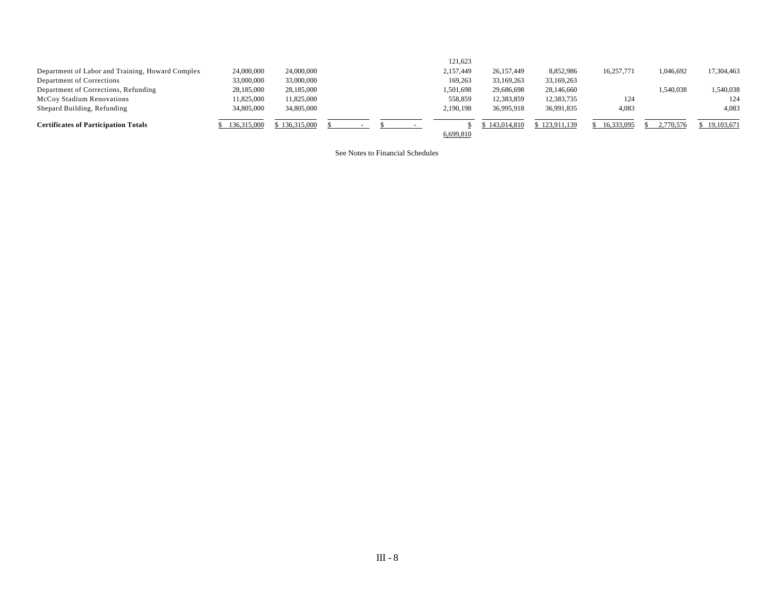|                                                  |             |             |  |  | 121,623   |             |               |            |           |            |
|--------------------------------------------------|-------------|-------------|--|--|-----------|-------------|---------------|------------|-----------|------------|
| Department of Labor and Training, Howard Complex | 24,000,000  | 24,000,000  |  |  | 2,157,449 | 26,157,449  | 8,852,986     | 16,257,771 | 1,046,692 | 17,304,463 |
| Department of Corrections                        | 33,000,000  | 33,000,000  |  |  | 169,263   | 33,169,263  | 33,169,263    |            |           |            |
| Department of Corrections, Refunding             | 28,185,000  | 28,185,000  |  |  | 1,501,698 | 29,686,698  | 28,146,660    |            | 1,540,038 | 1,540,038  |
| <b>McCoy Stadium Renovations</b>                 | 11,825,000  | 11.825.000  |  |  | 558,859   | 12,383,859  | 12,383,735    | 124        |           | 124        |
| Shepard Building, Refunding                      | 34,805,000  | 34,805,000  |  |  | 2,190,198 | 36,995,918  | 36,991,835    | 4,083      |           | 4,083      |
| <b>Certificates of Participation Totals</b>      | 136,315,000 | 136,315,000 |  |  |           | 143,014,810 | \$123,911,139 | 16.333.095 | 2.770.576 | 19,103,671 |
|                                                  |             |             |  |  | 6,699,810 |             |               |            |           |            |

See Notes to Financial Schedules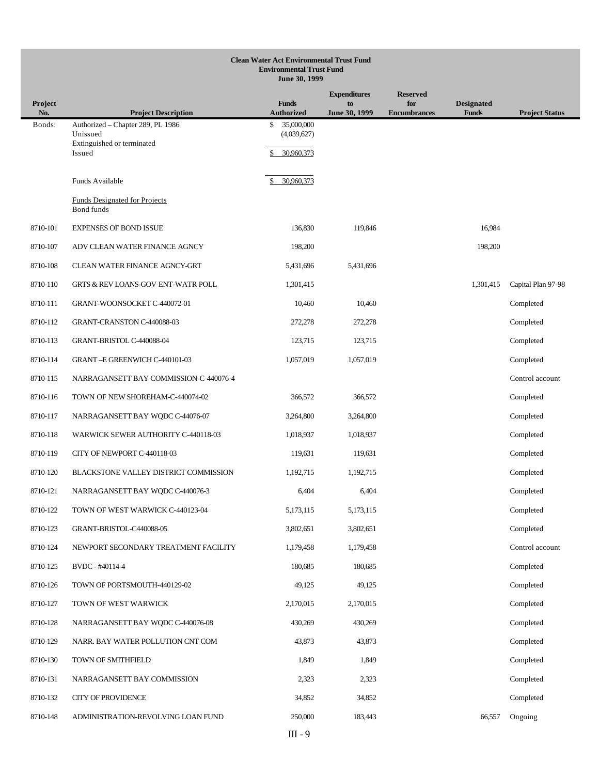|                | <b>Clean Water Act Environmental Trust Fund</b><br><b>Environmental Trust Fund</b><br>June 30, 1999 |                                               |                     |                            |                                   |                       |  |  |  |  |  |
|----------------|-----------------------------------------------------------------------------------------------------|-----------------------------------------------|---------------------|----------------------------|-----------------------------------|-----------------------|--|--|--|--|--|
|                |                                                                                                     |                                               | <b>Expenditures</b> | <b>Reserved</b>            |                                   |                       |  |  |  |  |  |
| Project<br>No. | <b>Project Description</b>                                                                          | <b>Funds</b><br><b>Authorized</b>             | to<br>June 30, 1999 | for<br><b>Encumbrances</b> | <b>Designated</b><br><b>Funds</b> | <b>Project Status</b> |  |  |  |  |  |
| Bonds:         | Authorized - Chapter 289, PL 1986<br>Unissued<br>Extinguished or terminated<br>Issued               | \$<br>35,000,000<br>(4,039,627)<br>30,960,373 |                     |                            |                                   |                       |  |  |  |  |  |
|                |                                                                                                     |                                               |                     |                            |                                   |                       |  |  |  |  |  |
|                | Funds Available                                                                                     | 30,960,373                                    |                     |                            |                                   |                       |  |  |  |  |  |
|                | <b>Funds Designated for Projects</b><br>Bond funds                                                  |                                               |                     |                            |                                   |                       |  |  |  |  |  |
| 8710-101       | <b>EXPENSES OF BOND ISSUE</b>                                                                       | 136,830                                       | 119,846             |                            | 16,984                            |                       |  |  |  |  |  |
| 8710-107       | ADV CLEAN WATER FINANCE AGNCY                                                                       | 198,200                                       |                     |                            | 198,200                           |                       |  |  |  |  |  |
| 8710-108       | CLEAN WATER FINANCE AGNCY-GRT                                                                       | 5,431,696                                     | 5,431,696           |                            |                                   |                       |  |  |  |  |  |
| 8710-110       | <b>GRTS &amp; REV LOANS-GOV ENT-WATR POLL</b>                                                       | 1,301,415                                     |                     |                            | 1,301,415                         | Capital Plan 97-98    |  |  |  |  |  |
| 8710-111       | GRANT-WOONSOCKET C-440072-01                                                                        | 10,460                                        | 10,460              |                            |                                   | Completed             |  |  |  |  |  |
| 8710-112       | GRANT-CRANSTON C-440088-03                                                                          | 272,278                                       | 272,278             |                            |                                   | Completed             |  |  |  |  |  |
| 8710-113       | GRANT-BRISTOL C-440088-04                                                                           | 123,715                                       | 123,715             |                            |                                   | Completed             |  |  |  |  |  |
| 8710-114       | GRANT-E GREENWICH C-440101-03                                                                       | 1,057,019                                     | 1,057,019           |                            |                                   | Completed             |  |  |  |  |  |
| 8710-115       | NARRAGANSETT BAY COMMISSION-C-440076-4                                                              |                                               |                     |                            |                                   | Control account       |  |  |  |  |  |
| 8710-116       | TOWN OF NEW SHOREHAM-C-440074-02                                                                    | 366,572                                       | 366,572             |                            |                                   | Completed             |  |  |  |  |  |
| 8710-117       | NARRAGANSETT BAY WQDC C-44076-07                                                                    | 3,264,800                                     | 3,264,800           |                            |                                   | Completed             |  |  |  |  |  |
| 8710-118       | WARWICK SEWER AUTHORITY C-440118-03                                                                 | 1,018,937                                     | 1,018,937           |                            |                                   | Completed             |  |  |  |  |  |
| 8710-119       | CITY OF NEWPORT C-440118-03                                                                         | 119,631                                       | 119,631             |                            |                                   | Completed             |  |  |  |  |  |
| 8710-120       | BLACKSTONE VALLEY DISTRICT COMMISSION                                                               | 1,192,715                                     | 1,192,715           |                            |                                   | Completed             |  |  |  |  |  |
| 8710-121       | NARRAGANSETT BAY WQDC C-440076-3                                                                    | 6,404                                         | 6,404               |                            |                                   | Completed             |  |  |  |  |  |
| 8710-122       | TOWN OF WEST WARWICK C-440123-04                                                                    | 5,173,115                                     | 5,173,115           |                            |                                   | Completed             |  |  |  |  |  |
| 8710-123       | GRANT-BRISTOL-C440088-05                                                                            | 3,802,651                                     | 3,802,651           |                            |                                   | Completed             |  |  |  |  |  |
| 8710-124       | NEWPORT SECONDARY TREATMENT FACILITY                                                                | 1,179,458                                     | 1,179,458           |                            |                                   | Control account       |  |  |  |  |  |
| 8710-125       | BVDC - #40114-4                                                                                     | 180,685                                       | 180,685             |                            |                                   | Completed             |  |  |  |  |  |
| 8710-126       | TOWN OF PORTSMOUTH-440129-02                                                                        | 49,125                                        | 49,125              |                            |                                   | Completed             |  |  |  |  |  |
| 8710-127       | TOWN OF WEST WARWICK                                                                                | 2,170,015                                     | 2,170,015           |                            |                                   | Completed             |  |  |  |  |  |
| 8710-128       | NARRAGANSETT BAY WQDC C-440076-08                                                                   | 430,269                                       | 430,269             |                            |                                   | Completed             |  |  |  |  |  |
| 8710-129       | NARR. BAY WATER POLLUTION CNT COM                                                                   | 43,873                                        | 43,873              |                            |                                   | Completed             |  |  |  |  |  |
| 8710-130       | TOWN OF SMITHFIELD                                                                                  | 1,849                                         | 1,849               |                            |                                   | Completed             |  |  |  |  |  |
| 8710-131       | NARRAGANSETT BAY COMMISSION                                                                         | 2,323                                         | 2,323               |                            |                                   | Completed             |  |  |  |  |  |
| 8710-132       | CITY OF PROVIDENCE                                                                                  | 34,852                                        | 34,852              |                            |                                   | Completed             |  |  |  |  |  |
| 8710-148       | ADMINISTRATION-REVOLVING LOAN FUND                                                                  | 250,000                                       | 183,443             |                            | 66,557                            | Ongoing               |  |  |  |  |  |
|                |                                                                                                     | $III - 9$                                     |                     |                            |                                   |                       |  |  |  |  |  |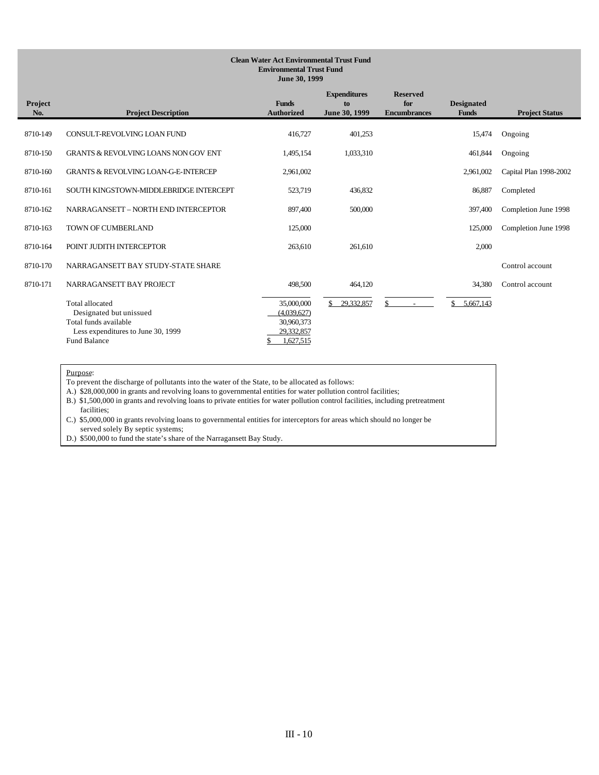#### **Clean Water Act Environmental Trust Fund Environmental Trust Fund June 30, 1999**

| Project<br>No. | <b>Project Description</b>                                                                                                              | <b>Funds</b><br><b>Authorized</b>                                  | <b>Expenditures</b><br>to<br>June 30, 1999 | <b>Reserved</b><br>for<br><b>Encumbrances</b> | <b>Designated</b><br><b>Funds</b> | <b>Project Status</b>  |
|----------------|-----------------------------------------------------------------------------------------------------------------------------------------|--------------------------------------------------------------------|--------------------------------------------|-----------------------------------------------|-----------------------------------|------------------------|
| 8710-149       | CONSULT-REVOLVING LOAN FUND                                                                                                             | 416,727                                                            | 401,253                                    |                                               | 15,474                            | Ongoing                |
| 8710-150       | <b>GRANTS &amp; REVOLVING LOANS NON GOV ENT</b>                                                                                         | 1,495,154                                                          | 1,033,310                                  |                                               | 461,844                           | Ongoing                |
| 8710-160       | <b>GRANTS &amp; REVOLVING LOAN-G-E-INTERCEP</b>                                                                                         | 2,961,002                                                          |                                            |                                               | 2,961,002                         | Capital Plan 1998-2002 |
| 8710-161       | SOUTH KINGSTOWN-MIDDLEBRIDGE INTERCEPT                                                                                                  | 523,719                                                            | 436,832                                    |                                               | 86,887                            | Completed              |
| 8710-162       | NARRAGANSETT - NORTH END INTERCEPTOR                                                                                                    | 897,400                                                            | 500,000                                    |                                               | 397,400                           | Completion June 1998   |
| 8710-163       | TOWN OF CUMBERLAND                                                                                                                      | 125,000                                                            |                                            |                                               | 125,000                           | Completion June 1998   |
| 8710-164       | POINT JUDITH INTERCEPTOR                                                                                                                | 263,610                                                            | 261.610                                    |                                               | 2,000                             |                        |
| 8710-170       | NARRAGANSETT BAY STUDY-STATE SHARE                                                                                                      |                                                                    |                                            |                                               |                                   | Control account        |
| 8710-171       | NARRAGANSETT BAY PROJECT                                                                                                                | 498,500                                                            | 464,120                                    |                                               | 34,380                            | Control account        |
|                | <b>Total allocated</b><br>Designated but unissued<br>Total funds available<br>Less expenditures to June 30, 1999<br><b>Fund Balance</b> | 35,000,000<br>(4,039,627)<br>30,960,373<br>29,332,857<br>1,627,515 | \$<br>29,332,857                           |                                               | 5,667,143                         |                        |

Purpose:

To prevent the discharge of pollutants into the water of the State, to be allocated as follows:

A.) \$28,000,000 in grants and revolving loans to governmental entities for water pollution control facilities;

B.) \$1,500,000 in grants and revolving loans to private entities for water pollution control facilities, including pretreatment facilities;

C.) \$5,000,000 in grants revolving loans to governmental entities for interceptors for areas which should no longer be served solely By septic systems;

D.) \$500,000 to fund the state's share of the Narragansett Bay Study.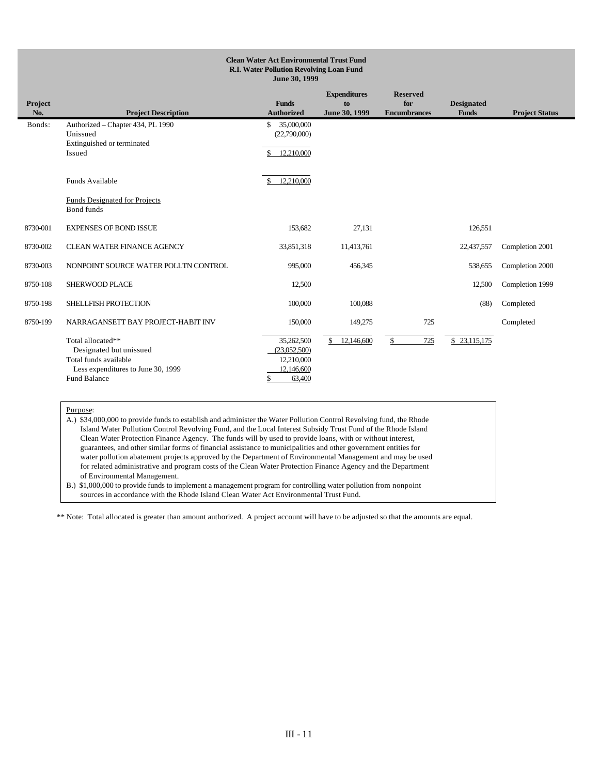#### **Clean Water Act Environmental Trust Fund R.I. Water Pollution Revolving Loan Fund June 30, 1999 Project No. Project Description Funds Authorized Expenditures to June 30, 1999 Reserved for Encumbrance Designated Funds Project Status** Bonds: Authorized – Chapter 434, PL 1990 \$ 35,000,000 Unissued (22,790,000) Extinguished or terminated Issued \$ 12,210,000  $\overline{a}$ Funds Available  $\frac{1}{2}$  \$ 12,210,000 Funds Designated for Projects Bond funds 8730-001 EXPENSES OF BOND ISSUE 153,682 27,131 126,551 8730-002 CLEAN WATER FINANCE AGENCY 33,851,318 11,413,761 22,437,557 Completion 2001 8730-003 NONPOINT SOURCE WATER POLLTN CONTROL 995,000 456,345 538,655 Completion 2000 8750-108 SHERWOOD PLACE 12,500 12,500 12,500 12,500 12,500 12,500 12,500 12,500 12,500 12,500 12,500 12,500 12,500 12,500 12,500 12,500 12,500 12,500 12,500 12,500 12,500 12,500 12,500 12,500 12,500 12,500 12,500 12,500 12 8750-198 SHELLFISH PROTECTION 100,000 100,088 (88) Completed 8750-199 NARRAGANSETT BAY PROJECT-HABIT INV 150,000 149,275 725 Completed  $\overline{a}$ Total allocated\*\* 35,262,500 \$ 12,146,600 \$ 725 \$ 23,115,175<br>Designated but unissued (23,052,500) Designated but unissued (23,052,500)<br>
otal funds available (23,052,500)<br>
(22,10,000) Total funds available Less expenditures to June 30, 1999 12, 146,600 Fund Balance \$ 63,400

#### Purpose:

A.) \$34,000,000 to provide funds to establish and administer the Water Pollution Control Revolving fund, the Rhode Island Water Pollution Control Revolving Fund, and the Local Interest Subsidy Trust Fund of the Rhode Island Clean Water Protection Finance Agency. The funds will by used to provide loans, with or without interest, guarantees, and other similar forms of financial assistance to municipalities and other government entities for water pollution abatement projects approved by the Department of Environmental Management and may be used for related administrative and program costs of the Clean Water Protection Finance Agency and the Department of Environmental Management.

B.) \$1,000,000 to provide funds to implement a management program for controlling water pollution from nonpoint sources in accordance with the Rhode Island Clean Water Act Environmental Trust Fund.

\*\* Note: Total allocated is greater than amount authorized. A project account will have to be adjusted so that the amounts are equal.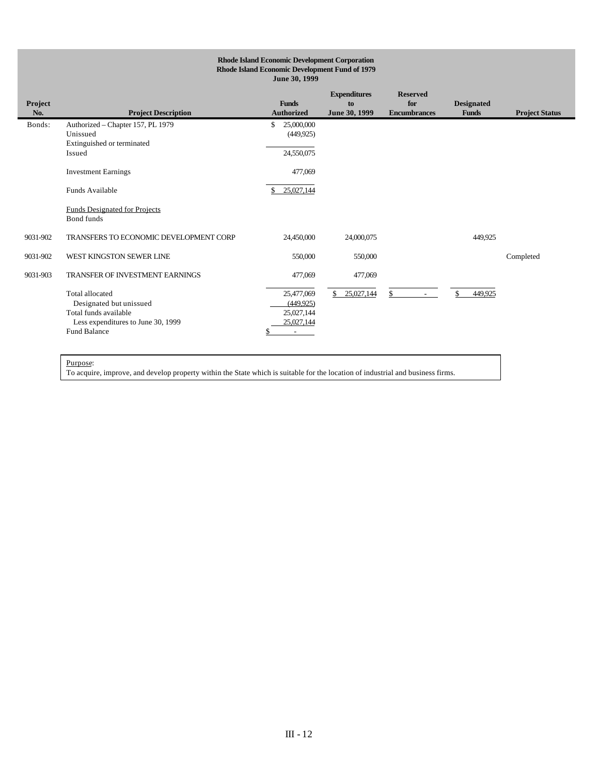|                      | <b>Rhode Island Economic Development Corporation</b><br>Rhode Island Economic Development Fund of 1979<br>June 30, 1999                 |                                                                                 |                                            |                                               |                                   |                       |  |  |  |  |  |  |
|----------------------|-----------------------------------------------------------------------------------------------------------------------------------------|---------------------------------------------------------------------------------|--------------------------------------------|-----------------------------------------------|-----------------------------------|-----------------------|--|--|--|--|--|--|
| Project<br>No.       | <b>Project Description</b>                                                                                                              | <b>Funds</b><br><b>Authorized</b>                                               | <b>Expenditures</b><br>to<br>June 30, 1999 | <b>Reserved</b><br>for<br><b>Encumbrances</b> | <b>Designated</b><br><b>Funds</b> | <b>Project Status</b> |  |  |  |  |  |  |
| Bonds:               | Authorized - Chapter 157, PL 1979<br>Unissued<br>Extinguished or terminated<br>Issued<br><b>Investment Earnings</b>                     | 25,000,000<br>\$<br>(449, 925)<br>24,550,075<br>477,069                         |                                            |                                               |                                   |                       |  |  |  |  |  |  |
|                      | Funds Available<br><b>Funds Designated for Projects</b><br><b>Bond</b> funds                                                            | 25,027,144                                                                      |                                            |                                               |                                   |                       |  |  |  |  |  |  |
| 9031-902             | TRANSFERS TO ECONOMIC DEVELOPMENT CORP                                                                                                  | 24,450,000                                                                      | 24,000,075                                 |                                               | 449,925                           |                       |  |  |  |  |  |  |
| 9031-902<br>9031-903 | WEST KINGSTON SEWER LINE<br><b>TRANSFER OF INVESTMENT EARNINGS</b>                                                                      | 550,000<br>477,069                                                              | 550,000<br>477,069                         |                                               |                                   | Completed             |  |  |  |  |  |  |
|                      | <b>Total allocated</b><br>Designated but unissued<br>Total funds available<br>Less expenditures to June 30, 1999<br><b>Fund Balance</b> | 25,477,069<br>(449.925)<br>25,027,144<br>25,027,144<br>$\overline{\phantom{a}}$ | 25,027,144<br>\$                           | \$                                            | ¢<br>449.925                      |                       |  |  |  |  |  |  |

Purpose:

To acquire, improve, and develop property within the State which is suitable for the location of industrial and business firms.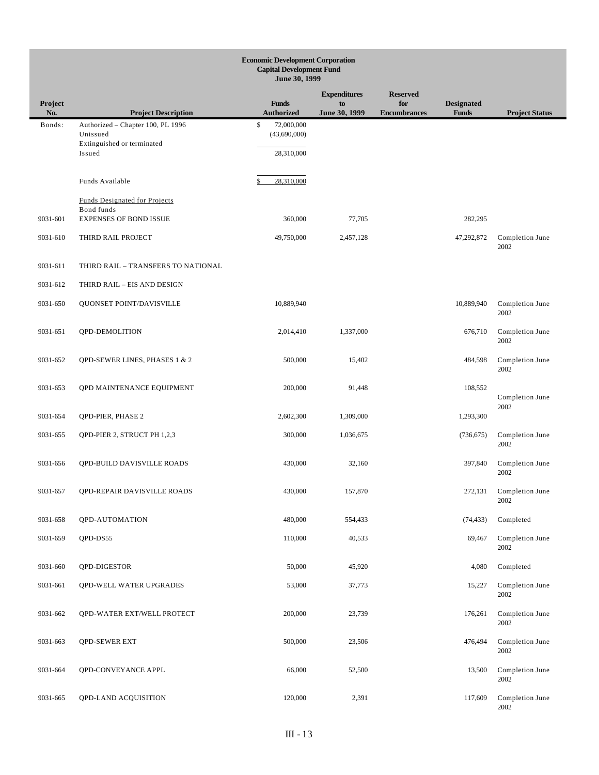|                | <b>Economic Development Corporation</b><br><b>Capital Development Fund</b><br>June 30, 1999 |                                   |                     |                            |                                   |                                 |  |  |  |  |  |
|----------------|---------------------------------------------------------------------------------------------|-----------------------------------|---------------------|----------------------------|-----------------------------------|---------------------------------|--|--|--|--|--|
|                |                                                                                             |                                   | <b>Expenditures</b> | <b>Reserved</b>            |                                   |                                 |  |  |  |  |  |
| Project<br>No. | <b>Project Description</b>                                                                  | <b>Funds</b><br><b>Authorized</b> | to<br>June 30, 1999 | for<br><b>Encumbrances</b> | <b>Designated</b><br><b>Funds</b> | <b>Project Status</b>           |  |  |  |  |  |
| Bonds:         | Authorized - Chapter 100, PL 1996<br>Unissued<br>Extinguished or terminated                 | \$<br>72,000,000<br>(43,690,000)  |                     |                            |                                   |                                 |  |  |  |  |  |
|                | Issued                                                                                      | 28,310,000                        |                     |                            |                                   |                                 |  |  |  |  |  |
|                | Funds Available                                                                             | 28,310,000                        |                     |                            |                                   |                                 |  |  |  |  |  |
|                | <b>Funds Designated for Projects</b><br>Bond funds                                          |                                   |                     |                            |                                   |                                 |  |  |  |  |  |
| 9031-601       | <b>EXPENSES OF BOND ISSUE</b>                                                               | 360,000                           | 77,705              |                            | 282,295                           |                                 |  |  |  |  |  |
| 9031-610       | THIRD RAIL PROJECT                                                                          | 49,750,000                        | 2,457,128           |                            | 47,292,872                        | Completion June<br>2002         |  |  |  |  |  |
| 9031-611       | THIRD RAIL - TRANSFERS TO NATIONAL                                                          |                                   |                     |                            |                                   |                                 |  |  |  |  |  |
| 9031-612       | THIRD RAIL - EIS AND DESIGN                                                                 |                                   |                     |                            |                                   |                                 |  |  |  |  |  |
| 9031-650       | QUONSET POINT/DAVISVILLE                                                                    | 10,889,940                        |                     |                            | 10,889,940                        | Completion June<br>2002         |  |  |  |  |  |
| 9031-651       | <b>QPD-DEMOLITION</b>                                                                       | 2,014,410                         | 1,337,000           |                            | 676,710                           | Completion June<br>2002         |  |  |  |  |  |
| 9031-652       | QPD-SEWER LINES, PHASES 1 & 2                                                               | 500,000                           | 15,402              |                            | 484,598                           | Completion June<br>2002         |  |  |  |  |  |
| 9031-653       | QPD MAINTENANCE EQUIPMENT                                                                   | 200,000                           | 91,448              |                            | 108,552                           | Completion June                 |  |  |  |  |  |
| 9031-654       | QPD-PIER, PHASE 2                                                                           | 2,602,300                         | 1,309,000           |                            | 1,293,300                         | 2002                            |  |  |  |  |  |
| 9031-655       | QPD-PIER 2, STRUCT PH 1,2,3                                                                 | 300,000                           | 1,036,675           |                            | (736, 675)                        | Completion June<br>2002         |  |  |  |  |  |
| 9031-656       | QPD-BUILD DAVISVILLE ROADS                                                                  | 430,000                           | 32,160              |                            | 397,840                           | Completion June<br>2002         |  |  |  |  |  |
| 9031-657       | QPD-REPAIR DAVISVILLE ROADS                                                                 | 430,000                           | 157,870             |                            |                                   | 272,131 Completion June<br>2002 |  |  |  |  |  |
| 9031-658       | QPD-AUTOMATION                                                                              | 480,000                           | 554,433             |                            | (74, 433)                         | Completed                       |  |  |  |  |  |
| 9031-659       | QPD-DS55                                                                                    | 110,000                           | 40,533              |                            | 69,467                            | Completion June<br>2002         |  |  |  |  |  |
| 9031-660       | QPD-DIGESTOR                                                                                | 50,000                            | 45,920              |                            | 4,080                             | Completed                       |  |  |  |  |  |
| 9031-661       | QPD-WELL WATER UPGRADES                                                                     | 53,000                            | 37,773              |                            | 15,227                            | Completion June<br>2002         |  |  |  |  |  |
| 9031-662       | QPD-WATER EXT/WELL PROTECT                                                                  | 200,000                           | 23,739              |                            | 176,261                           | Completion June<br>2002         |  |  |  |  |  |
| 9031-663       | <b>QPD-SEWER EXT</b>                                                                        | 500,000                           | 23,506              |                            | 476,494                           | Completion June<br>2002         |  |  |  |  |  |
| 9031-664       | QPD-CONVEYANCE APPL                                                                         | 66,000                            | 52,500              |                            | 13,500                            | Completion June<br>2002         |  |  |  |  |  |
| 9031-665       | QPD-LAND ACQUISITION                                                                        | 120,000                           | 2,391               |                            | 117,609                           | Completion June<br>2002         |  |  |  |  |  |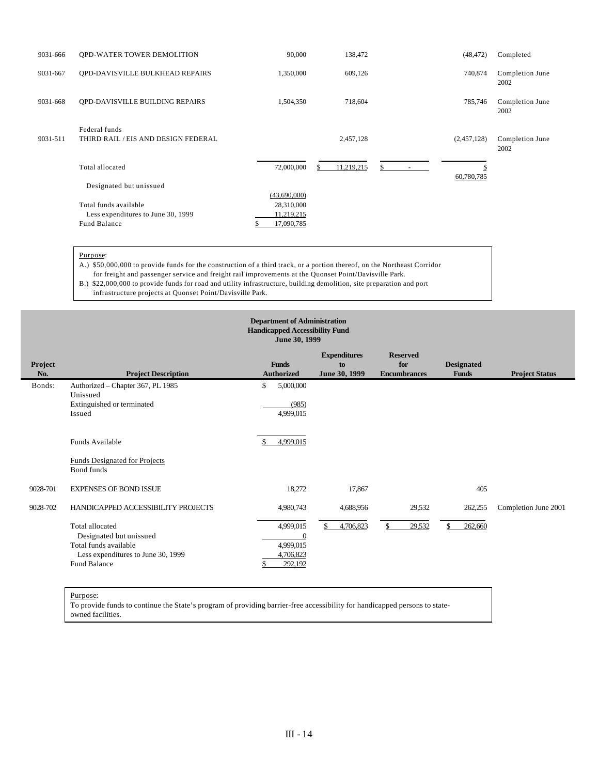| 9031-666 | <b>QPD-WATER TOWER DEMOLITION</b>                                           | 90,000                                                 | 138,472          | (48, 472)   | Completed               |
|----------|-----------------------------------------------------------------------------|--------------------------------------------------------|------------------|-------------|-------------------------|
| 9031-667 | OPD-DAVISVILLE BULKHEAD REPAIRS                                             | 1,350,000                                              | 609,126          | 740,874     | Completion June<br>2002 |
| 9031-668 | QPD-DAVISVILLE BUILDING REPAIRS                                             | 1,504,350                                              | 718,604          | 785,746     | Completion June<br>2002 |
| 9031-511 | Federal funds<br>THIRD RAIL / EIS AND DESIGN FEDERAL                        |                                                        | 2,457,128        | (2,457,128) | Completion June<br>2002 |
|          | Total allocated                                                             | 72,000,000                                             | 11,219,215<br>\$ | \$          |                         |
|          | Designated but unissued                                                     |                                                        |                  | 60,780,785  |                         |
|          | Total funds available<br>Less expenditures to June 30, 1999<br>Fund Balance | (43,690,000)<br>28,310,000<br>11,219,215<br>17,090,785 |                  |             |                         |

Purpose:

A.) \$50,000,000 to provide funds for the construction of a third track, or a portion thereof, on the Northeast Corridor

 for freight and passenger service and freight rail improvements at the Quonset Point/Davisville Park. B.) \$22,000,000 to provide funds for road and utility infrastructure, building demolition, site preparation and port

infrastructure projects at Quonset Point/Davisville Park.

| <b>Department of Administration</b><br><b>Handicapped Accessibility Fund</b><br>June 30, 1999 |                                                                                                                                                                 |                                                                                 |                                            |                                               |                                   |                       |  |  |  |
|-----------------------------------------------------------------------------------------------|-----------------------------------------------------------------------------------------------------------------------------------------------------------------|---------------------------------------------------------------------------------|--------------------------------------------|-----------------------------------------------|-----------------------------------|-----------------------|--|--|--|
| Project<br>No.                                                                                | <b>Project Description</b>                                                                                                                                      | <b>Funds</b><br><b>Authorized</b>                                               | <b>Expenditures</b><br>to<br>June 30, 1999 | <b>Reserved</b><br>for<br><b>Encumbrances</b> | <b>Designated</b><br><b>Funds</b> | <b>Project Status</b> |  |  |  |
| Bonds:                                                                                        | Authorized - Chapter 367, PL 1985<br>Unissued<br>Extinguished or terminated<br>Issued                                                                           | 5,000,000<br>\$<br>(985)<br>4,999,015                                           |                                            |                                               |                                   |                       |  |  |  |
|                                                                                               | Funds Available<br><b>Funds Designated for Projects</b><br>Bond funds                                                                                           | 4,999,015                                                                       |                                            |                                               |                                   |                       |  |  |  |
| 9028-701                                                                                      | <b>EXPENSES OF BOND ISSUE</b>                                                                                                                                   | 18,272                                                                          | 17,867                                     |                                               | 405                               |                       |  |  |  |
| 9028-702                                                                                      | HANDICAPPED ACCESSIBILITY PROJECTS<br>Total allocated<br>Designated but unissued<br>Total funds available<br>Less expenditures to June 30, 1999<br>Fund Balance | 4,980,743<br>4,999,015<br>$\boldsymbol{0}$<br>4,999,015<br>4,706,823<br>292.192 | 4,688,956<br>4,706,823                     | 29,532<br>29,532                              | 262,255<br>262,660                | Completion June 2001  |  |  |  |

Purpose:

To provide funds to continue the State's program of providing barrier-free accessibility for handicapped persons to stateowned facilities.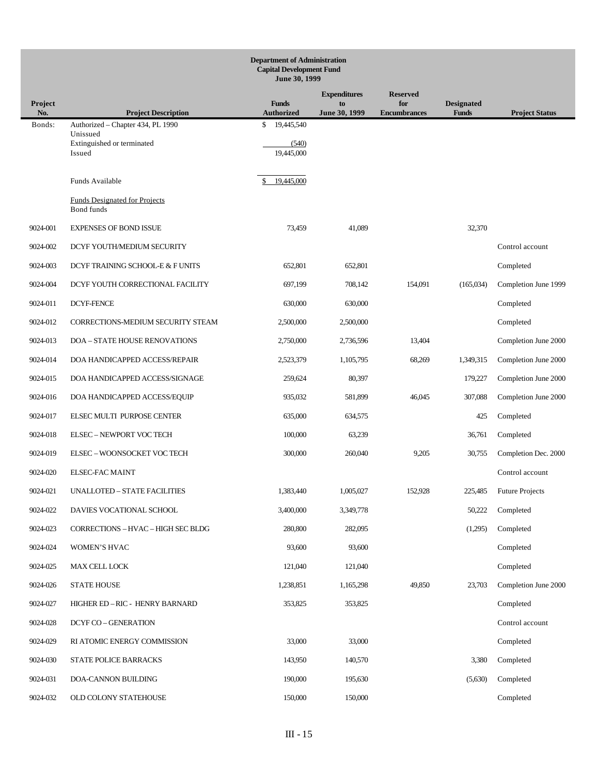|                |                                                    | <b>Department of Administration</b><br><b>Capital Development Fund</b><br>June 30, 1999 |                     |                            |                                   |                         |
|----------------|----------------------------------------------------|-----------------------------------------------------------------------------------------|---------------------|----------------------------|-----------------------------------|-------------------------|
|                |                                                    |                                                                                         | <b>Expenditures</b> | <b>Reserved</b>            |                                   |                         |
| Project<br>No. | <b>Project Description</b>                         | <b>Funds</b><br><b>Authorized</b>                                                       | to<br>June 30, 1999 | for<br><b>Encumbrances</b> | <b>Designated</b><br><b>Funds</b> | <b>Project Status</b>   |
| Bonds:         | Authorized - Chapter 434, PL 1990<br>Unissued      | 19,445,540<br>\$                                                                        |                     |                            |                                   |                         |
|                | Extinguished or terminated<br>Issued               | (540)<br>19,445,000                                                                     |                     |                            |                                   |                         |
|                | Funds Available                                    | 19,445,000                                                                              |                     |                            |                                   |                         |
|                | <b>Funds Designated for Projects</b><br>Bond funds |                                                                                         |                     |                            |                                   |                         |
| 9024-001       | <b>EXPENSES OF BOND ISSUE</b>                      | 73,459                                                                                  | 41,089              |                            | 32,370                            |                         |
| 9024-002       | DCYF YOUTH/MEDIUM SECURITY                         |                                                                                         |                     |                            |                                   | Control account         |
| 9024-003       | DCYF TRAINING SCHOOL-E & F UNITS                   | 652,801                                                                                 | 652,801             |                            |                                   | Completed               |
| 9024-004       | DCYF YOUTH CORRECTIONAL FACILITY                   | 697,199                                                                                 | 708,142             | 154,091                    | (165,034)                         | Completion June 1999    |
| 9024-011       | <b>DCYF-FENCE</b>                                  | 630,000                                                                                 | 630,000             |                            |                                   | Completed               |
| 9024-012       | CORRECTIONS-MEDIUM SECURITY STEAM                  | 2,500,000                                                                               | 2,500,000           |                            |                                   | Completed               |
| 9024-013       | <b>DOA - STATE HOUSE RENOVATIONS</b>               | 2,750,000                                                                               | 2,736,596           | 13,404                     |                                   | Completion June 2000    |
| 9024-014       | DOA HANDICAPPED ACCESS/REPAIR                      | 2,523,379                                                                               | 1,105,795           | 68,269                     | 1,349,315                         | Completion June 2000    |
| 9024-015       | DOA HANDICAPPED ACCESS/SIGNAGE                     | 259,624                                                                                 | 80,397              |                            | 179,227                           | Completion June 2000    |
| 9024-016       | DOA HANDICAPPED ACCESS/EQUIP                       | 935,032                                                                                 | 581,899             | 46,045                     | 307,088                           | Completion June 2000    |
| 9024-017       | ELSEC MULTI PURPOSE CENTER                         | 635,000                                                                                 | 634,575             |                            | 425                               | Completed               |
| 9024-018       | <b>ELSEC - NEWPORT VOC TECH</b>                    | 100,000                                                                                 | 63,239              |                            | 36,761                            | Completed               |
| 9024-019       | ELSEC - WOONSOCKET VOC TECH                        | 300,000                                                                                 | 260,040             | 9,205                      | 30,755                            | Completion Dec. 2000    |
| 9024-020       | <b>ELSEC-FAC MAINT</b>                             |                                                                                         |                     |                            |                                   | Control account         |
| 9024-021       | UNALLOTED - STATE FACILITIES                       | 1,383,440                                                                               | 1,005,027           | 152,928                    |                                   | 225,485 Future Projects |
| 9024-022       | DAVIES VOCATIONAL SCHOOL                           | 3,400,000                                                                               | 3,349,778           |                            | 50,222                            | Completed               |
| 9024-023       | CORRECTIONS - HVAC - HIGH SEC BLDG                 | 280,800                                                                                 | 282,095             |                            | (1,295)                           | Completed               |
| 9024-024       | WOMEN'S HVAC                                       | 93,600                                                                                  | 93,600              |                            |                                   | Completed               |
| 9024-025       | MAX CELL LOCK                                      | 121,040                                                                                 | 121,040             |                            |                                   | Completed               |
| 9024-026       | <b>STATE HOUSE</b>                                 | 1,238,851                                                                               | 1,165,298           | 49,850                     | 23,703                            | Completion June 2000    |
| 9024-027       | HIGHER ED-RIC - HENRY BARNARD                      | 353,825                                                                                 | 353,825             |                            |                                   | Completed               |
| 9024-028       | <b>DCYF CO - GENERATION</b>                        |                                                                                         |                     |                            |                                   | Control account         |
| 9024-029       | RI ATOMIC ENERGY COMMISSION                        | 33,000                                                                                  | 33,000              |                            |                                   | Completed               |
| 9024-030       | STATE POLICE BARRACKS                              | 143,950                                                                                 | 140,570             |                            | 3,380                             | Completed               |
| 9024-031       | DOA-CANNON BUILDING                                | 190,000                                                                                 | 195,630             |                            | (5,630)                           | Completed               |
| 9024-032       | OLD COLONY STATEHOUSE                              | 150,000                                                                                 | 150,000             |                            |                                   | Completed               |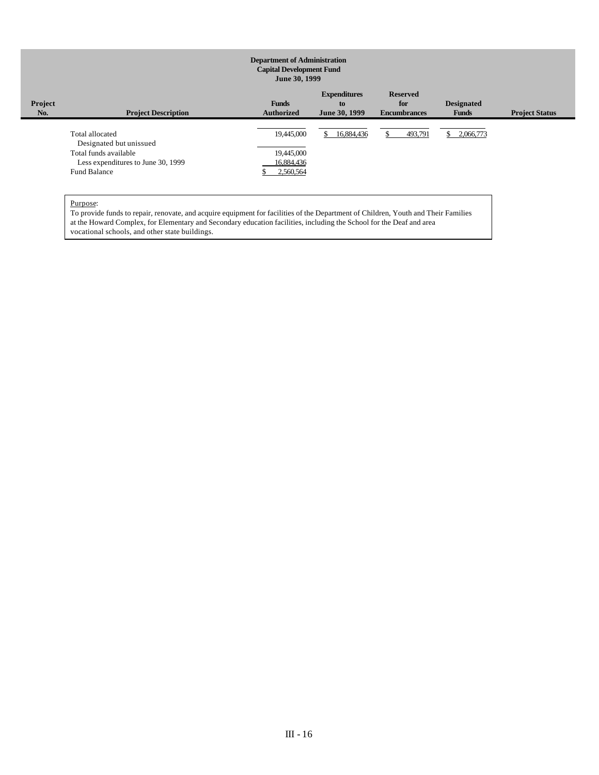#### **Department of Administration Capital Development Fund June 30, 1999 Project No. Project Description Funds Authorized Expenditures to June 30, 1999 Reserved for Encumbrances Designated Funds Project Status**  $\overline{a}$ Total allocated 19,445,000 \$ 16,884.436 \$ 493,791 \$ 2,066,773 Designated but unissued Total funds available 19,445,000 Less expenditures to June 30, 1999<br>
and Balance<br>
16,884,436<br>  $\frac{$2,560,564}{9}$ Fund Balance \$

## Purpose:

To provide funds to repair, renovate, and acquire equipment for facilities of the Department of Children, Youth and Their Families at the Howard Complex, for Elementary and Secondary education facilities, including the School for the Deaf and area vocational schools, and other state buildings.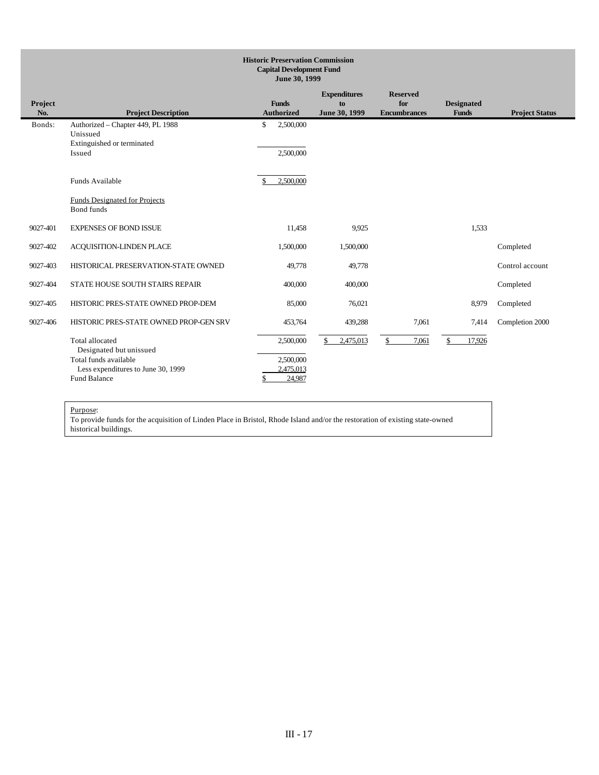| <b>Historic Preservation Commission</b><br><b>Capital Development Fund</b><br>June 30, 1999 |                                                                                                                                  |                                                     |                                            |                                               |                                   |                              |
|---------------------------------------------------------------------------------------------|----------------------------------------------------------------------------------------------------------------------------------|-----------------------------------------------------|--------------------------------------------|-----------------------------------------------|-----------------------------------|------------------------------|
| Project<br>No.                                                                              | <b>Project Description</b>                                                                                                       | <b>Funds</b><br><b>Authorized</b>                   | <b>Expenditures</b><br>to<br>June 30, 1999 | <b>Reserved</b><br>for<br><b>Encumbrances</b> | <b>Designated</b><br><b>Funds</b> | <b>Project Status</b>        |
| Bonds:                                                                                      | Authorized - Chapter 449, PL 1988<br>Unissued<br>Extinguished or terminated<br>Issued                                            | $\mathbb{S}$<br>2,500,000<br>2,500,000              |                                            |                                               |                                   |                              |
|                                                                                             | Funds Available<br><b>Funds Designated for Projects</b><br>Bond funds                                                            | 2,500,000                                           |                                            |                                               |                                   |                              |
| 9027-401                                                                                    | <b>EXPENSES OF BOND ISSUE</b>                                                                                                    | 11,458                                              | 9.925                                      |                                               | 1,533                             |                              |
| 9027-402                                                                                    | ACQUISITION-LINDEN PLACE                                                                                                         | 1,500,000                                           | 1,500,000                                  |                                               |                                   | Completed                    |
| 9027-403<br>9027-404                                                                        | HISTORICAL PRESERVATION-STATE OWNED<br>STATE HOUSE SOUTH STAIRS REPAIR                                                           | 49,778<br>400,000                                   | 49,778<br>400,000                          |                                               |                                   | Control account<br>Completed |
| 9027-405                                                                                    | HISTORIC PRES-STATE OWNED PROP-DEM                                                                                               | 85,000                                              | 76,021                                     |                                               | 8,979                             | Completed                    |
| 9027-406                                                                                    | HISTORIC PRES-STATE OWNED PROP-GEN SRV                                                                                           | 453,764                                             | 439,288                                    | 7,061                                         | 7,414                             | Completion 2000              |
|                                                                                             | Total allocated<br>Designated but unissued<br>Total funds available<br>Less expenditures to June 30, 1999<br><b>Fund Balance</b> | 2,500,000<br>2,500,000<br>2,475,013<br>24,987<br>\$ | \$<br>2,475,013                            | $\mathbb{S}$<br>7,061                         | 17,926<br>\$                      |                              |

To provide funds for the acquisition of Linden Place in Bristol, Rhode Island and/or the restoration of existing state-owned historical buildings.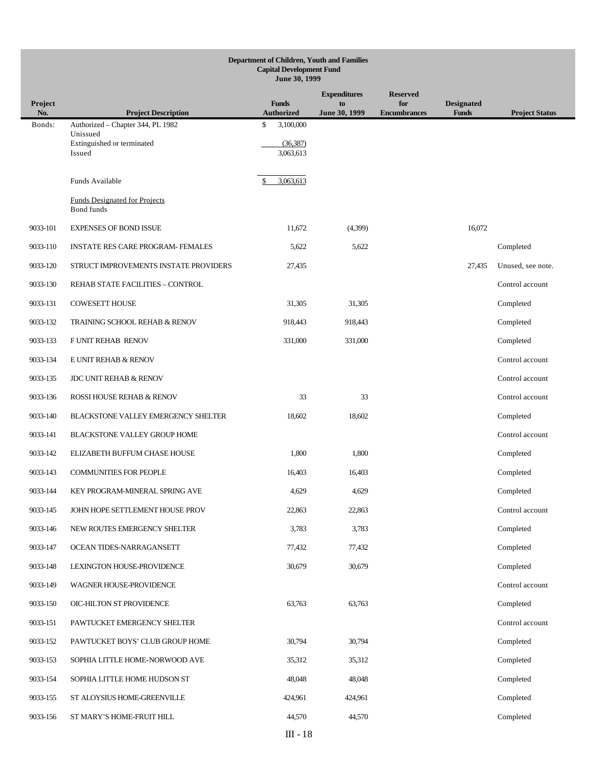|                | Department of Children, Youth and Families<br><b>Capital Development Fund</b><br>June 30, 1999 |                        |                           |                        |                   |                       |  |
|----------------|------------------------------------------------------------------------------------------------|------------------------|---------------------------|------------------------|-------------------|-----------------------|--|
|                |                                                                                                | <b>Funds</b>           | <b>Expenditures</b><br>to | <b>Reserved</b><br>for | <b>Designated</b> |                       |  |
| Project<br>No. | <b>Project Description</b>                                                                     | <b>Authorized</b>      | June 30, 1999             | <b>Encumbrances</b>    | <b>Funds</b>      | <b>Project Status</b> |  |
| Bonds:         | Authorized - Chapter 344, PL 1982<br>Unissued                                                  | \$<br>3,100,000        |                           |                        |                   |                       |  |
|                | Extinguished or terminated<br>Issued                                                           | (36, 387)<br>3,063,613 |                           |                        |                   |                       |  |
|                |                                                                                                |                        |                           |                        |                   |                       |  |
|                | Funds Available                                                                                | 3,063,613              |                           |                        |                   |                       |  |
|                | <b>Funds Designated for Projects</b><br>Bond funds                                             |                        |                           |                        |                   |                       |  |
| 9033-101       | <b>EXPENSES OF BOND ISSUE</b>                                                                  | 11,672                 | (4,399)                   |                        | 16,072            |                       |  |
| 9033-110       | <b>INSTATE RES CARE PROGRAM- FEMALES</b>                                                       | 5,622                  | 5,622                     |                        |                   | Completed             |  |
| 9033-120       | STRUCT IMPROVEMENTS INSTATE PROVIDERS                                                          | 27,435                 |                           |                        | 27,435            | Unused, see note.     |  |
| 9033-130       | REHAB STATE FACILITIES - CONTROL                                                               |                        |                           |                        |                   | Control account       |  |
| 9033-131       | <b>COWESETT HOUSE</b>                                                                          | 31,305                 | 31,305                    |                        |                   | Completed             |  |
| 9033-132       | <b>TRAINING SCHOOL REHAB &amp; RENOV</b>                                                       | 918,443                | 918,443                   |                        |                   | Completed             |  |
| 9033-133       | F UNIT REHAB RENOV                                                                             | 331,000                | 331,000                   |                        |                   | Completed             |  |
| 9033-134       | E UNIT REHAB & RENOV                                                                           |                        |                           |                        |                   | Control account       |  |
| 9033-135       | <b>JDC UNIT REHAB &amp; RENOV</b>                                                              |                        |                           |                        |                   | Control account       |  |
| 9033-136       | ROSSI HOUSE REHAB & RENOV                                                                      | 33                     | 33                        |                        |                   | Control account       |  |
| 9033-140       | BLACKSTONE VALLEY EMERGENCY SHELTER                                                            | 18,602                 | 18,602                    |                        |                   | Completed             |  |
| 9033-141       | BLACKSTONE VALLEY GROUP HOME                                                                   |                        |                           |                        |                   | Control account       |  |
| 9033-142       | ELIZABETH BUFFUM CHASE HOUSE                                                                   | 1,800                  | 1,800                     |                        |                   | Completed             |  |
| 9033-143       | <b>COMMUNITIES FOR PEOPLE</b>                                                                  | 16,403                 | 16,403                    |                        |                   | Completed             |  |
| 9033-144       | KEY PROGRAM-MINERAL SPRING AVE                                                                 | 4,629                  | 4,629                     |                        |                   | Completed             |  |
| 9033-145       | JOHN HOPE SETTLEMENT HOUSE PROV                                                                | 22,863                 | 22,863                    |                        |                   | Control account       |  |
| 9033-146       | NEW ROUTES EMERGENCY SHELTER                                                                   | 3,783                  | 3,783                     |                        |                   | Completed             |  |
| 9033-147       | OCEAN TIDES-NARRAGANSETT                                                                       | 77,432                 | 77,432                    |                        |                   | Completed             |  |
| 9033-148       | LEXINGTON HOUSE-PROVIDENCE                                                                     | 30,679                 | 30,679                    |                        |                   | Completed             |  |
| 9033-149       | WAGNER HOUSE-PROVIDENCE                                                                        |                        |                           |                        |                   | Control account       |  |
| 9033-150       | OIC-HILTON ST PROVIDENCE                                                                       | 63,763                 | 63,763                    |                        |                   | Completed             |  |
| 9033-151       | PAWTUCKET EMERGENCY SHELTER                                                                    |                        |                           |                        |                   | Control account       |  |
| 9033-152       | PAWTUCKET BOYS' CLUB GROUP HOME                                                                | 30,794                 | 30,794                    |                        |                   | Completed             |  |
| 9033-153       | SOPHIA LITTLE HOME-NORWOOD AVE                                                                 | 35,312                 | 35,312                    |                        |                   | Completed             |  |
| 9033-154       | SOPHIA LITTLE HOME HUDSON ST                                                                   | 48,048                 | 48,048                    |                        |                   | Completed             |  |
| 9033-155       | ST ALOYSIUS HOME-GREENVILLE                                                                    | 424,961                | 424,961                   |                        |                   | Completed             |  |
| 9033-156       | ST MARY'S HOME-FRUIT HILL                                                                      | 44,570                 | 44,570                    |                        |                   | Completed             |  |
|                |                                                                                                | $\rm III$ - $18$       |                           |                        |                   |                       |  |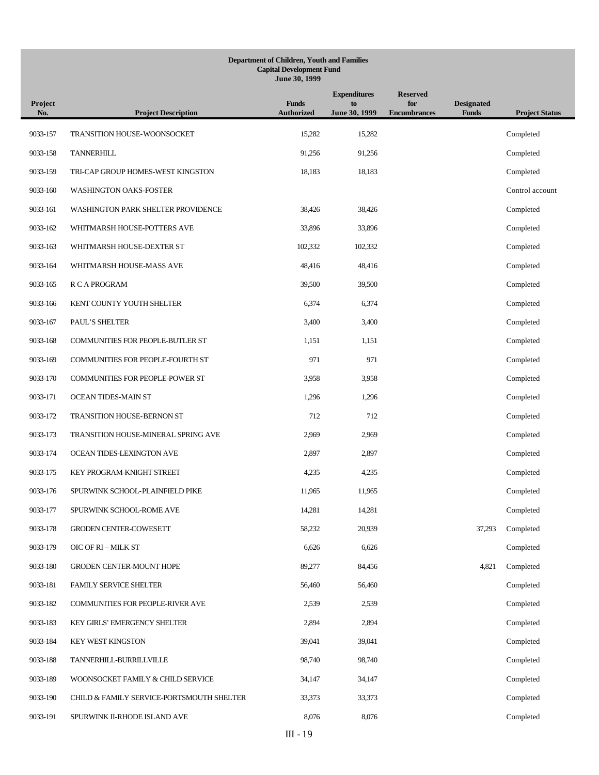## **Department of Children, Youth and Families Capital Development Fund June 30, 1999**

| Project<br>No. | <b>Project Description</b>                | <b>Funds</b><br><b>Authorized</b> | <b>Expenditures</b><br>to<br>June 30, 1999 | <b>Reserved</b><br>for<br><b>Encumbrances</b> | <b>Designated</b><br><b>Funds</b> | <b>Project Status</b> |
|----------------|-------------------------------------------|-----------------------------------|--------------------------------------------|-----------------------------------------------|-----------------------------------|-----------------------|
| 9033-157       | TRANSITION HOUSE-WOONSOCKET               | 15,282                            | 15,282                                     |                                               |                                   | Completed             |
| 9033-158       | <b>TANNERHILL</b>                         | 91,256                            | 91,256                                     |                                               |                                   | Completed             |
| 9033-159       | TRI-CAP GROUP HOMES-WEST KINGSTON         | 18,183                            | 18,183                                     |                                               |                                   | Completed             |
| 9033-160       | WASHINGTON OAKS-FOSTER                    |                                   |                                            |                                               |                                   | Control account       |
| 9033-161       | WASHINGTON PARK SHELTER PROVIDENCE        | 38,426                            | 38,426                                     |                                               |                                   | Completed             |
| 9033-162       | WHITMARSH HOUSE-POTTERS AVE               | 33,896                            | 33,896                                     |                                               |                                   | Completed             |
| 9033-163       | WHITMARSH HOUSE-DEXTER ST                 | 102,332                           | 102,332                                    |                                               |                                   | Completed             |
| 9033-164       | WHITMARSH HOUSE-MASS AVE                  | 48,416                            | 48,416                                     |                                               |                                   | Completed             |
| 9033-165       | R C A PROGRAM                             | 39,500                            | 39,500                                     |                                               |                                   | Completed             |
| 9033-166       | KENT COUNTY YOUTH SHELTER                 | 6,374                             | 6,374                                      |                                               |                                   | Completed             |
| 9033-167       | PAUL'S SHELTER                            | 3,400                             | 3,400                                      |                                               |                                   | Completed             |
| 9033-168       | COMMUNITIES FOR PEOPLE-BUTLER ST          | 1,151                             | 1,151                                      |                                               |                                   | Completed             |
| 9033-169       | COMMUNITIES FOR PEOPLE-FOURTH ST          | 971                               | 971                                        |                                               |                                   | Completed             |
| 9033-170       | COMMUNITIES FOR PEOPLE-POWER ST           | 3,958                             | 3,958                                      |                                               |                                   | Completed             |
| 9033-171       | OCEAN TIDES-MAIN ST                       | 1,296                             | 1,296                                      |                                               |                                   | Completed             |
| 9033-172       | TRANSITION HOUSE-BERNON ST                | 712                               | 712                                        |                                               |                                   | Completed             |
| 9033-173       | TRANSITION HOUSE-MINERAL SPRING AVE       | 2,969                             | 2,969                                      |                                               |                                   | Completed             |
| 9033-174       | OCEAN TIDES-LEXINGTON AVE                 | 2,897                             | 2,897                                      |                                               |                                   | Completed             |
| 9033-175       | KEY PROGRAM-KNIGHT STREET                 | 4,235                             | 4,235                                      |                                               |                                   | Completed             |
| 9033-176       | SPURWINK SCHOOL-PLAINFIELD PIKE           | 11,965                            | 11,965                                     |                                               |                                   | Completed             |
| 9033-177       | SPURWINK SCHOOL-ROME AVE                  | 14,281                            | 14,281                                     |                                               |                                   | Completed             |
| 9033-178       | GRODEN CENTER-COWESETT                    | 58,232                            | 20,939                                     |                                               | 37,293                            | Completed             |
| 9033-179       | OIC OF RI - MILK ST                       | 6,626                             | 6,626                                      |                                               |                                   | Completed             |
| 9033-180       | GRODEN CENTER-MOUNT HOPE                  | 89,277                            | 84,456                                     |                                               | 4,821                             | Completed             |
| 9033-181       | <b>FAMILY SERVICE SHELTER</b>             | 56,460                            | 56,460                                     |                                               |                                   | Completed             |
| 9033-182       | COMMUNITIES FOR PEOPLE-RIVER AVE          | 2,539                             | 2,539                                      |                                               |                                   | Completed             |
| 9033-183       | KEY GIRLS' EMERGENCY SHELTER              | 2,894                             | 2,894                                      |                                               |                                   | Completed             |
| 9033-184       | <b>KEY WEST KINGSTON</b>                  | 39,041                            | 39,041                                     |                                               |                                   | Completed             |
| 9033-188       | TANNERHILL-BURRILLVILLE                   | 98,740                            | 98,740                                     |                                               |                                   | Completed             |
| 9033-189       | WOONSOCKET FAMILY & CHILD SERVICE         | 34,147                            | 34,147                                     |                                               |                                   | Completed             |
| 9033-190       | CHILD & FAMILY SERVICE-PORTSMOUTH SHELTER | 33,373                            | 33,373                                     |                                               |                                   | Completed             |
| 9033-191       | SPURWINK II-RHODE ISLAND AVE              | 8,076                             | 8,076                                      |                                               |                                   | Completed             |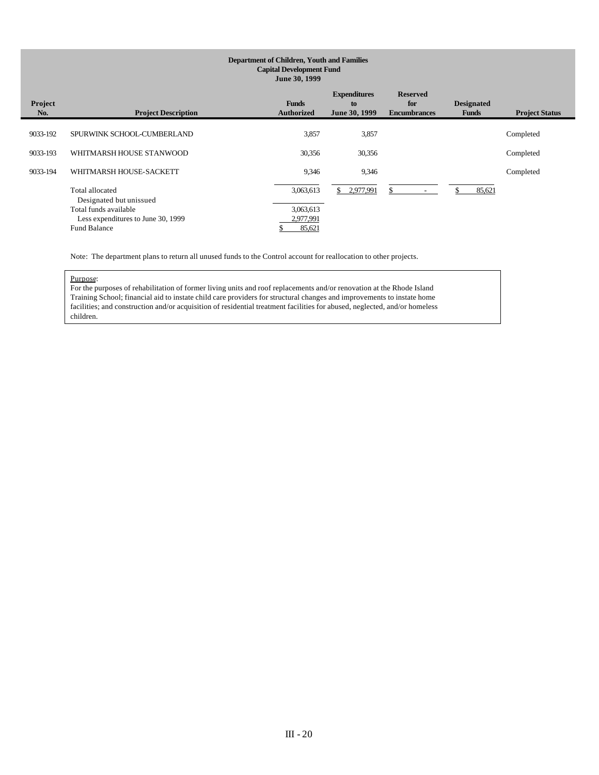# **Department of Children, Youth and Families Capital Development Fund June 30, 1999**

| <b>Project</b><br>No. | <b>Project Description</b>                                                  | <b>Funds</b><br><b>Authorized</b> | <b>Expenditures</b><br>to<br>June 30, 1999 | <b>Reserved</b><br>for<br><b>Encumbrances</b> | <b>Designated</b><br><b>Funds</b> | <b>Project Status</b> |
|-----------------------|-----------------------------------------------------------------------------|-----------------------------------|--------------------------------------------|-----------------------------------------------|-----------------------------------|-----------------------|
| 9033-192              | SPURWINK SCHOOL-CUMBERLAND                                                  | 3,857                             | 3,857                                      |                                               |                                   | Completed             |
| 9033-193              | WHITMARSH HOUSE STANWOOD                                                    | 30,356                            | 30,356                                     |                                               |                                   | Completed             |
| 9033-194              | WHITMARSH HOUSE-SACKETT                                                     | 9,346                             | 9,346                                      |                                               |                                   | Completed             |
|                       | Total allocated<br>Designated but unissued                                  | 3,063,613                         | 2,977,991<br>\$.                           |                                               | 85,621                            |                       |
|                       | Total funds available<br>Less expenditures to June 30, 1999<br>Fund Balance | 3,063,613<br>2,977,991<br>85,621  |                                            |                                               |                                   |                       |

Note: The department plans to return all unused funds to the Control account for reallocation to other projects.

# Purpose:

For the purposes of rehabilitation of former living units and roof replacements and/or renovation at the Rhode Island Training School; financial aid to instate child care providers for structural changes and improvements to instate home facilities; and construction and/or acquisition of residential treatment facilities for abused, neglected, and/or homeless children.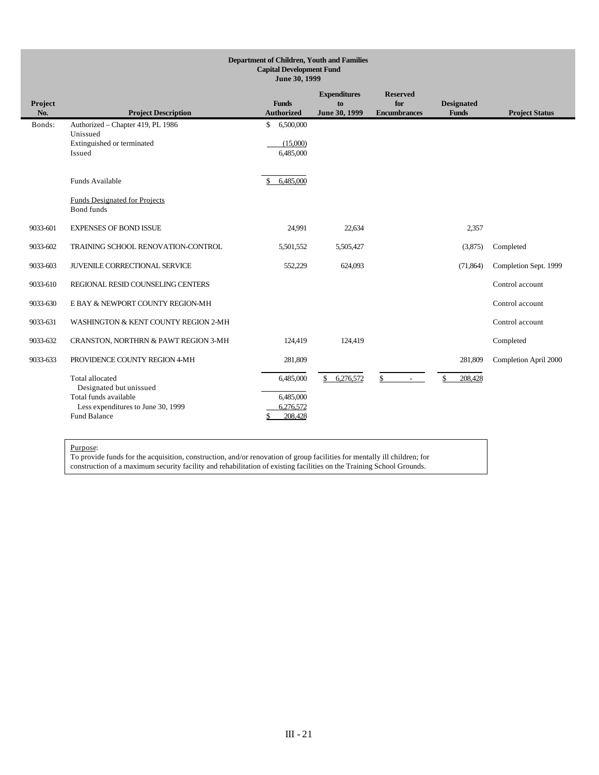|                | <b>Department of Children, Youth and Families</b><br><b>Capital Development Fund</b><br>June 30, 1999                                   |                                                      |                                            |                                               |                                   |                       |  |
|----------------|-----------------------------------------------------------------------------------------------------------------------------------------|------------------------------------------------------|--------------------------------------------|-----------------------------------------------|-----------------------------------|-----------------------|--|
| Project<br>No. | <b>Project Description</b>                                                                                                              | <b>Funds</b><br><b>Authorized</b>                    | <b>Expenditures</b><br>to<br>June 30, 1999 | <b>Reserved</b><br>for<br><b>Encumbrances</b> | <b>Designated</b><br><b>Funds</b> | <b>Project Status</b> |  |
| Bonds:         | Authorized - Chapter 419, PL 1986<br>Unissued<br>Extinguished or terminated<br>Issued                                                   | 6,500,000<br>\$<br>(15,000)<br>6,485,000             |                                            |                                               |                                   |                       |  |
|                | Funds Available<br><b>Funds Designated for Projects</b><br>Bond funds                                                                   | 6.485,000                                            |                                            |                                               |                                   |                       |  |
| 9033-601       | <b>EXPENSES OF BOND ISSUE</b>                                                                                                           | 24,991                                               | 22,634                                     |                                               | 2,357                             |                       |  |
| 9033-602       | TRAINING SCHOOL RENOVATION-CONTROL                                                                                                      | 5,501,552                                            | 5,505,427                                  |                                               | (3,875)                           | Completed             |  |
| 9033-603       | JUVENILE CORRECTIONAL SERVICE                                                                                                           | 552,229                                              | 624,093                                    |                                               | (71, 864)                         | Completion Sept. 1999 |  |
| 9033-610       | REGIONAL RESID COUNSELING CENTERS                                                                                                       |                                                      |                                            |                                               |                                   | Control account       |  |
| 9033-630       | E BAY & NEWPORT COUNTY REGION-MH                                                                                                        |                                                      |                                            |                                               |                                   | Control account       |  |
| 9033-631       | WASHINGTON & KENT COUNTY REGION 2-MH                                                                                                    |                                                      |                                            |                                               |                                   | Control account       |  |
| 9033-632       | CRANSTON, NORTHRN & PAWT REGION 3-MH                                                                                                    | 124,419                                              | 124,419                                    |                                               |                                   | Completed             |  |
| 9033-633       | PROVIDENCE COUNTY REGION 4-MH                                                                                                           | 281,809                                              |                                            |                                               | 281,809                           | Completion April 2000 |  |
|                | <b>Total allocated</b><br>Designated but unissued<br>Total funds available<br>Less expenditures to June 30, 1999<br><b>Fund Balance</b> | 6,485,000<br>6,485,000<br>6,276,572<br>208.428<br>\$ | 6,276,572<br>\$                            | \$                                            | \$<br>208,428                     |                       |  |

To provide funds for the acquisition, construction, and/or renovation of group facilities for mentally ill children; for construction of a maximum security facility and rehabilitation of existing facilities on the Training School Grounds.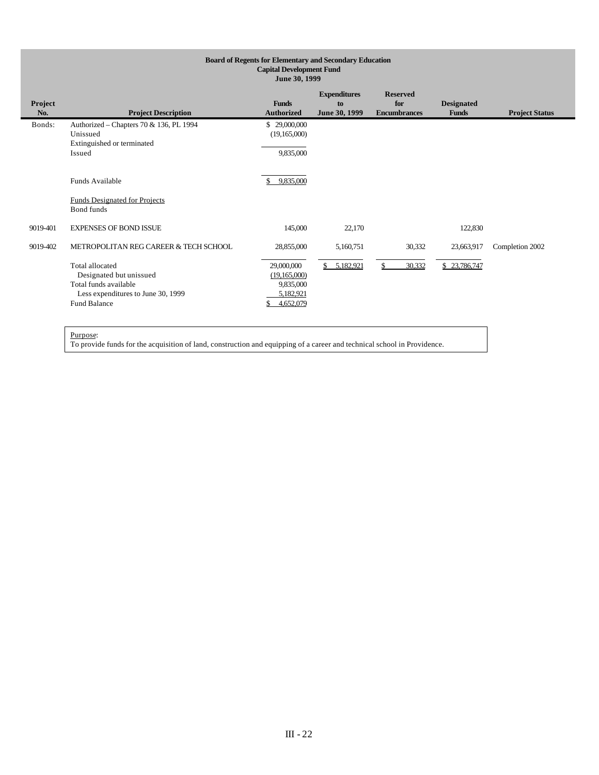| <b>Board of Regents for Elementary and Secondary Education</b><br><b>Capital Development Fund</b><br>June 30, 1999 |                                                                                                                                                                           |                                                                                 |                                            |                                               |                                   |                       |
|--------------------------------------------------------------------------------------------------------------------|---------------------------------------------------------------------------------------------------------------------------------------------------------------------------|---------------------------------------------------------------------------------|--------------------------------------------|-----------------------------------------------|-----------------------------------|-----------------------|
| Project<br>No.                                                                                                     | <b>Project Description</b>                                                                                                                                                | <b>Funds</b><br><b>Authorized</b>                                               | <b>Expenditures</b><br>to<br>June 30, 1999 | <b>Reserved</b><br>for<br><b>Encumbrances</b> | <b>Designated</b><br><b>Funds</b> | <b>Project Status</b> |
| Bonds:                                                                                                             | Authorized - Chapters 70 & 136, PL 1994<br>Unissued<br>Extinguished or terminated<br>Issued                                                                               | \$29,000,000<br>(19,165,000)<br>9,835,000                                       |                                            |                                               |                                   |                       |
|                                                                                                                    | <b>Funds Available</b><br><b>Funds Designated for Projects</b><br>Bond funds                                                                                              | 9,835,000<br>S.                                                                 |                                            |                                               |                                   |                       |
| 9019-401                                                                                                           | <b>EXPENSES OF BOND ISSUE</b>                                                                                                                                             | 145,000                                                                         | 22,170                                     |                                               | 122,830                           |                       |
| 9019-402                                                                                                           | METROPOLITAN REG CAREER & TECH SCHOOL<br>Total allocated<br>Designated but unissued<br>Total funds available<br>Less expenditures to June 30, 1999<br><b>Fund Balance</b> | 28,855,000<br>29,000,000<br>(19,165,000)<br>9,835,000<br>5,182,921<br>4,652,079 | 5,160,751<br>5,182,921<br>$\mathbb{S}$     | 30,332<br>30,332                              | 23,663,917<br>\$23,786,747        | Completion 2002       |
|                                                                                                                    | $D$ umoso:                                                                                                                                                                |                                                                                 |                                            |                                               |                                   |                       |

To provide funds for the acquisition of land, construction and equipping of a career and technical school in Providence.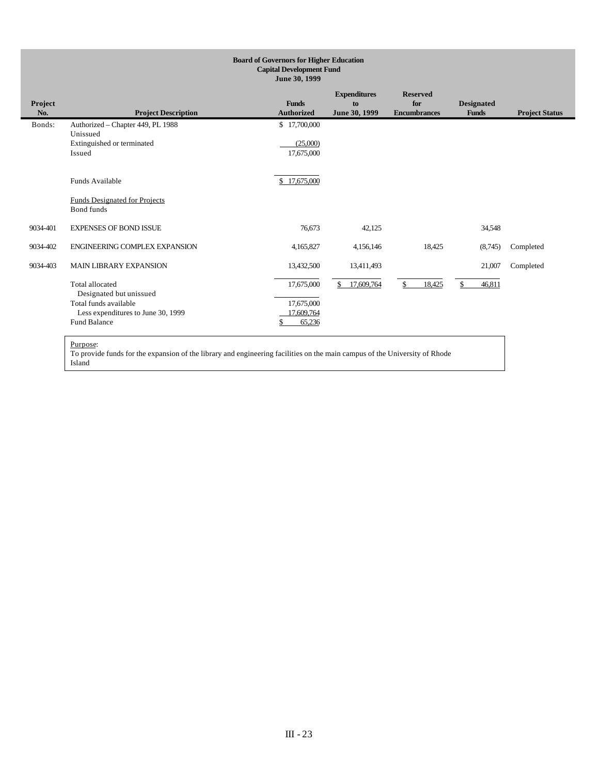| <b>Project Status</b> |
|-----------------------|
|                       |
|                       |
|                       |
|                       |
|                       |
| Completed             |
| Completed             |
|                       |
|                       |

To provide funds for the expansion of the library and engineering facilities on the main campus of the University of Rhode Island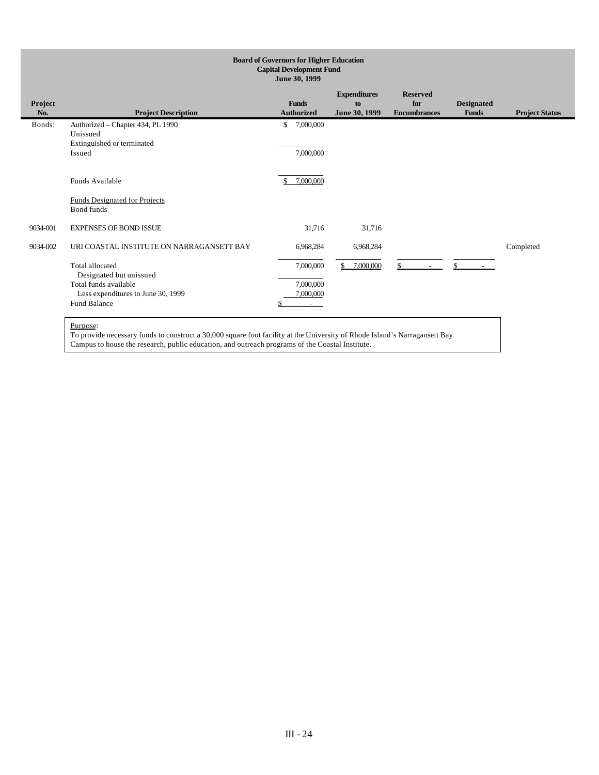| <b>Board of Governors for Higher Education</b><br><b>Capital Development Fund</b><br>June 30, 1999 |                                                                                       |                                   |                                            |                                               |                                   |                       |
|----------------------------------------------------------------------------------------------------|---------------------------------------------------------------------------------------|-----------------------------------|--------------------------------------------|-----------------------------------------------|-----------------------------------|-----------------------|
| Project<br>No.                                                                                     | <b>Project Description</b>                                                            | <b>Funds</b><br><b>Authorized</b> | <b>Expenditures</b><br>to<br>June 30, 1999 | <b>Reserved</b><br>for<br><b>Encumbrances</b> | <b>Designated</b><br><b>Funds</b> | <b>Project Status</b> |
| Bonds:                                                                                             | Authorized - Chapter 434, PL 1990<br>Unissued<br>Extinguished or terminated<br>Issued | \$<br>7,000,000<br>7,000,000      |                                            |                                               |                                   |                       |
|                                                                                                    | Funds Available<br><b>Funds Designated for Projects</b>                               | 7,000,000<br>\$.                  |                                            |                                               |                                   |                       |
| 9034-001                                                                                           | <b>Bond</b> funds<br><b>EXPENSES OF BOND ISSUE</b>                                    | 31,716                            | 31,716                                     |                                               |                                   |                       |
| 9034-002                                                                                           | URI COASTAL INSTITUTE ON NARRAGANSETT BAY                                             | 6,968,284                         | 6,968,284                                  |                                               |                                   | Completed             |
|                                                                                                    | Total allocated<br>Designated but unissued<br>Total funds available                   | 7,000,000<br>7,000,000            | 7,000,000                                  | $\mathbb{S}$<br>$\sim$                        | \$.                               |                       |
|                                                                                                    | Less expenditures to June 30, 1999<br><b>Fund Balance</b>                             | 7,000,000<br>$\sim$               |                                            |                                               |                                   |                       |

To provide necessary funds to construct a 30,000 square foot facility at the University of Rhode Island's Narragansett Bay Campus to house the research, public education, and outreach programs of the Coastal Institute.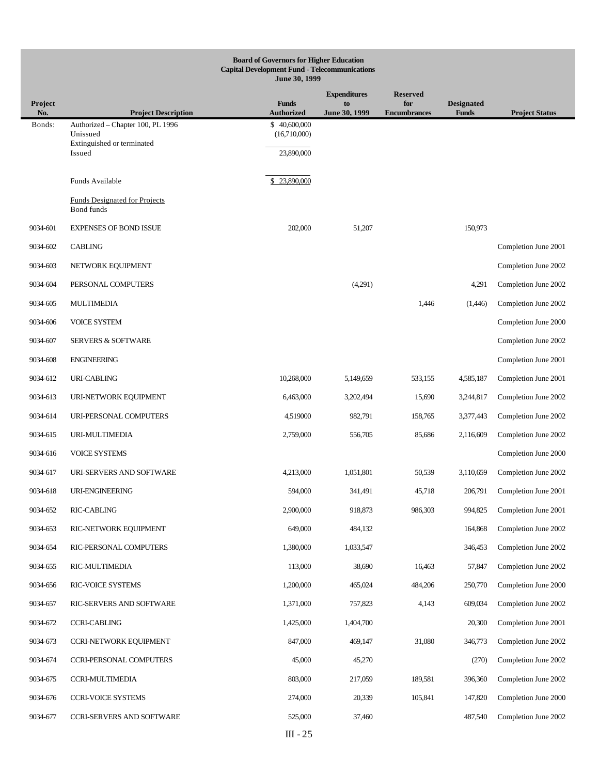|                       | <b>Board of Governors for Higher Education</b><br><b>Capital Development Fund - Telecommunications</b><br>June 30, 1999 |                                   |                     |                            |                                   |                       |  |  |
|-----------------------|-------------------------------------------------------------------------------------------------------------------------|-----------------------------------|---------------------|----------------------------|-----------------------------------|-----------------------|--|--|
|                       |                                                                                                                         |                                   | <b>Expenditures</b> | <b>Reserved</b>            |                                   |                       |  |  |
| <b>Project</b><br>No. | <b>Project Description</b>                                                                                              | <b>Funds</b><br><b>Authorized</b> | to<br>June 30, 1999 | for<br><b>Encumbrances</b> | <b>Designated</b><br><b>Funds</b> | <b>Project Status</b> |  |  |
| Bonds:                | Authorized - Chapter 100, PL 1996<br>Unissued                                                                           | \$40,600,000<br>(16,710,000)      |                     |                            |                                   |                       |  |  |
|                       | Extinguished or terminated<br>Issued                                                                                    | 23,890,000                        |                     |                            |                                   |                       |  |  |
|                       |                                                                                                                         |                                   |                     |                            |                                   |                       |  |  |
|                       | Funds Available                                                                                                         | 23,890,000                        |                     |                            |                                   |                       |  |  |
|                       | <b>Funds Designated for Projects</b><br>Bond funds                                                                      |                                   |                     |                            |                                   |                       |  |  |
| 9034-601              | <b>EXPENSES OF BOND ISSUE</b>                                                                                           | 202,000                           | 51,207              |                            | 150,973                           |                       |  |  |
| 9034-602              | <b>CABLING</b>                                                                                                          |                                   |                     |                            |                                   | Completion June 2001  |  |  |
| 9034-603              | NETWORK EQUIPMENT                                                                                                       |                                   |                     |                            |                                   | Completion June 2002  |  |  |
| 9034-604              | PERSONAL COMPUTERS                                                                                                      |                                   | (4,291)             |                            | 4,291                             | Completion June 2002  |  |  |
| 9034-605              | MULTIMEDIA                                                                                                              |                                   |                     | 1,446                      | (1,446)                           | Completion June 2002  |  |  |
| 9034-606              | <b>VOICE SYSTEM</b>                                                                                                     |                                   |                     |                            |                                   | Completion June 2000  |  |  |
| 9034-607              | <b>SERVERS &amp; SOFTWARE</b>                                                                                           |                                   |                     |                            |                                   | Completion June 2002  |  |  |
| 9034-608              | <b>ENGINEERING</b>                                                                                                      |                                   |                     |                            |                                   | Completion June 2001  |  |  |
| 9034-612              | URI-CABLING                                                                                                             | 10,268,000                        | 5,149,659           | 533,155                    | 4,585,187                         | Completion June 2001  |  |  |
| 9034-613              | URI-NETWORK EQUIPMENT                                                                                                   | 6,463,000                         | 3,202,494           | 15,690                     | 3,244,817                         | Completion June 2002  |  |  |
| 9034-614              | URI-PERSONAL COMPUTERS                                                                                                  | 4,519000                          | 982,791             | 158,765                    | 3,377,443                         | Completion June 2002  |  |  |
| 9034-615              | URI-MULTIMEDIA                                                                                                          | 2,759,000                         | 556,705             | 85,686                     | 2,116,609                         | Completion June 2002  |  |  |
| 9034-616              | <b>VOICE SYSTEMS</b>                                                                                                    |                                   |                     |                            |                                   | Completion June 2000  |  |  |
| 9034-617              | URI-SERVERS AND SOFTWARE                                                                                                | 4,213,000                         | 1,051,801           | 50,539                     | 3,110,659                         | Completion June 2002  |  |  |
| 9034-618              | URI-ENGINEERING                                                                                                         | 594,000                           | 341,491             | 45,718                     | 206,791                           | Completion June 2001  |  |  |
| 9034-652              | <b>RIC-CABLING</b>                                                                                                      | 2,900,000                         | 918,873             | 986,303                    | 994,825                           | Completion June 2001  |  |  |
| 9034-653              | RIC-NETWORK EQUIPMENT                                                                                                   | 649,000                           | 484,132             |                            | 164,868                           | Completion June 2002  |  |  |
| 9034-654              | RIC-PERSONAL COMPUTERS                                                                                                  | 1,380,000                         | 1,033,547           |                            | 346,453                           | Completion June 2002  |  |  |
| 9034-655              | RIC-MULTIMEDIA                                                                                                          | 113,000                           | 38,690              | 16,463                     | 57,847                            | Completion June 2002  |  |  |
| 9034-656              | RIC-VOICE SYSTEMS                                                                                                       | 1,200,000                         | 465,024             | 484,206                    | 250,770                           | Completion June 2000  |  |  |
| 9034-657              | RIC-SERVERS AND SOFTWARE                                                                                                | 1,371,000                         | 757,823             | 4,143                      | 609,034                           | Completion June 2002  |  |  |
| 9034-672              | <b>CCRI-CABLING</b>                                                                                                     | 1,425,000                         | 1,404,700           |                            | 20,300                            | Completion June 2001  |  |  |
| 9034-673              | <b>CCRI-NETWORK EQUIPMENT</b>                                                                                           | 847,000                           | 469,147             | 31,080                     | 346,773                           | Completion June 2002  |  |  |
| 9034-674              | <b>CCRI-PERSONAL COMPUTERS</b>                                                                                          | 45,000                            | 45,270              |                            | (270)                             | Completion June 2002  |  |  |
| 9034-675              | CCRI-MULTIMEDIA                                                                                                         | 803,000                           | 217,059             | 189,581                    | 396,360                           | Completion June 2002  |  |  |
| 9034-676              | <b>CCRI-VOICE SYSTEMS</b>                                                                                               | 274,000                           | 20,339              | 105,841                    | 147,820                           | Completion June 2000  |  |  |
| 9034-677              | CCRI-SERVERS AND SOFTWARE                                                                                               | 525,000                           | 37,460              |                            | 487,540                           | Completion June 2002  |  |  |
|                       |                                                                                                                         | $III - 25$                        |                     |                            |                                   |                       |  |  |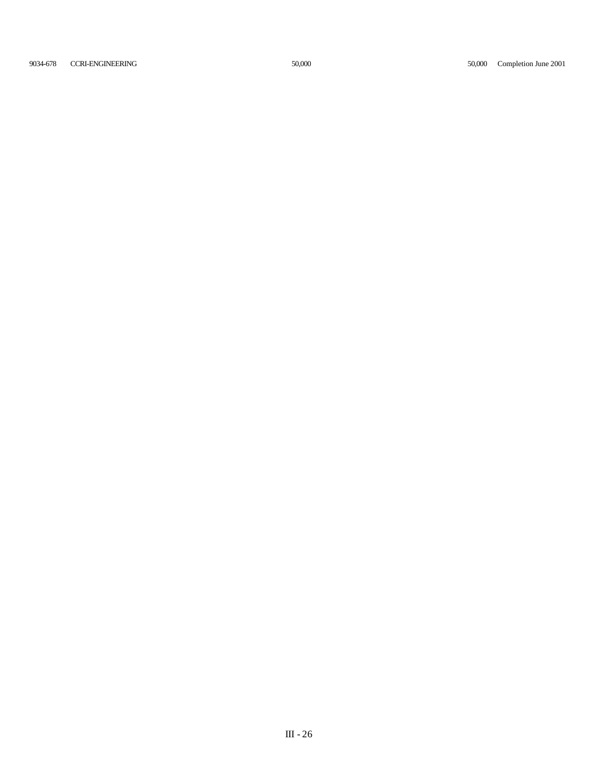9034-678 CCRI-ENGINEERING 50,000 50,000 Completion June 2001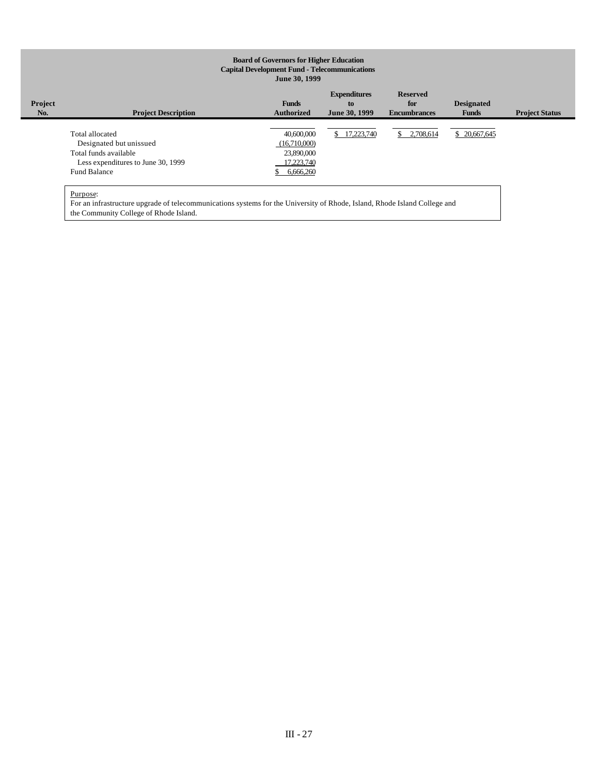# **Board of Governors for Higher Education Capital Development Fund - Telecommunications June 30, 1999**

| Project<br>No. | <b>Project Description</b>         | <b>Funds</b><br><b>Authorized</b> | <b>Expenditures</b><br>to<br>June 30, 1999 | <b>Reserved</b><br>for<br><b>Encumbrances</b> | <b>Designated</b><br><b>Funds</b> | <b>Project Status</b> |
|----------------|------------------------------------|-----------------------------------|--------------------------------------------|-----------------------------------------------|-----------------------------------|-----------------------|
|                |                                    |                                   |                                            |                                               |                                   |                       |
|                | Total allocated                    | 40,600,000                        | 17,223,740<br>S.                           | \$2,708,614                                   | \$20,667,645                      |                       |
|                | Designated but unissued            | (16,710,000)                      |                                            |                                               |                                   |                       |
|                | Total funds available              | 23,890,000                        |                                            |                                               |                                   |                       |
|                | Less expenditures to June 30, 1999 | 17,223,740                        |                                            |                                               |                                   |                       |
|                | <b>Fund Balance</b>                | 6,666,260                         |                                            |                                               |                                   |                       |
|                |                                    |                                   |                                            |                                               |                                   |                       |
|                |                                    |                                   |                                            |                                               |                                   |                       |

Purpose:

For an infrastructure upgrade of telecommunications systems for the University of Rhode, Island, Rhode Island College and the Community College of Rhode Island.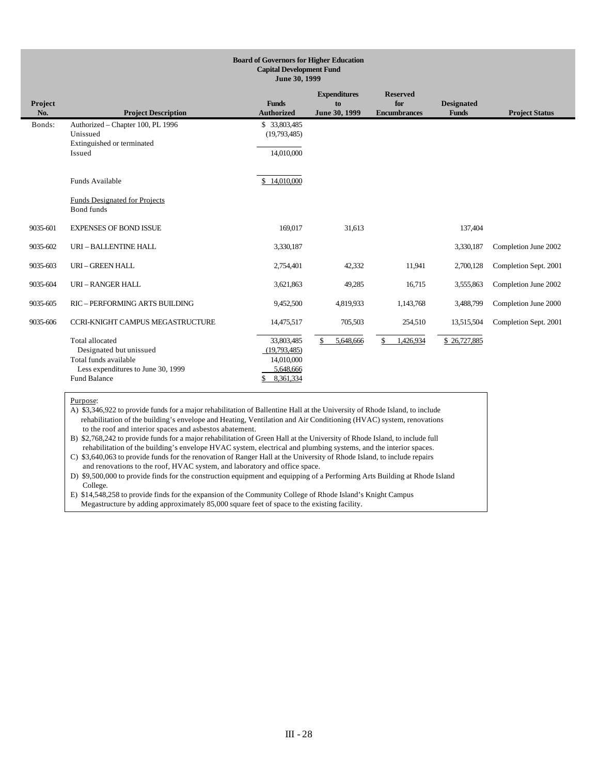| <b>Board of Governors for Higher Education</b><br><b>Capital Development Fund</b><br>June 30, 1999 |                                                                                                                                  |                                                                    |                                            |                                               |                                   |                       |
|----------------------------------------------------------------------------------------------------|----------------------------------------------------------------------------------------------------------------------------------|--------------------------------------------------------------------|--------------------------------------------|-----------------------------------------------|-----------------------------------|-----------------------|
| Project<br>No.                                                                                     | <b>Project Description</b>                                                                                                       | <b>Funds</b><br><b>Authorized</b>                                  | <b>Expenditures</b><br>to<br>June 30, 1999 | <b>Reserved</b><br>for<br><b>Encumbrances</b> | <b>Designated</b><br><b>Funds</b> | <b>Project Status</b> |
| Bonds:                                                                                             | Authorized - Chapter 100, PL 1996<br>Unissued<br>Extinguished or terminated<br>Issued                                            | \$33,803,485<br>(19,793,485)<br>14,010,000                         |                                            |                                               |                                   |                       |
|                                                                                                    | Funds Available                                                                                                                  | \$14,010,000                                                       |                                            |                                               |                                   |                       |
|                                                                                                    | <b>Funds Designated for Projects</b><br><b>Bond</b> funds                                                                        |                                                                    |                                            |                                               |                                   |                       |
| 9035-601                                                                                           | <b>EXPENSES OF BOND ISSUE</b>                                                                                                    | 169,017                                                            | 31,613                                     |                                               | 137,404                           |                       |
| 9035-602                                                                                           | URI - BALLENTINE HALL                                                                                                            | 3,330,187                                                          |                                            |                                               | 3,330,187                         | Completion June 2002  |
| 9035-603                                                                                           | URI - GREEN HALL                                                                                                                 | 2,754,401                                                          | 42,332                                     | 11,941                                        | 2,700,128                         | Completion Sept. 2001 |
| 9035-604                                                                                           | <b>URI-RANGER HALL</b>                                                                                                           | 3,621,863                                                          | 49,285                                     | 16,715                                        | 3,555,863                         | Completion June 2002  |
| 9035-605                                                                                           | <b>RIC - PERFORMING ARTS BUILDING</b>                                                                                            | 9,452,500                                                          | 4,819,933                                  | 1,143,768                                     | 3,488,799                         | Completion June 2000  |
| 9035-606                                                                                           | CCRI-KNIGHT CAMPUS MEGASTRUCTURE                                                                                                 | 14,475,517                                                         | 705,503                                    | 254,510                                       | 13,515,504                        | Completion Sept. 2001 |
|                                                                                                    | Total allocated<br>Designated but unissued<br>Total funds available<br>Less expenditures to June 30, 1999<br><b>Fund Balance</b> | 33,803,485<br>(19,793,485)<br>14,010,000<br>5,648,666<br>8,361,334 | 5,648,666<br>\$                            | \$.<br>1,426,934                              | \$26,727,885                      |                       |

A) \$3,346,922 to provide funds for a major rehabilitation of Ballentine Hall at the University of Rhode Island, to include rehabilitation of the building's envelope and Heating, Ventilation and Air Conditioning (HVAC) system, renovations to the roof and interior spaces and asbestos abatement.

B) \$2,768,242 to provide funds for a major rehabilitation of Green Hall at the University of Rhode Island, to include full rehabilitation of the building's envelope HVAC system, electrical and plumbing systems, and the interior spaces.

C) \$3,640,063 to provide funds for the renovation of Ranger Hall at the University of Rhode Island, to include repairs and renovations to the roof, HVAC system, and laboratory and office space.

D) \$9,500,000 to provide finds for the construction equipment and equipping of a Performing Arts Building at Rhode Island College.

E) \$14,548,258 to provide finds for the expansion of the Community College of Rhode Island's Knight Campus Megastructure by adding approximately 85,000 square feet of space to the existing facility.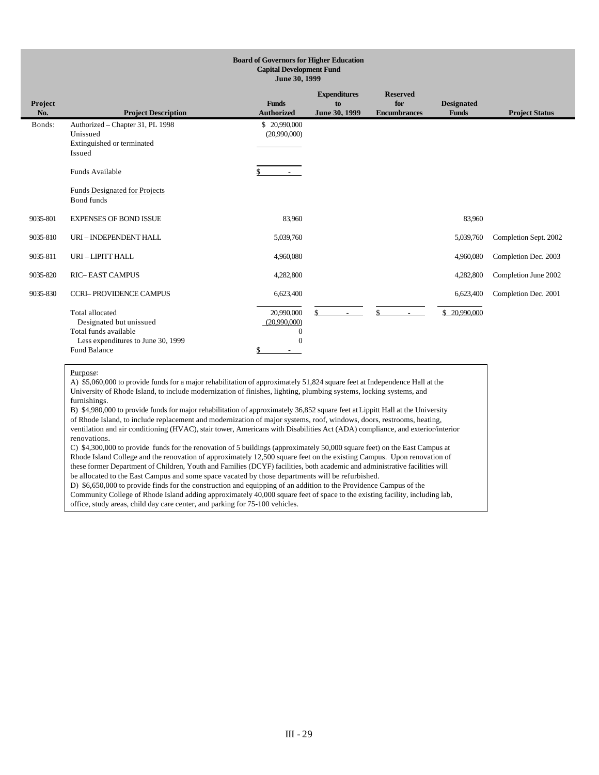| <b>Board of Governors for Higher Education</b><br><b>Capital Development Fund</b><br>June 30, 1999 |                                                                                                                                         |                                                              |                                            |                                               |                                   |                       |  |
|----------------------------------------------------------------------------------------------------|-----------------------------------------------------------------------------------------------------------------------------------------|--------------------------------------------------------------|--------------------------------------------|-----------------------------------------------|-----------------------------------|-----------------------|--|
| Project<br>No.                                                                                     | <b>Project Description</b>                                                                                                              | <b>Funds</b><br><b>Authorized</b>                            | <b>Expenditures</b><br>to<br>June 30, 1999 | <b>Reserved</b><br>for<br><b>Encumbrances</b> | <b>Designated</b><br><b>Funds</b> | <b>Project Status</b> |  |
| Bonds:                                                                                             | Authorized - Chapter 31, PL 1998<br>Unissued<br>Extinguished or terminated<br>Issued                                                    | \$20,990,000<br>(20,990,000)                                 |                                            |                                               |                                   |                       |  |
|                                                                                                    | Funds Available                                                                                                                         |                                                              |                                            |                                               |                                   |                       |  |
|                                                                                                    | Funds Designated for Projects<br>Bond funds                                                                                             |                                                              |                                            |                                               |                                   |                       |  |
| 9035-801                                                                                           | <b>EXPENSES OF BOND ISSUE</b>                                                                                                           | 83,960                                                       |                                            |                                               | 83,960                            |                       |  |
| 9035-810                                                                                           | URI - INDEPENDENT HALL                                                                                                                  | 5,039,760                                                    |                                            |                                               | 5,039,760                         | Completion Sept. 2002 |  |
| 9035-811                                                                                           | URI - LIPITT HALL                                                                                                                       | 4,960,080                                                    |                                            |                                               | 4,960,080                         | Completion Dec. 2003  |  |
| 9035-820                                                                                           | <b>RIC-EAST CAMPUS</b>                                                                                                                  | 4,282,800                                                    |                                            |                                               | 4,282,800                         | Completion June 2002  |  |
| 9035-830                                                                                           | <b>CCRI-PROVIDENCE CAMPUS</b>                                                                                                           | 6,623,400                                                    |                                            |                                               | 6,623,400                         | Completion Dec. 2001  |  |
|                                                                                                    | <b>Total allocated</b><br>Designated but unissued<br>Total funds available<br>Less expenditures to June 30, 1999<br><b>Fund Balance</b> | 20,990,000<br>(20,990,000)<br>$\Omega$<br>$\Omega$<br>$\sim$ | \$                                         | \$<br>$\sim$                                  | \$20,990,000                      |                       |  |

A) \$5,060,000 to provide funds for a major rehabilitation of approximately 51,824 square feet at Independence Hall at the University of Rhode Island, to include modernization of finishes, lighting, plumbing systems, locking systems, and furnishings.

B) \$4,980,000 to provide funds for major rehabilitation of approximately 36,852 square feet at Lippitt Hall at the University of Rhode Island, to include replacement and modernization of major systems, roof, windows, doors, restrooms, heating, ventilation and air conditioning (HVAC), stair tower, Americans with Disabilities Act (ADA) compliance, and exterior/interior renovations.

C) \$4,300,000 to provide funds for the renovation of 5 buildings (approximately 50,000 square feet) on the East Campus at Rhode Island College and the renovation of approximately 12,500 square feet on the existing Campus. Upon renovation of these former Department of Children, Youth and Families (DCYF) facilities, both academic and administrative facilities will be allocated to the East Campus and some space vacated by those departments will be refurbished.

D) \$6,650,000 to provide finds for the construction and equipping of an addition to the Providence Campus of the Community College of Rhode Island adding approximately 40,000 square feet of space to the existing facility, including lab, office, study areas, child day care center, and parking for 75-100 vehicles.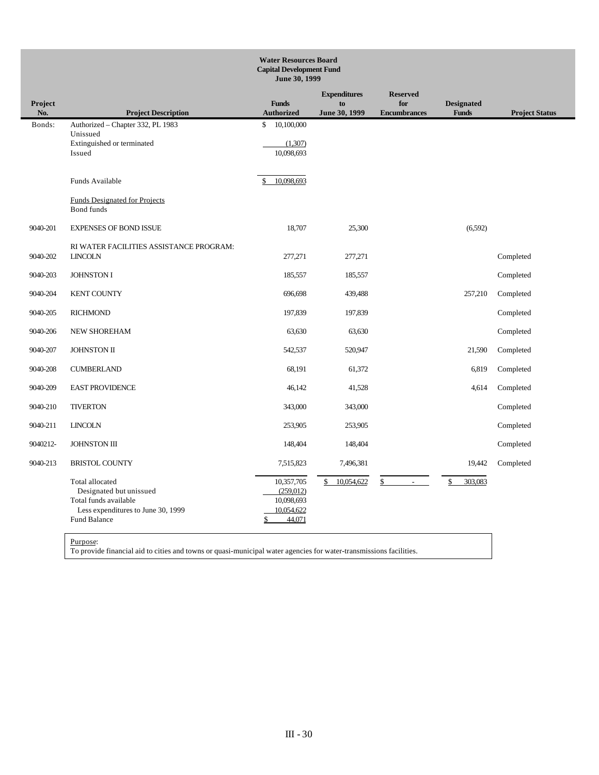|                | <b>Water Resources Board</b><br><b>Capital Development Fund</b><br>June 30, 1999                                          |                                                                      |                                            |                                               |                                   |                       |
|----------------|---------------------------------------------------------------------------------------------------------------------------|----------------------------------------------------------------------|--------------------------------------------|-----------------------------------------------|-----------------------------------|-----------------------|
| Project<br>No. | <b>Project Description</b>                                                                                                | <b>Funds</b><br><b>Authorized</b>                                    | <b>Expenditures</b><br>to<br>June 30, 1999 | <b>Reserved</b><br>for<br><b>Encumbrances</b> | <b>Designated</b><br><b>Funds</b> | <b>Project Status</b> |
| Bonds:         | Authorized - Chapter 332, PL 1983<br>Unissued<br>Extinguished or terminated<br>Issued                                     | 10,100,000<br>\$<br>(1,307)<br>10,098,693                            |                                            |                                               |                                   |                       |
|                | Funds Available                                                                                                           | 10,098,693                                                           |                                            |                                               |                                   |                       |
|                | <b>Funds Designated for Projects</b><br>Bond funds                                                                        |                                                                      |                                            |                                               |                                   |                       |
| 9040-201       | <b>EXPENSES OF BOND ISSUE</b>                                                                                             | 18,707                                                               | 25,300                                     |                                               | (6, 592)                          |                       |
| 9040-202       | RI WATER FACILITIES ASSISTANCE PROGRAM:<br><b>LINCOLN</b>                                                                 | 277,271                                                              | 277,271                                    |                                               |                                   | Completed             |
| 9040-203       | <b>JOHNSTON I</b>                                                                                                         | 185,557                                                              | 185,557                                    |                                               |                                   | Completed             |
| 9040-204       | <b>KENT COUNTY</b>                                                                                                        | 696,698                                                              | 439,488                                    |                                               | 257,210                           | Completed             |
| 9040-205       | <b>RICHMOND</b>                                                                                                           | 197,839                                                              | 197,839                                    |                                               |                                   | Completed             |
| 9040-206       | NEW SHOREHAM                                                                                                              | 63,630                                                               | 63,630                                     |                                               |                                   | Completed             |
| 9040-207       | JOHNSTON II                                                                                                               | 542,537                                                              | 520,947                                    |                                               | 21,590                            | Completed             |
| 9040-208       | <b>CUMBERLAND</b>                                                                                                         | 68,191                                                               | 61,372                                     |                                               | 6,819                             | Completed             |
| 9040-209       | <b>EAST PROVIDENCE</b>                                                                                                    | 46,142                                                               | 41,528                                     |                                               | 4,614                             | Completed             |
| 9040-210       | <b>TIVERTON</b>                                                                                                           | 343,000                                                              | 343,000                                    |                                               |                                   | Completed             |
| 9040-211       | <b>LINCOLN</b>                                                                                                            | 253,905                                                              | 253,905                                    |                                               |                                   | Completed             |
| 9040212-       | <b>JOHNSTON III</b>                                                                                                       | 148,404                                                              | 148,404                                    |                                               |                                   | Completed             |
| 9040-213       | <b>BRISTOL COUNTY</b>                                                                                                     | 7,515,823                                                            | 7,496,381                                  |                                               | 19,442                            | Completed             |
|                | Total allocated<br>Designated but unissued<br>Total funds available<br>Less expenditures to June 30, 1999<br>Fund Balance | 10,357,705<br>(259, 012)<br>10,098,693<br>10,054,622<br>44,071<br>\$ | 10,054,622<br>\$                           | \$                                            | 303,083<br>\$                     |                       |

To provide financial aid to cities and towns or quasi-municipal water agencies for water-transmissions facilities.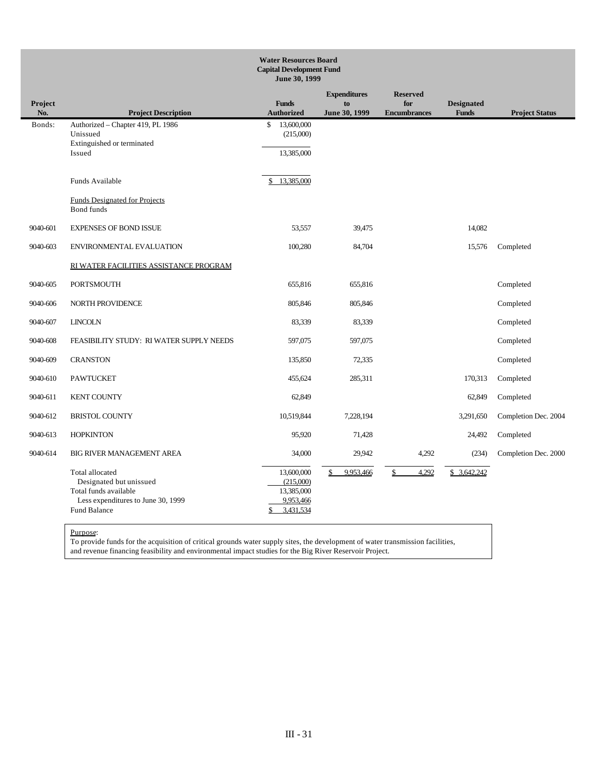|                | <b>Water Resources Board</b><br><b>Capital Development Fund</b><br>June 30, 1999                                          |                                                                 |                                            |                                               |                                   |                       |  |
|----------------|---------------------------------------------------------------------------------------------------------------------------|-----------------------------------------------------------------|--------------------------------------------|-----------------------------------------------|-----------------------------------|-----------------------|--|
| Project<br>No. | <b>Project Description</b>                                                                                                | <b>Funds</b><br><b>Authorized</b>                               | <b>Expenditures</b><br>to<br>June 30, 1999 | <b>Reserved</b><br>for<br><b>Encumbrances</b> | <b>Designated</b><br><b>Funds</b> | <b>Project Status</b> |  |
| Bonds:         | Authorized - Chapter 419, PL 1986<br>Unissued<br>Extinguished or terminated<br>Issued                                     | 13,600,000<br>$\mathbb{S}$<br>(215,000)<br>13,385,000           |                                            |                                               |                                   |                       |  |
|                | Funds Available                                                                                                           | 13,385,000<br>\$                                                |                                            |                                               |                                   |                       |  |
|                | <b>Funds Designated for Projects</b><br>Bond funds                                                                        |                                                                 |                                            |                                               |                                   |                       |  |
| 9040-601       | <b>EXPENSES OF BOND ISSUE</b>                                                                                             | 53,557                                                          | 39,475                                     |                                               | 14,082                            |                       |  |
| 9040-603       | ENVIRONMENTAL EVALUATION                                                                                                  | 100,280                                                         | 84,704                                     |                                               | 15,576                            | Completed             |  |
|                | RI WATER FACILITIES ASSISTANCE PROGRAM                                                                                    |                                                                 |                                            |                                               |                                   |                       |  |
| 9040-605       | <b>PORTSMOUTH</b>                                                                                                         | 655,816                                                         | 655,816                                    |                                               |                                   | Completed             |  |
| 9040-606       | NORTH PROVIDENCE                                                                                                          | 805,846                                                         | 805,846                                    |                                               |                                   | Completed             |  |
| 9040-607       | <b>LINCOLN</b>                                                                                                            | 83,339                                                          | 83,339                                     |                                               |                                   | Completed             |  |
| 9040-608       | FEASIBILITY STUDY: RI WATER SUPPLY NEEDS                                                                                  | 597,075                                                         | 597,075                                    |                                               |                                   | Completed             |  |
| 9040-609       | <b>CRANSTON</b>                                                                                                           | 135,850                                                         | 72,335                                     |                                               |                                   | Completed             |  |
| 9040-610       | <b>PAWTUCKET</b>                                                                                                          | 455,624                                                         | 285,311                                    |                                               | 170,313                           | Completed             |  |
| 9040-611       | <b>KENT COUNTY</b>                                                                                                        | 62,849                                                          |                                            |                                               | 62,849                            | Completed             |  |
| 9040-612       | <b>BRISTOL COUNTY</b>                                                                                                     | 10,519,844                                                      | 7,228,194                                  |                                               | 3,291,650                         | Completion Dec. 2004  |  |
| 9040-613       | <b>HOPKINTON</b>                                                                                                          | 95,920                                                          | 71,428                                     |                                               | 24,492                            | Completed             |  |
| 9040-614       | <b>BIG RIVER MANAGEMENT AREA</b>                                                                                          | 34,000                                                          | 29,942                                     | 4,292                                         | (234)                             | Completion Dec. 2000  |  |
|                | Total allocated<br>Designated but unissued<br>Total funds available<br>Less expenditures to June 30, 1999<br>Fund Balance | 13,600,000<br>(215,000)<br>13,385,000<br>9,953,466<br>3,431,534 | 9,953,466<br>\$                            | 4,292<br>\$                                   | \$ 3,642,242                      |                       |  |

To provide funds for the acquisition of critical grounds water supply sites, the development of water transmission facilities, and revenue financing feasibility and environmental impact studies for the Big River Reservoir Project.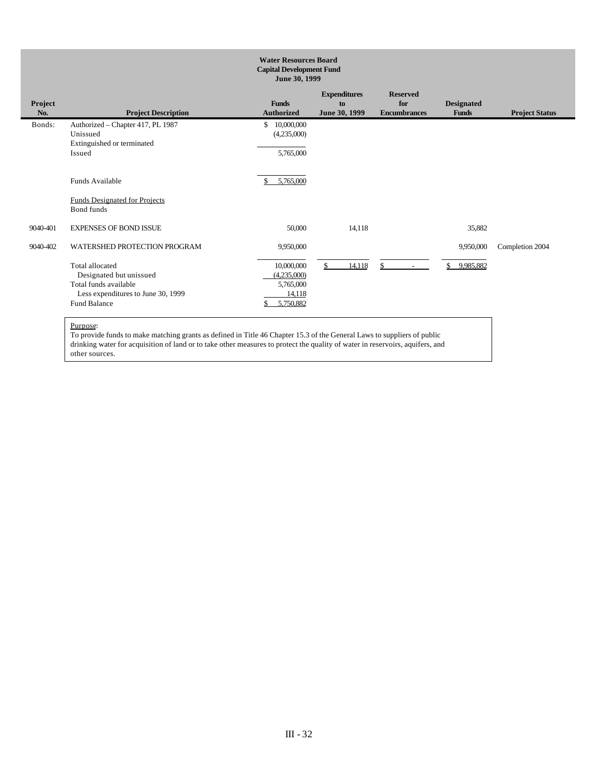| <b>Water Resources Board</b><br><b>Capital Development Fund</b><br>June 30, 1999 |                                                                                                                                                                         |                                                                            |                                            |                                               |                                   |                       |  |
|----------------------------------------------------------------------------------|-------------------------------------------------------------------------------------------------------------------------------------------------------------------------|----------------------------------------------------------------------------|--------------------------------------------|-----------------------------------------------|-----------------------------------|-----------------------|--|
| Project<br>No.                                                                   | <b>Project Description</b>                                                                                                                                              | <b>Funds</b><br><b>Authorized</b>                                          | <b>Expenditures</b><br>to<br>June 30, 1999 | <b>Reserved</b><br>for<br><b>Encumbrances</b> | <b>Designated</b><br><b>Funds</b> | <b>Project Status</b> |  |
| Bonds:                                                                           | Authorized - Chapter 417, PL 1987<br>Unissued<br>Extinguished or terminated<br>Issued                                                                                   | 10,000,000<br>\$<br>(4,235,000)<br>5,765,000                               |                                            |                                               |                                   |                       |  |
|                                                                                  | Funds Available<br><b>Funds Designated for Projects</b><br>Bond funds                                                                                                   | 5,765,000                                                                  |                                            |                                               |                                   |                       |  |
| 9040-401                                                                         | <b>EXPENSES OF BOND ISSUE</b>                                                                                                                                           | 50,000                                                                     | 14,118                                     |                                               | 35,882                            |                       |  |
| 9040-402                                                                         | WATERSHED PROTECTION PROGRAM<br><b>Total allocated</b><br>Designated but unissued<br>Total funds available<br>Less expenditures to June 30, 1999<br><b>Fund Balance</b> | 9,950,000<br>10,000,000<br>(4,235,000)<br>5,765,000<br>14.118<br>5,750,882 | $\mathbb{S}$<br>14,118                     | $\mathcal{S}$<br>$\sim$                       | 9,950,000<br>\$<br>9,985,882      | Completion 2004       |  |

To provide funds to make matching grants as defined in Title 46 Chapter 15.3 of the General Laws to suppliers of public drinking water for acquisition of land or to take other measures to protect the quality of water in reservoirs, aquifers, and other sources.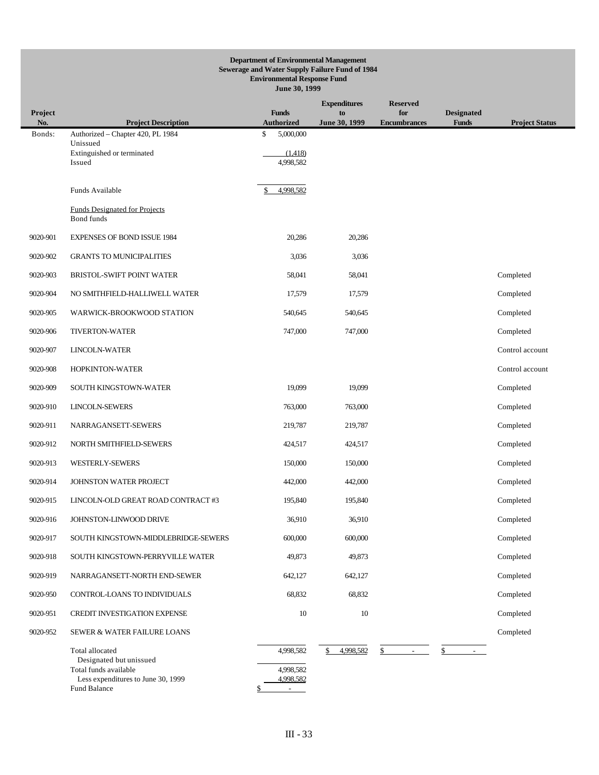# **Department of Environmental Management Sewerage and Water Supply Failure Fund of 1984 Environmental Response Fund June 30, 1999**

| Project<br>No. | <b>Project Description</b>                                | <b>Funds</b><br><b>Authorized</b>     | <b>Expenditures</b><br>to<br>June 30, 1999 | <b>Reserved</b><br>for<br><b>Encumbrances</b> | <b>Designated</b><br><b>Funds</b> | <b>Project Status</b> |
|----------------|-----------------------------------------------------------|---------------------------------------|--------------------------------------------|-----------------------------------------------|-----------------------------------|-----------------------|
| Bonds:         | Authorized - Chapter 420, PL 1984                         | \$<br>5,000,000                       |                                            |                                               |                                   |                       |
|                | Unissued<br>Extinguished or terminated                    | (1,418)                               |                                            |                                               |                                   |                       |
|                | Issued                                                    | 4,998,582                             |                                            |                                               |                                   |                       |
|                | Funds Available                                           | 4,998,582<br>\$                       |                                            |                                               |                                   |                       |
|                | <b>Funds Designated for Projects</b><br><b>Bond</b> funds |                                       |                                            |                                               |                                   |                       |
| 9020-901       | <b>EXPENSES OF BOND ISSUE 1984</b>                        | 20,286                                | 20,286                                     |                                               |                                   |                       |
| 9020-902       | <b>GRANTS TO MUNICIPALITIES</b>                           | 3,036                                 | 3,036                                      |                                               |                                   |                       |
| 9020-903       | BRISTOL-SWIFT POINT WATER                                 | 58,041                                | 58,041                                     |                                               |                                   | Completed             |
| 9020-904       | NO SMITHFIELD-HALLIWELL WATER                             | 17,579                                | 17,579                                     |                                               |                                   | Completed             |
| 9020-905       | WARWICK-BROOKWOOD STATION                                 | 540,645                               | 540,645                                    |                                               |                                   | Completed             |
| 9020-906       | <b>TIVERTON-WATER</b>                                     | 747,000                               | 747,000                                    |                                               |                                   | Completed             |
| 9020-907       | LINCOLN-WATER                                             |                                       |                                            |                                               |                                   | Control account       |
| 9020-908       | HOPKINTON-WATER                                           |                                       |                                            |                                               |                                   | Control account       |
| 9020-909       | SOUTH KINGSTOWN-WATER                                     | 19,099                                | 19,099                                     |                                               |                                   | Completed             |
| 9020-910       | LINCOLN-SEWERS                                            | 763,000                               | 763,000                                    |                                               |                                   | Completed             |
| 9020-911       | NARRAGANSETT-SEWERS                                       | 219,787                               | 219,787                                    |                                               |                                   | Completed             |
| 9020-912       | NORTH SMITHFIELD-SEWERS                                   | 424,517                               | 424,517                                    |                                               |                                   | Completed             |
| 9020-913       | WESTERLY-SEWERS                                           | 150,000                               | 150,000                                    |                                               |                                   | Completed             |
| 9020-914       | JOHNSTON WATER PROJECT                                    | 442,000                               | 442,000                                    |                                               |                                   | Completed             |
| 9020-915       | LINCOLN-OLD GREAT ROAD CONTRACT #3                        | 195,840                               | 195,840                                    |                                               |                                   | Completed             |
| 9020-916       | JOHNSTON-LINWOOD DRIVE                                    | 36,910                                | 36,910                                     |                                               |                                   | Completed             |
| 9020-917       | SOUTH KINGSTOWN-MIDDLEBRIDGE-SEWERS                       | 600,000                               | 600,000                                    |                                               |                                   | Completed             |
| 9020-918       | SOUTH KINGSTOWN-PERRYVILLE WATER                          | 49,873                                | 49,873                                     |                                               |                                   | Completed             |
| 9020-919       | NARRAGANSETT-NORTH END-SEWER                              | 642,127                               | 642,127                                    |                                               |                                   | Completed             |
| 9020-950       | CONTROL-LOANS TO INDIVIDUALS                              | 68,832                                | 68,832                                     |                                               |                                   | Completed             |
| 9020-951       | CREDIT INVESTIGATION EXPENSE                              | 10                                    | 10                                         |                                               |                                   | Completed             |
| 9020-952       | SEWER & WATER FAILURE LOANS                               |                                       |                                            |                                               |                                   | Completed             |
|                | Total allocated<br>Designated but unissued                | 4,998,582                             | 4,998,582<br>\$                            | \$<br>$\sim$                                  | \$<br>$\sim$ $-$                  |                       |
|                | Total funds available                                     | 4,998,582                             |                                            |                                               |                                   |                       |
|                | Less expenditures to June 30, 1999<br>Fund Balance        | 4,998,582<br>$\overline{\phantom{a}}$ |                                            |                                               |                                   |                       |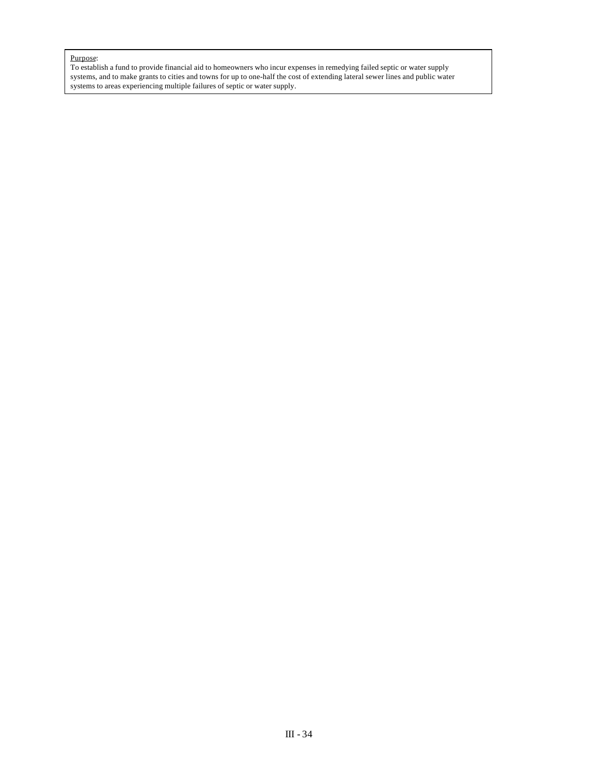To establish a fund to provide financial aid to homeowners who incur expenses in remedying failed septic or water supply systems, and to make grants to cities and towns for up to one-half the cost of extending lateral sewer lines and public water systems to areas experiencing multiple failures of septic or water supply.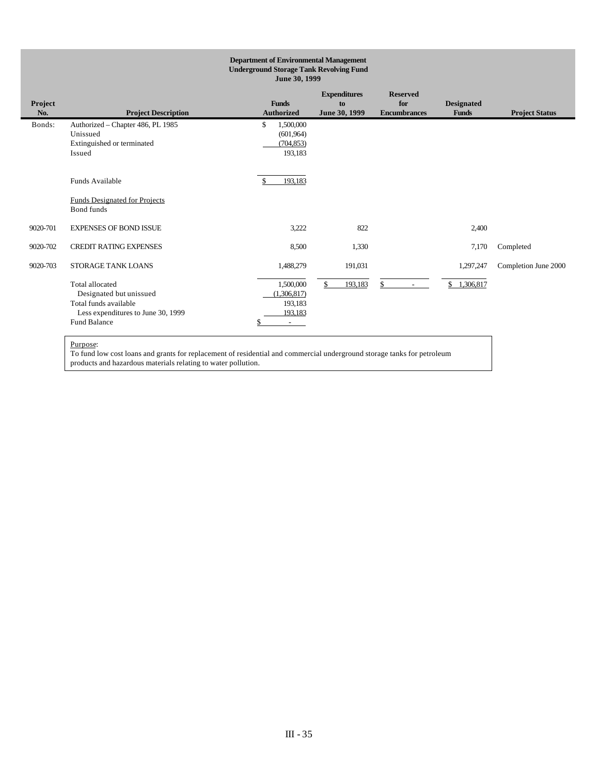| <b>Department of Environmental Management</b><br><b>Underground Storage Tank Revolving Fund</b><br>June 30, 1999 |                                                                                                                                  |                                                                  |                                            |                                               |                                   |                       |
|------------------------------------------------------------------------------------------------------------------|----------------------------------------------------------------------------------------------------------------------------------|------------------------------------------------------------------|--------------------------------------------|-----------------------------------------------|-----------------------------------|-----------------------|
| Project<br>No.                                                                                                   | <b>Project Description</b>                                                                                                       | <b>Funds</b><br><b>Authorized</b>                                | <b>Expenditures</b><br>to<br>June 30, 1999 | <b>Reserved</b><br>for<br><b>Encumbrances</b> | <b>Designated</b><br><b>Funds</b> | <b>Project Status</b> |
| Bonds:                                                                                                           | Authorized - Chapter 486, PL 1985<br>Unissued<br>Extinguished or terminated<br>Issued                                            | \$<br>1,500,000<br>(601.964)<br>(704, 853)<br>193,183            |                                            |                                               |                                   |                       |
|                                                                                                                  | Funds Available<br><b>Funds Designated for Projects</b><br>Bond funds                                                            | 193,183                                                          |                                            |                                               |                                   |                       |
| 9020-701                                                                                                         | <b>EXPENSES OF BOND ISSUE</b>                                                                                                    | 3,222                                                            | 822                                        |                                               | 2,400                             |                       |
| 9020-702                                                                                                         | <b>CREDIT RATING EXPENSES</b>                                                                                                    | 8,500                                                            | 1,330                                      |                                               | 7,170                             | Completed             |
| 9020-703                                                                                                         | <b>STORAGE TANK LOANS</b>                                                                                                        | 1,488,279                                                        | 191,031                                    |                                               | 1,297,247                         | Completion June 2000  |
|                                                                                                                  | Total allocated<br>Designated but unissued<br>Total funds available<br>Less expenditures to June 30, 1999<br><b>Fund Balance</b> | 1,500,000<br>(1.306.817)<br>193,183<br>193,183<br>$\sim$ 10 $\,$ | 193,183<br>\$.                             | \$.<br>$\overline{\phantom{a}}$               | 1.306.817<br>\$                   |                       |

To fund low cost loans and grants for replacement of residential and commercial underground storage tanks for petroleum products and hazardous materials relating to water pollution.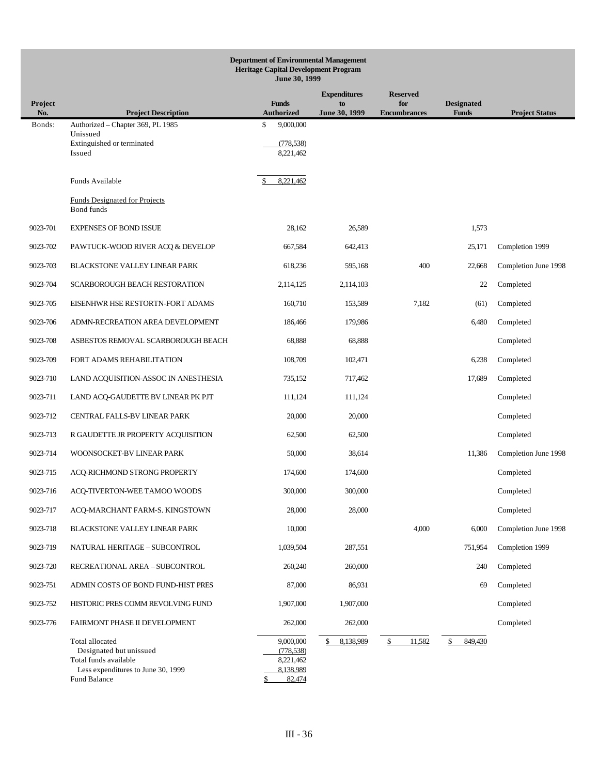|                | <b>Department of Environmental Management</b><br><b>Heritage Capital Development Program</b><br>June 30, 1999             |                                                             |                     |                            |                                   |                       |  |  |
|----------------|---------------------------------------------------------------------------------------------------------------------------|-------------------------------------------------------------|---------------------|----------------------------|-----------------------------------|-----------------------|--|--|
|                |                                                                                                                           |                                                             | <b>Expenditures</b> | <b>Reserved</b>            |                                   |                       |  |  |
| Project<br>No. | <b>Project Description</b>                                                                                                | <b>Funds</b><br><b>Authorized</b>                           | to<br>June 30, 1999 | for<br><b>Encumbrances</b> | <b>Designated</b><br><b>Funds</b> | <b>Project Status</b> |  |  |
| Bonds:         | Authorized - Chapter 369, PL 1985<br>Unissued                                                                             | \$<br>9,000,000                                             |                     |                            |                                   |                       |  |  |
|                | Extinguished or terminated<br>Issued                                                                                      | (778, 538)<br>8,221,462                                     |                     |                            |                                   |                       |  |  |
|                | Funds Available                                                                                                           | 8,221,462                                                   |                     |                            |                                   |                       |  |  |
|                | <b>Funds Designated for Projects</b><br>Bond funds                                                                        |                                                             |                     |                            |                                   |                       |  |  |
| 9023-701       | <b>EXPENSES OF BOND ISSUE</b>                                                                                             | 28,162                                                      | 26,589              |                            | 1,573                             |                       |  |  |
| 9023-702       | PAWTUCK-WOOD RIVER ACQ & DEVELOP                                                                                          | 667,584                                                     | 642,413             |                            | 25,171                            | Completion 1999       |  |  |
| 9023-703       | <b>BLACKSTONE VALLEY LINEAR PARK</b>                                                                                      | 618,236                                                     | 595,168             | 400                        | 22,668                            | Completion June 1998  |  |  |
| 9023-704       | SCARBOROUGH BEACH RESTORATION                                                                                             | 2,114,125                                                   | 2,114,103           |                            | 22                                | Completed             |  |  |
| 9023-705       | EISENHWR HSE RESTORTN-FORT ADAMS                                                                                          | 160,710                                                     | 153,589             | 7,182                      | (61)                              | Completed             |  |  |
| 9023-706       | ADMN-RECREATION AREA DEVELOPMENT                                                                                          | 186,466                                                     | 179,986             |                            | 6,480                             | Completed             |  |  |
| 9023-708       | ASBESTOS REMOVAL SCARBOROUGH BEACH                                                                                        | 68,888                                                      | 68,888              |                            |                                   | Completed             |  |  |
| 9023-709       | FORT ADAMS REHABILITATION                                                                                                 | 108,709                                                     | 102,471             |                            | 6,238                             | Completed             |  |  |
| 9023-710       | LAND ACQUISITION-ASSOC IN ANESTHESIA                                                                                      | 735,152                                                     | 717,462             |                            | 17,689                            | Completed             |  |  |
| 9023-711       | LAND ACQ-GAUDETTE BV LINEAR PK PJT                                                                                        | 111,124                                                     | 111,124             |                            |                                   | Completed             |  |  |
| 9023-712       | CENTRAL FALLS-BV LINEAR PARK                                                                                              | 20,000                                                      | 20,000              |                            |                                   | Completed             |  |  |
| 9023-713       | R GAUDETTE JR PROPERTY ACQUISITION                                                                                        | 62,500                                                      | 62,500              |                            |                                   | Completed             |  |  |
| 9023-714       | WOONSOCKET-BV LINEAR PARK                                                                                                 | 50,000                                                      | 38,614              |                            | 11,386                            | Completion June 1998  |  |  |
| 9023-715       | ACQ-RICHMOND STRONG PROPERTY                                                                                              | 174,600                                                     | 174,600             |                            |                                   | Completed             |  |  |
| 9023-716       | ACQ-TIVERTON-WEE TAMOO WOODS                                                                                              | 300,000                                                     | 300,000             |                            |                                   | Completed             |  |  |
| 9023-717       | ACQ-MARCHANT FARM-S. KINGSTOWN                                                                                            | 28,000                                                      | 28,000              |                            |                                   | Completed             |  |  |
| 9023-718       | BLACKSTONE VALLEY LINEAR PARK                                                                                             | 10,000                                                      |                     | 4,000                      | 6,000                             | Completion June 1998  |  |  |
| 9023-719       | NATURAL HERITAGE - SUBCONTROL                                                                                             | 1,039,504                                                   | 287,551             |                            | 751,954                           | Completion 1999       |  |  |
| 9023-720       | RECREATIONAL AREA - SUBCONTROL                                                                                            | 260,240                                                     | 260,000             |                            | 240                               | Completed             |  |  |
| 9023-751       | ADMIN COSTS OF BOND FUND-HIST PRES                                                                                        | 87,000                                                      | 86,931              |                            | 69                                | Completed             |  |  |
| 9023-752       | HISTORIC PRES COMM REVOLVING FUND                                                                                         | 1,907,000                                                   | 1,907,000           |                            |                                   | Completed             |  |  |
| 9023-776       | <b>FAIRMONT PHASE II DEVELOPMENT</b>                                                                                      | 262,000                                                     | 262,000             |                            |                                   | Completed             |  |  |
|                | Total allocated<br>Designated but unissued<br>Total funds available<br>Less expenditures to June 30, 1999<br>Fund Balance | 9,000,000<br>(778, 538)<br>8,221,462<br>8,138,989<br>82,474 | 8,138,989<br>\$     | 11,582<br>\$               | 849,430<br>\$                     |                       |  |  |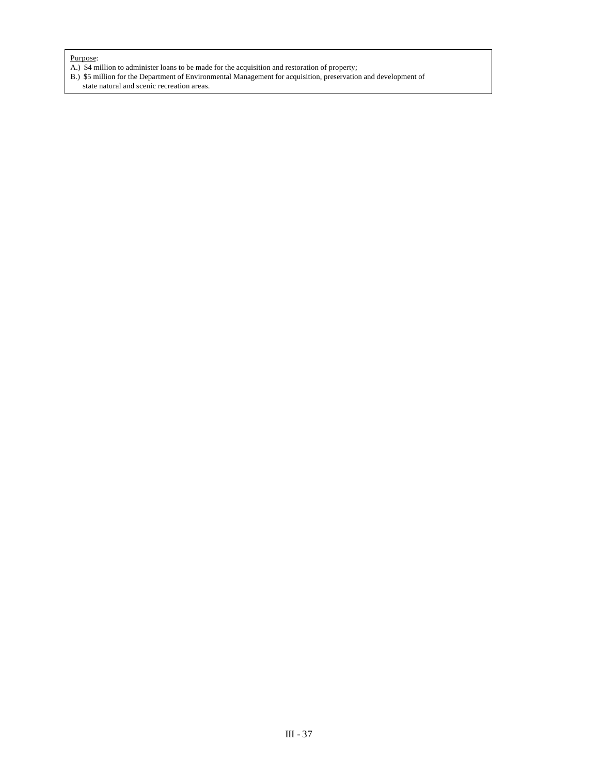- A.) \$4 million to administer loans to be made for the acquisition and restoration of property;
- B.) \$5 million for the Department of Environmental Management for acquisition, preservation and development of state natural and scenic recreation areas.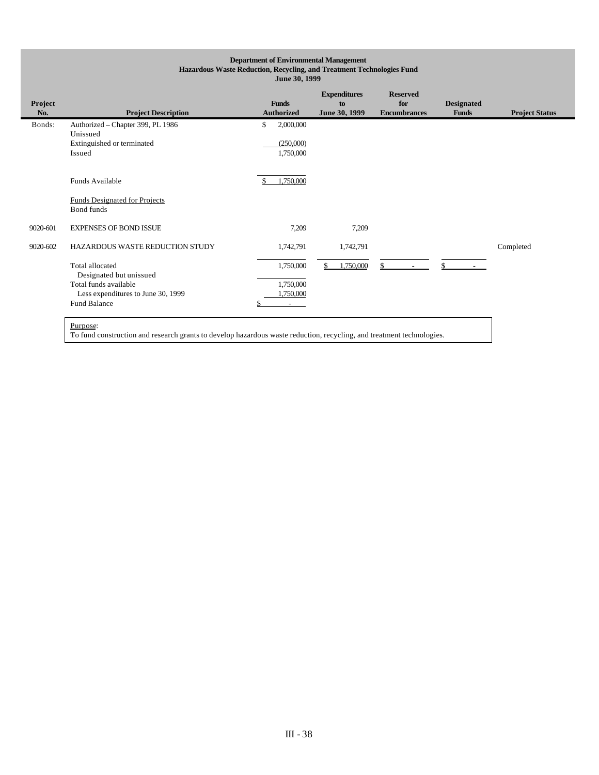# **Department of Environmental Management Hazardous Waste Reduction, Recycling, and Treatment Technologies Fund June 30, 1999**

| Project<br>No. | <b>Project Description</b>                         | <b>Funds</b><br><b>Authorized</b> | <b>Expenditures</b><br>to<br>June 30, 1999 | <b>Reserved</b><br>for<br><b>Encumbrances</b> | <b>Designated</b><br><b>Funds</b> | <b>Project Status</b> |
|----------------|----------------------------------------------------|-----------------------------------|--------------------------------------------|-----------------------------------------------|-----------------------------------|-----------------------|
| Bonds:         | Authorized - Chapter 399, PL 1986                  | \$<br>2,000,000                   |                                            |                                               |                                   |                       |
|                | Unissued<br>Extinguished or terminated             | (250,000)                         |                                            |                                               |                                   |                       |
|                | Issued                                             | 1,750,000                         |                                            |                                               |                                   |                       |
|                |                                                    |                                   |                                            |                                               |                                   |                       |
|                | Funds Available                                    | 1.750.000                         |                                            |                                               |                                   |                       |
|                | <b>Funds Designated for Projects</b><br>Bond funds |                                   |                                            |                                               |                                   |                       |
| 9020-601       | <b>EXPENSES OF BOND ISSUE</b>                      | 7,209                             | 7,209                                      |                                               |                                   |                       |
| 9020-602       | HAZARDOUS WASTE REDUCTION STUDY                    | 1,742,791                         | 1,742,791                                  |                                               |                                   | Completed             |
|                | Total allocated                                    | 1,750,000                         | \$<br>1,750,000                            | \$.                                           | \$.                               |                       |
|                | Designated but unissued<br>Total funds available   | 1,750,000                         |                                            |                                               |                                   |                       |
|                | Less expenditures to June 30, 1999                 | ,750,000                          |                                            |                                               |                                   |                       |
|                | Fund Balance                                       | $\overline{\phantom{a}}$          |                                            |                                               |                                   |                       |
|                | Purpose:                                           |                                   |                                            |                                               |                                   |                       |

To fund construction and research grants to develop hazardous waste reduction, recycling, and treatment technologies.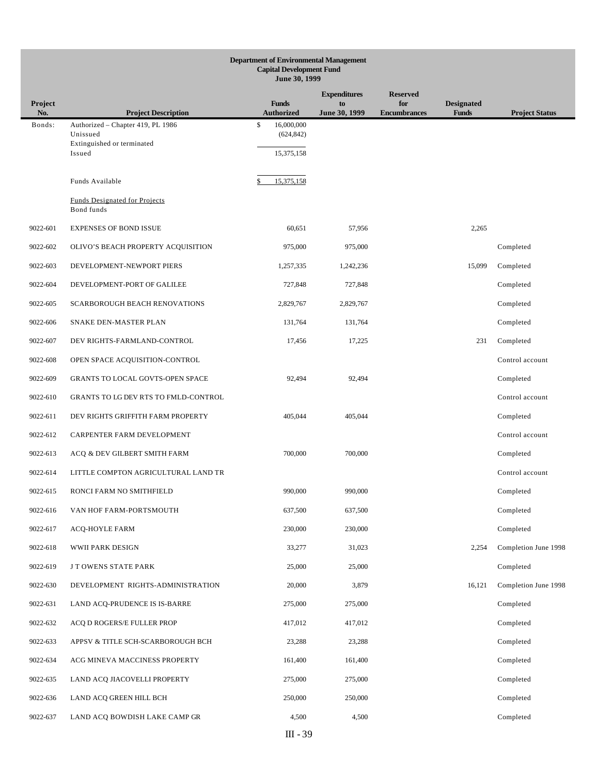|                | <b>Department of Environmental Management</b><br><b>Capital Development Fund</b><br>June 30, 1999 |                                   |                     |                            |                                   |                       |  |  |
|----------------|---------------------------------------------------------------------------------------------------|-----------------------------------|---------------------|----------------------------|-----------------------------------|-----------------------|--|--|
|                |                                                                                                   |                                   | <b>Expenditures</b> | <b>Reserved</b>            |                                   |                       |  |  |
| Project<br>No. | <b>Project Description</b>                                                                        | <b>Funds</b><br><b>Authorized</b> | to<br>June 30, 1999 | for<br><b>Encumbrances</b> | <b>Designated</b><br><b>Funds</b> | <b>Project Status</b> |  |  |
| Bonds:         | Authorized - Chapter 419, PL 1986<br>Unissued                                                     | \$<br>16,000,000<br>(624, 842)    |                     |                            |                                   |                       |  |  |
|                | Extinguished or terminated<br>Issued                                                              | 15,375,158                        |                     |                            |                                   |                       |  |  |
|                |                                                                                                   |                                   |                     |                            |                                   |                       |  |  |
|                | Funds Available                                                                                   | 15,375,158                        |                     |                            |                                   |                       |  |  |
|                | <b>Funds Designated for Projects</b><br>Bond funds                                                |                                   |                     |                            |                                   |                       |  |  |
| 9022-601       | <b>EXPENSES OF BOND ISSUE</b>                                                                     | 60,651                            | 57,956              |                            | 2,265                             |                       |  |  |
| 9022-602       | OLIVO'S BEACH PROPERTY ACQUISITION                                                                | 975,000                           | 975,000             |                            |                                   | Completed             |  |  |
| 9022-603       | DEVELOPMENT-NEWPORT PIERS                                                                         | 1,257,335                         | 1,242,236           |                            | 15,099                            | Completed             |  |  |
| 9022-604       | DEVELOPMENT-PORT OF GALILEE                                                                       | 727,848                           | 727,848             |                            |                                   | Completed             |  |  |
| 9022-605       | <b>SCARBOROUGH BEACH RENOVATIONS</b>                                                              | 2,829,767                         | 2,829,767           |                            |                                   | Completed             |  |  |
| 9022-606       | SNAKE DEN-MASTER PLAN                                                                             | 131,764                           | 131,764             |                            |                                   | Completed             |  |  |
| 9022-607       | DEV RIGHTS-FARMLAND-CONTROL                                                                       | 17,456                            | 17,225              |                            | 231                               | Completed             |  |  |
| 9022-608       | OPEN SPACE ACQUISITION-CONTROL                                                                    |                                   |                     |                            |                                   | Control account       |  |  |
| 9022-609       | GRANTS TO LOCAL GOVTS-OPEN SPACE                                                                  | 92,494                            | 92,494              |                            |                                   | Completed             |  |  |
| 9022-610       | GRANTS TO LG DEV RTS TO FMLD-CONTROL                                                              |                                   |                     |                            |                                   | Control account       |  |  |
| 9022-611       | DEV RIGHTS GRIFFITH FARM PROPERTY                                                                 | 405,044                           | 405,044             |                            |                                   | Completed             |  |  |
| 9022-612       | CARPENTER FARM DEVELOPMENT                                                                        |                                   |                     |                            |                                   | Control account       |  |  |
| 9022-613       | ACQ & DEV GILBERT SMITH FARM                                                                      | 700,000                           | 700,000             |                            |                                   | Completed             |  |  |
| 9022-614       | LITTLE COMPTON AGRICULTURAL LAND TR                                                               |                                   |                     |                            |                                   | Control account       |  |  |
| 9022-615       | RONCI FARM NO SMITHFIELD                                                                          | 990,000                           | 990,000             |                            |                                   | Completed             |  |  |
| 9022-616       | VAN HOF FARM-PORTSMOUTH                                                                           | 637,500                           | 637,500             |                            |                                   | Completed             |  |  |
| 9022-617       | ACQ-HOYLE FARM                                                                                    | 230,000                           | 230,000             |                            |                                   | Completed             |  |  |
| 9022-618       | WWII PARK DESIGN                                                                                  | 33,277                            | 31,023              |                            | 2,254                             | Completion June 1998  |  |  |
| 9022-619       | J T OWENS STATE PARK                                                                              | 25,000                            | 25,000              |                            |                                   | Completed             |  |  |
| 9022-630       | DEVELOPMENT RIGHTS-ADMINISTRATION                                                                 | 20,000                            | 3,879               |                            | 16,121                            | Completion June 1998  |  |  |
| 9022-631       | LAND ACQ-PRUDENCE IS IS-BARRE                                                                     | 275,000                           | 275,000             |                            |                                   | Completed             |  |  |
| 9022-632       | ACQ D ROGERS/E FULLER PROP                                                                        | 417,012                           | 417,012             |                            |                                   | Completed             |  |  |
| 9022-633       | APPSV & TITLE SCH-SCARBOROUGH BCH                                                                 | 23,288                            | 23,288              |                            |                                   | Completed             |  |  |
| 9022-634       | ACG MINEVA MACCINESS PROPERTY                                                                     | 161,400                           | 161,400             |                            |                                   | Completed             |  |  |
| 9022-635       | LAND ACQ JIACOVELLI PROPERTY                                                                      | 275,000                           | 275,000             |                            |                                   | Completed             |  |  |
| 9022-636       | LAND ACQ GREEN HILL BCH                                                                           | 250,000                           | 250,000             |                            |                                   | Completed             |  |  |
| 9022-637       | LAND ACQ BOWDISH LAKE CAMP GR                                                                     | 4,500                             | 4,500               |                            |                                   | Completed             |  |  |
|                |                                                                                                   |                                   |                     |                            |                                   |                       |  |  |

III - 39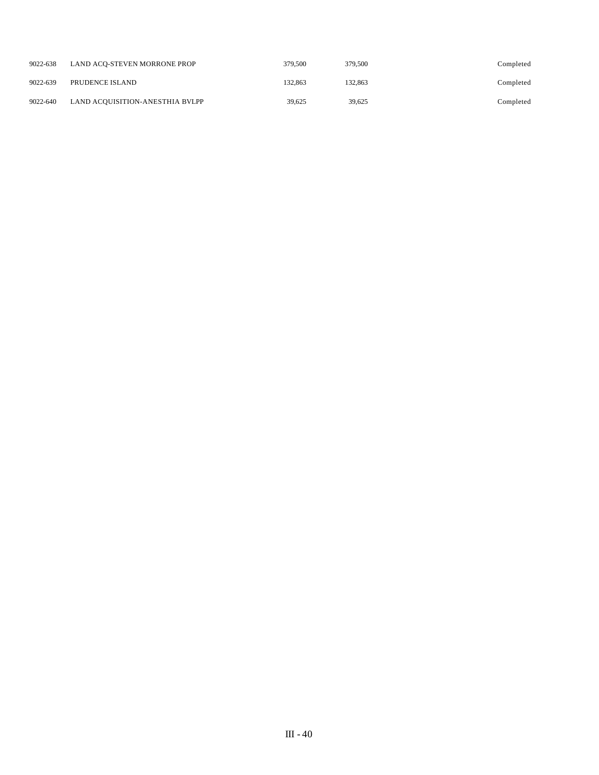| 9022-638 | LAND ACO-STEVEN MORRONE PROP    | 379,500 | 379,500 | Completed |
|----------|---------------------------------|---------|---------|-----------|
| 9022-639 | PRUDENCE ISLAND                 | 132.863 | 132.863 | Completed |
| 9022-640 | LAND ACQUISITION-ANESTHIA BVLPP | 39.625  | 39.625  | Completed |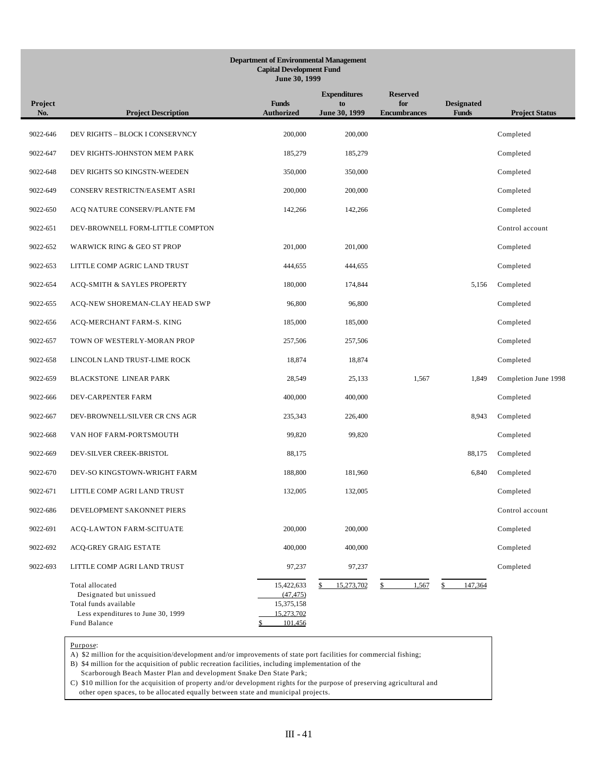# **Department of Environmental Management Capital Development Fund June 30, 1999**

| Project<br>No. | <b>Project Description</b>                                                                                                | <b>Funds</b><br><b>Authorized</b>                              | <b>Expenditures</b><br>to<br>June 30, 1999 | <b>Reserved</b><br>for<br><b>Encumbrances</b> | <b>Designated</b><br><b>Funds</b> | <b>Project Status</b> |
|----------------|---------------------------------------------------------------------------------------------------------------------------|----------------------------------------------------------------|--------------------------------------------|-----------------------------------------------|-----------------------------------|-----------------------|
| 9022-646       | DEV RIGHTS - BLOCK I CONSERVNCY                                                                                           | 200,000                                                        | 200,000                                    |                                               |                                   | Completed             |
| 9022-647       | DEV RIGHTS-JOHNSTON MEM PARK                                                                                              | 185,279                                                        | 185,279                                    |                                               |                                   | Completed             |
| 9022-648       | DEV RIGHTS SO KINGSTN-WEEDEN                                                                                              | 350,000                                                        | 350,000                                    |                                               |                                   | Completed             |
| 9022-649       | CONSERV RESTRICTN/EASEMT ASRI                                                                                             | 200,000                                                        | 200,000                                    |                                               |                                   | Completed             |
| 9022-650       | ACQ NATURE CONSERV/PLANTE FM                                                                                              | 142,266                                                        | 142,266                                    |                                               |                                   | Completed             |
| 9022-651       | DEV-BROWNELL FORM-LITTLE COMPTON                                                                                          |                                                                |                                            |                                               |                                   | Control account       |
| 9022-652       | WARWICK RING & GEO ST PROP                                                                                                | 201,000                                                        | 201,000                                    |                                               |                                   | Completed             |
| 9022-653       | LITTLE COMP AGRIC LAND TRUST                                                                                              | 444,655                                                        | 444,655                                    |                                               |                                   | Completed             |
| 9022-654       | ACQ-SMITH & SAYLES PROPERTY                                                                                               | 180,000                                                        | 174,844                                    |                                               | 5,156                             | Completed             |
| 9022-655       | ACQ-NEW SHOREMAN-CLAY HEAD SWP                                                                                            | 96,800                                                         | 96,800                                     |                                               |                                   | Completed             |
| 9022-656       | ACQ-MERCHANT FARM-S. KING                                                                                                 | 185,000                                                        | 185,000                                    |                                               |                                   | Completed             |
| 9022-657       | TOWN OF WESTERLY-MORAN PROP                                                                                               | 257,506                                                        | 257,506                                    |                                               |                                   | Completed             |
| 9022-658       | LINCOLN LAND TRUST-LIME ROCK                                                                                              | 18,874                                                         | 18,874                                     |                                               |                                   | Completed             |
| 9022-659       | <b>BLACKSTONE LINEAR PARK</b>                                                                                             | 28,549                                                         | 25,133                                     | 1,567                                         | 1,849                             | Completion June 1998  |
| 9022-666       | DEV-CARPENTER FARM                                                                                                        | 400,000                                                        | 400,000                                    |                                               |                                   | Completed             |
| 9022-667       | DEV-BROWNELL/SILVER CR CNS AGR                                                                                            | 235,343                                                        | 226,400                                    |                                               | 8,943                             | Completed             |
| 9022-668       | VAN HOF FARM-PORTSMOUTH                                                                                                   | 99,820                                                         | 99,820                                     |                                               |                                   | Completed             |
| 9022-669       | DEV-SILVER CREEK-BRISTOL                                                                                                  | 88,175                                                         |                                            |                                               | 88,175                            | Completed             |
| 9022-670       | DEV-SO KINGSTOWN-WRIGHT FARM                                                                                              | 188,800                                                        | 181,960                                    |                                               | 6,840                             | Completed             |
| 9022-671       | LITTLE COMP AGRI LAND TRUST                                                                                               | 132,005                                                        | 132,005                                    |                                               |                                   | Completed             |
| 9022-686       | DEVELOPMENT SAKONNET PIERS                                                                                                |                                                                |                                            |                                               |                                   | Control account       |
| 9022-691       | ACQ-LAWTON FARM-SCITUATE                                                                                                  | 200,000                                                        | 200,000                                    |                                               |                                   | Completed             |
| 9022-692       | ACQ-GREY GRAIG ESTATE                                                                                                     | 400,000                                                        | 400,000                                    |                                               |                                   | Completed             |
| 9022-693       | LITTLE COMP AGRI LAND TRUST                                                                                               | 97,237                                                         | 97,237                                     |                                               |                                   | Completed             |
|                | Total allocated<br>Designated but unissued<br>Total funds available<br>Less expenditures to June 30, 1999<br>Fund Balance | 15,422,633<br>(47, 475)<br>15,375,158<br>15,273,702<br>101,456 | 15,273,702<br>\$                           | 1,567<br>$\frac{1}{2}$                        | 147,364<br>\$                     |                       |

Purpose:

A) \$2 million for the acquisition/development and/or improvements of state port facilities for commercial fishing;

B) \$4 million for the acquisition of public recreation facilities, including implementation of the

Scarborough Beach Master Plan and development Snake Den State Park;

C) \$10 million for the acquisition of property and/or development rights for the purpose of preserving agricultural and other open spaces, to be allocated equally between state and municipal projects.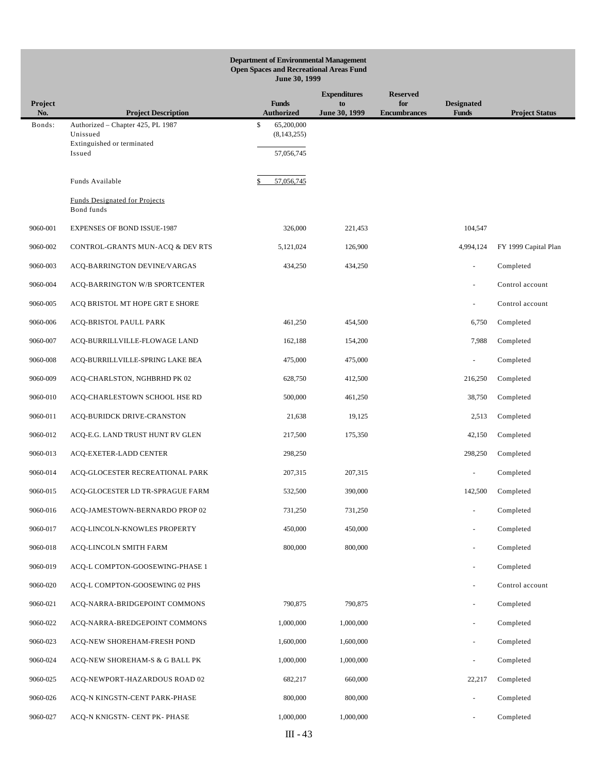| <b>Department of Environmental Management</b><br><b>Open Spaces and Recreational Areas Fund</b><br>June 30, 1999 |                                                                                       |                                                 |                     |                            |                                   |                       |
|------------------------------------------------------------------------------------------------------------------|---------------------------------------------------------------------------------------|-------------------------------------------------|---------------------|----------------------------|-----------------------------------|-----------------------|
|                                                                                                                  |                                                                                       |                                                 | <b>Expenditures</b> | <b>Reserved</b>            |                                   |                       |
| Project<br>No.                                                                                                   | <b>Project Description</b>                                                            | <b>Funds</b><br><b>Authorized</b>               | to<br>June 30, 1999 | for<br><b>Encumbrances</b> | <b>Designated</b><br><b>Funds</b> | <b>Project Status</b> |
| Bonds:                                                                                                           | Authorized - Chapter 425, PL 1987<br>Unissued<br>Extinguished or terminated<br>Issued | \$<br>65,200,000<br>(8, 143, 255)<br>57,056,745 |                     |                            |                                   |                       |
|                                                                                                                  | Funds Available                                                                       | 57,056,745                                      |                     |                            |                                   |                       |
|                                                                                                                  | <b>Funds Designated for Projects</b><br>Bond funds                                    |                                                 |                     |                            |                                   |                       |
| 9060-001                                                                                                         | <b>EXPENSES OF BOND ISSUE-1987</b>                                                    | 326,000                                         | 221,453             |                            | 104,547                           |                       |
| 9060-002                                                                                                         | CONTROL-GRANTS MUN-ACQ & DEV RTS                                                      | 5,121,024                                       | 126,900             |                            | 4,994,124                         | FY 1999 Capital Plan  |
| 9060-003                                                                                                         | ACQ-BARRINGTON DEVINE/VARGAS                                                          | 434,250                                         | 434,250             |                            | ä,                                | Completed             |
| 9060-004                                                                                                         | ACQ-BARRINGTON W/B SPORTCENTER                                                        |                                                 |                     |                            |                                   | Control account       |
| 9060-005                                                                                                         | ACQ BRISTOL MT HOPE GRT E SHORE                                                       |                                                 |                     |                            | ä,                                | Control account       |
| 9060-006                                                                                                         | ACQ-BRISTOL PAULL PARK                                                                | 461,250                                         | 454,500             |                            | 6,750                             | Completed             |
| 9060-007                                                                                                         | ACQ-BURRILLVILLE-FLOWAGE LAND                                                         | 162,188                                         | 154,200             |                            | 7,988                             | Completed             |
| 9060-008                                                                                                         | ACQ-BURRILLVILLE-SPRING LAKE BEA                                                      | 475,000                                         | 475,000             |                            |                                   | Completed             |
| 9060-009                                                                                                         | ACQ-CHARLSTON, NGHBRHD PK 02                                                          | 628,750                                         | 412,500             |                            | 216,250                           | Completed             |
| 9060-010                                                                                                         | ACQ-CHARLESTOWN SCHOOL HSE RD                                                         | 500,000                                         | 461,250             |                            | 38,750                            | Completed             |
| 9060-011                                                                                                         | ACQ-BURIDCK DRIVE-CRANSTON                                                            | 21,638                                          | 19,125              |                            | 2,513                             | Completed             |
| 9060-012                                                                                                         | ACQ-E.G. LAND TRUST HUNT RV GLEN                                                      | 217,500                                         | 175,350             |                            | 42,150                            | Completed             |
| 9060-013                                                                                                         | ACQ-EXETER-LADD CENTER                                                                | 298,250                                         |                     |                            | 298,250                           | Completed             |
| 9060-014                                                                                                         | ACQ-GLOCESTER RECREATIONAL PARK                                                       | 207,315                                         | 207,315             |                            |                                   | Completed             |
| 9060-015                                                                                                         | ACQ-GLOCESTER LD TR-SPRAGUE FARM                                                      | 532,500                                         | 390,000             |                            |                                   | 142,500 Completed     |
| 9060-016                                                                                                         | ACQ-JAMESTOWN-BERNARDO PROP 02                                                        | 731,250                                         | 731,250             |                            | ä,                                | Completed             |
| 9060-017                                                                                                         | ACQ-LINCOLN-KNOWLES PROPERTY                                                          | 450,000                                         | 450,000             |                            | $\frac{1}{2}$                     | Completed             |
| 9060-018                                                                                                         | ACQ-LINCOLN SMITH FARM                                                                | 800,000                                         | 800,000             |                            | $\equiv$                          | Completed             |
| 9060-019                                                                                                         | ACQ-L COMPTON-GOOSEWING-PHASE 1                                                       |                                                 |                     |                            | $\equiv$                          | Completed             |
| 9060-020                                                                                                         | ACQ-L COMPTON-GOOSEWING 02 PHS                                                        |                                                 |                     |                            | $\equiv$                          | Control account       |
| 9060-021                                                                                                         | ACQ-NARRA-BRIDGEPOINT COMMONS                                                         | 790,875                                         | 790,875             |                            | $\blacksquare$                    | Completed             |
| 9060-022                                                                                                         | ACQ-NARRA-BREDGEPOINT COMMONS                                                         | 1,000,000                                       | 1,000,000           |                            | $\overline{\phantom{0}}$          | Completed             |
| 9060-023                                                                                                         | ACQ-NEW SHOREHAM-FRESH POND                                                           | 1,600,000                                       | 1,600,000           |                            | $\blacksquare$                    | Completed             |
| 9060-024                                                                                                         | ACQ-NEW SHOREHAM-S & G BALL PK                                                        | 1,000,000                                       | 1,000,000           |                            | $\equiv$                          | Completed             |
| 9060-025                                                                                                         | ACQ-NEWPORT-HAZARDOUS ROAD 02                                                         | 682,217                                         | 660,000             |                            | 22,217                            | Completed             |
| 9060-026                                                                                                         | ACQ-N KINGSTN-CENT PARK-PHASE                                                         | 800,000                                         | 800,000             |                            | ÷,                                | Completed             |
| 9060-027                                                                                                         | ACQ-N KNIGSTN- CENT PK- PHASE                                                         | 1,000,000                                       | 1,000,000           |                            |                                   | Completed             |
|                                                                                                                  |                                                                                       | $III - 43$                                      |                     |                            |                                   |                       |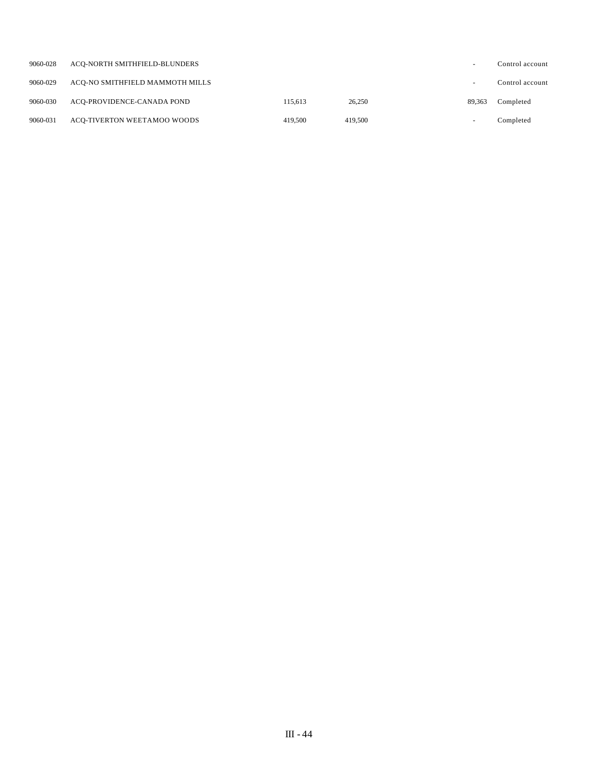| 9060-028 | ACO-NORTH SMITHFIELD-BLUNDERS   |         |         |                          | Control account |
|----------|---------------------------------|---------|---------|--------------------------|-----------------|
| 9060-029 | ACO-NO SMITHFIELD MAMMOTH MILLS |         |         |                          | Control account |
| 9060-030 | ACO-PROVIDENCE-CANADA POND      | 115.613 | 26,250  | 89.363                   | Completed       |
| 9060-031 | ACO-TIVERTON WEETAMOO WOODS     | 419.500 | 419.500 | $\overline{\phantom{0}}$ | Completed       |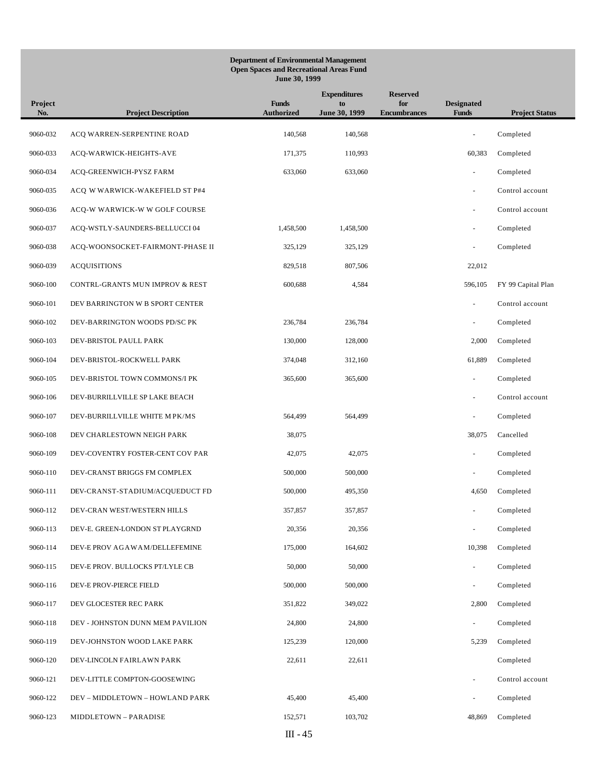## **Department of Environmental Management Open Spaces and Recreational Areas Fund June 30, 1999**

| Project<br>No. | <b>Project Description</b>       | <b>Funds</b><br><b>Authorized</b> | <b>Expenditures</b><br>to<br>June 30, 1999 | <b>Reserved</b><br>for<br><b>Encumbrances</b> | <b>Designated</b><br><b>Funds</b> | <b>Project Status</b> |
|----------------|----------------------------------|-----------------------------------|--------------------------------------------|-----------------------------------------------|-----------------------------------|-----------------------|
| 9060-032       | ACQ WARREN-SERPENTINE ROAD       | 140,568                           | 140,568                                    |                                               | ÷,                                | Completed             |
| 9060-033       | ACQ-WARWICK-HEIGHTS-AVE          | 171,375                           | 110,993                                    |                                               | 60,383                            | Completed             |
| 9060-034       | ACQ-GREENWICH-PYSZ FARM          | 633,060                           | 633,060                                    |                                               | ÷,                                | Completed             |
| 9060-035       | ACQ W WARWICK-WAKEFIELD ST P#4   |                                   |                                            |                                               | ÷,                                | Control account       |
| 9060-036       | ACQ-W WARWICK-W W GOLF COURSE    |                                   |                                            |                                               | $\sim$                            | Control account       |
| 9060-037       | ACQ-WSTLY-SAUNDERS-BELLUCCI 04   | 1,458,500                         | 1,458,500                                  |                                               | $\overline{\phantom{a}}$          | Completed             |
| 9060-038       | ACQ-WOONSOCKET-FAIRMONT-PHASE II | 325,129                           | 325,129                                    |                                               | $\sim$                            | Completed             |
| 9060-039       | <b>ACQUISITIONS</b>              | 829,518                           | 807,506                                    |                                               | 22,012                            |                       |
| 9060-100       | CONTRL-GRANTS MUN IMPROV & REST  | 600,688                           | 4,584                                      |                                               | 596,105                           | FY 99 Capital Plan    |
| 9060-101       | DEV BARRINGTON W B SPORT CENTER  |                                   |                                            |                                               | ÷,                                | Control account       |
| 9060-102       | DEV-BARRINGTON WOODS PD/SC PK    | 236,784                           | 236,784                                    |                                               | $\overline{\phantom{a}}$          | Completed             |
| 9060-103       | DEV-BRISTOL PAULL PARK           | 130,000                           | 128,000                                    |                                               | 2,000                             | Completed             |
| 9060-104       | DEV-BRISTOL-ROCKWELL PARK        | 374,048                           | 312,160                                    |                                               | 61,889                            | Completed             |
| 9060-105       | DEV-BRISTOL TOWN COMMONS/I PK    | 365,600                           | 365,600                                    |                                               | ÷,                                | Completed             |
| 9060-106       | DEV-BURRILLVILLE SP LAKE BEACH   |                                   |                                            |                                               | $\sim$                            | Control account       |
| 9060-107       | DEV-BURRILLVILLE WHITE M PK/MS   | 564,499                           | 564,499                                    |                                               | $\overline{\phantom{a}}$          | Completed             |
| 9060-108       | DEV CHARLESTOWN NEIGH PARK       | 38,075                            |                                            |                                               | 38,075                            | Cancelled             |
| 9060-109       | DEV-COVENTRY FOSTER-CENT COV PAR | 42,075                            | 42,075                                     |                                               |                                   | Completed             |
| 9060-110       | DEV-CRANST BRIGGS FM COMPLEX     | 500,000                           | 500,000                                    |                                               | $\overline{a}$                    | Completed             |
| 9060-111       | DEV-CRANST-STADIUM/ACQUEDUCT FD  | 500,000                           | 495,350                                    |                                               | 4,650                             | Completed             |
| 9060-112       | DEV-CRAN WEST/WESTERN HILLS      | 357,857                           | 357,857                                    |                                               |                                   | Completed             |
| 9060-113       | DEV-E. GREEN-LONDON ST PLAYGRND  | 20,356                            | 20,356                                     |                                               |                                   | Completed             |
| 9060-114       | DEV-E PROV AGAWAM/DELLEFEMINE    | 175,000                           | 164,602                                    |                                               | 10,398                            | Completed             |
| 9060-115       | DEV-E PROV. BULLOCKS PT/LYLE CB  | 50,000                            | 50,000                                     |                                               | $\blacksquare$                    | Completed             |
| 9060-116       | DEV-E PROV-PIERCE FIELD          | 500,000                           | 500,000                                    |                                               | $\bar{\phantom{a}}$               | Completed             |
| 9060-117       | DEV GLOCESTER REC PARK           | 351,822                           | 349,022                                    |                                               | 2,800                             | Completed             |
| 9060-118       | DEV - JOHNSTON DUNN MEM PAVILION | 24,800                            | 24,800                                     |                                               |                                   | Completed             |
| 9060-119       | DEV-JOHNSTON WOOD LAKE PARK      | 125,239                           | 120,000                                    |                                               | 5,239                             | Completed             |
| 9060-120       | DEV-LINCOLN FAIRLAWN PARK        | 22,611                            | 22,611                                     |                                               |                                   | Completed             |
| 9060-121       | DEV-LITTLE COMPTON-GOOSEWING     |                                   |                                            |                                               | ÷,                                | Control account       |
| 9060-122       | DEV - MIDDLETOWN - HOWLAND PARK  | 45,400                            | 45,400                                     |                                               | $\bar{\phantom{a}}$               | Completed             |
| 9060-123       | MIDDLETOWN - PARADISE            | 152,571                           | 103,702                                    |                                               | 48,869                            | Completed             |
|                |                                  | III $-45$                         |                                            |                                               |                                   |                       |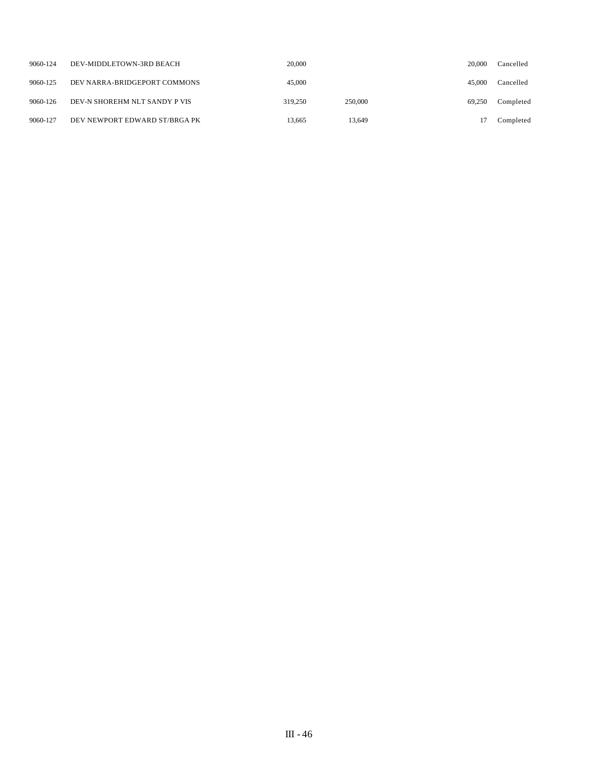| 9060-124 | DEV-MIDDLETOWN-3RD BEACH      | 20,000  |         | 20,000 | Cancelled |
|----------|-------------------------------|---------|---------|--------|-----------|
| 9060-125 | DEV NARRA-BRIDGEPORT COMMONS  | 45,000  |         | 45,000 | Cancelled |
| 9060-126 | DEV-N SHOREHM NLT SANDY P VIS | 319,250 | 250,000 | 69.250 | Completed |
| 9060-127 | DEV NEWPORT EDWARD ST/BRGA PK | 13.665  | 13.649  |        | Completed |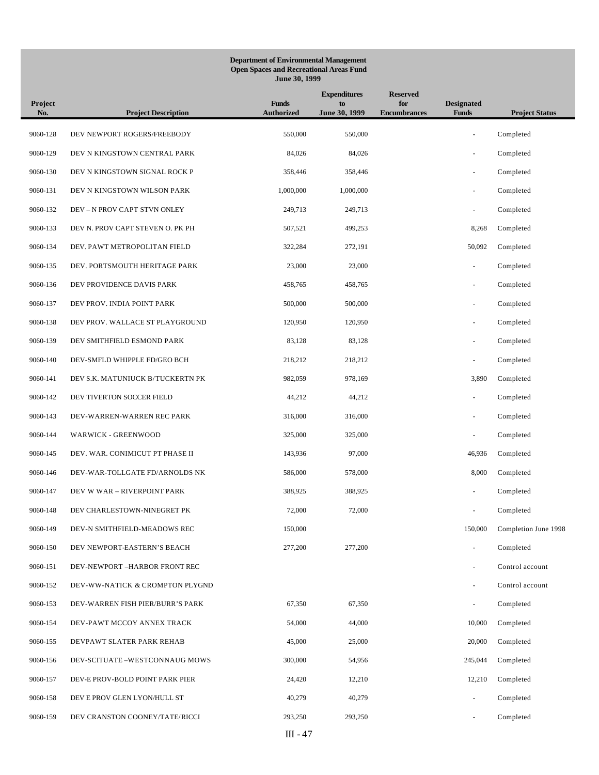## **Department of Environmental Management Open Spaces and Recreational Areas Fund June 30, 1999**

| Project<br>No. | <b>Project Description</b>       | <b>Funds</b><br><b>Authorized</b> | <b>Expenditures</b><br>to<br>June 30, 1999 | <b>Reserved</b><br>for<br><b>Encumbrances</b> | <b>Designated</b><br><b>Funds</b> | <b>Project Status</b> |
|----------------|----------------------------------|-----------------------------------|--------------------------------------------|-----------------------------------------------|-----------------------------------|-----------------------|
| 9060-128       | DEV NEWPORT ROGERS/FREEBODY      | 550,000                           | 550,000                                    |                                               | ÷,                                | Completed             |
| 9060-129       | DEV N KINGSTOWN CENTRAL PARK     | 84,026                            | 84,026                                     |                                               | $\sim$                            | Completed             |
| 9060-130       | DEV N KINGSTOWN SIGNAL ROCK P    | 358,446                           | 358,446                                    |                                               | $\bar{\phantom{a}}$               | Completed             |
| 9060-131       | DEV N KINGSTOWN WILSON PARK      | 1,000,000                         | 1,000,000                                  |                                               | $\sim$                            | Completed             |
| 9060-132       | DEV-N PROV CAPT STVN ONLEY       | 249,713                           | 249,713                                    |                                               | $\bar{a}$                         | Completed             |
| 9060-133       | DEV N. PROV CAPT STEVEN O. PK PH | 507,521                           | 499,253                                    |                                               | 8,268                             | Completed             |
| 9060-134       | DEV. PAWT METROPOLITAN FIELD     | 322,284                           | 272,191                                    |                                               | 50,092                            | Completed             |
| 9060-135       | DEV. PORTSMOUTH HERITAGE PARK    | 23,000                            | 23,000                                     |                                               | $\overline{\phantom{a}}$          | Completed             |
| 9060-136       | DEV PROVIDENCE DAVIS PARK        | 458,765                           | 458,765                                    |                                               | ÷,                                | Completed             |
| 9060-137       | DEV PROV. INDIA POINT PARK       | 500,000                           | 500,000                                    |                                               | $\sim$                            | Completed             |
| 9060-138       | DEV PROV. WALLACE ST PLAYGROUND  | 120,950                           | 120,950                                    |                                               |                                   | Completed             |
| 9060-139       | DEV SMITHFIELD ESMOND PARK       | 83,128                            | 83,128                                     |                                               | ÷,                                | Completed             |
| 9060-140       | DEV-SMFLD WHIPPLE FD/GEO BCH     | 218,212                           | 218,212                                    |                                               | ÷                                 | Completed             |
| 9060-141       | DEV S.K. MATUNIUCK B/TUCKERTN PK | 982,059                           | 978,169                                    |                                               | 3,890                             | Completed             |
| 9060-142       | DEV TIVERTON SOCCER FIELD        | 44,212                            | 44,212                                     |                                               | $\bar{a}$                         | Completed             |
| 9060-143       | DEV-WARREN-WARREN REC PARK       | 316,000                           | 316,000                                    |                                               | $\sim$                            | Completed             |
| 9060-144       | WARWICK - GREENWOOD              | 325,000                           | 325,000                                    |                                               | ÷,                                | Completed             |
| 9060-145       | DEV. WAR. CONIMICUT PT PHASE II  | 143,936                           | 97,000                                     |                                               | 46,936                            | Completed             |
| 9060-146       | DEV-WAR-TOLLGATE FD/ARNOLDS NK   | 586,000                           | 578,000                                    |                                               | 8,000                             | Completed             |
| 9060-147       | DEV W WAR - RIVERPOINT PARK      | 388,925                           | 388,925                                    |                                               | $\bar{a}$                         | Completed             |
| 9060-148       | DEV CHARLESTOWN-NINEGRET PK      | 72,000                            | 72,000                                     |                                               |                                   | Completed             |
| 9060-149       | DEV-N SMITHFIELD-MEADOWS REC     | 150,000                           |                                            |                                               | 150,000                           | Completion June 1998  |
| 9060-150       | DEV NEWPORT-EASTERN'S BEACH      | 277,200                           | 277,200                                    |                                               |                                   | Completed             |
| 9060-151       | DEV-NEWPORT -HARBOR FRONT REC    |                                   |                                            |                                               | ÷,                                | Control account       |
| 9060-152       | DEV-WW-NATICK & CROMPTON PLYGND  |                                   |                                            |                                               | ÷,                                | Control account       |
| 9060-153       | DEV-WARREN FISH PIER/BURR'S PARK | 67,350                            | 67,350                                     |                                               | $\overline{\phantom{a}}$          | Completed             |
| 9060-154       | DEV-PAWT MCCOY ANNEX TRACK       | 54,000                            | 44,000                                     |                                               | 10,000                            | Completed             |
| 9060-155       | DEVPAWT SLATER PARK REHAB        | 45,000                            | 25,000                                     |                                               | 20,000                            | Completed             |
| 9060-156       | DEV-SCITUATE-WESTCONNAUG MOWS    | 300,000                           | 54,956                                     |                                               | 245,044                           | Completed             |
| 9060-157       | DEV-E PROV-BOLD POINT PARK PIER  | 24,420                            | 12,210                                     |                                               | 12,210                            | Completed             |
| 9060-158       | DEV E PROV GLEN LYON/HULL ST     | 40,279                            | 40,279                                     |                                               | $\bar{\phantom{a}}$               | Completed             |
| 9060-159       | DEV CRANSTON COONEY/TATE/RICCI   | 293,250                           | 293,250                                    |                                               |                                   | Completed             |
|                |                                  | $III - 47$                        |                                            |                                               |                                   |                       |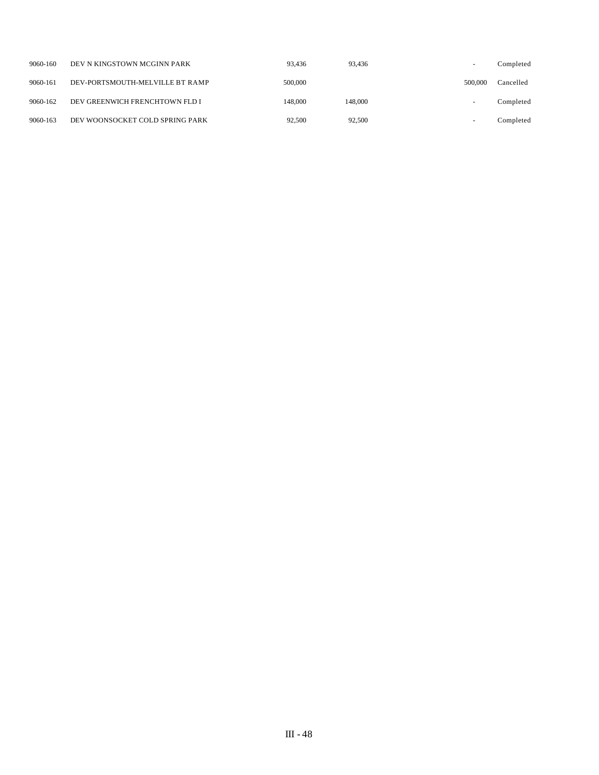| 9060-160 | DEV N KINGSTOWN MCGINN PARK     | 93.436  | 93.436  | $\overline{\phantom{0}}$ | Completed |
|----------|---------------------------------|---------|---------|--------------------------|-----------|
| 9060-161 | DEV-PORTSMOUTH-MELVILLE BT RAMP | 500,000 |         | 500,000                  | Cancelled |
| 9060-162 | DEV GREENWICH FRENCHTOWN FLD I  | 148,000 | 148,000 |                          | Completed |
| 9060-163 | DEV WOONSOCKET COLD SPRING PARK | 92,500  | 92,500  | $\overline{\phantom{0}}$ | Completed |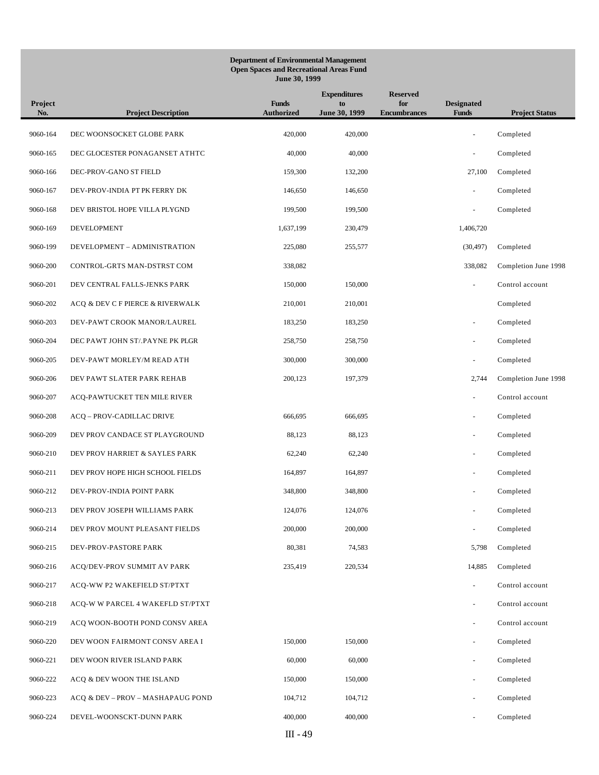## **Department of Environmental Management Open Spaces and Recreational Areas Fund June 30, 1999**

| Project<br>No. | <b>Project Description</b>        | <b>Funds</b><br><b>Authorized</b> | <b>Expenditures</b><br>to<br>June 30, 1999 | <b>Reserved</b><br>for<br><b>Encumbrances</b> | <b>Designated</b><br><b>Funds</b> | <b>Project Status</b> |
|----------------|-----------------------------------|-----------------------------------|--------------------------------------------|-----------------------------------------------|-----------------------------------|-----------------------|
| 9060-164       | DEC WOONSOCKET GLOBE PARK         | 420,000                           | 420,000                                    |                                               |                                   | Completed             |
| 9060-165       | DEC GLOCESTER PONAGANSET ATHTC    | 40,000                            | 40,000                                     |                                               |                                   | Completed             |
| 9060-166       | DEC-PROV-GANO ST FIELD            | 159,300                           | 132,200                                    |                                               | 27,100                            | Completed             |
| 9060-167       | DEV-PROV-INDIA PT PK FERRY DK     | 146,650                           | 146,650                                    |                                               | $\sim$                            | Completed             |
| 9060-168       | DEV BRISTOL HOPE VILLA PLYGND     | 199,500                           | 199,500                                    |                                               | $\sim$                            | Completed             |
| 9060-169       | DEVELOPMENT                       | 1,637,199                         | 230,479                                    |                                               | 1,406,720                         |                       |
| 9060-199       | DEVELOPMENT - ADMINISTRATION      | 225,080                           | 255,577                                    |                                               | (30, 497)                         | Completed             |
| 9060-200       | CONTROL-GRTS MAN-DSTRST COM       | 338,082                           |                                            |                                               | 338,082                           | Completion June 1998  |
| 9060-201       | DEV CENTRAL FALLS-JENKS PARK      | 150,000                           | 150,000                                    |                                               | $\sim$                            | Control account       |
| 9060-202       | ACQ & DEV C F PIERCE & RIVERWALK  | 210,001                           | 210,001                                    |                                               |                                   | Completed             |
| 9060-203       | DEV-PAWT CROOK MANOR/LAUREL       | 183,250                           | 183,250                                    |                                               |                                   | Completed             |
| 9060-204       | DEC PAWT JOHN ST/.PAYNE PK PLGR   | 258,750                           | 258,750                                    |                                               |                                   | Completed             |
| 9060-205       | DEV-PAWT MORLEY/M READ ATH        | 300,000                           | 300,000                                    |                                               |                                   | Completed             |
| 9060-206       | DEV PAWT SLATER PARK REHAB        | 200,123                           | 197,379                                    |                                               | 2,744                             | Completion June 1998  |
| 9060-207       | ACQ-PAWTUCKET TEN MILE RIVER      |                                   |                                            |                                               | $\bar{\phantom{a}}$               | Control account       |
| 9060-208       | ACQ - PROV-CADILLAC DRIVE         | 666,695                           | 666,695                                    |                                               |                                   | Completed             |
| 9060-209       | DEV PROV CANDACE ST PLAYGROUND    | 88,123                            | 88,123                                     |                                               | $\sim$                            | Completed             |
| 9060-210       | DEV PROV HARRIET & SAYLES PARK    | 62,240                            | 62,240                                     |                                               | $\bar{\phantom{a}}$               | Completed             |
| 9060-211       | DEV PROV HOPE HIGH SCHOOL FIELDS  | 164,897                           | 164,897                                    |                                               |                                   | Completed             |
| 9060-212       | DEV-PROV-INDIA POINT PARK         | 348,800                           | 348,800                                    |                                               |                                   | Completed             |
| 9060-213       | DEV PROV JOSEPH WILLIAMS PARK     | 124,076                           | 124,076                                    |                                               |                                   | Completed             |
| 9060-214       | DEV PROV MOUNT PLEASANT FIELDS    | 200,000                           | 200,000                                    |                                               |                                   | Completed             |
| 9060-215       | DEV-PROV-PASTORE PARK             | 80,381                            | 74,583                                     |                                               | 5,798                             | Completed             |
| 9060-216       | ACQ/DEV-PROV SUMMIT AV PARK       | 235,419                           | 220,534                                    |                                               | 14,885                            | Completed             |
| 9060-217       | ACQ-WW P2 WAKEFIELD ST/PTXT       |                                   |                                            |                                               | $\bar{a}$                         | Control account       |
| 9060-218       | ACQ-W W PARCEL 4 WAKEFLD ST/PTXT  |                                   |                                            |                                               | $\sim$                            | Control account       |
| 9060-219       | ACQ WOON-BOOTH POND CONSV AREA    |                                   |                                            |                                               |                                   | Control account       |
| 9060-220       | DEV WOON FAIRMONT CONSV AREA I    | 150,000                           | 150,000                                    |                                               |                                   | Completed             |
| 9060-221       | DEV WOON RIVER ISLAND PARK        | 60,000                            | 60,000                                     |                                               |                                   | Completed             |
| 9060-222       | ACQ & DEV WOON THE ISLAND         | 150,000                           | 150,000                                    |                                               |                                   | Completed             |
| 9060-223       | ACQ & DEV - PROV - MASHAPAUG POND | 104,712                           | 104,712                                    |                                               |                                   | Completed             |
| 9060-224       | DEVEL-WOONSCKT-DUNN PARK          | 400,000                           | 400,000                                    |                                               |                                   | Completed             |
|                |                                   | III - 49                          |                                            |                                               |                                   |                       |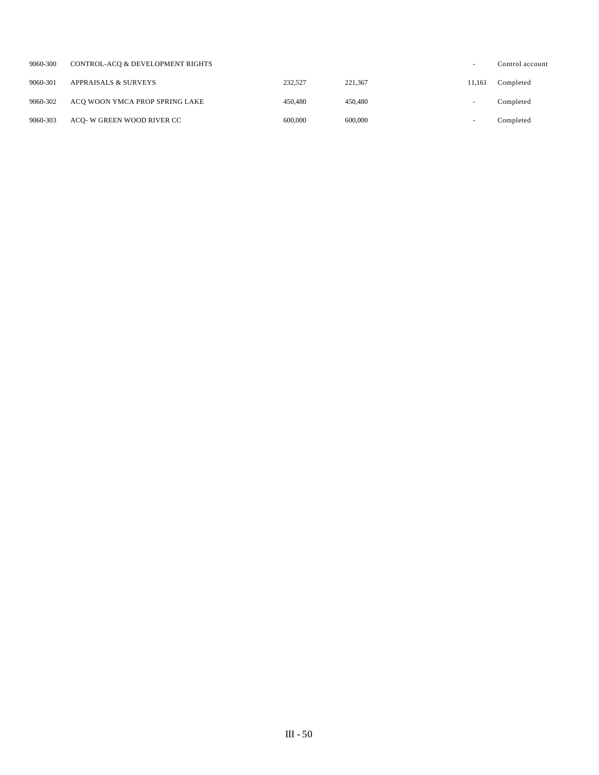| 9060-300 | CONTROL-ACO & DEVELOPMENT RIGHTS |         |         | $\overline{\phantom{0}}$ | Control account |
|----------|----------------------------------|---------|---------|--------------------------|-----------------|
| 9060-301 | <b>APPRAISALS &amp; SURVEYS</b>  | 232,527 | 221.367 | 11.161                   | Completed       |
| 9060-302 | ACO WOON YMCA PROP SPRING LAKE   | 450,480 | 450,480 | -                        | Completed       |
| 9060-303 | ACO- W GREEN WOOD RIVER CC       | 600,000 | 600,000 | $\overline{\phantom{a}}$ | Completed       |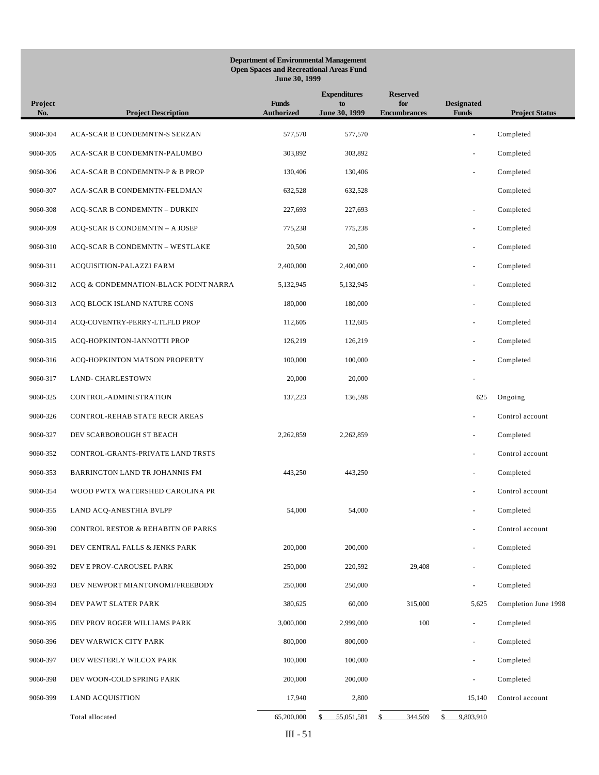#### **Department of Environmental Management Open Spaces and Recreational Areas Fund June 30, 1999**

| Project<br>No. | <b>Project Description</b>           | <b>Funds</b><br><b>Authorized</b> | <b>Expenditures</b><br>to<br>June 30, 1999 | <b>Reserved</b><br>for<br><b>Encumbrances</b> | <b>Designated</b><br><b>Funds</b> | <b>Project Status</b> |
|----------------|--------------------------------------|-----------------------------------|--------------------------------------------|-----------------------------------------------|-----------------------------------|-----------------------|
| 9060-304       | ACA-SCAR B CONDEMNTN-S SERZAN        | 577,570                           | 577,570                                    |                                               |                                   | Completed             |
| 9060-305       | ACA-SCAR B CONDEMNTN-PALUMBO         | 303,892                           | 303,892                                    |                                               |                                   | Completed             |
| 9060-306       | ACA-SCAR B CONDEMNTN-P & B PROP      | 130,406                           | 130,406                                    |                                               |                                   | Completed             |
| 9060-307       | ACA-SCAR B CONDEMNTN-FELDMAN         | 632,528                           | 632,528                                    |                                               |                                   | Completed             |
| 9060-308       | ACQ-SCAR B CONDEMNTN - DURKIN        | 227,693                           | 227,693                                    |                                               | $\overline{\phantom{a}}$          | Completed             |
| 9060-309       | ACQ-SCAR B CONDEMNTN - A JOSEP       | 775,238                           | 775,238                                    |                                               |                                   | Completed             |
| 9060-310       | ACQ-SCAR B CONDEMNTN - WESTLAKE      | 20,500                            | 20,500                                     |                                               |                                   | Completed             |
| 9060-311       | ACQUISITION-PALAZZI FARM             | 2,400,000                         | 2,400,000                                  |                                               |                                   | Completed             |
| 9060-312       | ACQ & CONDEMNATION-BLACK POINT NARRA | 5,132,945                         | 5,132,945                                  |                                               | $\bar{\phantom{a}}$               | Completed             |
| 9060-313       | ACQ BLOCK ISLAND NATURE CONS         | 180,000                           | 180,000                                    |                                               | $\overline{\phantom{a}}$          | Completed             |
| 9060-314       | ACQ-COVENTRY-PERRY-LTLFLD PROP       | 112,605                           | 112,605                                    |                                               |                                   | Completed             |
| 9060-315       | ACQ-HOPKINTON-IANNOTTI PROP          | 126,219                           | 126,219                                    |                                               | $\sim$                            | Completed             |
| 9060-316       | ACQ-HOPKINTON MATSON PROPERTY        | 100,000                           | 100,000                                    |                                               |                                   | Completed             |
| 9060-317       | LAND- CHARLESTOWN                    | 20,000                            | 20,000                                     |                                               |                                   |                       |
| 9060-325       | CONTROL-ADMINISTRATION               | 137,223                           | 136,598                                    |                                               | 625                               | Ongoing               |
| 9060-326       | CONTROL-REHAB STATE RECR AREAS       |                                   |                                            |                                               |                                   | Control account       |
| 9060-327       | DEV SCARBOROUGH ST BEACH             | 2,262,859                         | 2,262,859                                  |                                               | $\sim$                            | Completed             |
| 9060-352       | CONTROL-GRANTS-PRIVATE LAND TRSTS    |                                   |                                            |                                               |                                   | Control account       |
| 9060-353       | BARRINGTON LAND TR JOHANNIS FM       | 443,250                           | 443,250                                    |                                               | $\bar{\phantom{a}}$               | Completed             |
| 9060-354       | WOOD PWTX WATERSHED CAROLINA PR      |                                   |                                            |                                               | $\sim$                            | Control account       |
| 9060-355       | LAND ACQ-ANESTHIA BVLPP              | 54,000                            | 54,000                                     |                                               |                                   | Completed             |
| 9060-390       | CONTROL RESTOR & REHABITN OF PARKS   |                                   |                                            |                                               |                                   | Control account       |
| 9060-391       | DEV CENTRAL FALLS & JENKS PARK       | 200,000                           | 200,000                                    |                                               |                                   | Completed             |
| 9060-392       | DEV E PROV-CAROUSEL PARK             | 250,000                           | 220,592                                    | 29,408                                        | $\bar{\phantom{a}}$               | Completed             |
| 9060-393       | DEV NEWPORT MIANTONOMI/FREEBODY      | 250,000                           | 250,000                                    |                                               | $\bar{\phantom{a}}$               | Completed             |
| 9060-394       | DEV PAWT SLATER PARK                 | 380,625                           | 60,000                                     | 315,000                                       | 5,625                             | Completion June 1998  |
| 9060-395       | DEV PROV ROGER WILLIAMS PARK         | 3,000,000                         | 2,999,000                                  | 100                                           |                                   | Completed             |
| 9060-396       | DEV WARWICK CITY PARK                | 800,000                           | 800,000                                    |                                               |                                   | Completed             |
| 9060-397       | DEV WESTERLY WILCOX PARK             | 100,000                           | 100,000                                    |                                               |                                   | Completed             |
| 9060-398       | DEV WOON-COLD SPRING PARK            | 200,000                           | 200,000                                    |                                               |                                   | Completed             |
| 9060-399       | <b>LAND ACQUISITION</b>              | 17,940                            | 2,800                                      |                                               | 15,140                            | Control account       |
|                | Total allocated                      | 65,200,000                        | 55,051,581                                 | 344,509<br>S                                  | 9,803,910<br>S                    |                       |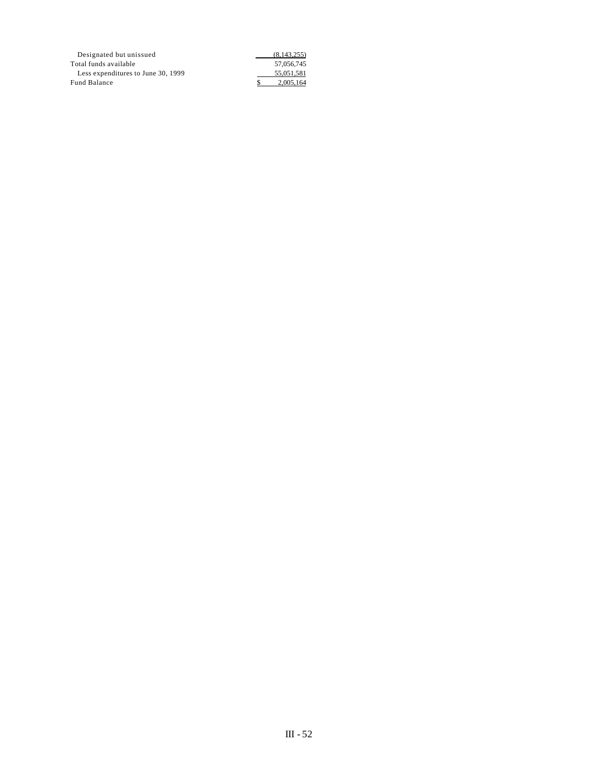| Designated but unissued            | (8,143,255) |
|------------------------------------|-------------|
| Total funds available              | 57,056,745  |
| Less expenditures to June 30, 1999 | 55.051.581  |
| <b>Fund Balance</b>                | 2.005.164   |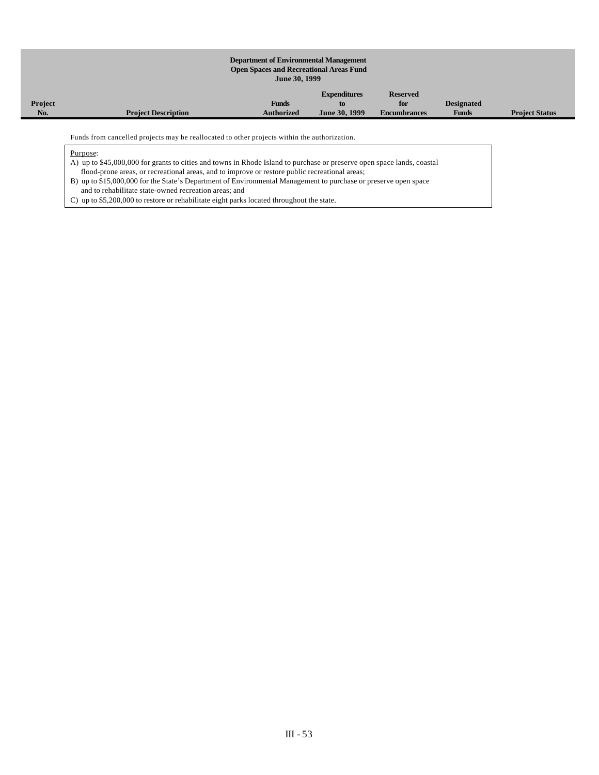#### **Department of Environmental Management Open Spaces and Recreational Areas Fund June 30, 1999 Project No. Project Description Funds Authorized Expenditures to June 30, 1999 Reserved for Encumbrances Designated Funds Project Status**

Funds from cancelled projects may be reallocated to other projects within the authorization.

Purpose:

A) up to \$45,000,000 for grants to cities and towns in Rhode Island to purchase or preserve open space lands, coastal flood-prone areas, or recreational areas, and to improve or restore public recreational areas;

B) up to \$15,000,000 for the State's Department of Environmental Management to purchase or preserve open space and to rehabilitate state-owned recreation areas; and

C) up to \$5,200,000 to restore or rehabilitate eight parks located throughout the state.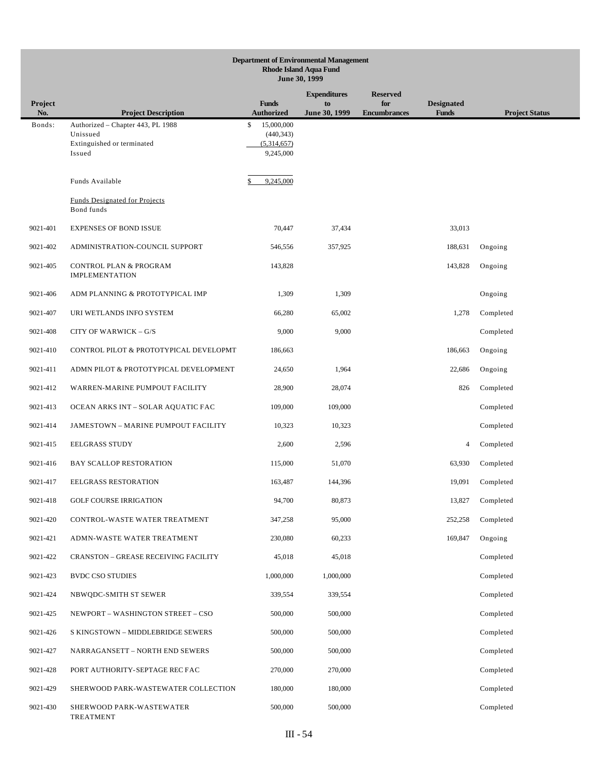| <b>Department of Environmental Management</b><br><b>Rhode Island Aqua Fund</b><br>June 30, 1999 |                                                            |                                   |                     |                            |                                   |                       |  |
|-------------------------------------------------------------------------------------------------|------------------------------------------------------------|-----------------------------------|---------------------|----------------------------|-----------------------------------|-----------------------|--|
| <b>Expenditures</b><br><b>Reserved</b>                                                          |                                                            |                                   |                     |                            |                                   |                       |  |
| Project<br>No.                                                                                  | <b>Project Description</b>                                 | <b>Funds</b><br><b>Authorized</b> | to<br>June 30, 1999 | for<br><b>Encumbrances</b> | <b>Designated</b><br><b>Funds</b> | <b>Project Status</b> |  |
| Bonds:                                                                                          | Authorized - Chapter 443, PL 1988                          | \$<br>15,000,000                  |                     |                            |                                   |                       |  |
|                                                                                                 | Unissued<br>Extinguished or terminated                     | (440, 343)<br>(5,314,657)         |                     |                            |                                   |                       |  |
|                                                                                                 | Issued                                                     | 9,245,000                         |                     |                            |                                   |                       |  |
|                                                                                                 | Funds Available                                            | 9,245,000                         |                     |                            |                                   |                       |  |
|                                                                                                 | <b>Funds Designated for Projects</b><br>Bond funds         |                                   |                     |                            |                                   |                       |  |
| 9021-401                                                                                        | <b>EXPENSES OF BOND ISSUE</b>                              | 70,447                            | 37,434              |                            | 33,013                            |                       |  |
| 9021-402                                                                                        | ADMINISTRATION-COUNCIL SUPPORT                             | 546,556                           | 357,925             |                            | 188,631                           | Ongoing               |  |
| 9021-405                                                                                        | <b>CONTROL PLAN &amp; PROGRAM</b><br><b>IMPLEMENTATION</b> | 143,828                           |                     |                            | 143,828                           | Ongoing               |  |
| 9021-406                                                                                        | ADM PLANNING & PROTOTYPICAL IMP                            | 1,309                             | 1,309               |                            |                                   | Ongoing               |  |
| 9021-407                                                                                        | URI WETLANDS INFO SYSTEM                                   | 66,280                            | 65,002              |                            | 1,278                             | Completed             |  |
| 9021-408                                                                                        | CITY OF WARWICK - G/S                                      | 9,000                             | 9,000               |                            |                                   | Completed             |  |
| 9021-410                                                                                        | CONTROL PILOT & PROTOTYPICAL DEVELOPMT                     | 186,663                           |                     |                            | 186,663                           | Ongoing               |  |
| 9021-411                                                                                        | ADMN PILOT & PROTOTYPICAL DEVELOPMENT                      | 24,650                            | 1,964               |                            | 22,686                            | Ongoing               |  |
| 9021-412                                                                                        | WARREN-MARINE PUMPOUT FACILITY                             | 28,900                            | 28,074              |                            | 826                               | Completed             |  |
| 9021-413                                                                                        | OCEAN ARKS INT - SOLAR AQUATIC FAC                         | 109,000                           | 109,000             |                            |                                   | Completed             |  |
| 9021-414                                                                                        | <b>JAMESTOWN - MARINE PUMPOUT FACILITY</b>                 | 10,323                            | 10,323              |                            |                                   | Completed             |  |
| 9021-415                                                                                        | <b>EELGRASS STUDY</b>                                      | 2,600                             | 2,596               |                            | 4                                 | Completed             |  |
| 9021-416                                                                                        | <b>BAY SCALLOP RESTORATION</b>                             | 115,000                           | 51,070              |                            | 63,930                            | Completed             |  |
| 9021-417                                                                                        | EELGRASS RESTORATION                                       | 163,487                           | 144,396             |                            | 19,091                            | Completed             |  |
| 9021-418                                                                                        | <b>GOLF COURSE IRRIGATION</b>                              | 94,700                            | 80,873              |                            | 13,827                            | Completed             |  |
| 9021-420                                                                                        | CONTROL-WASTE WATER TREATMENT                              | 347,258                           | 95,000              |                            | 252,258                           | Completed             |  |
| 9021-421                                                                                        | ADMN-WASTE WATER TREATMENT                                 | 230,080                           | 60,233              |                            | 169,847                           | Ongoing               |  |
| 9021-422                                                                                        | <b>CRANSTON - GREASE RECEIVING FACILITY</b>                | 45,018                            | 45,018              |                            |                                   | Completed             |  |
| 9021-423                                                                                        | <b>BVDC CSO STUDIES</b>                                    | 1,000,000                         | 1,000,000           |                            |                                   | Completed             |  |
| 9021-424                                                                                        | NBWQDC-SMITH ST SEWER                                      | 339,554                           | 339,554             |                            |                                   | Completed             |  |
| 9021-425                                                                                        | NEWPORT - WASHINGTON STREET - CSO                          | 500,000                           | 500,000             |                            |                                   | Completed             |  |
| 9021-426                                                                                        | S KINGSTOWN - MIDDLEBRIDGE SEWERS                          | 500,000                           | 500,000             |                            |                                   | Completed             |  |
| 9021-427                                                                                        | NARRAGANSETT - NORTH END SEWERS                            | 500,000                           | 500,000             |                            |                                   | Completed             |  |
| 9021-428                                                                                        | PORT AUTHORITY-SEPTAGE REC FAC                             | 270,000                           | 270,000             |                            |                                   | Completed             |  |
| 9021-429                                                                                        | SHERWOOD PARK-WASTEWATER COLLECTION                        | 180,000                           | 180,000             |                            |                                   | Completed             |  |
| 9021-430                                                                                        | SHERWOOD PARK-WASTEWATER<br>TREATMENT                      | 500,000                           | 500,000             |                            |                                   | Completed             |  |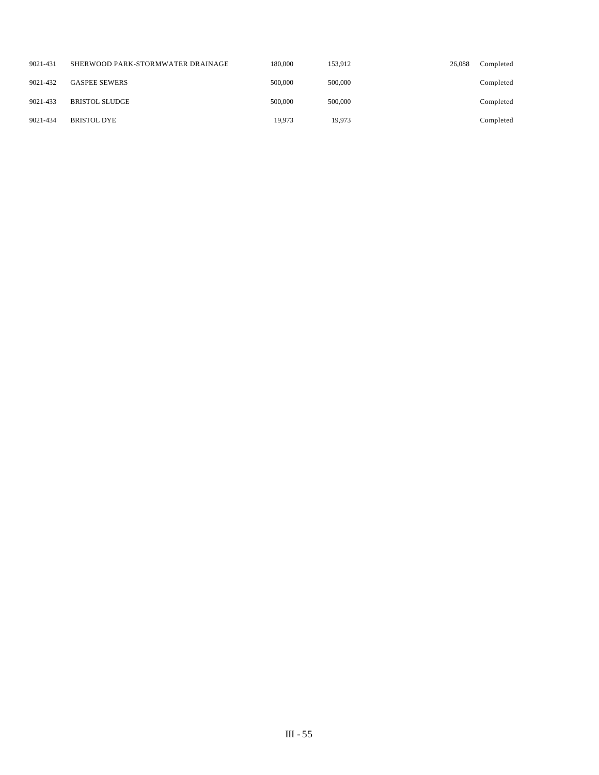| 9021-431 | SHERWOOD PARK-STORMWATER DRAINAGE | 180,000 | 153.912 | 26,088 | Completed |
|----------|-----------------------------------|---------|---------|--------|-----------|
| 9021-432 | <b>GASPEE SEWERS</b>              | 500,000 | 500,000 |        | Completed |
| 9021-433 | <b>BRISTOL SLUDGE</b>             | 500,000 | 500,000 |        | Completed |
| 9021-434 | <b>BRISTOL DYE</b>                | 19.973  | 19.973  |        | Completed |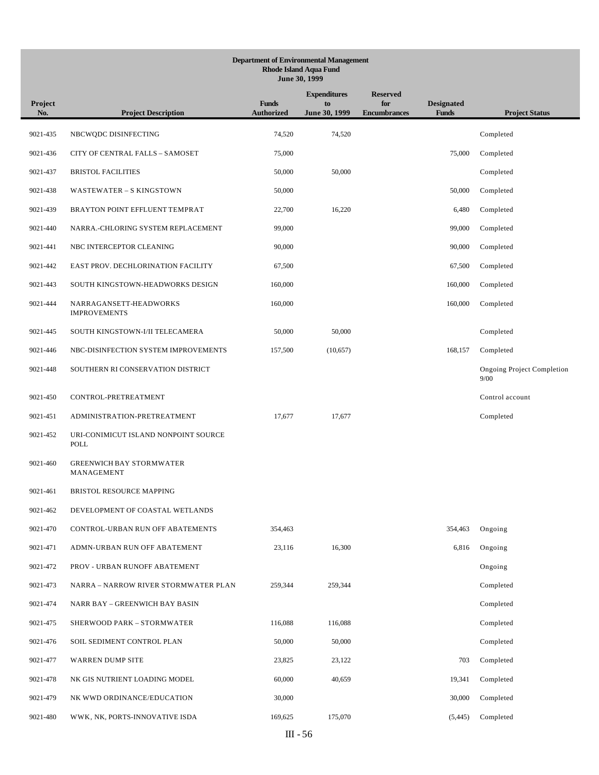# **Department of Environmental Management Rhode Island Aqua Fund June 30, 1999 Project No. Project Description Funds Authorized Expenditures to June 30, 1999 Reserved for Encumbrances Designated Funds Project Status** 9021-435 NBCWQDC DISINFECTING 74,520 74,520 Completed 9021-436 CITY OF CENTRAL FALLS – SAMOSET 75,000 75,000 Completed 9021-437 BRISTOL FACILITIES 50,000 50,000 Completed 9021-438 WASTEWATER – S KINGSTOWN 50,000 50,000 Completed 9021-439 BRAYTON POINT EFFLUENT TEMPRAT 22,700 16,220 6,480 Completed 9021-440 NARRA.-CHLORING SYSTEM REPLACEMENT 99,000 99,000 Completed 9021-441 NBC INTERCEPTOR CLEANING 90,000 90,000 Completed 9021-442 EAST PROV. DECHLORINATION FACILITY 67,500 67,500 Completed 9021-443 SOUTH KINGSTOWN-HEADWORKS DESIGN 160,000 160,000 160,000 160,000 Completed 9021-444 NARRAGANSETT-HEADWORKS IMPROVEMENTS 160,000 160,000 Completed 9021-445 SOUTH KINGSTOWN-I/II TELECAMERA 50,000 50,000 Completed 9021-446 NBC-DISINFECTION SYSTEM IMPROVEMENTS 157,500 (10,657) 168,157 Completed 9021-448 SOUTHERN RI CONSERVATION DISTRICT Ongoing Project Completion 9/00 9021-450 CONTROL-PRETREATMENT Control account 9021-451 ADMINISTRATION-PRETREATMENT 17,677 17,677 17,677 Completed 9021-452 URI-CONIMICUT ISLAND NONPOINT SOURCE POLL 9021-460 GREENWICH BAY STORMWATER MANAGEMENT 9021-461 BRISTOL RESOURCE MAPPING 9021-462 DEVELOPMENT OF COASTAL WETLANDS 9021-470 CONTROL-URBAN RUN OFF ABATEMENTS 354,463 354,463 354,463 354,463 Ongoing 9021-471 ADMN-URBAN RUN OFF ABATEMENT 23,116 16,300 6,816 Ongoing 9021-472 PROV - URBAN RUNOFF ABATEMENT Ongoing 9021-473 NARRA – NARROW RIVER STORMWATER PLAN 259,344 259,344 Completed 9021-474 NARR BAY – GREENWICH BAY BASIN Completed 9021-475 SHERWOOD PARK – STORMWATER 116,088 116,088 Completed 9021-476 SOIL SEDIMENT CONTROL PLAN 50,000 50,000 Completed 9021-477 WARREN DUMP SITE 23,825 23,122 703 Completed 9021-478 NK GIS NUTRIENT LOADING MODEL 60,000 40,659 19,341 Completed 9021-479 NK WWD ORDINANCE/EDUCATION 30,000 30,000 Completed 9021-480 WWK, NK, PORTS-INNOVATIVE ISDA 169,625 175,070 (5,445) Completed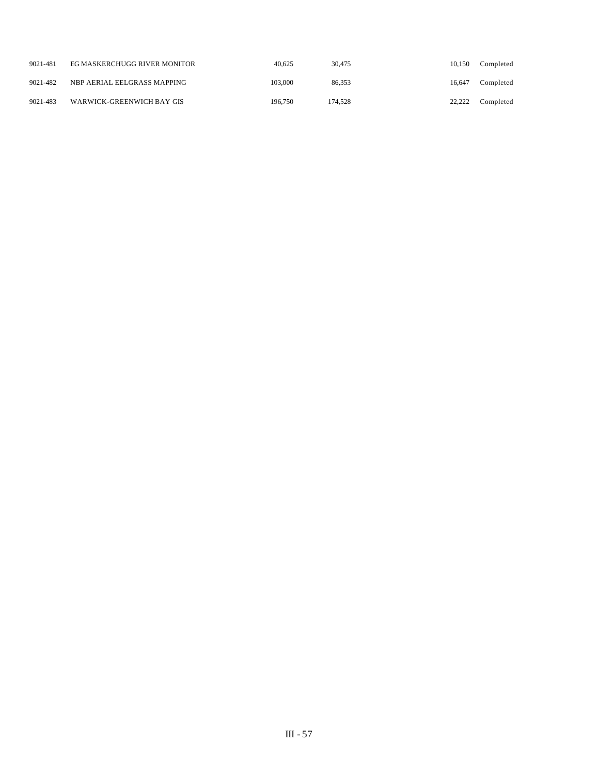| 9021-481 | EG MASKERCHUGG RIVER MONITOR | 40.625  | 30,475  | 10.150 | Completed |
|----------|------------------------------|---------|---------|--------|-----------|
| 9021-482 | NBP AERIAL EELGRASS MAPPING  | 103,000 | 86.353  | 16.647 | Completed |
| 9021-483 | WARWICK-GREENWICH BAY GIS    | 196.750 | 174.528 | 22.222 | Completed |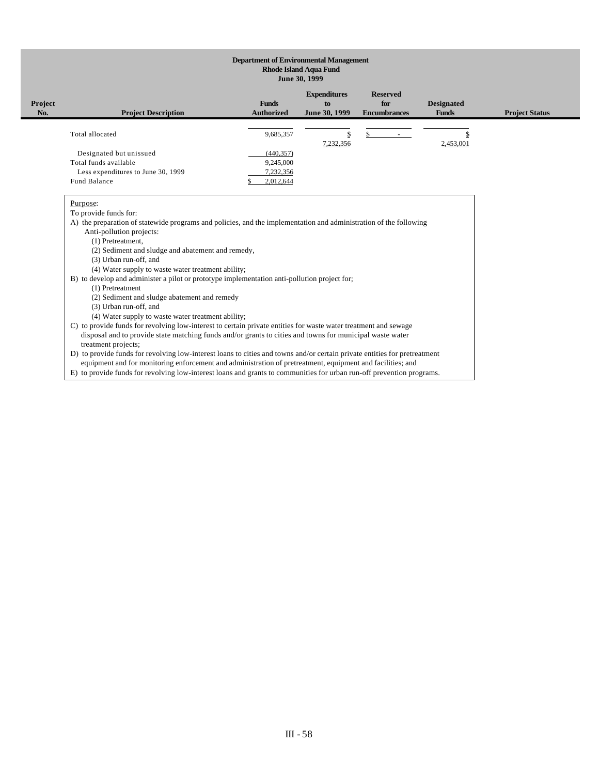### **Department of Environmental Management Rhode Island Aqua Fund June 30, 1999**

| Project<br>No. | <b>Project Description</b>                                                                             | <b>Funds</b><br><b>Authorized</b>                 | <b>Expenditures</b><br>to<br>June 30, 1999 | <b>Reserved</b><br>for<br><b>Encumbrances</b> | <b>Designated</b><br><b>Funds</b> | <b>Project Status</b> |
|----------------|--------------------------------------------------------------------------------------------------------|---------------------------------------------------|--------------------------------------------|-----------------------------------------------|-----------------------------------|-----------------------|
|                | Total allocated                                                                                        | 9,685,357                                         |                                            |                                               |                                   |                       |
|                | Designated but unissued<br>Total funds available<br>Less expenditures to June 30, 1999<br>Fund Balance | (440, 357)<br>9,245,000<br>7,232,356<br>2,012,644 | 7,232,356                                  |                                               | 2,453,001                         |                       |

Purpose:

To provide funds for:

A) the preparation of statewide programs and policies, and the implementation and administration of the following

Anti-pollution projects:

(1) Pretreatment,

(2) Sediment and sludge and abatement and remedy,

(3) Urban run-off, and

(4) Water supply to waste water treatment ability;

B) to develop and administer a pilot or prototype implementation anti-pollution project for;

(1) Pretreatment

(2) Sediment and sludge abatement and remedy

(3) Urban run-off, and

(4) Water supply to waste water treatment ability;

C) to provide funds for revolving low-interest to certain private entities for waste water treatment and sewage disposal and to provide state matching funds and/or grants to cities and towns for municipal waste water treatment projects;

D) to provide funds for revolving low-interest loans to cities and towns and/or certain private entities for pretreatment equipment and for monitoring enforcement and administration of pretreatment, equipment and facilities; and

E) to provide funds for revolving low-interest loans and grants to communities for urban run-off prevention programs.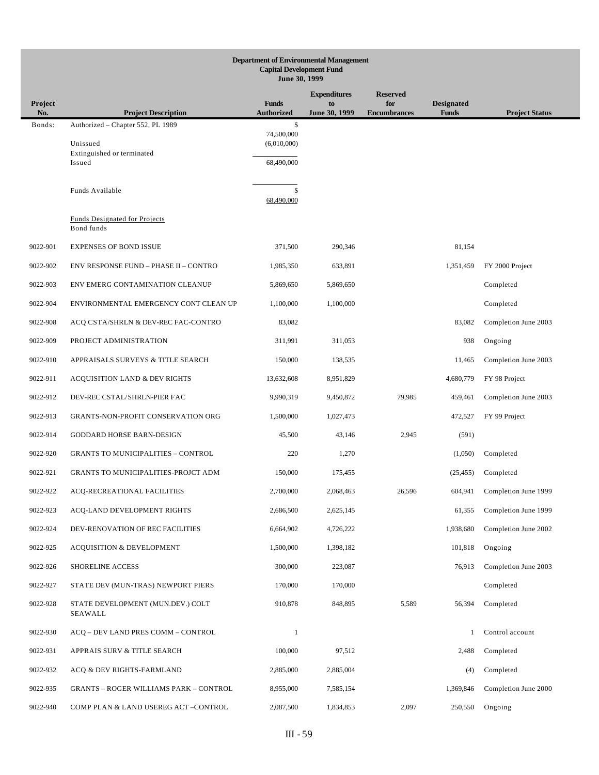|                | <b>Department of Environmental Management</b><br><b>Capital Development Fund</b><br>June 30, 1999 |                                   |                     |                            |                                   |                       |  |  |
|----------------|---------------------------------------------------------------------------------------------------|-----------------------------------|---------------------|----------------------------|-----------------------------------|-----------------------|--|--|
|                |                                                                                                   |                                   | <b>Expenditures</b> | <b>Reserved</b>            |                                   |                       |  |  |
| Project<br>No. | <b>Project Description</b>                                                                        | <b>Funds</b><br><b>Authorized</b> | to<br>June 30, 1999 | for<br><b>Encumbrances</b> | <b>Designated</b><br><b>Funds</b> | <b>Project Status</b> |  |  |
| Bonds:         | Authorized - Chapter 552, PL 1989                                                                 | \$                                |                     |                            |                                   |                       |  |  |
|                | Unissued                                                                                          | 74,500,000<br>(6,010,000)         |                     |                            |                                   |                       |  |  |
|                | Extinguished or terminated<br>Issued                                                              | 68,490,000                        |                     |                            |                                   |                       |  |  |
|                |                                                                                                   |                                   |                     |                            |                                   |                       |  |  |
|                | Funds Available                                                                                   | \$<br>68,490,000                  |                     |                            |                                   |                       |  |  |
|                | <b>Funds Designated for Projects</b><br>Bond funds                                                |                                   |                     |                            |                                   |                       |  |  |
| 9022-901       | <b>EXPENSES OF BOND ISSUE</b>                                                                     | 371,500                           | 290,346             |                            | 81,154                            |                       |  |  |
| 9022-902       | <b>ENV RESPONSE FUND - PHASE II - CONTRO</b>                                                      | 1,985,350                         | 633,891             |                            | 1,351,459                         | FY 2000 Project       |  |  |
| 9022-903       | ENV EMERG CONTAMINATION CLEANUP                                                                   | 5,869,650                         | 5,869,650           |                            |                                   | Completed             |  |  |
| 9022-904       | ENVIRONMENTAL EMERGENCY CONT CLEAN UP                                                             | 1,100,000                         | 1,100,000           |                            |                                   | Completed             |  |  |
| 9022-908       | ACQ CSTA/SHRLN & DEV-REC FAC-CONTRO                                                               | 83,082                            |                     |                            | 83,082                            | Completion June 2003  |  |  |
| 9022-909       | PROJECT ADMINISTRATION                                                                            | 311,991                           | 311,053             |                            | 938                               | Ongoing               |  |  |
| 9022-910       | APPRAISALS SURVEYS & TITLE SEARCH                                                                 | 150,000                           | 138,535             |                            | 11,465                            | Completion June 2003  |  |  |
| 9022-911       | <b>ACQUISITION LAND &amp; DEV RIGHTS</b>                                                          | 13,632,608                        | 8,951,829           |                            | 4,680,779                         | FY 98 Project         |  |  |
| 9022-912       | DEV-REC CSTAL/SHRLN-PIER FAC                                                                      | 9,990,319                         | 9,450,872           | 79,985                     | 459,461                           | Completion June 2003  |  |  |
| 9022-913       | GRANTS-NON-PROFIT CONSERVATION ORG                                                                | 1,500,000                         | 1,027,473           |                            | 472,527                           | FY 99 Project         |  |  |
| 9022-914       | GODDARD HORSE BARN-DESIGN                                                                         | 45,500                            | 43,146              | 2,945                      | (591)                             |                       |  |  |
| 9022-920       | <b>GRANTS TO MUNICIPALITIES - CONTROL</b>                                                         | 220                               | 1,270               |                            | (1,050)                           | Completed             |  |  |
| 9022-921       | <b>GRANTS TO MUNICIPALITIES-PROJCT ADM</b>                                                        | 150,000                           | 175,455             |                            | (25, 455)                         | Completed             |  |  |
| 9022-922       | <b>ACO-RECREATIONAL FACILITIES</b>                                                                | 2,700,000                         | 2,068,463           | 26,596                     | 604,941                           | Completion June 1999  |  |  |
| 9022-923       | ACQ-LAND DEVELOPMENT RIGHTS                                                                       | 2,686,500                         | 2,625,145           |                            | 61,355                            | Completion June 1999  |  |  |
| 9022-924       | DEV-RENOVATION OF REC FACILITIES                                                                  | 6,664,902                         | 4,726,222           |                            | 1,938,680                         | Completion June 2002  |  |  |
| 9022-925       | <b>ACQUISITION &amp; DEVELOPMENT</b>                                                              | 1,500,000                         | 1,398,182           |                            | 101,818                           | Ongoing               |  |  |
| 9022-926       | SHORELINE ACCESS                                                                                  | 300,000                           | 223,087             |                            | 76,913                            | Completion June 2003  |  |  |
| 9022-927       | STATE DEV (MUN-TRAS) NEWPORT PIERS                                                                | 170,000                           | 170,000             |                            |                                   | Completed             |  |  |
| 9022-928       | STATE DEVELOPMENT (MUN.DEV.) COLT<br>SEAWALL                                                      | 910,878                           | 848,895             | 5,589                      | 56,394                            | Completed             |  |  |
| 9022-930       | ACQ - DEV LAND PRES COMM - CONTROL                                                                | $\mathbf{1}$                      |                     |                            | $\mathbf{1}$                      | Control account       |  |  |
| 9022-931       | APPRAIS SURV & TITLE SEARCH                                                                       | 100,000                           | 97,512              |                            | 2,488                             | Completed             |  |  |
| 9022-932       | ACQ & DEV RIGHTS-FARMLAND                                                                         | 2,885,000                         | 2,885,004           |                            | (4)                               | Completed             |  |  |
| 9022-935       | <b>GRANTS - ROGER WILLIAMS PARK - CONTROL</b>                                                     | 8,955,000                         | 7,585,154           |                            | 1,369,846                         | Completion June 2000  |  |  |
| 9022-940       | COMP PLAN & LAND USEREG ACT-CONTROL                                                               | 2,087,500                         | 1,834,853           | 2,097                      | 250,550                           | Ongoing               |  |  |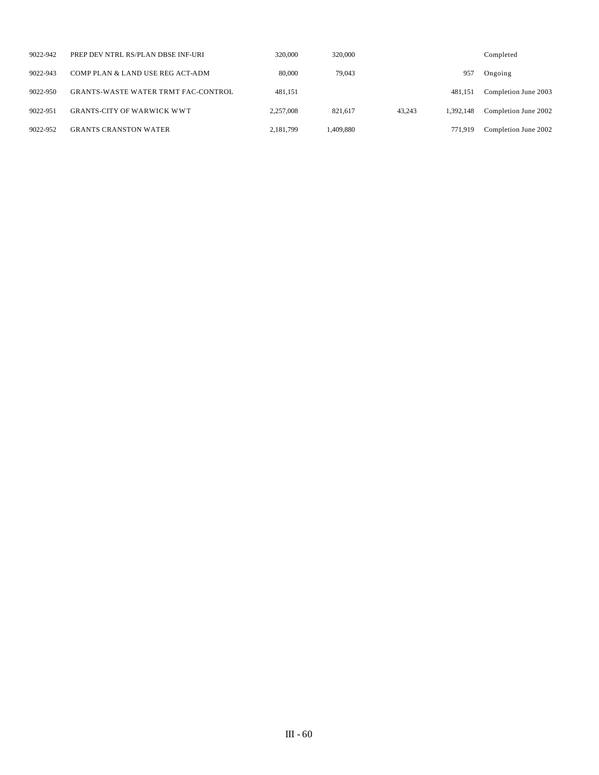| 9022-942 | PREP DEV NTRL RS/PLAN DBSE INF-URI         | 320,000   | 320,000   |        |           | Completed            |
|----------|--------------------------------------------|-----------|-----------|--------|-----------|----------------------|
| 9022-943 | COMP PLAN & LAND USE REG ACT-ADM           | 80,000    | 79,043    |        | 957       | Ongoing              |
| 9022-950 | <b>GRANTS-WASTE WATER TRMT FAC-CONTROL</b> | 481.151   |           |        | 481.151   | Completion June 2003 |
| 9022-951 | <b>GRANTS-CITY OF WARWICK WWT</b>          | 2,257,008 | 821.617   | 43.243 | 1.392.148 | Completion June 2002 |
| 9022-952 | <b>GRANTS CRANSTON WATER</b>               | 2,181,799 | 1.409.880 |        | 771.919   | Completion June 2002 |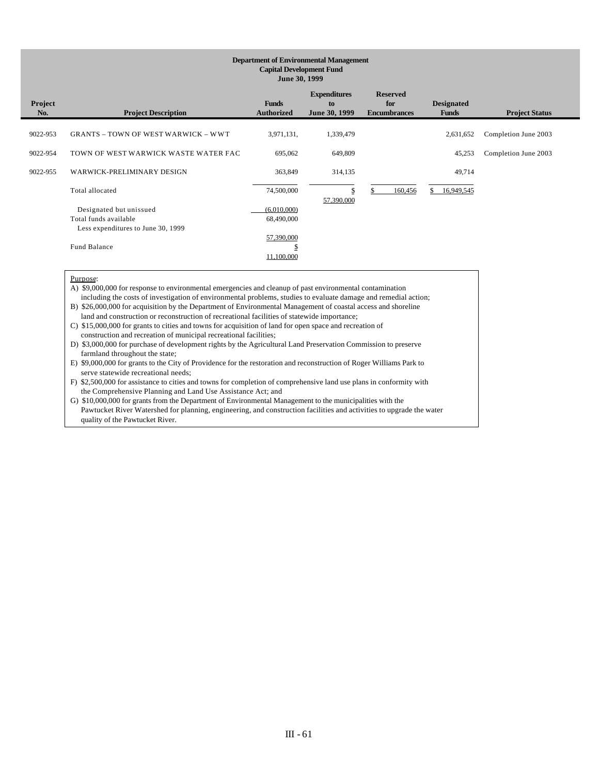### **Department of Environmental Management Capital Development Fund June 30, 1999**

| <b>Project</b><br>No. | <b>Project Description</b>                 | <b>Funds</b><br><b>Authorized</b> | <b>Expenditures</b><br>to<br>June 30, 1999 | <b>Reserved</b><br>for<br><b>Encumbrances</b> | <b>Designated</b><br><b>Funds</b> | <b>Project Status</b> |
|-----------------------|--------------------------------------------|-----------------------------------|--------------------------------------------|-----------------------------------------------|-----------------------------------|-----------------------|
|                       |                                            |                                   |                                            |                                               |                                   |                       |
| 9022-953              | <b>GRANTS - TOWN OF WEST WARWICK - WWT</b> | 3,971,131,                        | 1,339,479                                  |                                               | 2,631,652                         | Completion June 2003  |
|                       |                                            |                                   |                                            |                                               |                                   |                       |
| 9022-954              | TOWN OF WEST WARWICK WASTE WATER FAC       | 695,062                           | 649,809                                    |                                               | 45,253                            | Completion June 2003  |
| 9022-955              | WARWICK-PRELIMINARY DESIGN                 | 363,849                           | 314,135                                    |                                               | 49,714                            |                       |
|                       |                                            |                                   |                                            |                                               |                                   |                       |
|                       | Total allocated                            | 74,500,000                        | \$                                         | 160,456                                       | 16,949,545                        |                       |
|                       |                                            |                                   | 57,390,000                                 |                                               |                                   |                       |
|                       | Designated but unissued                    | (6,010,000)                       |                                            |                                               |                                   |                       |
|                       | Total funds available                      | 68,490,000                        |                                            |                                               |                                   |                       |
|                       | Less expenditures to June 30, 1999         |                                   |                                            |                                               |                                   |                       |
|                       |                                            | 57,390,000                        |                                            |                                               |                                   |                       |
|                       | Fund Balance                               | Ф                                 |                                            |                                               |                                   |                       |
|                       |                                            | 11,100,000                        |                                            |                                               |                                   |                       |

### Purpose:

A) \$9,000,000 for response to environmental emergencies and cleanup of past environmental contamination including the costs of investigation of environmental problems, studies to evaluate damage and remedial action; B) \$26,000,000 for acquisition by the Department of Environmental Management of coastal access and shoreline

land and construction or reconstruction of recreational facilities of statewide importance;

C) \$15,000,000 for grants to cities and towns for acquisition of land for open space and recreation of construction and recreation of municipal recreational facilities;

D) \$3,000,000 for purchase of development rights by the Agricultural Land Preservation Commission to preserve farmland throughout the state;

E) \$9,000,000 for grants to the City of Providence for the restoration and reconstruction of Roger Williams Park to serve statewide recreational needs;

F) \$2,500,000 for assistance to cities and towns for completion of comprehensive land use plans in conformity with the Comprehensive Planning and Land Use Assistance Act; and

G) \$10,000,000 for grants from the Department of Environmental Management to the municipalities with the Pawtucket River Watershed for planning, engineering, and construction facilities and activities to upgrade the water quality of the Pawtucket River.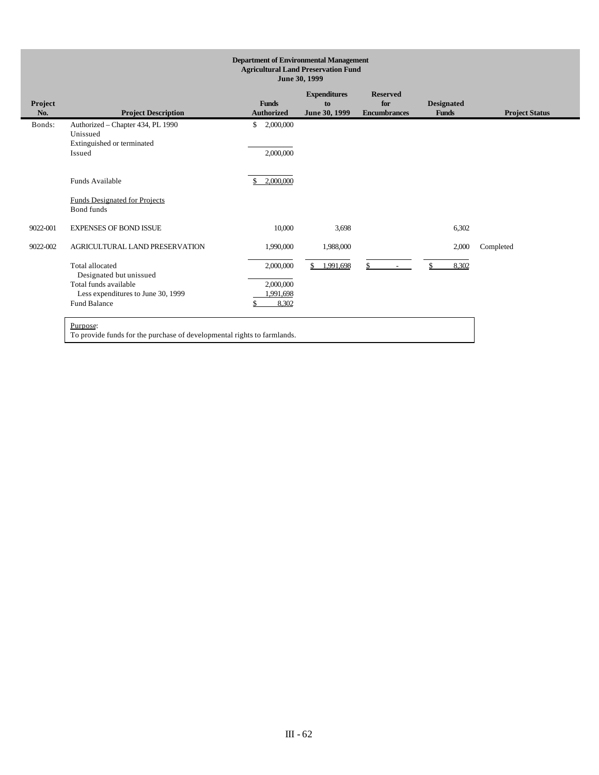| <b>Department of Environmental Management</b><br><b>Agricultural Land Preservation Fund</b><br>June 30, 1999 |                                                                                                                                              |                                              |                                            |                                               |                                   |                       |  |
|--------------------------------------------------------------------------------------------------------------|----------------------------------------------------------------------------------------------------------------------------------------------|----------------------------------------------|--------------------------------------------|-----------------------------------------------|-----------------------------------|-----------------------|--|
| Project<br>No.                                                                                               | <b>Project Description</b>                                                                                                                   | <b>Funds</b><br><b>Authorized</b>            | <b>Expenditures</b><br>to<br>June 30, 1999 | <b>Reserved</b><br>for<br><b>Encumbrances</b> | <b>Designated</b><br><b>Funds</b> | <b>Project Status</b> |  |
| Bonds:                                                                                                       | Authorized - Chapter 434, PL 1990<br>Unissued<br>Extinguished or terminated<br>Issued                                                        | 2,000,000<br>\$<br>2,000,000                 |                                            |                                               |                                   |                       |  |
|                                                                                                              | Funds Available<br><b>Funds Designated for Projects</b><br>Bond funds                                                                        | 2,000,000<br>\$                              |                                            |                                               |                                   |                       |  |
| 9022-001                                                                                                     | <b>EXPENSES OF BOND ISSUE</b>                                                                                                                | 10,000                                       | 3,698                                      |                                               | 6,302                             |                       |  |
| 9022-002                                                                                                     | AGRICULTURAL LAND PRESERVATION                                                                                                               | 1,990,000                                    | 1,988,000                                  |                                               | 2,000                             | Completed             |  |
|                                                                                                              | Total allocated<br>Designated but unissued<br>Total funds available<br>Less expenditures to June 30, 1999<br><b>Fund Balance</b><br>Purpose: | 2,000,000<br>2,000,000<br>1,991,698<br>8.302 | 1,991,698                                  | \$<br>$\sim$                                  | 8,302                             |                       |  |
|                                                                                                              | To provide funds for the purchase of developmental rights to farmlands.                                                                      |                                              |                                            |                                               |                                   |                       |  |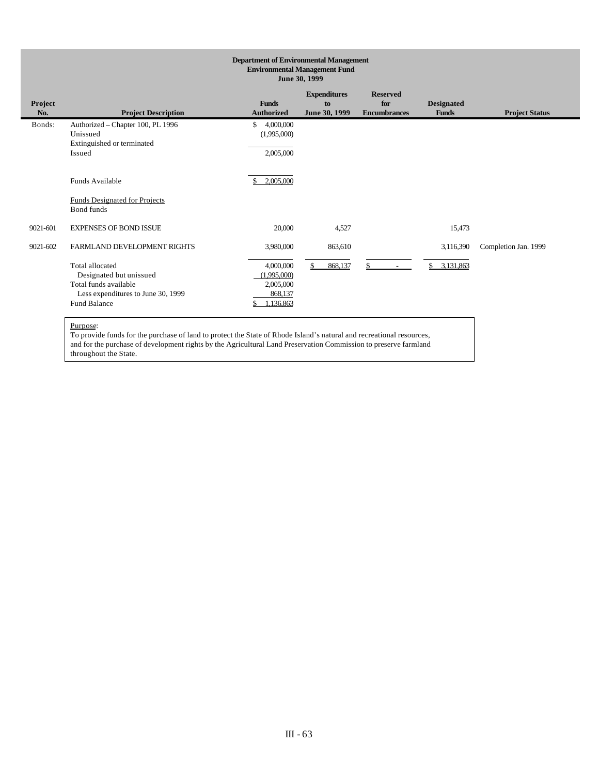| <b>Department of Environmental Management</b><br><b>Environmental Management Fund</b><br>June 30, 1999                                                                                                                                         |                                                                                                                                                                 |                                                                            |                          |              |                              |                      |  |
|------------------------------------------------------------------------------------------------------------------------------------------------------------------------------------------------------------------------------------------------|-----------------------------------------------------------------------------------------------------------------------------------------------------------------|----------------------------------------------------------------------------|--------------------------|--------------|------------------------------|----------------------|--|
| <b>Expenditures</b><br><b>Reserved</b><br>Project<br><b>Funds</b><br>for<br><b>Designated</b><br>to<br>No.<br><b>Project Description</b><br><b>Project Status</b><br><b>Authorized</b><br>June 30, 1999<br><b>Encumbrances</b><br><b>Funds</b> |                                                                                                                                                                 |                                                                            |                          |              |                              |                      |  |
| Bonds:                                                                                                                                                                                                                                         | Authorized - Chapter 100, PL 1996<br>Unissued<br>Extinguished or terminated<br>Issued                                                                           | 4,000,000<br>$\mathbb{S}$<br>(1,995,000)<br>2,005,000                      |                          |              |                              |                      |  |
|                                                                                                                                                                                                                                                | Funds Available<br><b>Funds Designated for Projects</b><br>Bond funds                                                                                           | 2.005.000<br>\$.                                                           |                          |              |                              |                      |  |
| 9021-601                                                                                                                                                                                                                                       | <b>EXPENSES OF BOND ISSUE</b>                                                                                                                                   | 20,000                                                                     | 4,527                    |              | 15,473                       |                      |  |
| 9021-602                                                                                                                                                                                                                                       | FARMLAND DEVELOPMENT RIGHTS<br>Total allocated<br>Designated but unissued<br>Total funds available<br>Less expenditures to June 30, 1999<br><b>Fund Balance</b> | 3,980,000<br>4,000,000<br>(1.995,000)<br>2,005,000<br>868,137<br>1,136,863 | 863,610<br>868,137<br>\$ | \$<br>$\sim$ | 3,116,390<br>\$<br>3,131,863 | Completion Jan. 1999 |  |

To provide funds for the purchase of land to protect the State of Rhode Island's natural and recreational resources, and for the purchase of development rights by the Agricultural Land Preservation Commission to preserve farmland throughout the State.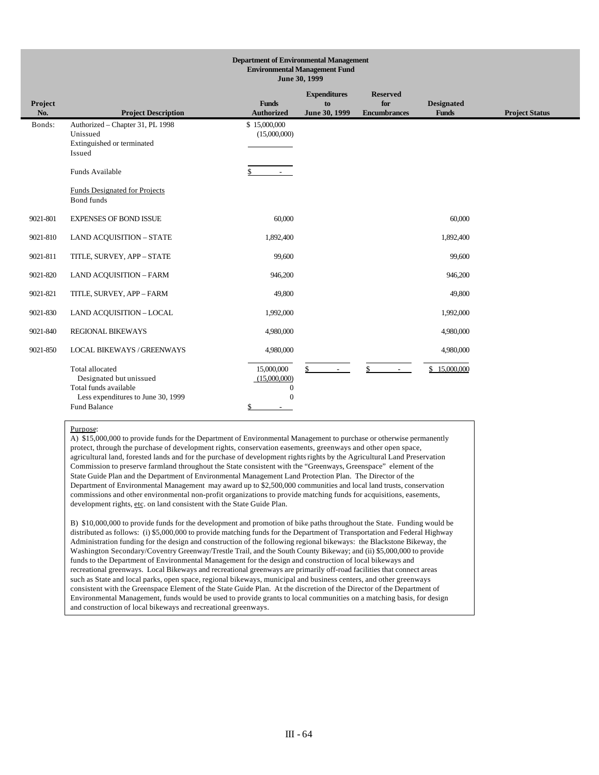|                | <b>Department of Environmental Management</b><br><b>Environmental Management Fund</b><br>June 30, 1999                    |                                                              |                                            |                                               |                                   |                       |  |
|----------------|---------------------------------------------------------------------------------------------------------------------------|--------------------------------------------------------------|--------------------------------------------|-----------------------------------------------|-----------------------------------|-----------------------|--|
| Project<br>No. | <b>Project Description</b>                                                                                                | <b>Funds</b><br><b>Authorized</b>                            | <b>Expenditures</b><br>to<br>June 30, 1999 | <b>Reserved</b><br>for<br><b>Encumbrances</b> | <b>Designated</b><br><b>Funds</b> | <b>Project Status</b> |  |
| Bonds:         | Authorized - Chapter 31, PL 1998<br>Unissued<br>Extinguished or terminated<br>Issued                                      | \$15,000,000<br>(15,000,000)                                 |                                            |                                               |                                   |                       |  |
|                | Funds Available                                                                                                           | \$<br>$\sim 100$                                             |                                            |                                               |                                   |                       |  |
|                | Funds Designated for Projects<br><b>Bond</b> funds                                                                        |                                                              |                                            |                                               |                                   |                       |  |
| 9021-801       | <b>EXPENSES OF BOND ISSUE</b>                                                                                             | 60,000                                                       |                                            |                                               | 60,000                            |                       |  |
| 9021-810       | <b>LAND ACQUISITION - STATE</b>                                                                                           | 1,892,400                                                    |                                            |                                               | 1,892,400                         |                       |  |
| 9021-811       | TITLE, SURVEY, APP - STATE                                                                                                | 99,600                                                       |                                            |                                               | 99,600                            |                       |  |
| 9021-820       | <b>LAND ACQUISITION - FARM</b>                                                                                            | 946,200                                                      |                                            |                                               | 946,200                           |                       |  |
| 9021-821       | TITLE, SURVEY, APP - FARM                                                                                                 | 49,800                                                       |                                            |                                               | 49,800                            |                       |  |
| 9021-830       | <b>LAND ACQUISITION - LOCAL</b>                                                                                           | 1,992,000                                                    |                                            |                                               | 1,992,000                         |                       |  |
| 9021-840       | <b>REGIONAL BIKEWAYS</b>                                                                                                  | 4,980,000                                                    |                                            |                                               | 4,980,000                         |                       |  |
| 9021-850       | <b>LOCAL BIKEWAYS / GREENWAYS</b>                                                                                         | 4,980,000                                                    |                                            |                                               | 4,980,000                         |                       |  |
|                | Total allocated<br>Designated but unissued<br>Total funds available<br>Less expenditures to June 30, 1999<br>Fund Balance | 15,000,000<br>(15,000,000)<br>$\mathbf{0}$<br>$\Omega$<br>\$ | \$<br>$\sim$                               | \$.<br>$\sim$                                 | \$15,000,000                      |                       |  |

A) \$15,000,000 to provide funds for the Department of Environmental Management to purchase or otherwise permanently protect, through the purchase of development rights, conservation easements, greenways and other open space, agricultural land, forested lands and for the purchase of development rights rights by the Agricultural Land Preservation Commission to preserve farmland throughout the State consistent with the "Greenways, Greenspace" element of the State Guide Plan and the Department of Environmental Management Land Protection Plan. The Director of the Department of Environmental Management may award up to \$2,500,000 communities and local land trusts, conservation commissions and other environmental non-profit organizations to provide matching funds for acquisitions, easements, development rights, etc. on land consistent with the State Guide Plan.

B) \$10,000,000 to provide funds for the development and promotion of bike paths throughout the State. Funding would be distributed as follows: (i) \$5,000,000 to provide matching funds for the Department of Transportation and Federal Highway Administration funding for the design and construction of the following regional bikeways: the Blackstone Bikeway, the Washington Secondary/Coventry Greenway/Trestle Trail, and the South County Bikeway; and (ii) \$5,000,000 to provide funds to the Department of Environmental Management for the design and construction of local bikeways and recreational greenways. Local Bikeways and recreational greenways are primarily off-road facilities that connect areas such as State and local parks, open space, regional bikeways, municipal and business centers, and other greenways consistent with the Greenspace Element of the State Guide Plan. At the discretion of the Director of the Department of Environmental Management, funds would be used to provide grants to local communities on a matching basis, for design and construction of local bikeways and recreational greenways.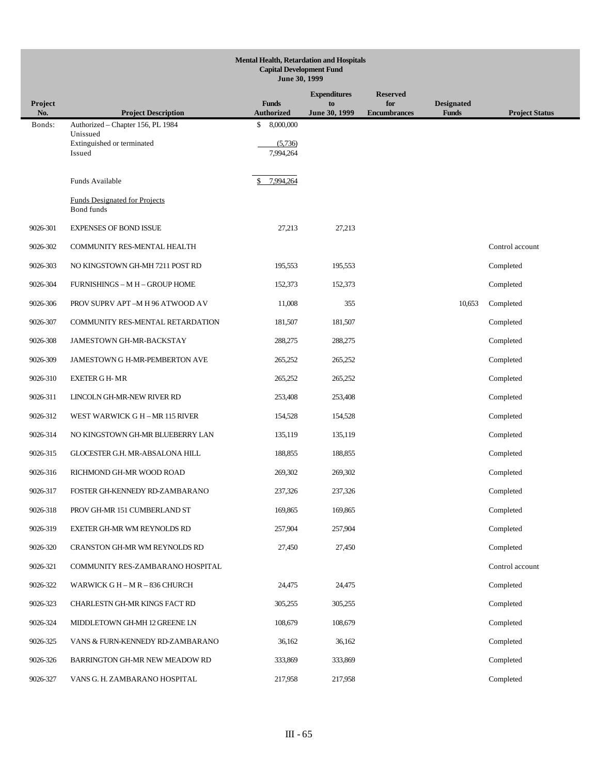|                | <b>Mental Health, Retardation and Hospitals</b><br><b>Capital Development Fund</b><br>June 30, 1999 |                                   |                     |                            |                                   |                       |  |  |  |  |
|----------------|-----------------------------------------------------------------------------------------------------|-----------------------------------|---------------------|----------------------------|-----------------------------------|-----------------------|--|--|--|--|
|                |                                                                                                     |                                   | <b>Expenditures</b> | <b>Reserved</b>            |                                   |                       |  |  |  |  |
| Project<br>No. | <b>Project Description</b>                                                                          | <b>Funds</b><br><b>Authorized</b> | to<br>June 30, 1999 | for<br><b>Encumbrances</b> | <b>Designated</b><br><b>Funds</b> | <b>Project Status</b> |  |  |  |  |
| Bonds:         | Authorized - Chapter 156, PL 1984<br>Unissued                                                       | \$<br>8,000,000                   |                     |                            |                                   |                       |  |  |  |  |
|                | Extinguished or terminated<br>Issued                                                                | (5,736)<br>7,994,264              |                     |                            |                                   |                       |  |  |  |  |
|                | Funds Available                                                                                     | 7.994.264                         |                     |                            |                                   |                       |  |  |  |  |
|                | <b>Funds Designated for Projects</b><br><b>Bond</b> funds                                           |                                   |                     |                            |                                   |                       |  |  |  |  |
| 9026-301       | <b>EXPENSES OF BOND ISSUE</b>                                                                       | 27,213                            | 27,213              |                            |                                   |                       |  |  |  |  |
| 9026-302       | COMMUNITY RES-MENTAL HEALTH                                                                         |                                   |                     |                            |                                   | Control account       |  |  |  |  |
| 9026-303       | NO KINGSTOWN GH-MH 7211 POST RD                                                                     | 195,553                           | 195,553             |                            |                                   | Completed             |  |  |  |  |
| 9026-304       | <b>FURNISHINGS - M H - GROUP HOME</b>                                                               | 152,373                           | 152,373             |                            |                                   | Completed             |  |  |  |  |
| 9026-306       | PROV SUPRV APT-M H 96 ATWOOD AV                                                                     | 11,008                            | 355                 |                            | 10,653                            | Completed             |  |  |  |  |
| 9026-307       | COMMUNITY RES-MENTAL RETARDATION                                                                    | 181,507                           | 181,507             |                            |                                   | Completed             |  |  |  |  |
| 9026-308       | JAMESTOWN GH-MR-BACKSTAY                                                                            | 288,275                           | 288,275             |                            |                                   | Completed             |  |  |  |  |
| 9026-309       | JAMESTOWN G H-MR-PEMBERTON AVE                                                                      | 265,252                           | 265,252             |                            |                                   | Completed             |  |  |  |  |
| 9026-310       | <b>EXETER GH-MR</b>                                                                                 | 265,252                           | 265,252             |                            |                                   | Completed             |  |  |  |  |
| 9026-311       | LINCOLN GH-MR-NEW RIVER RD                                                                          | 253,408                           | 253,408             |                            |                                   | Completed             |  |  |  |  |
| 9026-312       | WEST WARWICK G H - MR 115 RIVER                                                                     | 154,528                           | 154,528             |                            |                                   | Completed             |  |  |  |  |
| 9026-314       | NO KINGSTOWN GH-MR BLUEBERRY LAN                                                                    | 135,119                           | 135,119             |                            |                                   | Completed             |  |  |  |  |
| 9026-315       | GLOCESTER G.H. MR-ABSALONA HILL                                                                     | 188,855                           | 188,855             |                            |                                   | Completed             |  |  |  |  |
| 9026-316       | RICHMOND GH-MR WOOD ROAD                                                                            | 269,302                           | 269,302             |                            |                                   | Completed             |  |  |  |  |
| 9026-317       | FOSTER GH-KENNEDY RD-ZAMBARANO                                                                      | 237,326                           | 237,326             |                            |                                   | Completed             |  |  |  |  |
| 9026-318       | PROV GH-MR 151 CUMBERLAND ST                                                                        | 169,865                           | 169,865             |                            |                                   | Completed             |  |  |  |  |
| 9026-319       | EXETER GH-MR WM REYNOLDS RD                                                                         | 257,904                           | 257,904             |                            |                                   | Completed             |  |  |  |  |
| 9026-320       | CRANSTON GH-MR WM REYNOLDS RD                                                                       | 27,450                            | 27,450              |                            |                                   | Completed             |  |  |  |  |
| 9026-321       | COMMUNITY RES-ZAMBARANO HOSPITAL                                                                    |                                   |                     |                            |                                   | Control account       |  |  |  |  |
| 9026-322       | WARWICK G H - M R - 836 CHURCH                                                                      | 24,475                            | 24,475              |                            |                                   | Completed             |  |  |  |  |
| 9026-323       | CHARLESTN GH-MR KINGS FACT RD                                                                       | 305,255                           | 305,255             |                            |                                   | Completed             |  |  |  |  |
| 9026-324       | MIDDLETOWN GH-MH 12 GREENE LN                                                                       | 108,679                           | 108,679             |                            |                                   | Completed             |  |  |  |  |
| 9026-325       | VANS & FURN-KENNEDY RD-ZAMBARANO                                                                    | 36,162                            | 36,162              |                            |                                   | Completed             |  |  |  |  |
| 9026-326       | BARRINGTON GH-MR NEW MEADOW RD                                                                      | 333,869                           | 333,869             |                            |                                   | Completed             |  |  |  |  |
| 9026-327       | VANS G. H. ZAMBARANO HOSPITAL                                                                       | 217,958                           | 217,958             |                            |                                   | Completed             |  |  |  |  |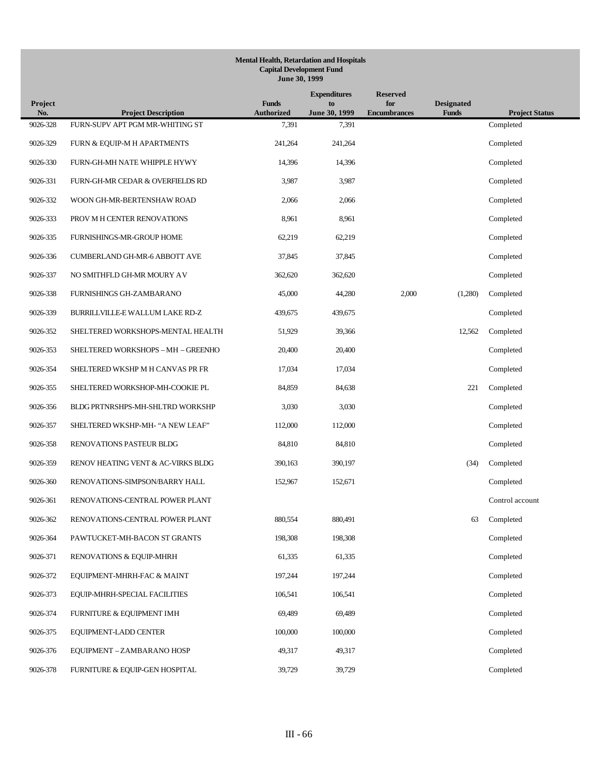|                | <b>Mental Health, Retardation and Hospitals</b><br><b>Capital Development Fund</b><br>June 30, 1999 |                                   |                                            |                                               |                                   |                       |  |  |  |  |
|----------------|-----------------------------------------------------------------------------------------------------|-----------------------------------|--------------------------------------------|-----------------------------------------------|-----------------------------------|-----------------------|--|--|--|--|
| Project<br>No. | <b>Project Description</b>                                                                          | <b>Funds</b><br><b>Authorized</b> | <b>Expenditures</b><br>to<br>June 30, 1999 | <b>Reserved</b><br>for<br><b>Encumbrances</b> | <b>Designated</b><br><b>Funds</b> | <b>Project Status</b> |  |  |  |  |
| 9026-328       | FURN-SUPV APT PGM MR-WHITING ST                                                                     | 7,391                             | 7,391                                      |                                               |                                   | Completed             |  |  |  |  |
| 9026-329       | FURN & EQUIP-M H APARTMENTS                                                                         | 241,264                           | 241,264                                    |                                               |                                   | Completed             |  |  |  |  |
| 9026-330       | FURN-GH-MH NATE WHIPPLE HYWY                                                                        | 14,396                            | 14,396                                     |                                               |                                   | Completed             |  |  |  |  |
| 9026-331       | FURN-GH-MR CEDAR & OVERFIELDS RD                                                                    | 3,987                             | 3,987                                      |                                               |                                   | Completed             |  |  |  |  |
| 9026-332       | WOON GH-MR-BERTENSHAW ROAD                                                                          | 2,066                             | 2,066                                      |                                               |                                   | Completed             |  |  |  |  |
| 9026-333       | PROV M H CENTER RENOVATIONS                                                                         | 8,961                             | 8,961                                      |                                               |                                   | Completed             |  |  |  |  |
| 9026-335       | FURNISHINGS-MR-GROUP HOME                                                                           | 62,219                            | 62,219                                     |                                               |                                   | Completed             |  |  |  |  |
| 9026-336       | CUMBERLAND GH-MR-6 ABBOTT AVE                                                                       | 37,845                            | 37,845                                     |                                               |                                   | Completed             |  |  |  |  |
| 9026-337       | NO SMITHFLD GH-MR MOURY AV                                                                          | 362,620                           | 362,620                                    |                                               |                                   | Completed             |  |  |  |  |
| 9026-338       | FURNISHINGS GH-ZAMBARANO                                                                            | 45,000                            | 44,280                                     | 2,000                                         | (1,280)                           | Completed             |  |  |  |  |
| 9026-339       | BURRILLVILLE-E WALLUM LAKE RD-Z                                                                     | 439,675                           | 439,675                                    |                                               |                                   | Completed             |  |  |  |  |
| 9026-352       | SHELTERED WORKSHOPS-MENTAL HEALTH                                                                   | 51,929                            | 39,366                                     |                                               | 12,562                            | Completed             |  |  |  |  |
| 9026-353       | SHELTERED WORKSHOPS - MH - GREENHO                                                                  | 20,400                            | 20,400                                     |                                               |                                   | Completed             |  |  |  |  |
| 9026-354       | SHELTERED WKSHP M H CANVAS PR FR                                                                    | 17,034                            | 17,034                                     |                                               |                                   | Completed             |  |  |  |  |
| 9026-355       | SHELTERED WORKSHOP-MH-COOKIE PL                                                                     | 84,859                            | 84,638                                     |                                               | 221                               | Completed             |  |  |  |  |
| 9026-356       | BLDG PRTNRSHPS-MH-SHLTRD WORKSHP                                                                    | 3,030                             | 3,030                                      |                                               |                                   | Completed             |  |  |  |  |
| 9026-357       | SHELTERED WKSHP-MH- "A NEW LEAF"                                                                    | 112,000                           | 112,000                                    |                                               |                                   | Completed             |  |  |  |  |
| 9026-358       | RENOVATIONS PASTEUR BLDG                                                                            | 84,810                            | 84,810                                     |                                               |                                   | Completed             |  |  |  |  |
| 9026-359       | RENOV HEATING VENT & AC-VIRKS BLDG                                                                  | 390,163                           | 390,197                                    |                                               | (34)                              | Completed             |  |  |  |  |
| 9026-360       | RENOVATIONS-SIMPSON/BARRY HALL                                                                      | 152,967                           | 152,671                                    |                                               |                                   | Completed             |  |  |  |  |
| 9026-361       | RENOVATIONS-CENTRAL POWER PLANT                                                                     |                                   |                                            |                                               |                                   | Control account       |  |  |  |  |
| 9026-362       | RENOVATIONS-CENTRAL POWER PLANT                                                                     | 880,554                           | 880,491                                    |                                               | 63                                | Completed             |  |  |  |  |
| 9026-364       | PAWTUCKET-MH-BACON ST GRANTS                                                                        | 198,308                           | 198,308                                    |                                               |                                   | Completed             |  |  |  |  |
| 9026-371       | RENOVATIONS & EQUIP-MHRH                                                                            | 61,335                            | 61,335                                     |                                               |                                   | Completed             |  |  |  |  |
| 9026-372       | EQUIPMENT-MHRH-FAC & MAINT                                                                          | 197,244                           | 197,244                                    |                                               |                                   | Completed             |  |  |  |  |
| 9026-373       | EQUIP-MHRH-SPECIAL FACILITIES                                                                       | 106,541                           | 106,541                                    |                                               |                                   | Completed             |  |  |  |  |
| 9026-374       | FURNITURE & EQUIPMENT IMH                                                                           | 69,489                            | 69,489                                     |                                               |                                   | Completed             |  |  |  |  |
| 9026-375       | EQUIPMENT-LADD CENTER                                                                               | 100,000                           | 100,000                                    |                                               |                                   | Completed             |  |  |  |  |
| 9026-376       | EQUIPMENT - ZAMBARANO HOSP                                                                          | 49,317                            | 49,317                                     |                                               |                                   | Completed             |  |  |  |  |
| 9026-378       | FURNITURE & EQUIP-GEN HOSPITAL                                                                      | 39,729                            | 39,729                                     |                                               |                                   | Completed             |  |  |  |  |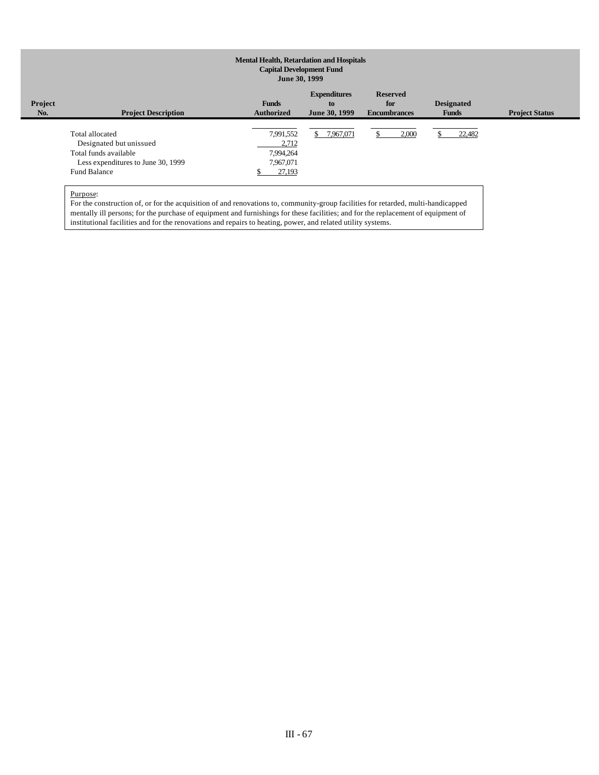| Project<br>No. | <b>Project Description</b>                                                                                                       | <b>Funds</b><br><b>Authorized</b>                      | <b>Expenditures</b><br>to<br>June 30, 1999 | <b>Reserved</b><br>for<br><b>Encumbrances</b> | <b>Designated</b><br><b>Funds</b> | <b>Project Status</b> |
|----------------|----------------------------------------------------------------------------------------------------------------------------------|--------------------------------------------------------|--------------------------------------------|-----------------------------------------------|-----------------------------------|-----------------------|
|                | Total allocated<br>Designated but unissued<br>Total funds available<br>Less expenditures to June 30, 1999<br><b>Fund Balance</b> | 7,991,552<br>2,712<br>7,994,264<br>7,967,071<br>27,193 | \$ 7,967,071                               | 2,000                                         | 22,482                            |                       |

Purpose:

For the construction of, or for the acquisition of and renovations to, community-group facilities for retarded, multi-handicapped mentally ill persons; for the purchase of equipment and furnishings for these facilities; and for the replacement of equipment of institutional facilities and for the renovations and repairs to heating, power, and related utility systems.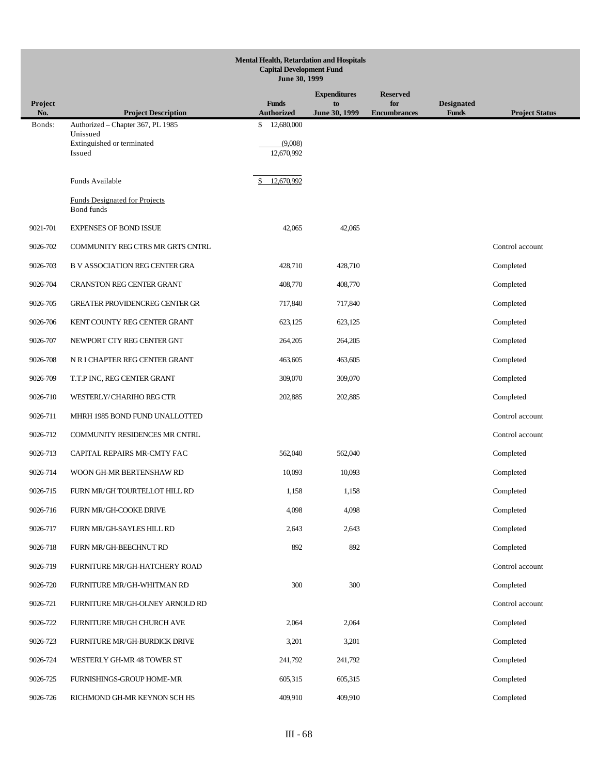|                       | <b>Mental Health, Retardation and Hospitals</b><br><b>Capital Development Fund</b><br>June 30, 1999 |                                   |                     |                            |                                   |                       |  |  |  |  |
|-----------------------|-----------------------------------------------------------------------------------------------------|-----------------------------------|---------------------|----------------------------|-----------------------------------|-----------------------|--|--|--|--|
|                       |                                                                                                     |                                   | <b>Expenditures</b> | <b>Reserved</b>            |                                   |                       |  |  |  |  |
| <b>Project</b><br>No. | <b>Project Description</b>                                                                          | <b>Funds</b><br><b>Authorized</b> | to<br>June 30, 1999 | for<br><b>Encumbrances</b> | <b>Designated</b><br><b>Funds</b> | <b>Project Status</b> |  |  |  |  |
| Bonds:                | Authorized - Chapter 367, PL 1985<br>Unissued                                                       | 12,680,000<br>\$                  |                     |                            |                                   |                       |  |  |  |  |
|                       | Extinguished or terminated                                                                          | (9,008)                           |                     |                            |                                   |                       |  |  |  |  |
|                       | Issued                                                                                              | 12,670,992                        |                     |                            |                                   |                       |  |  |  |  |
|                       | Funds Available                                                                                     | 12,670,992                        |                     |                            |                                   |                       |  |  |  |  |
|                       | <b>Funds Designated for Projects</b><br>Bond funds                                                  |                                   |                     |                            |                                   |                       |  |  |  |  |
| 9021-701              | <b>EXPENSES OF BOND ISSUE</b>                                                                       | 42,065                            | 42,065              |                            |                                   |                       |  |  |  |  |
| 9026-702              | COMMUNITY REG CTRS MR GRTS CNTRL                                                                    |                                   |                     |                            |                                   | Control account       |  |  |  |  |
| 9026-703              | <b>B V ASSOCIATION REG CENTER GRA</b>                                                               | 428,710                           | 428,710             |                            |                                   | Completed             |  |  |  |  |
| 9026-704              | <b>CRANSTON REG CENTER GRANT</b>                                                                    | 408,770                           | 408,770             |                            |                                   | Completed             |  |  |  |  |
| 9026-705              | <b>GREATER PROVIDENCREG CENTER GR</b>                                                               | 717,840                           | 717,840             |                            |                                   | Completed             |  |  |  |  |
| 9026-706              | KENT COUNTY REG CENTER GRANT                                                                        | 623,125                           | 623,125             |                            |                                   | Completed             |  |  |  |  |
| 9026-707              | NEWPORT CTY REG CENTER GNT                                                                          | 264,205                           | 264,205             |                            |                                   | Completed             |  |  |  |  |
| 9026-708              | N R I CHAPTER REG CENTER GRANT                                                                      | 463,605                           | 463,605             |                            |                                   | Completed             |  |  |  |  |
| 9026-709              | T.T.P INC, REG CENTER GRANT                                                                         | 309,070                           | 309,070             |                            |                                   | Completed             |  |  |  |  |
| 9026-710              | WESTERLY/CHARIHO REG CTR                                                                            | 202,885                           | 202,885             |                            |                                   | Completed             |  |  |  |  |
| 9026-711              | MHRH 1985 BOND FUND UNALLOTTED                                                                      |                                   |                     |                            |                                   | Control account       |  |  |  |  |
| 9026-712              | COMMUNITY RESIDENCES MR CNTRL                                                                       |                                   |                     |                            |                                   | Control account       |  |  |  |  |
| 9026-713              | CAPITAL REPAIRS MR-CMTY FAC                                                                         | 562,040                           | 562,040             |                            |                                   | Completed             |  |  |  |  |
| 9026-714              | WOON GH-MR BERTENSHAW RD                                                                            | 10,093                            | 10,093              |                            |                                   | Completed             |  |  |  |  |
| 9026-715              | FURN MR/GH TOURTELLOT HILL RD                                                                       | 1,158                             | 1,158               |                            |                                   | Completed             |  |  |  |  |
| 9026-716              | FURN MR/GH-COOKE DRIVE                                                                              | 4,098                             | 4,098               |                            |                                   | Completed             |  |  |  |  |
| 9026-717              | FURN MR/GH-SAYLES HILL RD                                                                           | 2,643                             | 2,643               |                            |                                   | Completed             |  |  |  |  |
| 9026-718              | FURN MR/GH-BEECHNUT RD                                                                              | 892                               | 892                 |                            |                                   | Completed             |  |  |  |  |
| 9026-719              | FURNITURE MR/GH-HATCHERY ROAD                                                                       |                                   |                     |                            |                                   | Control account       |  |  |  |  |
| 9026-720              | FURNITURE MR/GH-WHITMAN RD                                                                          | 300                               | 300                 |                            |                                   | Completed             |  |  |  |  |
| 9026-721              | FURNITURE MR/GH-OLNEY ARNOLD RD                                                                     |                                   |                     |                            |                                   | Control account       |  |  |  |  |
| 9026-722              | FURNITURE MR/GH CHURCH AVE                                                                          | 2,064                             | 2,064               |                            |                                   | Completed             |  |  |  |  |
| 9026-723              | FURNITURE MR/GH-BURDICK DRIVE                                                                       | 3,201                             | 3,201               |                            |                                   | Completed             |  |  |  |  |
| 9026-724              | WESTERLY GH-MR 48 TOWER ST                                                                          | 241,792                           | 241,792             |                            |                                   | Completed             |  |  |  |  |
| 9026-725              | FURNISHINGS-GROUP HOME-MR                                                                           | 605,315                           | 605,315             |                            |                                   | Completed             |  |  |  |  |
| 9026-726              | RICHMOND GH-MR KEYNON SCH HS                                                                        | 409,910                           | 409,910             |                            |                                   | Completed             |  |  |  |  |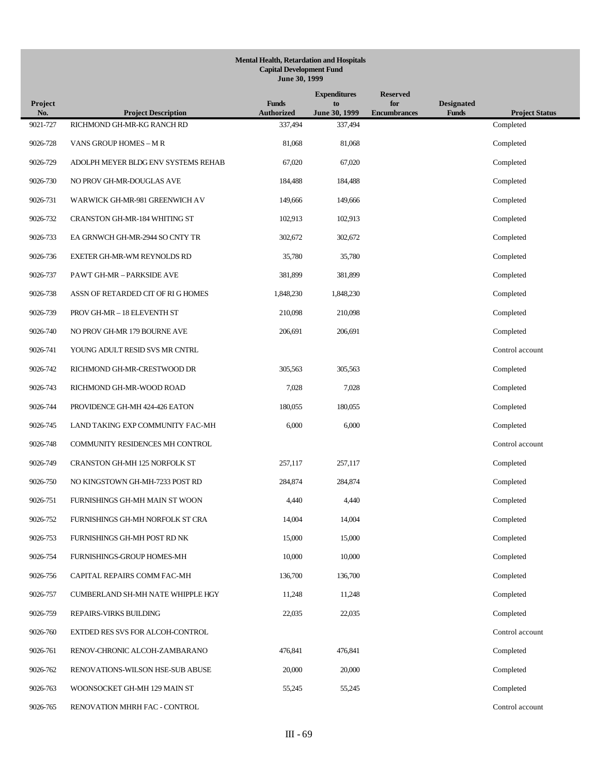| Project  |                                      | <b>Funds</b>      | <b>Expenditures</b><br>to | <b>Reserved</b><br>for | <b>Designated</b> |                       |
|----------|--------------------------------------|-------------------|---------------------------|------------------------|-------------------|-----------------------|
| No.      | <b>Project Description</b>           | <b>Authorized</b> | June 30, 1999             | <b>Encumbrances</b>    | <b>Funds</b>      | <b>Project Status</b> |
| 9021-727 | RICHMOND GH-MR-KG RANCH RD           | 337,494           | 337,494                   |                        |                   | Completed             |
| 9026-728 | VANS GROUP HOMES - M R               | 81,068            | 81,068                    |                        |                   | Completed             |
| 9026-729 | ADOLPH MEYER BLDG ENV SYSTEMS REHAB  | 67,020            | 67,020                    |                        |                   | Completed             |
| 9026-730 | NO PROV GH-MR-DOUGLAS AVE            | 184,488           | 184,488                   |                        |                   | Completed             |
| 9026-731 | WARWICK GH-MR-981 GREENWICH AV       | 149,666           | 149,666                   |                        |                   | Completed             |
| 9026-732 | CRANSTON GH-MR-184 WHITING ST        | 102,913           | 102,913                   |                        |                   | Completed             |
| 9026-733 | EA GRNWCH GH-MR-2944 SO CNTY TR      | 302,672           | 302,672                   |                        |                   | Completed             |
| 9026-736 | EXETER GH-MR-WM REYNOLDS RD          | 35,780            | 35,780                    |                        |                   | Completed             |
| 9026-737 | PAWT GH-MR - PARKSIDE AVE            | 381,899           | 381,899                   |                        |                   | Completed             |
| 9026-738 | ASSN OF RETARDED CIT OF RIGHOMES     | 1,848,230         | 1,848,230                 |                        |                   | Completed             |
| 9026-739 | PROV GH-MR - 18 ELEVENTH ST          | 210,098           | 210,098                   |                        |                   | Completed             |
| 9026-740 | NO PROV GH-MR 179 BOURNE AVE         | 206,691           | 206,691                   |                        |                   | Completed             |
| 9026-741 | YOUNG ADULT RESID SVS MR CNTRL       |                   |                           |                        |                   | Control account       |
| 9026-742 | RICHMOND GH-MR-CRESTWOOD DR          | 305,563           | 305,563                   |                        |                   | Completed             |
| 9026-743 | RICHMOND GH-MR-WOOD ROAD             | 7,028             | 7,028                     |                        |                   | Completed             |
| 9026-744 | PROVIDENCE GH-MH 424-426 EATON       | 180,055           | 180,055                   |                        |                   | Completed             |
| 9026-745 | LAND TAKING EXP COMMUNITY FAC-MH     | 6,000             | 6,000                     |                        |                   | Completed             |
| 9026-748 | COMMUNITY RESIDENCES MH CONTROL      |                   |                           |                        |                   | Control account       |
| 9026-749 | <b>CRANSTON GH-MH 125 NORFOLK ST</b> | 257,117           | 257,117                   |                        |                   | Completed             |
| 9026-750 | NO KINGSTOWN GH-MH-7233 POST RD      | 284,874           | 284,874                   |                        |                   | Completed             |
| 9026-751 | FURNISHINGS GH-MH MAIN ST WOON       | 4,440             | 4,440                     |                        |                   | Completed             |
| 9026-752 | FURNISHINGS GH-MH NORFOLK ST CRA     | 14,004            | 14,004                    |                        |                   | Completed             |
| 9026-753 | FURNISHINGS GH-MH POST RD NK         | 15,000            | 15,000                    |                        |                   | Completed             |
| 9026-754 | FURNISHINGS-GROUP HOMES-MH           | 10,000            | 10,000                    |                        |                   | Completed             |
| 9026-756 | CAPITAL REPAIRS COMM FAC-MH          | 136,700           | 136,700                   |                        |                   | Completed             |
| 9026-757 | CUMBERLAND SH-MH NATE WHIPPLE HGY    | 11,248            | 11,248                    |                        |                   | Completed             |
| 9026-759 | REPAIRS-VIRKS BUILDING               | 22,035            | 22,035                    |                        |                   | Completed             |
| 9026-760 | EXTDED RES SVS FOR ALCOH-CONTROL     |                   |                           |                        |                   | Control account       |
| 9026-761 | RENOV-CHRONIC ALCOH-ZAMBARANO        | 476,841           | 476,841                   |                        |                   | Completed             |
| 9026-762 | RENOVATIONS-WILSON HSE-SUB ABUSE     | 20,000            | 20,000                    |                        |                   | Completed             |
| 9026-763 | WOONSOCKET GH-MH 129 MAIN ST         | 55,245            | 55,245                    |                        |                   | Completed             |
| 9026-765 | RENOVATION MHRH FAC - CONTROL        |                   |                           |                        |                   | Control account       |
|          |                                      |                   |                           |                        |                   |                       |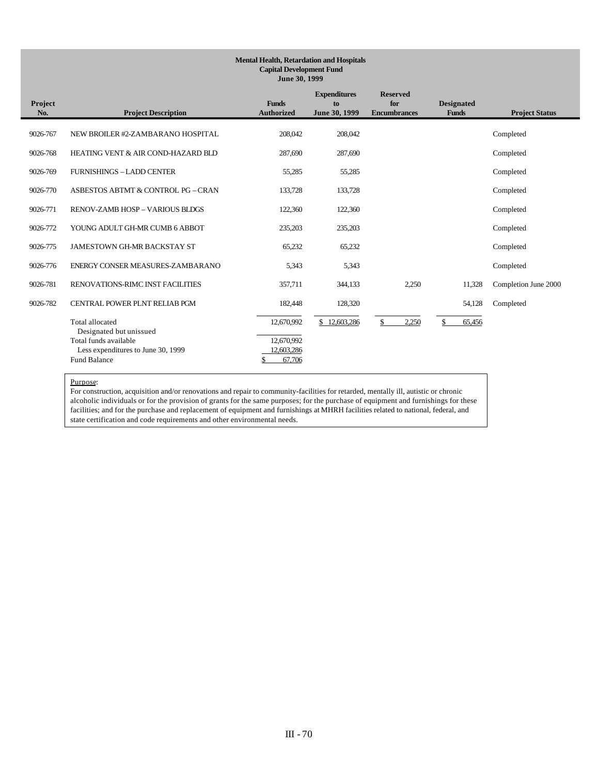| Project<br>No. | <b>Project Description</b>                                                                                                       | <b>Funds</b><br><b>Authorized</b>                | <b>Expenditures</b><br>to<br>June 30, 1999 | <b>Reserved</b><br>for<br><b>Encumbrances</b> | <b>Designated</b><br><b>Funds</b> | <b>Project Status</b> |
|----------------|----------------------------------------------------------------------------------------------------------------------------------|--------------------------------------------------|--------------------------------------------|-----------------------------------------------|-----------------------------------|-----------------------|
| 9026-767       | NEW BROILER #2-ZAMBARANO HOSPITAL                                                                                                | 208,042                                          | 208,042                                    |                                               |                                   | Completed             |
| 9026-768       | HEATING VENT & AIR COND-HAZARD BLD                                                                                               | 287,690                                          | 287,690                                    |                                               |                                   | Completed             |
| 9026-769       | <b>FURNISHINGS - LADD CENTER</b>                                                                                                 | 55,285                                           | 55,285                                     |                                               |                                   | Completed             |
| 9026-770       | ASBESTOS ABTMT & CONTROL PG - CRAN                                                                                               | 133,728                                          | 133,728                                    |                                               |                                   | Completed             |
| 9026-771       | <b>RENOV-ZAMB HOSP - VARIOUS BLDGS</b>                                                                                           | 122,360                                          | 122,360                                    |                                               |                                   | Completed             |
| 9026-772       | YOUNG ADULT GH-MR CUMB 6 ABBOT                                                                                                   | 235,203                                          | 235,203                                    |                                               |                                   | Completed             |
| 9026-775       | <b>JAMESTOWN GH-MR BACKSTAY ST</b>                                                                                               | 65,232                                           | 65,232                                     |                                               |                                   | Completed             |
| 9026-776       | ENERGY CONSER MEASURES-ZAMBARANO                                                                                                 | 5.343                                            | 5,343                                      |                                               |                                   | Completed             |
| 9026-781       | RENOVATIONS-RIMC INST FACILITIES                                                                                                 | 357,711                                          | 344,133                                    | 2,250                                         | 11,328                            | Completion June 2000  |
| 9026-782       | CENTRAL POWER PLNT RELIAB PGM                                                                                                    | 182,448                                          | 128,320                                    |                                               | 54,128                            | Completed             |
|                | Total allocated<br>Designated but unissued<br>Total funds available<br>Less expenditures to June 30, 1999<br><b>Fund Balance</b> | 12,670,992<br>12,670,992<br>12.603.286<br>67,706 | 12,603,286                                 | 2,250                                         | 65,456                            |                       |

### Purpose:

For construction, acquisition and/or renovations and repair to community-facilities for retarded, mentally ill, autistic or chronic alcoholic individuals or for the provision of grants for the same purposes; for the purchase of equipment and furnishings for these facilities; and for the purchase and replacement of equipment and furnishings at MHRH facilities related to national, federal, and state certification and code requirements and other environmental needs.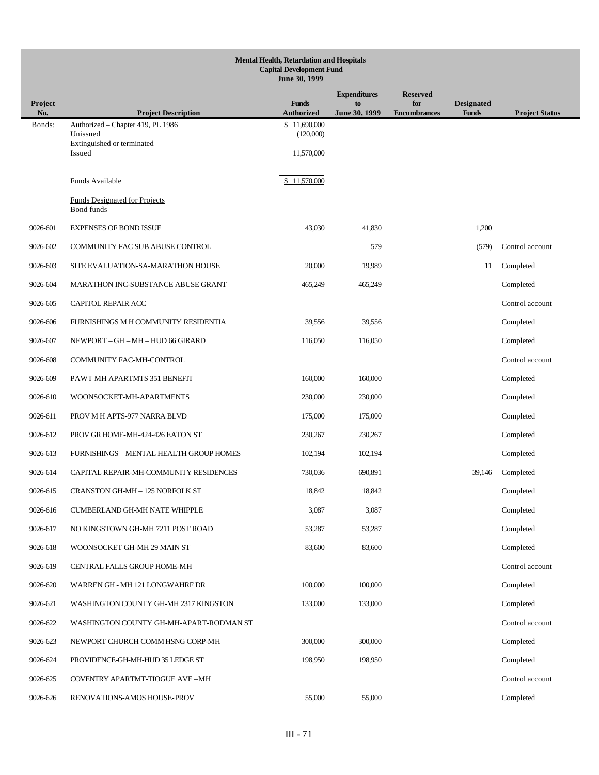| <b>Mental Health, Retardation and Hospitals</b><br><b>Capital Development Fund</b> |                                                                 |                                   |                                            |                     |                   |                       |  |  |  |
|------------------------------------------------------------------------------------|-----------------------------------------------------------------|-----------------------------------|--------------------------------------------|---------------------|-------------------|-----------------------|--|--|--|
|                                                                                    | June 30, 1999<br><b>Reserved</b>                                |                                   |                                            |                     |                   |                       |  |  |  |
| <b>Project</b>                                                                     |                                                                 | <b>Funds</b>                      | <b>Expenditures</b><br>to<br>June 30, 1999 | for                 | <b>Designated</b> |                       |  |  |  |
| No.<br>Bonds:                                                                      | <b>Project Description</b><br>Authorized - Chapter 419, PL 1986 | <b>Authorized</b><br>\$11,690,000 |                                            | <b>Encumbrances</b> | <b>Funds</b>      | <b>Project Status</b> |  |  |  |
|                                                                                    | Unissued<br>Extinguished or terminated                          | (120,000)                         |                                            |                     |                   |                       |  |  |  |
|                                                                                    | Issued                                                          | 11,570,000                        |                                            |                     |                   |                       |  |  |  |
|                                                                                    | Funds Available                                                 | \$11,570,000                      |                                            |                     |                   |                       |  |  |  |
|                                                                                    | <b>Funds Designated for Projects</b><br><b>Bond</b> funds       |                                   |                                            |                     |                   |                       |  |  |  |
| 9026-601                                                                           | <b>EXPENSES OF BOND ISSUE</b>                                   | 43,030                            | 41,830                                     |                     | 1,200             |                       |  |  |  |
| 9026-602                                                                           | COMMUNITY FAC SUB ABUSE CONTROL                                 |                                   | 579                                        |                     | (579)             | Control account       |  |  |  |
| 9026-603                                                                           | SITE EVALUATION-SA-MARATHON HOUSE                               | 20,000                            | 19,989                                     |                     | 11                | Completed             |  |  |  |
| 9026-604                                                                           | MARATHON INC-SUBSTANCE ABUSE GRANT                              | 465,249                           | 465,249                                    |                     |                   | Completed             |  |  |  |
| 9026-605                                                                           | CAPITOL REPAIR ACC                                              |                                   |                                            |                     |                   | Control account       |  |  |  |
| 9026-606                                                                           | FURNISHINGS M H COMMUNITY RESIDENTIA                            | 39,556                            | 39,556                                     |                     |                   | Completed             |  |  |  |
| 9026-607                                                                           | NEWPORT - GH - MH - HUD 66 GIRARD                               | 116,050                           | 116,050                                    |                     |                   | Completed             |  |  |  |
| 9026-608                                                                           | COMMUNITY FAC-MH-CONTROL                                        |                                   |                                            |                     |                   | Control account       |  |  |  |
| 9026-609                                                                           | PAWT MH APARTMTS 351 BENEFIT                                    | 160,000                           | 160,000                                    |                     |                   | Completed             |  |  |  |
| 9026-610                                                                           | WOONSOCKET-MH-APARTMENTS                                        | 230,000                           | 230,000                                    |                     |                   | Completed             |  |  |  |
| 9026-611                                                                           | PROV M H APTS-977 NARRA BLVD                                    | 175,000                           | 175,000                                    |                     |                   | Completed             |  |  |  |
| 9026-612                                                                           | PROV GR HOME-MH-424-426 EATON ST                                | 230,267                           | 230,267                                    |                     |                   | Completed             |  |  |  |
| 9026-613                                                                           | FURNISHINGS - MENTAL HEALTH GROUP HOMES                         | 102,194                           | 102,194                                    |                     |                   | Completed             |  |  |  |
| 9026-614                                                                           | CAPITAL REPAIR-MH-COMMUNITY RESIDENCES                          | 730,036                           | 690,891                                    |                     | 39,146            | Completed             |  |  |  |
| 9026-615                                                                           | <b>CRANSTON GH-MH - 125 NORFOLK ST</b>                          | 18,842                            | 18,842                                     |                     |                   | Completed             |  |  |  |
| 9026-616                                                                           | CUMBERLAND GH-MH NATE WHIPPLE                                   | 3,087                             | 3,087                                      |                     |                   | Completed             |  |  |  |
| 9026-617                                                                           | NO KINGSTOWN GH-MH 7211 POST ROAD                               | 53,287                            | 53,287                                     |                     |                   | Completed             |  |  |  |
| 9026-618                                                                           | WOONSOCKET GH-MH 29 MAIN ST                                     | 83,600                            | 83,600                                     |                     |                   | Completed             |  |  |  |
| 9026-619                                                                           | CENTRAL FALLS GROUP HOME-MH                                     |                                   |                                            |                     |                   | Control account       |  |  |  |
| 9026-620                                                                           | WARREN GH - MH 121 LONGWAHRF DR                                 | 100,000                           | 100,000                                    |                     |                   | Completed             |  |  |  |
| 9026-621                                                                           | WASHINGTON COUNTY GH-MH 2317 KINGSTON                           | 133,000                           | 133,000                                    |                     |                   | Completed             |  |  |  |
| 9026-622                                                                           | WASHINGTON COUNTY GH-MH-APART-RODMAN ST                         |                                   |                                            |                     |                   | Control account       |  |  |  |
| 9026-623                                                                           | NEWPORT CHURCH COMM HSNG CORP-MH                                | 300,000                           | 300,000                                    |                     |                   | Completed             |  |  |  |
| 9026-624                                                                           | PROVIDENCE-GH-MH-HUD 35 LEDGE ST                                | 198,950                           | 198,950                                    |                     |                   | Completed             |  |  |  |
| 9026-625                                                                           | COVENTRY APARTMT-TIOGUE AVE-MH                                  |                                   |                                            |                     |                   | Control account       |  |  |  |
| 9026-626                                                                           | RENOVATIONS-AMOS HOUSE-PROV                                     | 55,000                            | 55,000                                     |                     |                   | Completed             |  |  |  |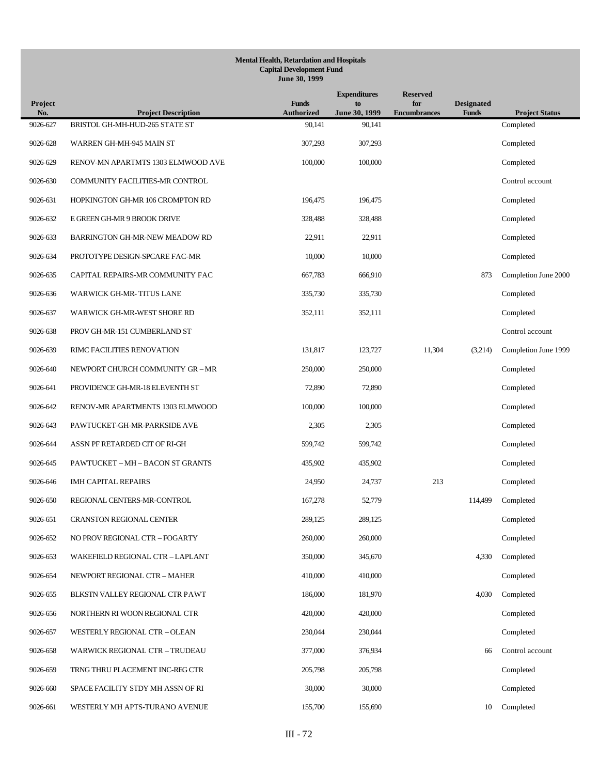| Project<br>No. | <b>Project Description</b>            | <b>Funds</b><br><b>Authorized</b> | <b>Expenditures</b><br>to<br>June 30, 1999 | <b>Reserved</b><br>for<br><b>Encumbrances</b> | <b>Designated</b><br><b>Funds</b> | <b>Project Status</b> |
|----------------|---------------------------------------|-----------------------------------|--------------------------------------------|-----------------------------------------------|-----------------------------------|-----------------------|
| 9026-627       | BRISTOL GH-MH-HUD-265 STATE ST        | 90,141                            | 90,141                                     |                                               |                                   | Completed             |
| 9026-628       | WARREN GH-MH-945 MAIN ST              | 307,293                           | 307,293                                    |                                               |                                   | Completed             |
| 9026-629       | RENOV-MN APARTMTS 1303 ELMWOOD AVE    | 100,000                           | 100,000                                    |                                               |                                   | Completed             |
| 9026-630       | COMMUNITY FACILITIES-MR CONTROL       |                                   |                                            |                                               |                                   | Control account       |
| 9026-631       | HOPKINGTON GH-MR 106 CROMPTON RD      | 196.475                           | 196,475                                    |                                               |                                   | Completed             |
| 9026-632       | E GREEN GH-MR 9 BROOK DRIVE           | 328,488                           | 328,488                                    |                                               |                                   | Completed             |
| 9026-633       | <b>BARRINGTON GH-MR-NEW MEADOW RD</b> | 22,911                            | 22,911                                     |                                               |                                   | Completed             |
| 9026-634       | PROTOTYPE DESIGN-SPCARE FAC-MR        | 10,000                            | 10,000                                     |                                               |                                   | Completed             |
| 9026-635       | CAPITAL REPAIRS-MR COMMUNITY FAC      | 667,783                           | 666,910                                    |                                               | 873                               | Completion June 2000  |
| 9026-636       | WARWICK GH-MR-TITUS LANE              | 335,730                           | 335,730                                    |                                               |                                   | Completed             |
| 9026-637       | WARWICK GH-MR-WEST SHORE RD           | 352,111                           | 352,111                                    |                                               |                                   | Completed             |
| 9026-638       | PROV GH-MR-151 CUMBERLAND ST          |                                   |                                            |                                               |                                   | Control account       |
| 9026-639       | RIMC FACILITIES RENOVATION            | 131,817                           | 123,727                                    | 11,304                                        | (3,214)                           | Completion June 1999  |
| 9026-640       | NEWPORT CHURCH COMMUNITY GR - MR      | 250,000                           | 250,000                                    |                                               |                                   | Completed             |
| 9026-641       | PROVIDENCE GH-MR-18 ELEVENTH ST       | 72,890                            | 72,890                                     |                                               |                                   | Completed             |
| 9026-642       | RENOV-MR APARTMENTS 1303 ELMWOOD      | 100,000                           | 100,000                                    |                                               |                                   | Completed             |
| 9026-643       | PAWTUCKET-GH-MR-PARKSIDE AVE          | 2,305                             | 2,305                                      |                                               |                                   | Completed             |
| 9026-644       | ASSN PF RETARDED CIT OF RI-GH         | 599,742                           | 599,742                                    |                                               |                                   | Completed             |
| 9026-645       | PAWTUCKET – MH – BACON ST GRANTS      | 435,902                           | 435,902                                    |                                               |                                   | Completed             |
| 9026-646       | <b>IMH CAPITAL REPAIRS</b>            | 24,950                            | 24,737                                     | 213                                           |                                   | Completed             |
| 9026-650       | REGIONAL CENTERS-MR-CONTROL           | 167,278                           | 52,779                                     |                                               | 114,499                           | Completed             |
| 9026-651       | <b>CRANSTON REGIONAL CENTER</b>       | 289,125                           | 289,125                                    |                                               |                                   | Completed             |
| 9026-652       | NO PROV REGIONAL CTR - FOGARTY        | 260,000                           | 260,000                                    |                                               |                                   | Completed             |
| 9026-653       | WAKEFIELD REGIONAL CTR - LAPLANT      | 350,000                           | 345,670                                    |                                               | 4,330                             | Completed             |
| 9026-654       | NEWPORT REGIONAL CTR - MAHER          | 410,000                           | 410,000                                    |                                               |                                   | Completed             |
| 9026-655       | BLKSTN VALLEY REGIONAL CTR PAWT       | 186,000                           | 181,970                                    |                                               | 4,030                             | Completed             |
| 9026-656       | NORTHERN RI WOON REGIONAL CTR         | 420,000                           | 420,000                                    |                                               |                                   | Completed             |
| 9026-657       | WESTERLY REGIONAL CTR - OLEAN         | 230,044                           | 230,044                                    |                                               |                                   | Completed             |
| 9026-658       | WARWICK REGIONAL CTR - TRUDEAU        | 377,000                           | 376,934                                    |                                               | 66                                | Control account       |
| 9026-659       | TRNG THRU PLACEMENT INC-REG CTR       | 205,798                           | 205,798                                    |                                               |                                   | Completed             |
| 9026-660       | SPACE FACILITY STDY MH ASSN OF RI     | 30,000                            | 30,000                                     |                                               |                                   | Completed             |
| 9026-661       | WESTERLY MH APTS-TURANO AVENUE        | 155,700                           | 155,690                                    |                                               | 10                                | Completed             |
|                |                                       |                                   |                                            |                                               |                                   |                       |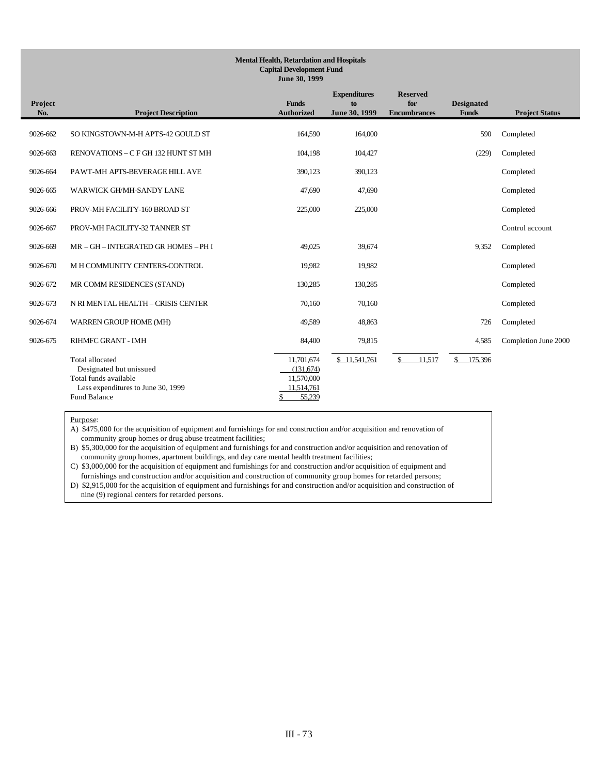| Project<br>No. | <b>Project Description</b>                                                                                                | <b>Funds</b><br><b>Authorized</b>                                  | <b>Expenditures</b><br>to<br>June 30, 1999 | <b>Reserved</b><br>for<br><b>Encumbrances</b> | <b>Designated</b><br><b>Funds</b> | <b>Project Status</b> |
|----------------|---------------------------------------------------------------------------------------------------------------------------|--------------------------------------------------------------------|--------------------------------------------|-----------------------------------------------|-----------------------------------|-----------------------|
| 9026-662       | SO KINGSTOWN-M-H APTS-42 GOULD ST                                                                                         | 164,590                                                            | 164,000                                    |                                               | 590                               | Completed             |
| 9026-663       | RENOVATIONS - C F GH 132 HUNT ST MH                                                                                       | 104,198                                                            | 104,427                                    |                                               | (229)                             | Completed             |
| 9026-664       | PAWT-MH APTS-BEVERAGE HILL AVE                                                                                            | 390,123                                                            | 390,123                                    |                                               |                                   | Completed             |
| 9026-665       | WARWICK GH/MH-SANDY LANE                                                                                                  | 47,690                                                             | 47,690                                     |                                               |                                   | Completed             |
| 9026-666       | PROV-MH FACILITY-160 BROAD ST                                                                                             | 225,000                                                            | 225,000                                    |                                               |                                   | Completed             |
| 9026-667       | PROV-MH FACILITY-32 TANNER ST                                                                                             |                                                                    |                                            |                                               |                                   | Control account       |
| 9026-669       | MR - GH - INTEGRATED GR HOMES - PH I                                                                                      | 49,025                                                             | 39,674                                     |                                               | 9,352                             | Completed             |
| 9026-670       | M H COMMUNITY CENTERS-CONTROL                                                                                             | 19,982                                                             | 19,982                                     |                                               |                                   | Completed             |
| 9026-672       | MR COMM RESIDENCES (STAND)                                                                                                | 130,285                                                            | 130,285                                    |                                               |                                   | Completed             |
| 9026-673       | N RI MENTAL HEALTH - CRISIS CENTER                                                                                        | 70,160                                                             | 70,160                                     |                                               |                                   | Completed             |
| 9026-674       | WARREN GROUP HOME (MH)                                                                                                    | 49,589                                                             | 48,863                                     |                                               | 726                               | Completed             |
| 9026-675       | <b>RIHMFC GRANT - IMH</b>                                                                                                 | 84,400                                                             | 79,815                                     |                                               | 4,585                             | Completion June 2000  |
|                | Total allocated<br>Designated but unissued<br>Total funds available<br>Less expenditures to June 30, 1999<br>Fund Balance | 11,701,674<br>(131.674)<br>11,570,000<br>11,514,761<br>55,239<br>S | \$11,541,761                               | 11,517<br>\$                                  | 175,396<br>\$                     |                       |

Purpose:

A) \$475,000 for the acquisition of equipment and furnishings for and construction and/or acquisition and renovation of community group homes or drug abuse treatment facilities;

B) \$5,300,000 for the acquisition of equipment and furnishings for and construction and/or acquisition and renovation of community group homes, apartment buildings, and day care mental health treatment facilities;

C) \$3,000,000 for the acquisition of equipment and furnishings for and construction and/or acquisition of equipment and furnishings and construction and/or acquisition and construction of community group homes for retarded persons;

D) \$2,915,000 for the acquisition of equipment and furnishings for and construction and/or acquisition and construction of nine (9) regional centers for retarded persons.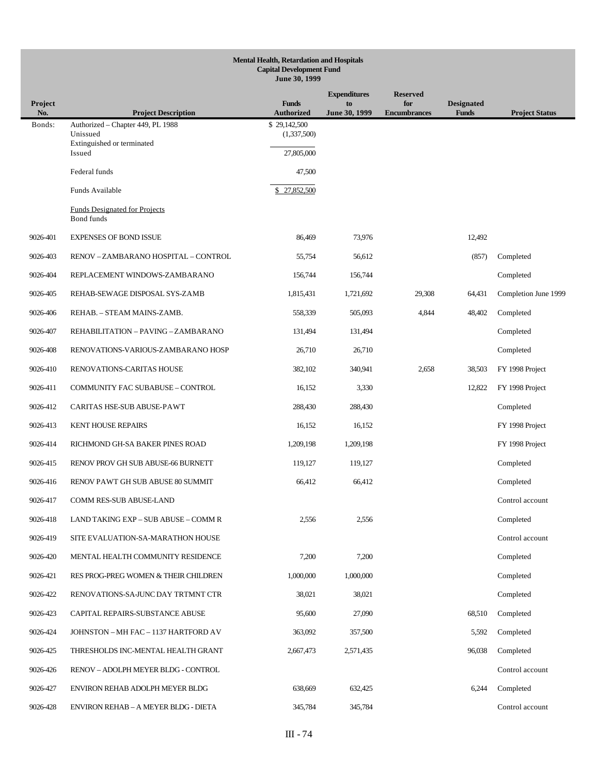| <b>Mental Health, Retardation and Hospitals</b><br><b>Capital Development Fund</b><br>June 30, 1999 |                                                    |                                   |                     |                            |                                   |                       |  |
|-----------------------------------------------------------------------------------------------------|----------------------------------------------------|-----------------------------------|---------------------|----------------------------|-----------------------------------|-----------------------|--|
|                                                                                                     |                                                    |                                   | <b>Expenditures</b> | <b>Reserved</b>            |                                   |                       |  |
| <b>Project</b><br>No.                                                                               | <b>Project Description</b>                         | <b>Funds</b><br><b>Authorized</b> | to<br>June 30, 1999 | for<br><b>Encumbrances</b> | <b>Designated</b><br><b>Funds</b> | <b>Project Status</b> |  |
| Bonds:                                                                                              | Authorized - Chapter 449, PL 1988<br>Unissued      | \$29,142,500<br>(1,337,500)       |                     |                            |                                   |                       |  |
|                                                                                                     | Extinguished or terminated<br>Issued               | 27,805,000                        |                     |                            |                                   |                       |  |
|                                                                                                     | Federal funds                                      | 47,500                            |                     |                            |                                   |                       |  |
|                                                                                                     | Funds Available                                    | \$27,852,500                      |                     |                            |                                   |                       |  |
|                                                                                                     | <b>Funds Designated for Projects</b><br>Bond funds |                                   |                     |                            |                                   |                       |  |
| 9026-401                                                                                            | <b>EXPENSES OF BOND ISSUE</b>                      | 86,469                            | 73,976              |                            | 12,492                            |                       |  |
| 9026-403                                                                                            | RENOV - ZAMBARANO HOSPITAL - CONTROL               | 55,754                            | 56,612              |                            | (857)                             | Completed             |  |
| 9026-404                                                                                            | REPLACEMENT WINDOWS-ZAMBARANO                      | 156,744                           | 156,744             |                            |                                   | Completed             |  |
| 9026-405                                                                                            | REHAB-SEWAGE DISPOSAL SYS-ZAMB                     | 1,815,431                         | 1,721,692           | 29,308                     | 64,431                            | Completion June 1999  |  |
| 9026-406                                                                                            | REHAB. - STEAM MAINS-ZAMB.                         | 558,339                           | 505,093             | 4,844                      | 48,402                            | Completed             |  |
| 9026-407                                                                                            | REHABILITATION - PAVING - ZAMBARANO                | 131,494                           | 131,494             |                            |                                   | Completed             |  |
| 9026-408                                                                                            | RENOVATIONS-VARIOUS-ZAMBARANO HOSP                 | 26,710                            | 26,710              |                            |                                   | Completed             |  |
| 9026-410                                                                                            | RENOVATIONS-CARITAS HOUSE                          | 382,102                           | 340,941             | 2,658                      | 38,503                            | FY 1998 Project       |  |
| 9026-411                                                                                            | COMMUNITY FAC SUBABUSE - CONTROL                   | 16,152                            | 3,330               |                            | 12,822                            | FY 1998 Project       |  |
| 9026-412                                                                                            | CARITAS HSE-SUB ABUSE-PAWT                         | 288,430                           | 288,430             |                            |                                   | Completed             |  |
| 9026-413                                                                                            | <b>KENT HOUSE REPAIRS</b>                          | 16,152                            | 16,152              |                            |                                   | FY 1998 Project       |  |
| 9026-414                                                                                            | RICHMOND GH-SA BAKER PINES ROAD                    | 1,209,198                         | 1,209,198           |                            |                                   | FY 1998 Project       |  |
| 9026-415                                                                                            | RENOV PROV GH SUB ABUSE-66 BURNETT                 | 119.127                           | 119,127             |                            |                                   | Completed             |  |
| 9026-416                                                                                            | RENOV PAWT GH SUB ABUSE 80 SUMMIT                  | 66,412                            | 66,412              |                            |                                   | Completed             |  |
| 9026-417                                                                                            | COMM RES-SUB ABUSE-LAND                            |                                   |                     |                            |                                   | Control account       |  |
| 9026-418                                                                                            | LAND TAKING EXP - SUB ABUSE - COMM R               | 2,556                             | 2,556               |                            |                                   | Completed             |  |
| 9026-419                                                                                            | SITE EVALUATION-SA-MARATHON HOUSE                  |                                   |                     |                            |                                   | Control account       |  |
| 9026-420                                                                                            | MENTAL HEALTH COMMUNITY RESIDENCE                  | 7,200                             | 7,200               |                            |                                   | Completed             |  |
| 9026-421                                                                                            | RES PROG-PREG WOMEN & THEIR CHILDREN               | 1,000,000                         | 1,000,000           |                            |                                   | Completed             |  |
| 9026-422                                                                                            | RENOVATIONS-SA-JUNC DAY TRTMNT CTR                 | 38,021                            | 38,021              |                            |                                   | Completed             |  |
| 9026-423                                                                                            | CAPITAL REPAIRS-SUBSTANCE ABUSE                    | 95,600                            | 27,090              |                            | 68,510                            | Completed             |  |
| 9026-424                                                                                            | JOHNSTON - MH FAC - 1137 HARTFORD AV               | 363,092                           | 357,500             |                            | 5,592                             | Completed             |  |
| 9026-425                                                                                            | THRESHOLDS INC-MENTAL HEALTH GRANT                 | 2,667,473                         | 2,571,435           |                            | 96,038                            | Completed             |  |
| 9026-426                                                                                            | RENOV - ADOLPH MEYER BLDG - CONTROL                |                                   |                     |                            |                                   | Control account       |  |
| 9026-427                                                                                            | ENVIRON REHAB ADOLPH MEYER BLDG                    | 638,669                           | 632,425             |                            | 6,244                             | Completed             |  |
| 9026-428                                                                                            | ENVIRON REHAB - A MEYER BLDG - DIETA               | 345,784                           | 345,784             |                            |                                   | Control account       |  |
|                                                                                                     |                                                    |                                   |                     |                            |                                   |                       |  |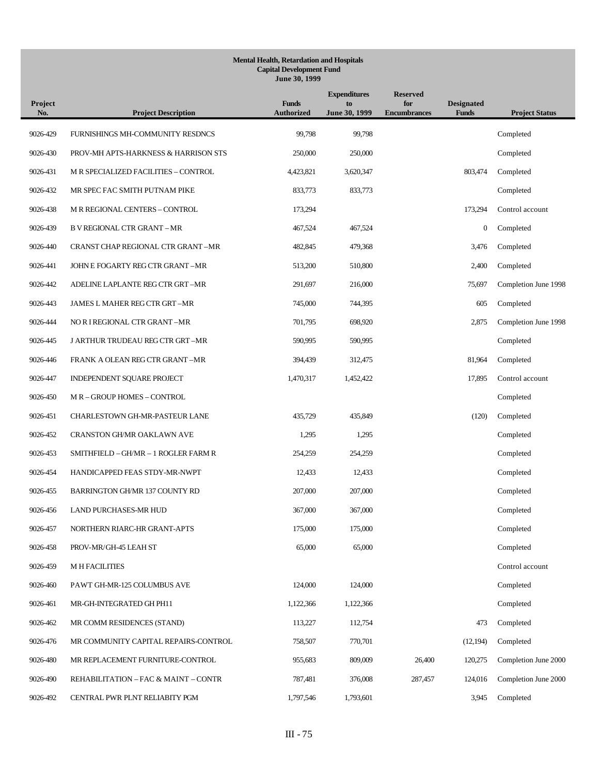| Project<br>No. | <b>Project Description</b>           | <b>Funds</b><br><b>Authorized</b> | <b>Expenditures</b><br>to<br>June 30, 1999 | <b>Reserved</b><br>for<br><b>Encumbrances</b> | <b>Designated</b><br><b>Funds</b> | <b>Project Status</b> |
|----------------|--------------------------------------|-----------------------------------|--------------------------------------------|-----------------------------------------------|-----------------------------------|-----------------------|
| 9026-429       | FURNISHINGS MH-COMMUNITY RESDNCS     | 99,798                            | 99,798                                     |                                               |                                   | Completed             |
| 9026-430       | PROV-MH APTS-HARKNESS & HARRISON STS | 250,000                           | 250,000                                    |                                               |                                   | Completed             |
| 9026-431       | M R SPECIALIZED FACILITIES - CONTROL | 4,423,821                         | 3,620,347                                  |                                               | 803,474                           | Completed             |
| 9026-432       | MR SPEC FAC SMITH PUTNAM PIKE        | 833,773                           | 833,773                                    |                                               |                                   | Completed             |
| 9026-438       | M R REGIONAL CENTERS - CONTROL       | 173,294                           |                                            |                                               | 173,294                           | Control account       |
| 9026-439       | <b>B V REGIONAL CTR GRANT - MR</b>   | 467,524                           | 467,524                                    |                                               | $\boldsymbol{0}$                  | Completed             |
| 9026-440       | CRANST CHAP REGIONAL CTR GRANT-MR    | 482,845                           | 479,368                                    |                                               | 3,476                             | Completed             |
| 9026-441       | JOHN E FOGARTY REG CTR GRANT -MR     | 513,200                           | 510,800                                    |                                               | 2,400                             | Completed             |
| 9026-442       | ADELINE LAPLANTE REG CTR GRT –MR     | 291,697                           | 216,000                                    |                                               | 75,697                            | Completion June 1998  |
| 9026-443       | JAMES L MAHER REG CTR GRT-MR         | 745,000                           | 744,395                                    |                                               | 605                               | Completed             |
| 9026-444       | NORI REGIONAL CTR GRANT-MR           | 701,795                           | 698,920                                    |                                               | 2,875                             | Completion June 1998  |
| 9026-445       | J ARTHUR TRUDEAU REG CTR GRT-MR      | 590,995                           | 590,995                                    |                                               |                                   | Completed             |
| 9026-446       | FRANK A OLEAN REG CTR GRANT-MR       | 394,439                           | 312,475                                    |                                               | 81,964                            | Completed             |
| 9026-447       | INDEPENDENT SQUARE PROJECT           | 1,470,317                         | 1,452,422                                  |                                               | 17,895                            | Control account       |
| 9026-450       | M R - GROUP HOMES - CONTROL          |                                   |                                            |                                               |                                   | Completed             |
| 9026-451       | CHARLESTOWN GH-MR-PASTEUR LANE       | 435,729                           | 435,849                                    |                                               | (120)                             | Completed             |
| 9026-452       | <b>CRANSTON GH/MR OAKLAWN AVE</b>    | 1,295                             | 1,295                                      |                                               |                                   | Completed             |
| 9026-453       | SMITHFIELD – GH/MR – 1 ROGLER FARM R | 254,259                           | 254,259                                    |                                               |                                   | Completed             |
| 9026-454       | HANDICAPPED FEAS STDY-MR-NWPT        | 12,433                            | 12,433                                     |                                               |                                   | Completed             |
| 9026-455       | BARRINGTON GH/MR 137 COUNTY RD       | 207,000                           | 207,000                                    |                                               |                                   | Completed             |
| 9026-456       | LAND PURCHASES-MR HUD                | 367,000                           | 367,000                                    |                                               |                                   | Completed             |
| 9026-457       | NORTHERN RIARC-HR GRANT-APTS         | 175,000                           | 175,000                                    |                                               |                                   | Completed             |
| 9026-458       | PROV-MR/GH-45 LEAH ST                | 65,000                            | 65,000                                     |                                               |                                   | Completed             |
| 9026-459       | <b>M H FACILITIES</b>                |                                   |                                            |                                               |                                   | Control account       |
| 9026-460       | PAWT GH-MR-125 COLUMBUS AVE          | 124,000                           | 124,000                                    |                                               |                                   | Completed             |
| 9026-461       | MR-GH-INTEGRATED GH PH11             | 1,122,366                         | 1,122,366                                  |                                               |                                   | Completed             |
| 9026-462       | MR COMM RESIDENCES (STAND)           | 113,227                           | 112,754                                    |                                               | 473                               | Completed             |
| 9026-476       | MR COMMUNITY CAPITAL REPAIRS-CONTROL | 758,507                           | 770,701                                    |                                               | (12, 194)                         | Completed             |
| 9026-480       | MR REPLACEMENT FURNITURE-CONTROL     | 955,683                           | 809,009                                    | 26,400                                        | 120,275                           | Completion June 2000  |
| 9026-490       | REHABILITATION - FAC & MAINT - CONTR | 787,481                           | 376,008                                    | 287,457                                       | 124,016                           | Completion June 2000  |
| 9026-492       | CENTRAL PWR PLNT RELIABITY PGM       | 1,797,546                         | 1,793,601                                  |                                               | 3,945                             | Completed             |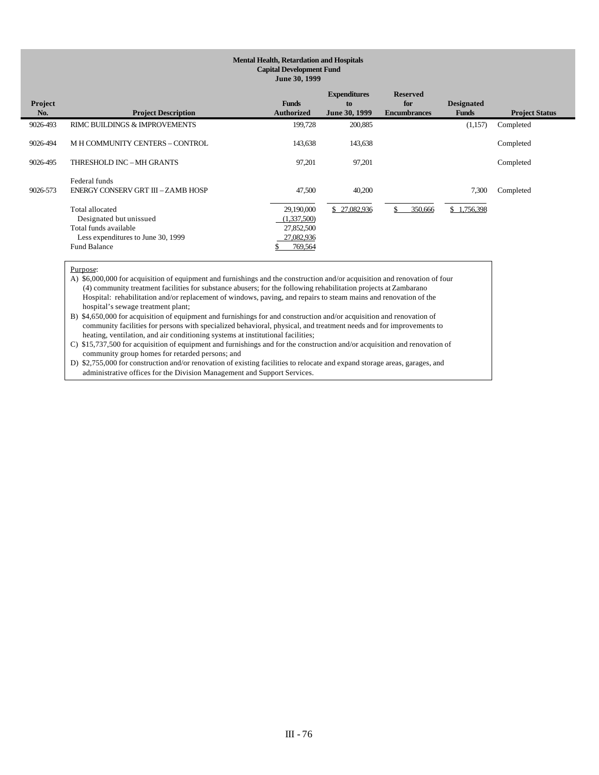| Project<br>No. | <b>Project Description</b>                                                                                                              | <b>Funds</b><br>Authorized                                       | <b>Expenditures</b><br>to<br>June 30, 1999 | <b>Reserved</b><br>for<br><b>Encumbrances</b> | <b>Designated</b><br><b>Funds</b> | <b>Project Status</b> |
|----------------|-----------------------------------------------------------------------------------------------------------------------------------------|------------------------------------------------------------------|--------------------------------------------|-----------------------------------------------|-----------------------------------|-----------------------|
| 9026-493       | RIMC BUILDINGS & IMPROVEMENTS                                                                                                           | 199,728                                                          | 200,885                                    |                                               | (1,157)                           | Completed             |
| 9026-494       | M H COMMUNITY CENTERS - CONTROL                                                                                                         | 143,638                                                          | 143,638                                    |                                               |                                   | Completed             |
| 9026-495       | THRESHOLD INC - MH GRANTS                                                                                                               | 97,201                                                           | 97,201                                     |                                               |                                   | Completed             |
| 9026-573       | Federal funds<br>ENERGY CONSERV GRT III - ZAMB HOSP                                                                                     | 47,500                                                           | 40.200                                     |                                               | 7,300                             | Completed             |
|                | <b>Total allocated</b><br>Designated but unissued<br>Total funds available<br>Less expenditures to June 30, 1999<br><b>Fund Balance</b> | 29,190,000<br>(1,337,500)<br>27,852,500<br>27,082,936<br>769,564 | \$27,082,936                               | 350,666                                       | \$1,756,398                       |                       |

Purpose:

A) \$6,000,000 for acquisition of equipment and furnishings and the construction and/or acquisition and renovation of four (4) community treatment facilities for substance abusers; for the following rehabilitation projects at Zambarano Hospital: rehabilitation and/or replacement of windows, paving, and repairs to steam mains and renovation of the hospital's sewage treatment plant;

B) \$4,650,000 for acquisition of equipment and furnishings for and construction and/or acquisition and renovation of community facilities for persons with specialized behavioral, physical, and treatment needs and for improvements to heating, ventilation, and air conditioning systems at institutional facilities;

C) \$15,737,500 for acquisition of equipment and furnishings and for the construction and/or acquisition and renovation of community group homes for retarded persons; and

D) \$2,755,000 for construction and/or renovation of existing facilities to relocate and expand storage areas, garages, and administrative offices for the Division Management and Support Services.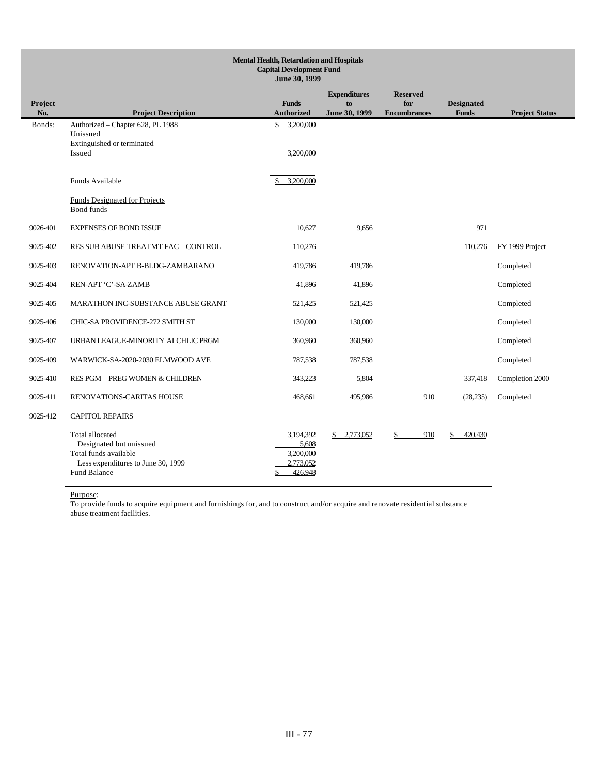| <b>Mental Health, Retardation and Hospitals</b><br><b>Capital Development Fund</b><br>June 30, 1999 |                                                                                                                                  |                                                               |                                            |                                               |                                   |                       |
|-----------------------------------------------------------------------------------------------------|----------------------------------------------------------------------------------------------------------------------------------|---------------------------------------------------------------|--------------------------------------------|-----------------------------------------------|-----------------------------------|-----------------------|
| Project<br>No.                                                                                      | <b>Project Description</b>                                                                                                       | <b>Funds</b><br><b>Authorized</b>                             | <b>Expenditures</b><br>to<br>June 30, 1999 | <b>Reserved</b><br>for<br><b>Encumbrances</b> | <b>Designated</b><br><b>Funds</b> | <b>Project Status</b> |
| Bonds:                                                                                              | Authorized - Chapter 628, PL 1988<br>Unissued<br>Extinguished or terminated<br>Issued                                            | \$<br>3,200,000<br>3,200,000                                  |                                            |                                               |                                   |                       |
|                                                                                                     | Funds Available                                                                                                                  | 3,200,000<br>\$                                               |                                            |                                               |                                   |                       |
|                                                                                                     | <b>Funds Designated for Projects</b><br>Bond funds                                                                               |                                                               |                                            |                                               |                                   |                       |
| 9026-401                                                                                            | <b>EXPENSES OF BOND ISSUE</b>                                                                                                    | 10,627                                                        | 9,656                                      |                                               | 971                               |                       |
| 9025-402                                                                                            | RES SUB ABUSE TREATMT FAC - CONTROL                                                                                              | 110,276                                                       |                                            |                                               | 110,276                           | FY 1999 Project       |
| 9025-403                                                                                            | RENOVATION-APT B-BLDG-ZAMBARANO                                                                                                  | 419,786                                                       | 419,786                                    |                                               |                                   | Completed             |
| 9025-404                                                                                            | REN-APT 'C'-SA-ZAMB                                                                                                              | 41,896                                                        | 41,896                                     |                                               |                                   | Completed             |
| 9025-405                                                                                            | MARATHON INC-SUBSTANCE ABUSE GRANT                                                                                               | 521,425                                                       | 521,425                                    |                                               |                                   | Completed             |
| 9025-406                                                                                            | CHIC-SA PROVIDENCE-272 SMITH ST                                                                                                  | 130,000                                                       | 130,000                                    |                                               |                                   | Completed             |
| 9025-407                                                                                            | URBAN LEAGUE-MINORITY ALCHLIC PRGM                                                                                               | 360,960                                                       | 360,960                                    |                                               |                                   | Completed             |
| 9025-409                                                                                            | WARWICK-SA-2020-2030 ELMWOOD AVE                                                                                                 | 787,538                                                       | 787,538                                    |                                               |                                   | Completed             |
| 9025-410                                                                                            | RES PGM - PREG WOMEN & CHILDREN                                                                                                  | 343,223                                                       | 5,804                                      |                                               | 337,418                           | Completion 2000       |
| 9025-411                                                                                            | RENOVATIONS-CARITAS HOUSE                                                                                                        | 468,661                                                       | 495,986                                    | 910                                           | (28, 235)                         | Completed             |
| 9025-412                                                                                            | <b>CAPITOL REPAIRS</b>                                                                                                           |                                                               |                                            |                                               |                                   |                       |
|                                                                                                     | Total allocated<br>Designated but unissued<br>Total funds available<br>Less expenditures to June 30, 1999<br><b>Fund Balance</b> | 3,194,392<br>5.608<br>3,200,000<br>2,773,052<br>426,948<br>\$ | \$2,773,052                                | 910<br>\$                                     | 420,430<br>\$                     |                       |

To provide funds to acquire equipment and furnishings for, and to construct and/or acquire and renovate residential substance abuse treatment facilities.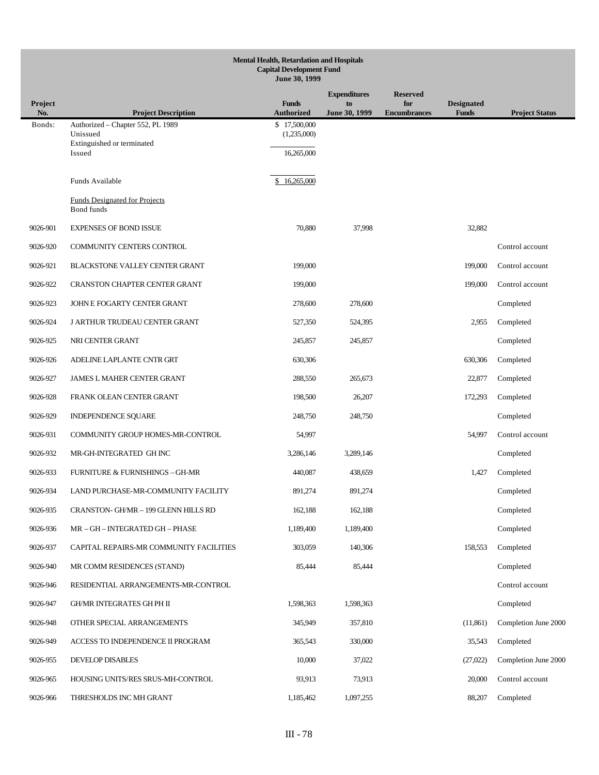|                | <b>Mental Health, Retardation and Hospitals</b><br><b>Capital Development Fund</b><br>June 30, 1999 |                                           |                     |                            |                            |                       |  |  |
|----------------|-----------------------------------------------------------------------------------------------------|-------------------------------------------|---------------------|----------------------------|----------------------------|-----------------------|--|--|
|                |                                                                                                     |                                           | <b>Expenditures</b> | <b>Reserved</b>            |                            |                       |  |  |
| Project<br>No. | <b>Project Description</b>                                                                          | <b>Funds</b><br><b>Authorized</b>         | to<br>June 30, 1999 | for<br><b>Encumbrances</b> | <b>Designated</b><br>Funds | <b>Project Status</b> |  |  |
| Bonds:         | Authorized - Chapter 552, PL 1989<br>Unissued<br>Extinguished or terminated<br>Issued               | \$17,500,000<br>(1,235,000)<br>16,265,000 |                     |                            |                            |                       |  |  |
|                | Funds Available                                                                                     | \$16,265,000                              |                     |                            |                            |                       |  |  |
|                | <b>Funds Designated for Projects</b><br>Bond funds                                                  |                                           |                     |                            |                            |                       |  |  |
| 9026-901       | <b>EXPENSES OF BOND ISSUE</b>                                                                       | 70,880                                    | 37,998              |                            | 32,882                     |                       |  |  |
| 9026-920       | COMMUNITY CENTERS CONTROL                                                                           |                                           |                     |                            |                            | Control account       |  |  |
| 9026-921       | BLACKSTONE VALLEY CENTER GRANT                                                                      | 199,000                                   |                     |                            | 199,000                    | Control account       |  |  |
| 9026-922       | <b>CRANSTON CHAPTER CENTER GRANT</b>                                                                | 199,000                                   |                     |                            | 199,000                    | Control account       |  |  |
| 9026-923       | JOHN E FOGARTY CENTER GRANT                                                                         | 278,600                                   | 278,600             |                            |                            | Completed             |  |  |
| 9026-924       | <b>J ARTHUR TRUDEAU CENTER GRANT</b>                                                                | 527,350                                   | 524,395             |                            | 2,955                      | Completed             |  |  |
| 9026-925       | NRI CENTER GRANT                                                                                    | 245,857                                   | 245,857             |                            |                            | Completed             |  |  |
| 9026-926       | ADELINE LAPLANTE CNTR GRT                                                                           | 630,306                                   |                     |                            | 630,306                    | Completed             |  |  |
| 9026-927       | <b>JAMES L MAHER CENTER GRANT</b>                                                                   | 288,550                                   | 265,673             |                            | 22,877                     | Completed             |  |  |
| 9026-928       | FRANK OLEAN CENTER GRANT                                                                            | 198,500                                   | 26,207              |                            | 172,293                    | Completed             |  |  |
| 9026-929       | INDEPENDENCE SQUARE                                                                                 | 248,750                                   | 248,750             |                            |                            | Completed             |  |  |
| 9026-931       | COMMUNITY GROUP HOMES-MR-CONTROL                                                                    | 54,997                                    |                     |                            | 54,997                     | Control account       |  |  |
| 9026-932       | MR-GH-INTEGRATED GH INC                                                                             | 3,286,146                                 | 3,289,146           |                            |                            | Completed             |  |  |
| 9026-933       | <b>FURNITURE &amp; FURNISHINGS - GH-MR</b>                                                          | 440,087                                   | 438,659             |                            | 1,427                      | Completed             |  |  |
| 9026-934       | LAND PURCHASE-MR-COMMUNITY FACILITY                                                                 | 891,274                                   | 891,274             |                            |                            | Completed             |  |  |
| 9026-935       | CRANSTON- GH/MR - 199 GLENN HILLS RD                                                                | 162,188                                   | 162,188             |                            |                            | Completed             |  |  |
| 9026-936       | MR - GH - INTEGRATED GH - PHASE                                                                     | 1,189,400                                 | 1,189,400           |                            |                            | Completed             |  |  |
| 9026-937       | CAPITAL REPAIRS-MR COMMUNITY FACILITIES                                                             | 303,059                                   | 140,306             |                            | 158,553                    | Completed             |  |  |
| 9026-940       | MR COMM RESIDENCES (STAND)                                                                          | 85,444                                    | 85,444              |                            |                            | Completed             |  |  |
| 9026-946       | RESIDENTIAL ARRANGEMENTS-MR-CONTROL                                                                 |                                           |                     |                            |                            | Control account       |  |  |
| 9026-947       | <b>GH/MR INTEGRATES GH PH II</b>                                                                    | 1,598,363                                 | 1,598,363           |                            |                            | Completed             |  |  |
| 9026-948       | OTHER SPECIAL ARRANGEMENTS                                                                          | 345,949                                   | 357,810             |                            | (11, 861)                  | Completion June 2000  |  |  |
| 9026-949       | ACCESS TO INDEPENDENCE II PROGRAM                                                                   | 365,543                                   | 330,000             |                            | 35,543                     | Completed             |  |  |
| 9026-955       | DEVELOP DISABLES                                                                                    | 10,000                                    | 37,022              |                            | (27,022)                   | Completion June 2000  |  |  |
| 9026-965       | HOUSING UNITS/RES SRUS-MH-CONTROL                                                                   | 93,913                                    | 73,913              |                            | 20,000                     | Control account       |  |  |
| 9026-966       | THRESHOLDS INC MH GRANT                                                                             | 1,185,462                                 | 1,097,255           |                            | 88,207                     | Completed             |  |  |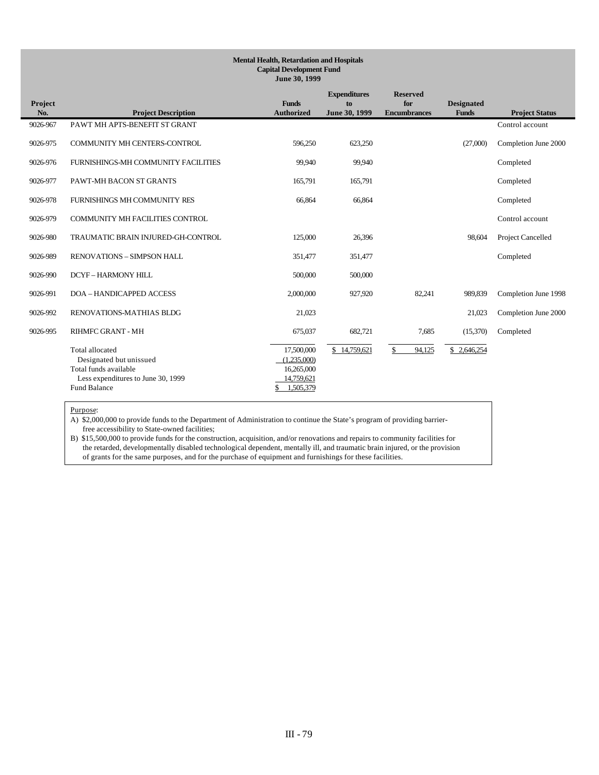## **Mental Health, Retardation and Hospitals Capital Development Fund June 30, 1999 Project No. Project Description Funds Authorized Expenditures to June 30, 1999 Reserved for Encumbrance Designated Funds Project Status** 9026-967 PAWT MH APTS-BENEFIT ST GRANT Control account 9026-975 COMMUNITY MH CENTERS-CONTROL 596,250 623,250 (27,000) Completion June 2000 9026-976 FURNISHINGS-MH COMMUNITY FACILITIES 99,940 99,940 Completed 9026-977 PAWT-MH BACON ST GRANTS 165,791 165,791 165,791 Completed 9026-978 FURNISHINGS MH COMMUNITY RES 66,864 66,864 Completed 9026-979 COMMUNITY MH FACILITIES CONTROL Control account 9026-980 TRAUMATIC BRAIN INJURED-GH-CONTROL 125,000 26,396 98,604 Project Cancelled 9026-989 RENOVATIONS – SIMPSON HALL 351,477 351,477 Completed 9026-990 DCYF-HARMONY HILL 500,000 500,000 500,000 9026-991 DOA – HANDICAPPED ACCESS 2,000,000 927,920 82,241 989,839 Completion June 1998 9026-992 RENOVATIONS-MATHIAS BLDG 21,023 21,023 Completion June 2000 9026-995 RIHMFC GRANT - MH 675,037 682,721 7,685 (15,370) Completed  $\overline{a}$ Total allocated 17,500,000  $\frac{17,500,000}{2}$   $\frac{14,759,621}{2}$   $\frac{14,759,621}{2}$   $\frac{14,759,621}{2}$   $\frac{14,759,621}{2}$   $\frac{14,759,621}{2}$   $\frac{14,759,621}{2}$   $\frac{14,759,621}{2}$   $\frac{14,759,621}{2}$   $\frac{14,759,621}{2}$   $\frac{1$ Designated but unissued Total funds available 16,265,000<br>Less expenditures to June 30, 1999 14,759,621 Less expenditures to June 30, 1999<br>
und Balance<br>  $\frac{14,759,621}{\$}$ Fund Balance

### Purpose:

A) \$2,000,000 to provide funds to the Department of Administration to continue the State's program of providing barrier free accessibility to State-owned facilities;

B) \$15,500,000 to provide funds for the construction, acquisition, and/or renovations and repairs to community facilities for the retarded, developmentally disabled technological dependent, mentally ill, and traumatic brain injured, or the provision of grants for the same purposes, and for the purchase of equipment and furnishings for these facilities.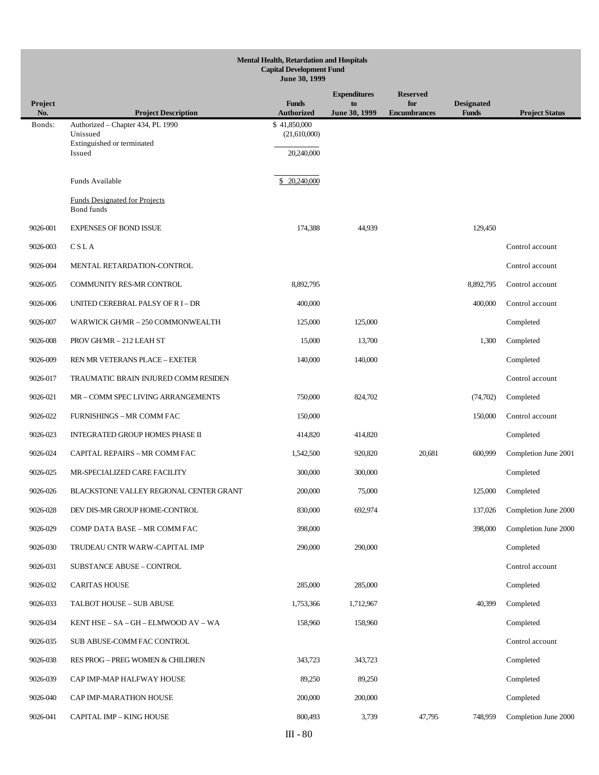|                       | <b>Mental Health, Retardation and Hospitals</b><br><b>Capital Development Fund</b><br>June 30, 1999 |                                            |                                            |                                               |                                   |                       |  |  |
|-----------------------|-----------------------------------------------------------------------------------------------------|--------------------------------------------|--------------------------------------------|-----------------------------------------------|-----------------------------------|-----------------------|--|--|
| <b>Project</b><br>No. | <b>Project Description</b>                                                                          | <b>Funds</b><br><b>Authorized</b>          | <b>Expenditures</b><br>to<br>June 30, 1999 | <b>Reserved</b><br>for<br><b>Encumbrances</b> | <b>Designated</b><br><b>Funds</b> | <b>Project Status</b> |  |  |
| Bonds:                | Authorized - Chapter 434, PL 1990<br>Unissued<br>Extinguished or terminated<br>Issued               | \$41,850,000<br>(21,610,000)<br>20,240,000 |                                            |                                               |                                   |                       |  |  |
|                       | Funds Available                                                                                     | \$ 20,240,000                              |                                            |                                               |                                   |                       |  |  |
|                       | <b>Funds Designated for Projects</b><br><b>Bond funds</b>                                           |                                            |                                            |                                               |                                   |                       |  |  |
| 9026-001              | <b>EXPENSES OF BOND ISSUE</b>                                                                       | 174,388                                    | 44,939                                     |                                               | 129,450                           |                       |  |  |
| 9026-003              | CSLA                                                                                                |                                            |                                            |                                               |                                   | Control account       |  |  |
| 9026-004              | MENTAL RETARDATION-CONTROL                                                                          |                                            |                                            |                                               |                                   | Control account       |  |  |
| 9026-005              | COMMUNITY RES-MR CONTROL                                                                            | 8,892,795                                  |                                            |                                               | 8,892,795                         | Control account       |  |  |
| 9026-006              | UNITED CEREBRAL PALSY OF RI-DR                                                                      | 400,000                                    |                                            |                                               | 400,000                           | Control account       |  |  |
| 9026-007              | WARWICK GH/MR - 250 COMMONWEALTH                                                                    | 125,000                                    | 125,000                                    |                                               |                                   | Completed             |  |  |
| 9026-008              | PROV GH/MR - 212 LEAH ST                                                                            | 15,000                                     | 13,700                                     |                                               | 1,300                             | Completed             |  |  |
| 9026-009              | REN MR VETERANS PLACE - EXETER                                                                      | 140,000                                    | 140,000                                    |                                               |                                   | Completed             |  |  |
| 9026-017              | TRAUMATIC BRAIN INJURED COMM RESIDEN                                                                |                                            |                                            |                                               |                                   | Control account       |  |  |
| 9026-021              | MR - COMM SPEC LIVING ARRANGEMENTS                                                                  | 750,000                                    | 824,702                                    |                                               | (74, 702)                         | Completed             |  |  |
| 9026-022              | FURNISHINGS - MR COMM FAC                                                                           | 150,000                                    |                                            |                                               | 150,000                           | Control account       |  |  |
| 9026-023              | <b>INTEGRATED GROUP HOMES PHASE II</b>                                                              | 414,820                                    | 414,820                                    |                                               |                                   | Completed             |  |  |
| 9026-024              | CAPITAL REPAIRS - MR COMM FAC                                                                       | 1,542,500                                  | 920,820                                    | 20,681                                        | 600,999                           | Completion June 2001  |  |  |
| 9026-025              | MR-SPECIALIZED CARE FACILITY                                                                        | 300,000                                    | 300,000                                    |                                               |                                   | Completed             |  |  |
| 9026-026              | BLACKSTONE VALLEY REGIONAL CENTER GRANT                                                             | 200,000                                    | 75,000                                     |                                               | 125,000                           | Completed             |  |  |
| 9026-028              | DEV DIS-MR GROUP HOME-CONTROL                                                                       | 830,000                                    | 692,974                                    |                                               | 137,026                           | Completion June 2000  |  |  |
| 9026-029              | COMP DATA BASE - MR COMM FAC                                                                        | 398,000                                    |                                            |                                               | 398,000                           | Completion June 2000  |  |  |
| 9026-030              | TRUDEAU CNTR WARW-CAPITAL IMP                                                                       | 290,000                                    | 290,000                                    |                                               |                                   | Completed             |  |  |
| 9026-031              | SUBSTANCE ABUSE - CONTROL                                                                           |                                            |                                            |                                               |                                   | Control account       |  |  |
| 9026-032              | <b>CARITAS HOUSE</b>                                                                                | 285,000                                    | 285,000                                    |                                               |                                   | Completed             |  |  |
| 9026-033              | TALBOT HOUSE - SUB ABUSE                                                                            | 1,753,366                                  | 1,712,967                                  |                                               | 40,399                            | Completed             |  |  |
| 9026-034              | KENT HSE - SA - GH - ELMWOOD AV - WA                                                                | 158,960                                    | 158,960                                    |                                               |                                   | Completed             |  |  |
| 9026-035              | SUB ABUSE-COMM FAC CONTROL                                                                          |                                            |                                            |                                               |                                   | Control account       |  |  |
| 9026-038              | RES PROG - PREG WOMEN & CHILDREN                                                                    | 343,723                                    | 343,723                                    |                                               |                                   | Completed             |  |  |
| 9026-039              | CAP IMP-MAP HALFWAY HOUSE                                                                           | 89,250                                     | 89,250                                     |                                               |                                   | Completed             |  |  |
| 9026-040              | CAP IMP-MARATHON HOUSE                                                                              | 200,000                                    | 200,000                                    |                                               |                                   | Completed             |  |  |
| 9026-041              | CAPITAL IMP - KING HOUSE                                                                            | 800,493                                    | 3,739                                      | 47,795                                        | 748,959                           | Completion June 2000  |  |  |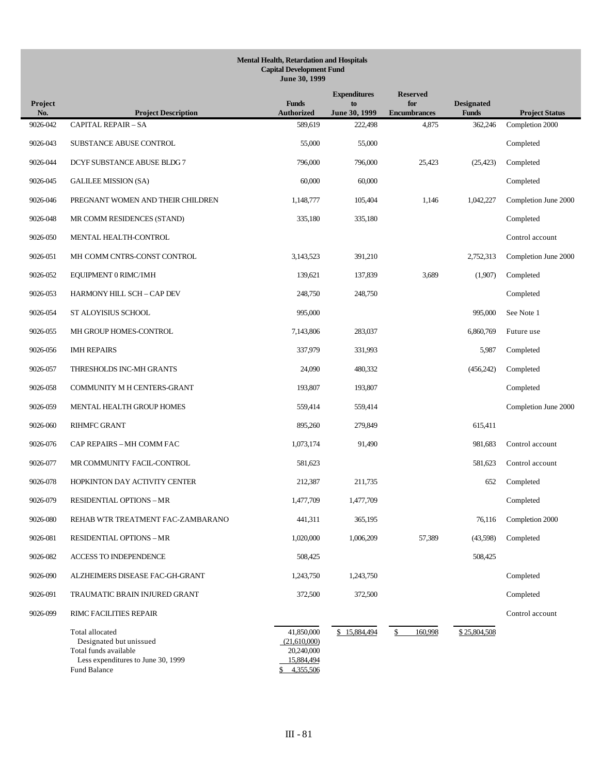| Project<br>No. | <b>Project Description</b>                                                                                                | <b>Funds</b><br><b>Authorized</b>                                         | <b>Expenditures</b><br>to<br>June 30, 1999 | <b>Reserved</b><br>for<br><b>Encumbrances</b> | <b>Designated</b><br><b>Funds</b> | <b>Project Status</b> |
|----------------|---------------------------------------------------------------------------------------------------------------------------|---------------------------------------------------------------------------|--------------------------------------------|-----------------------------------------------|-----------------------------------|-----------------------|
| 9026-042       | <b>CAPITAL REPAIR - SA</b>                                                                                                | 589.619                                                                   | 222,498                                    | 4,875                                         | 362,246                           | Completion 2000       |
| 9026-043       | SUBSTANCE ABUSE CONTROL                                                                                                   | 55,000                                                                    | 55,000                                     |                                               |                                   | Completed             |
| 9026-044       | DCYF SUBSTANCE ABUSE BLDG 7                                                                                               | 796,000                                                                   | 796,000                                    | 25,423                                        | (25, 423)                         | Completed             |
| 9026-045       | <b>GALILEE MISSION (SA)</b>                                                                                               | 60,000                                                                    | 60,000                                     |                                               |                                   | Completed             |
| 9026-046       | PREGNANT WOMEN AND THEIR CHILDREN                                                                                         | 1,148,777                                                                 | 105,404                                    | 1,146                                         | 1,042,227                         | Completion June 2000  |
| 9026-048       | MR COMM RESIDENCES (STAND)                                                                                                | 335,180                                                                   | 335,180                                    |                                               |                                   | Completed             |
| 9026-050       | MENTAL HEALTH-CONTROL                                                                                                     |                                                                           |                                            |                                               |                                   | Control account       |
| 9026-051       | MH COMM CNTRS-CONST CONTROL                                                                                               | 3,143,523                                                                 | 391,210                                    |                                               | 2,752,313                         | Completion June 2000  |
| 9026-052       | EQUIPMENT 0 RIMC/IMH                                                                                                      | 139,621                                                                   | 137,839                                    | 3,689                                         | (1,907)                           | Completed             |
| 9026-053       | HARMONY HILL SCH - CAP DEV                                                                                                | 248,750                                                                   | 248,750                                    |                                               |                                   | Completed             |
| 9026-054       | ST ALOYISIUS SCHOOL                                                                                                       | 995,000                                                                   |                                            |                                               | 995,000                           | See Note 1            |
| 9026-055       | MH GROUP HOMES-CONTROL                                                                                                    | 7,143,806                                                                 | 283,037                                    |                                               | 6,860,769                         | Future use            |
| 9026-056       | <b>IMH REPAIRS</b>                                                                                                        | 337,979                                                                   | 331,993                                    |                                               | 5,987                             | Completed             |
| 9026-057       | THRESHOLDS INC-MH GRANTS                                                                                                  | 24,090                                                                    | 480,332                                    |                                               | (456,242)                         | Completed             |
| 9026-058       | COMMUNITY M H CENTERS-GRANT                                                                                               | 193,807                                                                   | 193,807                                    |                                               |                                   | Completed             |
| 9026-059       | MENTAL HEALTH GROUP HOMES                                                                                                 | 559,414                                                                   | 559,414                                    |                                               |                                   | Completion June 2000  |
| 9026-060       | <b>RIHMFC GRANT</b>                                                                                                       | 895,260                                                                   | 279,849                                    |                                               | 615,411                           |                       |
| 9026-076       | CAP REPAIRS - MH COMM FAC                                                                                                 | 1,073,174                                                                 | 91,490                                     |                                               | 981,683                           | Control account       |
| 9026-077       | MR COMMUNITY FACIL-CONTROL                                                                                                | 581,623                                                                   |                                            |                                               | 581,623                           | Control account       |
| 9026-078       | HOPKINTON DAY ACTIVITY CENTER                                                                                             | 212,387                                                                   | 211,735                                    |                                               | 652                               | Completed             |
| 9026-079       | <b>RESIDENTIAL OPTIONS - MR</b>                                                                                           | 1,477,709                                                                 | 1,477,709                                  |                                               |                                   | Completed             |
| 9026-080       | REHAB WTR TREATMENT FAC-ZAMBARANO                                                                                         | 441,311                                                                   | 365,195                                    |                                               | 76,116                            | Completion 2000       |
| 9026-081       | <b>RESIDENTIAL OPTIONS - MR</b>                                                                                           | 1,020,000                                                                 | 1,006,209                                  | 57,389                                        | (43,598)                          | Completed             |
| 9026-082       | ACCESS TO INDEPENDENCE                                                                                                    | 508,425                                                                   |                                            |                                               | 508,425                           |                       |
| 9026-090       | ALZHEIMERS DISEASE FAC-GH-GRANT                                                                                           | 1,243,750                                                                 | 1,243,750                                  |                                               |                                   | Completed             |
| 9026-091       | TRAUMATIC BRAIN INJURED GRANT                                                                                             | 372,500                                                                   | 372,500                                    |                                               |                                   | Completed             |
| 9026-099       | RIMC FACILITIES REPAIR                                                                                                    |                                                                           |                                            |                                               |                                   | Control account       |
|                | Total allocated<br>Designated but unissued<br>Total funds available<br>Less expenditures to June 30, 1999<br>Fund Balance | 41,850,000<br>(21,610,000)<br>20,240,000<br>15,884,494<br>4,355,506<br>\$ | \$15,884,494                               | \$<br>160,998                                 | \$25,804,508                      |                       |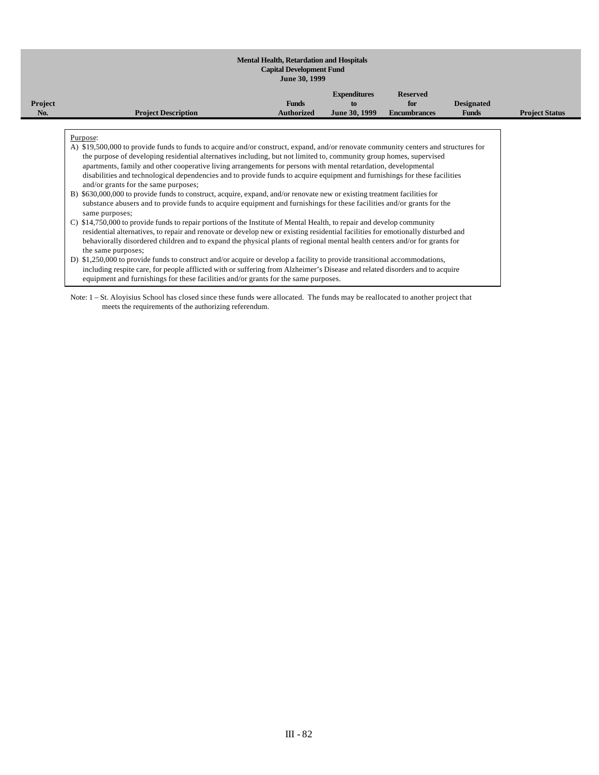|                |                                                                                                                                                                                                                                                                                                                                                                                                                                                                                                                                                                 | JUNE 30, 1999                     |                                            |                                               |                                   |                       |
|----------------|-----------------------------------------------------------------------------------------------------------------------------------------------------------------------------------------------------------------------------------------------------------------------------------------------------------------------------------------------------------------------------------------------------------------------------------------------------------------------------------------------------------------------------------------------------------------|-----------------------------------|--------------------------------------------|-----------------------------------------------|-----------------------------------|-----------------------|
| <b>Project</b> | <b>Project Description</b>                                                                                                                                                                                                                                                                                                                                                                                                                                                                                                                                      | <b>Funds</b><br><b>Authorized</b> | <b>Expenditures</b><br>to<br>June 30, 1999 | <b>Reserved</b><br>for<br><b>Encumbrances</b> | <b>Designated</b><br><b>Funds</b> | <b>Project Status</b> |
|                |                                                                                                                                                                                                                                                                                                                                                                                                                                                                                                                                                                 |                                   |                                            |                                               |                                   |                       |
|                | Purpose:<br>A) \$19,500,000 to provide funds to funds to acquire and/or construct, expand, and/or renovate community centers and structures for<br>the purpose of developing residential alternatives including, but not limited to, community group homes, supervised<br>apartments, family and other cooperative living arrangements for persons with mental retardation, developmental<br>disabilities and technological dependencies and to provide funds to acquire equipment and furnishings for these facilities<br>and/or grants for the same purposes; |                                   |                                            |                                               |                                   |                       |
|                | B) \$630,000,000 to provide funds to construct, acquire, expand, and/or renovate new or existing treatment facilities for<br>substance abusers and to provide funds to acquire equipment and furnishings for these facilities and/or grants for the<br>same purposes;                                                                                                                                                                                                                                                                                           |                                   |                                            |                                               |                                   |                       |
|                | C) \$14,750,000 to provide funds to repair portions of the Institute of Mental Health, to repair and develop community<br>residential alternatives, to repair and renovate or develop new or existing residential facilities for emotionally disturbed and<br>behaviorally disordered children and to expand the physical plants of regional mental health centers and/or for grants for<br>the same purposes;                                                                                                                                                  |                                   |                                            |                                               |                                   |                       |
|                | D) \$1,250,000 to provide funds to construct and/or acquire or develop a facility to provide transitional accommodations,<br>including respite care, for people afflicted with or suffering from Alzheimer's Disease and related disorders and to acquire<br>equipment and furnishings for these facilities and/or grants for the same purposes.                                                                                                                                                                                                                |                                   |                                            |                                               |                                   |                       |

Note: 1 – St. Aloyisius School has closed since these funds were allocated. The funds may be reallocated to another project that meets the requirements of the authorizing referendum.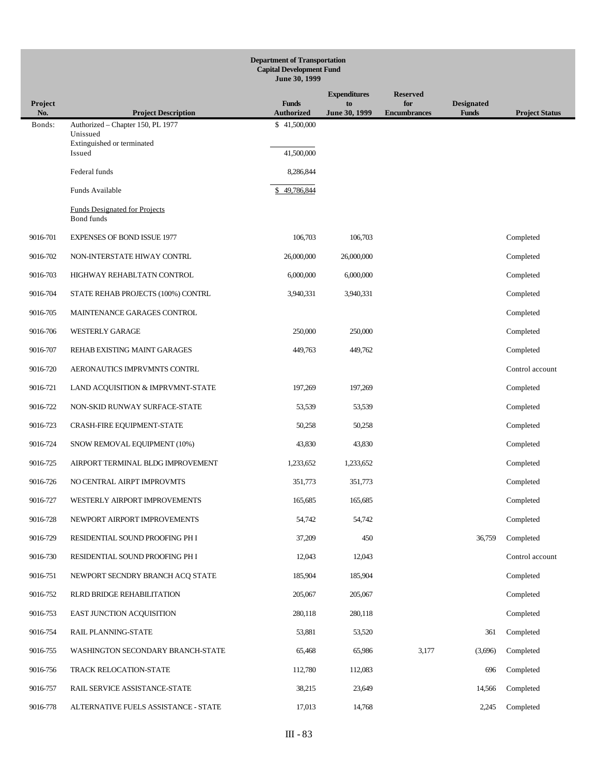| <b>Department of Transportation</b><br><b>Capital Development Fund</b><br>June 30, 1999 |                                                           |                                   |                     |                            |                                   |                       |
|-----------------------------------------------------------------------------------------|-----------------------------------------------------------|-----------------------------------|---------------------|----------------------------|-----------------------------------|-----------------------|
|                                                                                         |                                                           |                                   | <b>Expenditures</b> | <b>Reserved</b>            |                                   |                       |
| Project<br>No.                                                                          | <b>Project Description</b>                                | <b>Funds</b><br><b>Authorized</b> | to<br>June 30, 1999 | for<br><b>Encumbrances</b> | <b>Designated</b><br><b>Funds</b> | <b>Project Status</b> |
| Bonds:                                                                                  | Authorized - Chapter 150, PL 1977<br>Unissued             | \$41,500,000                      |                     |                            |                                   |                       |
|                                                                                         | Extinguished or terminated<br>Issued                      | 41,500,000                        |                     |                            |                                   |                       |
|                                                                                         | Federal funds                                             | 8,286,844                         |                     |                            |                                   |                       |
|                                                                                         | Funds Available                                           | \$49,786,844                      |                     |                            |                                   |                       |
|                                                                                         | <b>Funds Designated for Projects</b><br><b>Bond funds</b> |                                   |                     |                            |                                   |                       |
| 9016-701                                                                                | <b>EXPENSES OF BOND ISSUE 1977</b>                        | 106,703                           | 106,703             |                            |                                   | Completed             |
| 9016-702                                                                                | NON-INTERSTATE HIWAY CONTRL                               | 26,000,000                        | 26,000,000          |                            |                                   | Completed             |
| 9016-703                                                                                | HIGHWAY REHABLTATN CONTROL                                | 6,000,000                         | 6,000,000           |                            |                                   | Completed             |
| 9016-704                                                                                | STATE REHAB PROJECTS (100%) CONTRL                        | 3,940,331                         | 3,940,331           |                            |                                   | Completed             |
| 9016-705                                                                                | MAINTENANCE GARAGES CONTROL                               |                                   |                     |                            |                                   | Completed             |
| 9016-706                                                                                | <b>WESTERLY GARAGE</b>                                    | 250,000                           | 250,000             |                            |                                   | Completed             |
| 9016-707                                                                                | REHAB EXISTING MAINT GARAGES                              | 449,763                           | 449,762             |                            |                                   | Completed             |
| 9016-720                                                                                | AERONAUTICS IMPRVMNTS CONTRL                              |                                   |                     |                            |                                   | Control account       |
| 9016-721                                                                                | LAND ACQUISITION & IMPRVMNT-STATE                         | 197,269                           | 197,269             |                            |                                   | Completed             |
| 9016-722                                                                                | NON-SKID RUNWAY SURFACE-STATE                             | 53,539                            | 53,539              |                            |                                   | Completed             |
| 9016-723                                                                                | CRASH-FIRE EQUIPMENT-STATE                                | 50,258                            | 50,258              |                            |                                   | Completed             |
| 9016-724                                                                                | SNOW REMOVAL EQUIPMENT (10%)                              | 43,830                            | 43,830              |                            |                                   | Completed             |
| 9016-725                                                                                | AIRPORT TERMINAL BLDG IMPROVEMENT                         | 1,233,652                         | 1,233,652           |                            |                                   | Completed             |
| 9016-726                                                                                | NO CENTRAL AIRPT IMPROVMTS                                | 351,773                           | 351,773             |                            |                                   | Completed             |
| 9016-727                                                                                | WESTERLY AIRPORT IMPROVEMENTS                             | 165,685                           | 165,685             |                            |                                   | Completed             |
| 9016-728                                                                                | NEWPORT AIRPORT IMPROVEMENTS                              | 54,742                            | 54,742              |                            |                                   | Completed             |
| 9016-729                                                                                | RESIDENTIAL SOUND PROOFING PH I                           | 37,209                            | 450                 |                            | 36,759                            | Completed             |
| 9016-730                                                                                | RESIDENTIAL SOUND PROOFING PH I                           | 12,043                            | 12,043              |                            |                                   | Control account       |
| 9016-751                                                                                | NEWPORT SECNDRY BRANCH ACQ STATE                          | 185,904                           | 185,904             |                            |                                   | Completed             |
| 9016-752                                                                                | RLRD BRIDGE REHABILITATION                                | 205,067                           | 205,067             |                            |                                   | Completed             |
| 9016-753                                                                                | EAST JUNCTION ACQUISITION                                 | 280,118                           | 280,118             |                            |                                   | Completed             |
| 9016-754                                                                                | RAIL PLANNING-STATE                                       | 53,881                            | 53,520              |                            | 361                               | Completed             |
| 9016-755                                                                                | WASHINGTON SECONDARY BRANCH-STATE                         | 65,468                            | 65,986              | 3,177                      | (3,696)                           | Completed             |
| 9016-756                                                                                | TRACK RELOCATION-STATE                                    | 112,780                           | 112,083             |                            | 696                               | Completed             |
| 9016-757                                                                                | RAIL SERVICE ASSISTANCE-STATE                             | 38,215                            | 23,649              |                            | 14,566                            | Completed             |
| 9016-778                                                                                | ALTERNATIVE FUELS ASSISTANCE - STATE                      | 17,013                            | 14,768              |                            | 2,245                             | Completed             |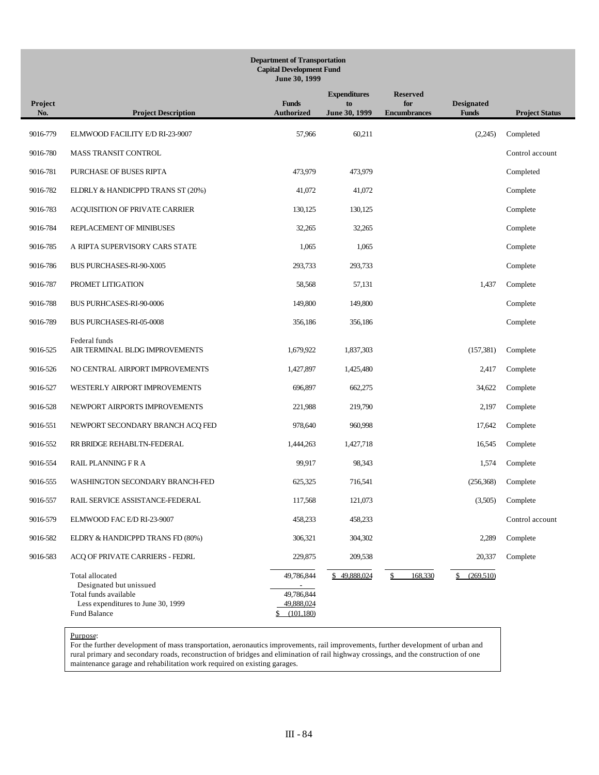|                | <b>Department of Transportation</b><br><b>Capital Development Fund</b><br>June 30, 1999                                   |                                                            |                                            |                                               |                                   |                       |
|----------------|---------------------------------------------------------------------------------------------------------------------------|------------------------------------------------------------|--------------------------------------------|-----------------------------------------------|-----------------------------------|-----------------------|
| Project<br>No. | <b>Project Description</b>                                                                                                | <b>Funds</b><br><b>Authorized</b>                          | <b>Expenditures</b><br>to<br>June 30, 1999 | <b>Reserved</b><br>for<br><b>Encumbrances</b> | <b>Designated</b><br><b>Funds</b> | <b>Project Status</b> |
| 9016-779       | ELMWOOD FACILITY E/D RI-23-9007                                                                                           | 57,966                                                     | 60,211                                     |                                               | (2,245)                           | Completed             |
| 9016-780       | MASS TRANSIT CONTROL                                                                                                      |                                                            |                                            |                                               |                                   | Control account       |
| 9016-781       | PURCHASE OF BUSES RIPTA                                                                                                   | 473,979                                                    | 473,979                                    |                                               |                                   | Completed             |
| 9016-782       | ELDRLY & HANDICPPD TRANS ST (20%)                                                                                         | 41,072                                                     | 41,072                                     |                                               |                                   | Complete              |
| 9016-783       | ACQUISITION OF PRIVATE CARRIER                                                                                            | 130,125                                                    | 130,125                                    |                                               |                                   | Complete              |
| 9016-784       | REPLACEMENT OF MINIBUSES                                                                                                  | 32,265                                                     | 32,265                                     |                                               |                                   | Complete              |
| 9016-785       | A RIPTA SUPERVISORY CARS STATE                                                                                            | 1,065                                                      | 1,065                                      |                                               |                                   | Complete              |
| 9016-786       | BUS PURCHASES-RI-90-X005                                                                                                  | 293,733                                                    | 293,733                                    |                                               |                                   | Complete              |
| 9016-787       | PROMET LITIGATION                                                                                                         | 58,568                                                     | 57,131                                     |                                               | 1,437                             | Complete              |
| 9016-788       | <b>BUS PURHCASES-RI-90-0006</b>                                                                                           | 149,800                                                    | 149,800                                    |                                               |                                   | Complete              |
| 9016-789       | <b>BUS PURCHASES-RI-05-0008</b>                                                                                           | 356,186                                                    | 356,186                                    |                                               |                                   | Complete              |
| 9016-525       | Federal funds<br>AIR TERMINAL BLDG IMPROVEMENTS                                                                           | 1,679,922                                                  | 1,837,303                                  |                                               | (157, 381)                        | Complete              |
| 9016-526       | NO CENTRAL AIRPORT IMPROVEMENTS                                                                                           | 1,427,897                                                  | 1,425,480                                  |                                               | 2,417                             | Complete              |
| 9016-527       | WESTERLY AIRPORT IMPROVEMENTS                                                                                             | 696,897                                                    | 662,275                                    |                                               | 34,622                            | Complete              |
| 9016-528       | NEWPORT AIRPORTS IMPROVEMENTS                                                                                             | 221,988                                                    | 219,790                                    |                                               | 2,197                             | Complete              |
| 9016-551       | NEWPORT SECONDARY BRANCH ACQ FED                                                                                          | 978,640                                                    | 960,998                                    |                                               | 17,642                            | Complete              |
| 9016-552       | RR BRIDGE REHABLTN-FEDERAL                                                                                                | 1,444,263                                                  | 1,427,718                                  |                                               | 16,545                            | Complete              |
| 9016-554       | RAIL PLANNING F R A                                                                                                       | 99,917                                                     | 98,343                                     |                                               | 1,574                             | Complete              |
| 9016-555       | WASHINGTON SECONDARY BRANCH-FED                                                                                           | 625,325                                                    | 716,541                                    |                                               | (256, 368)                        | Complete              |
| 9016-557       | RAIL SERVICE ASSISTANCE-FEDERAL                                                                                           | 117,568                                                    | 121,073                                    |                                               | (3,505)                           | Complete              |
| 9016-579       | ELMWOOD FAC E/D RI-23-9007                                                                                                | 458,233                                                    | 458,233                                    |                                               |                                   | Control account       |
| 9016-582       | ELDRY & HANDICPPD TRANS FD (80%)                                                                                          | 306,321                                                    | 304,302                                    |                                               | 2,289                             | Complete              |
| 9016-583       | ACQ OF PRIVATE CARRIERS - FEDRL                                                                                           | 229,875                                                    | 209,538                                    |                                               | 20,337                            | Complete              |
|                | Total allocated<br>Designated but unissued<br>Total funds available<br>Less expenditures to June 30, 1999<br>Fund Balance | 49,786,844<br>49,786,844<br>49,888,024<br>(101, 180)<br>\$ | \$49,888,024                               | 168,330<br>\$                                 | (269,510)<br>\$                   |                       |

For the further development of mass transportation, aeronautics improvements, rail improvements, further development of urban and rural primary and secondary roads, reconstruction of bridges and elimination of rail highway crossings, and the construction of one maintenance garage and rehabilitation work required on existing garages.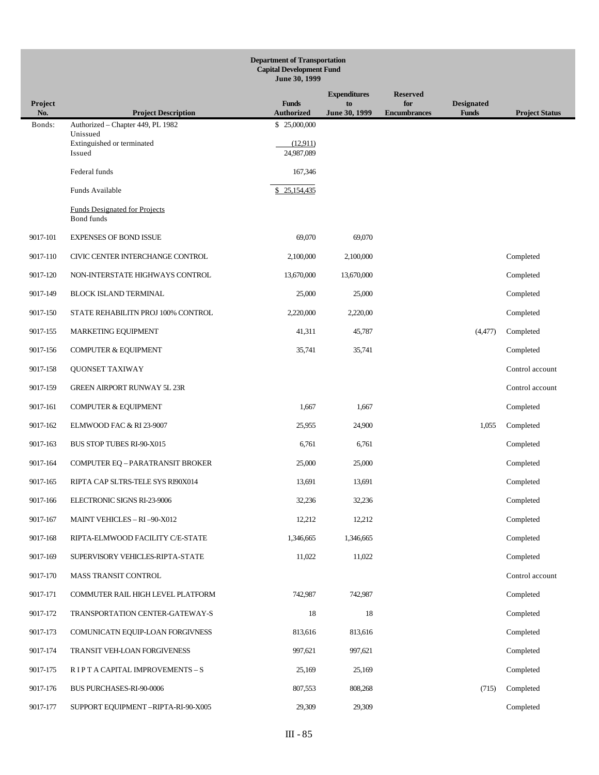| <b>Department of Transportation</b><br><b>Capital Development Fund</b><br>June 30, 1999 |                                                    |                                   |                     |                            |                                   |                       |
|-----------------------------------------------------------------------------------------|----------------------------------------------------|-----------------------------------|---------------------|----------------------------|-----------------------------------|-----------------------|
|                                                                                         |                                                    |                                   | <b>Expenditures</b> | <b>Reserved</b>            |                                   |                       |
| <b>Project</b><br>No.                                                                   | <b>Project Description</b>                         | <b>Funds</b><br><b>Authorized</b> | to<br>June 30, 1999 | for<br><b>Encumbrances</b> | <b>Designated</b><br><b>Funds</b> | <b>Project Status</b> |
| Bonds:                                                                                  | Authorized - Chapter 449, PL 1982<br>Unissued      | \$25,000,000                      |                     |                            |                                   |                       |
|                                                                                         | Extinguished or terminated<br>Issued               | (12.911)<br>24,987,089            |                     |                            |                                   |                       |
|                                                                                         | Federal funds                                      | 167,346                           |                     |                            |                                   |                       |
|                                                                                         | Funds Available                                    | \$25,154,435                      |                     |                            |                                   |                       |
|                                                                                         | <b>Funds Designated for Projects</b><br>Bond funds |                                   |                     |                            |                                   |                       |
| 9017-101                                                                                | <b>EXPENSES OF BOND ISSUE</b>                      | 69,070                            | 69,070              |                            |                                   |                       |
| 9017-110                                                                                | CIVIC CENTER INTERCHANGE CONTROL                   | 2,100,000                         | 2,100,000           |                            |                                   | Completed             |
| 9017-120                                                                                | NON-INTERSTATE HIGHWAYS CONTROL                    | 13,670,000                        | 13,670,000          |                            |                                   | Completed             |
| 9017-149                                                                                | <b>BLOCK ISLAND TERMINAL</b>                       | 25,000                            | 25,000              |                            |                                   | Completed             |
| 9017-150                                                                                | STATE REHABILITN PROJ 100% CONTROL                 | 2,220,000                         | 2,220,00            |                            |                                   | Completed             |
| 9017-155                                                                                | <b>MARKETING EQUIPMENT</b>                         | 41,311                            | 45,787              |                            | (4, 477)                          | Completed             |
| 9017-156                                                                                | <b>COMPUTER &amp; EQUIPMENT</b>                    | 35,741                            | 35,741              |                            |                                   | Completed             |
| 9017-158                                                                                | QUONSET TAXIWAY                                    |                                   |                     |                            |                                   | Control account       |
| 9017-159                                                                                | <b>GREEN AIRPORT RUNWAY 5L 23R</b>                 |                                   |                     |                            |                                   | Control account       |
| 9017-161                                                                                | <b>COMPUTER &amp; EQUIPMENT</b>                    | 1,667                             | 1,667               |                            |                                   | Completed             |
| 9017-162                                                                                | ELMWOOD FAC & RI 23-9007                           | 25,955                            | 24,900              |                            | 1,055                             | Completed             |
| 9017-163                                                                                | BUS STOP TUBES RI-90-X015                          | 6,761                             | 6,761               |                            |                                   | Completed             |
| 9017-164                                                                                | COMPUTER EQ - PARATRANSIT BROKER                   | 25,000                            | 25,000              |                            |                                   | Completed             |
| 9017-165                                                                                | RIPTA CAP SLTRS-TELE SYS RI90X014                  | 13,691                            | 13,691              |                            |                                   | Completed             |
| 9017-166                                                                                | ELECTRONIC SIGNS RI-23-9006                        | 32,236                            | 32,236              |                            |                                   | Completed             |
| 9017-167                                                                                | MAINT VEHICLES - RI -90-X012                       | 12,212                            | 12,212              |                            |                                   | Completed             |
| 9017-168                                                                                | RIPTA-ELMWOOD FACILITY C/E-STATE                   | 1,346,665                         | 1,346,665           |                            |                                   | Completed             |
| 9017-169                                                                                | SUPERVISORY VEHICLES-RIPTA-STATE                   | 11,022                            | 11,022              |                            |                                   | Completed             |
| 9017-170                                                                                | MASS TRANSIT CONTROL                               |                                   |                     |                            |                                   | Control account       |
| 9017-171                                                                                | COMMUTER RAIL HIGH LEVEL PLATFORM                  | 742,987                           | 742,987             |                            |                                   | Completed             |
| 9017-172                                                                                | TRANSPORTATION CENTER-GATEWAY-S                    | 18                                | 18                  |                            |                                   | Completed             |
| 9017-173                                                                                | COMUNICATN EQUIP-LOAN FORGIVNESS                   | 813,616                           | 813,616             |                            |                                   | Completed             |
| 9017-174                                                                                | TRANSIT VEH-LOAN FORGIVENESS                       | 997,621                           | 997,621             |                            |                                   | Completed             |
| 9017-175                                                                                | RIPT A CAPITAL IMPROVEMENTS - S                    | 25,169                            | 25,169              |                            |                                   | Completed             |
| 9017-176                                                                                | BUS PURCHASES-RI-90-0006                           | 807,553                           | 808,268             |                            | (715)                             | Completed             |
| 9017-177                                                                                | SUPPORT EQUIPMENT - RIPTA-RI-90-X005               | 29,309                            | 29,309              |                            |                                   | Completed             |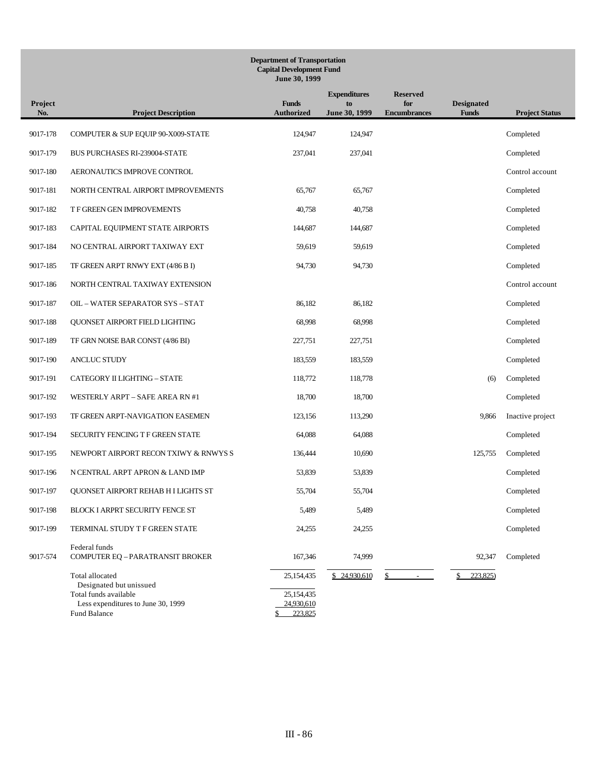| <b>Department of Transportation</b><br><b>Capital Development Fund</b><br>June 30, 1999 |                                                                                                               |                                     |                                            |                                               |                                   |                       |
|-----------------------------------------------------------------------------------------|---------------------------------------------------------------------------------------------------------------|-------------------------------------|--------------------------------------------|-----------------------------------------------|-----------------------------------|-----------------------|
| Project<br>No.                                                                          | <b>Project Description</b>                                                                                    | <b>Funds</b><br><b>Authorized</b>   | <b>Expenditures</b><br>to<br>June 30, 1999 | <b>Reserved</b><br>for<br><b>Encumbrances</b> | <b>Designated</b><br><b>Funds</b> | <b>Project Status</b> |
| 9017-178                                                                                | COMPUTER & SUP EQUIP 90-X009-STATE                                                                            | 124,947                             | 124,947                                    |                                               |                                   | Completed             |
| 9017-179                                                                                | <b>BUS PURCHASES RI-239004-STATE</b>                                                                          | 237,041                             | 237,041                                    |                                               |                                   | Completed             |
| 9017-180                                                                                | AERONAUTICS IMPROVE CONTROL                                                                                   |                                     |                                            |                                               |                                   | Control account       |
| 9017-181                                                                                | NORTH CENTRAL AIRPORT IMPROVEMENTS                                                                            | 65,767                              | 65,767                                     |                                               |                                   | Completed             |
| 9017-182                                                                                | T F GREEN GEN IMPROVEMENTS                                                                                    | 40,758                              | 40,758                                     |                                               |                                   | Completed             |
| 9017-183                                                                                | CAPITAL EQUIPMENT STATE AIRPORTS                                                                              | 144,687                             | 144,687                                    |                                               |                                   | Completed             |
| 9017-184                                                                                | NO CENTRAL AIRPORT TAXIWAY EXT                                                                                | 59,619                              | 59,619                                     |                                               |                                   | Completed             |
| 9017-185                                                                                | TF GREEN ARPT RNWY EXT (4/86 B I)                                                                             | 94,730                              | 94,730                                     |                                               |                                   | Completed             |
| 9017-186                                                                                | NORTH CENTRAL TAXIWAY EXTENSION                                                                               |                                     |                                            |                                               |                                   | Control account       |
| 9017-187                                                                                | OIL - WATER SEPARATOR SYS - STAT                                                                              | 86,182                              | 86,182                                     |                                               |                                   | Completed             |
| 9017-188                                                                                | QUONSET AIRPORT FIELD LIGHTING                                                                                | 68,998                              | 68,998                                     |                                               |                                   | Completed             |
| 9017-189                                                                                | TF GRN NOISE BAR CONST (4/86 BI)                                                                              | 227,751                             | 227,751                                    |                                               |                                   | Completed             |
| 9017-190                                                                                | <b>ANCLUC STUDY</b>                                                                                           | 183,559                             | 183,559                                    |                                               |                                   | Completed             |
| 9017-191                                                                                | CATEGORY II LIGHTING - STATE                                                                                  | 118,772                             | 118,778                                    |                                               | (6)                               | Completed             |
| 9017-192                                                                                | WESTERLY ARPT - SAFE AREA RN #1                                                                               | 18,700                              | 18,700                                     |                                               |                                   | Completed             |
| 9017-193                                                                                | TF GREEN ARPT-NAVIGATION EASEMEN                                                                              | 123,156                             | 113,290                                    |                                               | 9,866                             | Inactive project      |
| 9017-194                                                                                | SECURITY FENCING T F GREEN STATE                                                                              | 64,088                              | 64,088                                     |                                               |                                   | Completed             |
| 9017-195                                                                                | NEWPORT AIRPORT RECON TXIWY & RNWYS S                                                                         | 136,444                             | 10.690                                     |                                               | 125,755                           | Completed             |
| 9017-196                                                                                | N CENTRAL ARPT APRON & LAND IMP                                                                               | 53,839                              | 53,839                                     |                                               |                                   | Completed             |
| 9017-197                                                                                | QUONSET AIRPORT REHAB HI LIGHTS ST                                                                            | 55,704                              | 55,704                                     |                                               |                                   | Completed             |
| 9017-198                                                                                | BLOCK I ARPRT SECURITY FENCE ST                                                                               | 5,489                               | 5,489                                      |                                               |                                   | Completed             |
| 9017-199                                                                                | TERMINAL STUDY T F GREEN STATE                                                                                | 24,255                              | 24,255                                     |                                               |                                   | Completed             |
| 9017-574                                                                                | Federal funds<br>COMPUTER EQ - PARATRANSIT BROKER                                                             | 167,346                             | 74,999                                     |                                               | 92,347                            | Completed             |
|                                                                                         | Total allocated                                                                                               | 25,154,435                          | \$24,930,610                               | \$                                            | 223,825)<br>\$                    |                       |
|                                                                                         | Designated but unissued<br>Total funds available<br>Less expenditures to June 30, 1999<br><b>Fund Balance</b> | 25,154,435<br>24,930,610<br>223,825 |                                            |                                               |                                   |                       |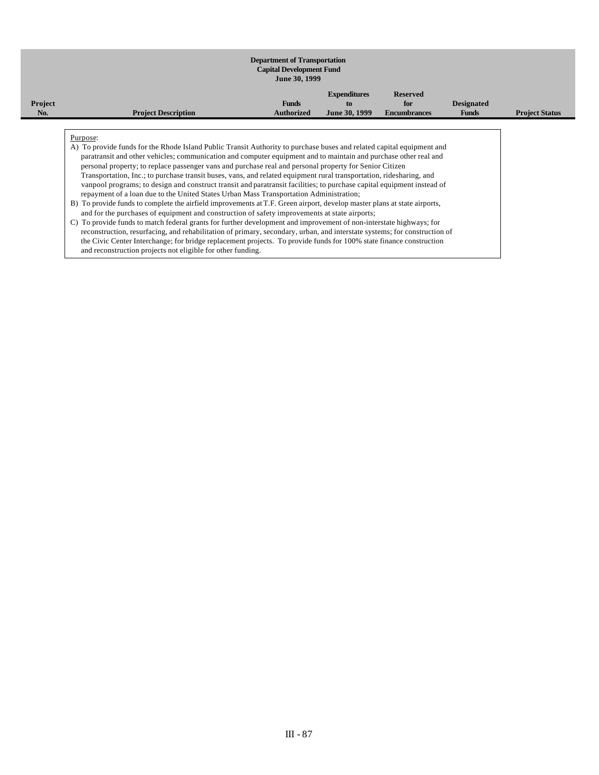#### **Department of Transportation Capital Development Fund June 30, 1999 Project No. Project Description Funds Authorized Expenditures to June 30, 1999 Reserved for Encumbrances Designated Funds Project Status** Purpose: A) To provide funds for the Rhode Island Public Transit Authority to purchase buses and related capital equipment and paratransit and other vehicles; communication and computer equipment and to maintain and purchase other real and personal property; to replace passenger vans and purchase real and personal property for Senior Citizen Transportation, Inc.; to purchase transit buses, vans, and related equipment rural transportation, ridesharing, and vanpool programs; to design and construct transit and paratransit facilities; to purchase capital equipment instead of repayment of a loan due to the United States Urban Mass Transportation Administration; B) To provide funds to complete the airfield improvements at T.F. Green airport, develop master plans at state airports, and for the purchases of equipment and construction of safety improvements at state airports; C) To provide funds to match federal grants for further development and improvement of non-interstate highways; for reconstruction, resurfacing, and rehabilitation of primary, secondary, urban, and interstate systems; for construction of the Civic Center Interchange; for bridge replacement projects. To provide funds for 100% state finance construction and reconstruction projects not eligible for other funding.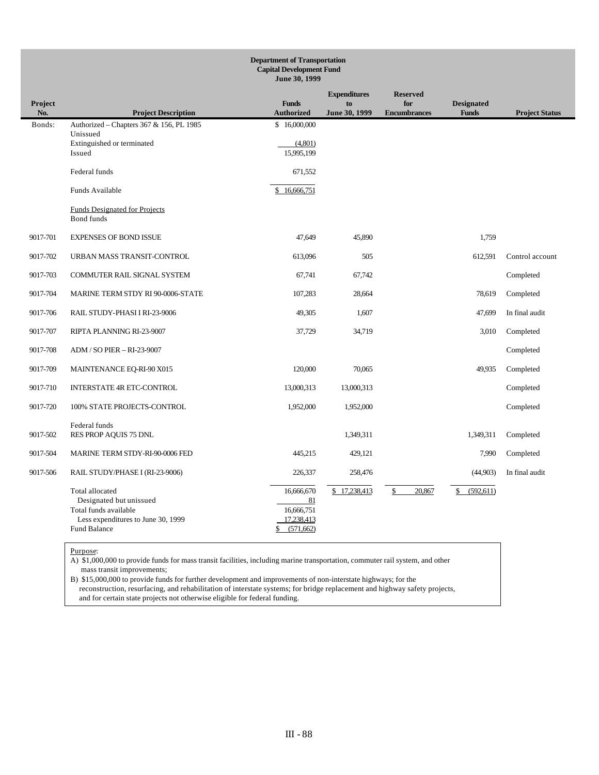|                | <b>Department of Transportation</b><br><b>Capital Development Fund</b><br>June 30, 1999                                   |                                                                  |                                            |                                               |                                   |                       |  |  |  |
|----------------|---------------------------------------------------------------------------------------------------------------------------|------------------------------------------------------------------|--------------------------------------------|-----------------------------------------------|-----------------------------------|-----------------------|--|--|--|
| Project<br>No. | <b>Project Description</b>                                                                                                | <b>Funds</b><br><b>Authorized</b>                                | <b>Expenditures</b><br>to<br>June 30, 1999 | <b>Reserved</b><br>for<br><b>Encumbrances</b> | <b>Designated</b><br><b>Funds</b> | <b>Project Status</b> |  |  |  |
| Bonds:         | Authorized - Chapters 367 & 156, PL 1985<br>Unissued<br>Extinguished or terminated<br>Issued                              | \$16,000,000<br>(4,801)<br>15,995,199                            |                                            |                                               |                                   |                       |  |  |  |
|                | Federal funds                                                                                                             | 671,552                                                          |                                            |                                               |                                   |                       |  |  |  |
|                | Funds Available                                                                                                           | \$16,666,751                                                     |                                            |                                               |                                   |                       |  |  |  |
|                | <b>Funds Designated for Projects</b><br><b>Bond</b> funds                                                                 |                                                                  |                                            |                                               |                                   |                       |  |  |  |
| 9017-701       | <b>EXPENSES OF BOND ISSUE</b>                                                                                             | 47,649                                                           | 45,890                                     |                                               | 1,759                             |                       |  |  |  |
| 9017-702       | URBAN MASS TRANSIT-CONTROL                                                                                                | 613,096                                                          | 505                                        |                                               | 612,591                           | Control account       |  |  |  |
| 9017-703       | <b>COMMUTER RAIL SIGNAL SYSTEM</b>                                                                                        | 67,741                                                           | 67,742                                     |                                               |                                   | Completed             |  |  |  |
| 9017-704       | MARINE TERM STDY RI 90-0006-STATE                                                                                         | 107,283                                                          | 28,664                                     |                                               | 78,619                            | Completed             |  |  |  |
| 9017-706       | RAIL STUDY-PHASI I RI-23-9006                                                                                             | 49,305                                                           | 1,607                                      |                                               | 47,699                            | In final audit        |  |  |  |
| 9017-707       | RIPTA PLANNING RI-23-9007                                                                                                 | 37,729                                                           | 34,719                                     |                                               | 3,010                             | Completed             |  |  |  |
| 9017-708       | ADM / SO PIER - RI-23-9007                                                                                                |                                                                  |                                            |                                               |                                   | Completed             |  |  |  |
| 9017-709       | MAINTENANCE EQ-RI-90 X015                                                                                                 | 120,000                                                          | 70,065                                     |                                               | 49,935                            | Completed             |  |  |  |
| 9017-710       | INTERSTATE 4R ETC-CONTROL                                                                                                 | 13,000,313                                                       | 13,000,313                                 |                                               |                                   | Completed             |  |  |  |
| 9017-720       | 100% STATE PROJECTS-CONTROL                                                                                               | 1,952,000                                                        | 1,952,000                                  |                                               |                                   | Completed             |  |  |  |
| 9017-502       | Federal funds<br>RES PROP AQUIS 75 DNL                                                                                    |                                                                  | 1,349,311                                  |                                               | 1,349,311                         | Completed             |  |  |  |
| 9017-504       | MARINE TERM STDY-RI-90-0006 FED                                                                                           | 445,215                                                          | 429,121                                    |                                               | 7,990                             | Completed             |  |  |  |
| 9017-506       | RAIL STUDY/PHASE I (RI-23-9006)                                                                                           | 226,337                                                          | 258,476                                    |                                               | (44,903)                          | In final audit        |  |  |  |
|                | Total allocated<br>Designated but unissued<br>Total funds available<br>Less expenditures to June 30, 1999<br>Fund Balance | 16,666,670<br>81<br>16,666,751<br>17,238,413<br>(571, 662)<br>\$ | \$17,238,413                               | 20,867<br>\$                                  | (592, 611)<br>\$                  |                       |  |  |  |

A) \$1,000,000 to provide funds for mass transit facilities, including marine transportation, commuter rail system, and other mass transit improvements;

B) \$15,000,000 to provide funds for further development and improvements of non-interstate highways; for the reconstruction, resurfacing, and rehabilitation of interstate systems; for bridge replacement and highway safety projects, and for certain state projects not otherwise eligible for federal funding.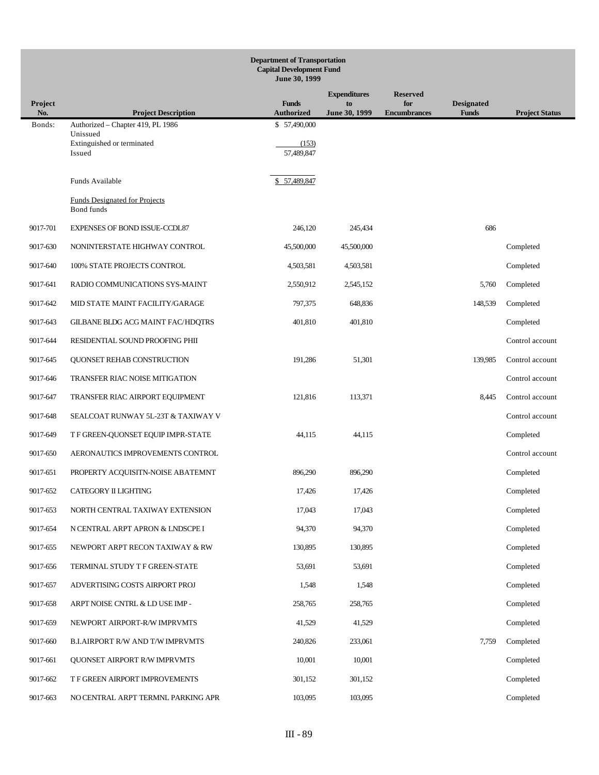|                | <b>Department of Transportation</b><br><b>Capital Development Fund</b><br>June 30, 1999 |                                   |                     |                            |                                   |                       |  |  |
|----------------|-----------------------------------------------------------------------------------------|-----------------------------------|---------------------|----------------------------|-----------------------------------|-----------------------|--|--|
|                |                                                                                         |                                   | <b>Expenditures</b> | <b>Reserved</b>            |                                   |                       |  |  |
| Project<br>No. | <b>Project Description</b>                                                              | <b>Funds</b><br><b>Authorized</b> | to<br>June 30, 1999 | for<br><b>Encumbrances</b> | <b>Designated</b><br><b>Funds</b> | <b>Project Status</b> |  |  |
| Bonds:         | Authorized – Chapter 419, PL 1986<br>Unissued                                           | \$57,490,000                      |                     |                            |                                   |                       |  |  |
|                | Extinguished or terminated<br>Issued                                                    | (153)<br>57,489,847               |                     |                            |                                   |                       |  |  |
|                | Funds Available                                                                         | \$57,489,847                      |                     |                            |                                   |                       |  |  |
|                | <b>Funds Designated for Projects</b><br>Bond funds                                      |                                   |                     |                            |                                   |                       |  |  |
| 9017-701       | <b>EXPENSES OF BOND ISSUE-CCDL87</b>                                                    | 246,120                           | 245,434             |                            | 686                               |                       |  |  |
| 9017-630       | NONINTERSTATE HIGHWAY CONTROL                                                           | 45,500,000                        | 45,500,000          |                            |                                   | Completed             |  |  |
| 9017-640       | 100% STATE PROJECTS CONTROL                                                             | 4,503,581                         | 4,503,581           |                            |                                   | Completed             |  |  |
| 9017-641       | RADIO COMMUNICATIONS SYS-MAINT                                                          | 2,550,912                         | 2,545,152           |                            | 5,760                             | Completed             |  |  |
| 9017-642       | MID STATE MAINT FACILITY/GARAGE                                                         | 797,375                           | 648,836             |                            | 148,539                           | Completed             |  |  |
| 9017-643       | GILBANE BLDG ACG MAINT FAC/HDQTRS                                                       | 401,810                           | 401,810             |                            |                                   | Completed             |  |  |
| 9017-644       | RESIDENTIAL SOUND PROOFING PHII                                                         |                                   |                     |                            |                                   | Control account       |  |  |
| 9017-645       | QUONSET REHAB CONSTRUCTION                                                              | 191,286                           | 51,301              |                            | 139,985                           | Control account       |  |  |
| 9017-646       | TRANSFER RIAC NOISE MITIGATION                                                          |                                   |                     |                            |                                   | Control account       |  |  |
| 9017-647       | TRANSFER RIAC AIRPORT EQUIPMENT                                                         | 121,816                           | 113,371             |                            | 8,445                             | Control account       |  |  |
| 9017-648       | SEALCOAT RUNWAY 5L-23T & TAXIWAY V                                                      |                                   |                     |                            |                                   | Control account       |  |  |
| 9017-649       | T F GREEN-QUONSET EQUIP IMPR-STATE                                                      | 44,115                            | 44,115              |                            |                                   | Completed             |  |  |
| 9017-650       | AERONAUTICS IMPROVEMENTS CONTROL                                                        |                                   |                     |                            |                                   | Control account       |  |  |
| 9017-651       | PROPERTY ACQUISITN-NOISE ABATEMNT                                                       | 896,290                           | 896,290             |                            |                                   | Completed             |  |  |
| 9017-652       | CATEGORY II LIGHTING                                                                    | 17,426                            | 17,426              |                            |                                   | Completed             |  |  |
| 9017-653       | NORTH CENTRAL TAXIWAY EXTENSION                                                         | 17,043                            | 17,043              |                            |                                   | Completed             |  |  |
| 9017-654       | N CENTRAL ARPT APRON & LNDSCPE I                                                        | 94,370                            | 94,370              |                            |                                   | Completed             |  |  |
| 9017-655       | NEWPORT ARPT RECON TAXIWAY & RW                                                         | 130,895                           | 130,895             |                            |                                   | Completed             |  |  |
| 9017-656       | TERMINAL STUDY T F GREEN-STATE                                                          | 53,691                            | 53,691              |                            |                                   | Completed             |  |  |
| 9017-657       | ADVERTISING COSTS AIRPORT PROJ                                                          | 1,548                             | 1,548               |                            |                                   | Completed             |  |  |
| 9017-658       | ARPT NOISE CNTRL & LD USE IMP -                                                         | 258,765                           | 258,765             |                            |                                   | Completed             |  |  |
| 9017-659       | NEWPORT AIRPORT-R/W IMPRVMTS                                                            | 41,529                            | 41,529              |                            |                                   | Completed             |  |  |
| 9017-660       | <b>B.I.AIRPORT R/W AND T/W IMPRVMTS</b>                                                 | 240,826                           | 233,061             |                            | 7,759                             | Completed             |  |  |
| 9017-661       | <b>QUONSET AIRPORT R/W IMPRVMTS</b>                                                     | 10,001                            | 10,001              |                            |                                   | Completed             |  |  |
| 9017-662       | T F GREEN AIRPORT IMPROVEMENTS                                                          | 301,152                           | 301,152             |                            |                                   | Completed             |  |  |
| 9017-663       | NO CENTRAL ARPT TERMNL PARKING APR                                                      | 103,095                           | 103,095             |                            |                                   | Completed             |  |  |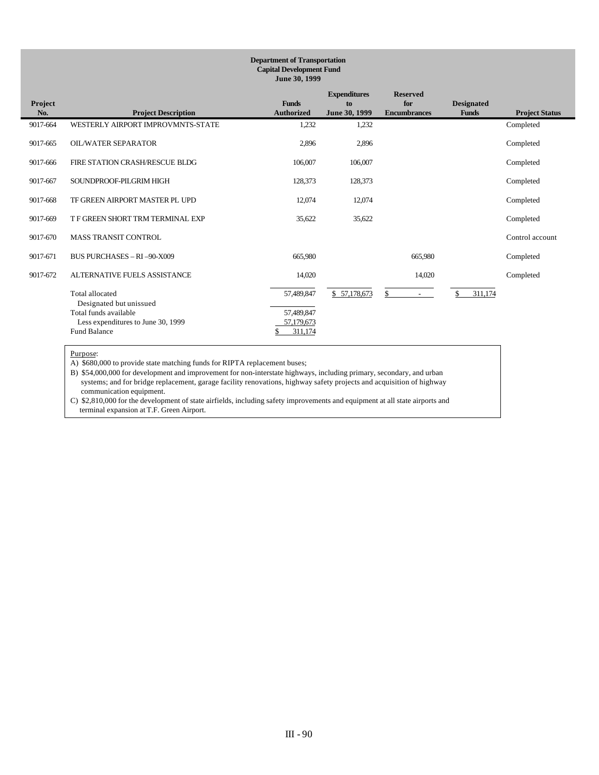| <b>Department of Transportation</b><br><b>Capital Development Fund</b><br>June 30, 1999 |                                            |                                   |                                            |                                               |                                   |                       |  |  |  |  |
|-----------------------------------------------------------------------------------------|--------------------------------------------|-----------------------------------|--------------------------------------------|-----------------------------------------------|-----------------------------------|-----------------------|--|--|--|--|
| Project<br>No.                                                                          | <b>Project Description</b>                 | <b>Funds</b><br><b>Authorized</b> | <b>Expenditures</b><br>to<br>June 30, 1999 | <b>Reserved</b><br>for<br><b>Encumbrances</b> | <b>Designated</b><br><b>Funds</b> | <b>Project Status</b> |  |  |  |  |
| 9017-664                                                                                | WESTERLY AIRPORT IMPROVMNTS-STATE          | 1,232                             | 1,232                                      |                                               |                                   | Completed             |  |  |  |  |
| 9017-665                                                                                | <b>OIL/WATER SEPARATOR</b>                 | 2,896                             | 2,896                                      |                                               |                                   | Completed             |  |  |  |  |
| 9017-666                                                                                | FIRE STATION CRASH/RESCUE BLDG             | 106,007                           | 106,007                                    |                                               |                                   | Completed             |  |  |  |  |
| 9017-667                                                                                | SOUNDPROOF-PILGRIM HIGH                    | 128,373                           | 128,373                                    |                                               |                                   | Completed             |  |  |  |  |
| 9017-668                                                                                | TF GREEN AIRPORT MASTER PL UPD             | 12,074                            | 12,074                                     |                                               |                                   | Completed             |  |  |  |  |
| 9017-669                                                                                | T F GREEN SHORT TRM TERMINAL EXP           | 35,622                            | 35,622                                     |                                               |                                   | Completed             |  |  |  |  |
| 9017-670                                                                                | <b>MASS TRANSIT CONTROL</b>                |                                   |                                            |                                               |                                   | Control account       |  |  |  |  |
| 9017-671                                                                                | <b>BUS PURCHASES - RI -90-X009</b>         | 665,980                           |                                            | 665,980                                       |                                   | Completed             |  |  |  |  |
| 9017-672                                                                                | ALTERNATIVE FUELS ASSISTANCE               | 14,020                            |                                            | 14,020                                        |                                   | Completed             |  |  |  |  |
|                                                                                         | Total allocated<br>Designated but unissued | 57,489,847                        | \$57,178,673                               | \$<br>$\sim$                                  | 311.174                           |                       |  |  |  |  |
|                                                                                         | Total funds available                      | 57,489,847                        |                                            |                                               |                                   |                       |  |  |  |  |
|                                                                                         | Less expenditures to June 30, 1999         | 57,179,673                        |                                            |                                               |                                   |                       |  |  |  |  |
|                                                                                         | <b>Fund Balance</b>                        | 311,174                           |                                            |                                               |                                   |                       |  |  |  |  |

A) \$680,000 to provide state matching funds for RIPTA replacement buses;

B) \$54,000,000 for development and improvement for non-interstate highways, including primary, secondary, and urban systems; and for bridge replacement, garage facility renovations, highway safety projects and acquisition of highway communication equipment.

C) \$2,810,000 for the development of state airfields, including safety improvements and equipment at all state airports and terminal expansion at T.F. Green Airport.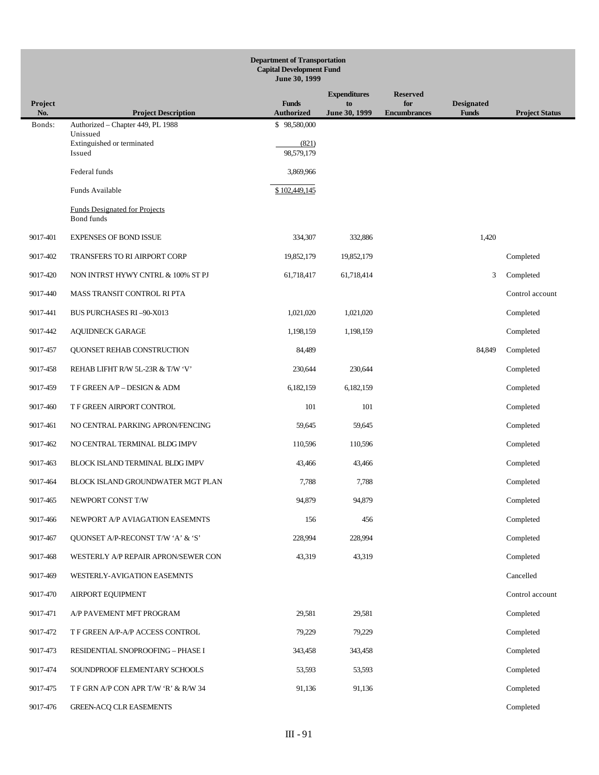| <b>Department of Transportation</b><br><b>Capital Development Fund</b><br>June 30, 1999 |                                                    |                                   |                     |                            |                                   |                       |  |
|-----------------------------------------------------------------------------------------|----------------------------------------------------|-----------------------------------|---------------------|----------------------------|-----------------------------------|-----------------------|--|
|                                                                                         |                                                    |                                   | <b>Expenditures</b> | <b>Reserved</b>            |                                   |                       |  |
| Project<br>No.                                                                          | <b>Project Description</b>                         | <b>Funds</b><br><b>Authorized</b> | to<br>June 30, 1999 | for<br><b>Encumbrances</b> | <b>Designated</b><br><b>Funds</b> | <b>Project Status</b> |  |
| Bonds:                                                                                  | Authorized - Chapter 449, PL 1988<br>Unissued      | \$98,580,000                      |                     |                            |                                   |                       |  |
|                                                                                         | Extinguished or terminated<br>Issued               | (821)<br>98,579,179               |                     |                            |                                   |                       |  |
|                                                                                         | Federal funds                                      | 3,869,966                         |                     |                            |                                   |                       |  |
|                                                                                         | Funds Available                                    | \$102,449,145                     |                     |                            |                                   |                       |  |
|                                                                                         | <b>Funds Designated for Projects</b><br>Bond funds |                                   |                     |                            |                                   |                       |  |
| 9017-401                                                                                | <b>EXPENSES OF BOND ISSUE</b>                      | 334,307                           | 332,886             |                            | 1,420                             |                       |  |
| 9017-402                                                                                | <b>TRANSFERS TO RI AIRPORT CORP</b>                | 19,852,179                        | 19,852,179          |                            |                                   | Completed             |  |
| 9017-420                                                                                | NON INTRST HYWY CNTRL & 100% ST PJ                 | 61,718,417                        | 61,718,414          |                            | 3                                 | Completed             |  |
| 9017-440                                                                                | MASS TRANSIT CONTROL RI PTA                        |                                   |                     |                            |                                   | Control account       |  |
| 9017-441                                                                                | <b>BUS PURCHASES RI-90-X013</b>                    | 1,021,020                         | 1,021,020           |                            |                                   | Completed             |  |
| 9017-442                                                                                | <b>AQUIDNECK GARAGE</b>                            | 1,198,159                         | 1,198,159           |                            |                                   | Completed             |  |
| 9017-457                                                                                | QUONSET REHAB CONSTRUCTION                         | 84,489                            |                     |                            | 84,849                            | Completed             |  |
| 9017-458                                                                                | REHAB LIFHT R/W 5L-23R & T/W 'V'                   | 230,644                           | 230,644             |                            |                                   | Completed             |  |
| 9017-459                                                                                | T F GREEN A/P - DESIGN & ADM                       | 6,182,159                         | 6,182,159           |                            |                                   | Completed             |  |
| 9017-460                                                                                | T F GREEN AIRPORT CONTROL                          | 101                               | 101                 |                            |                                   | Completed             |  |
| 9017-461                                                                                | NO CENTRAL PARKING APRON/FENCING                   | 59,645                            | 59,645              |                            |                                   | Completed             |  |
| 9017-462                                                                                | NO CENTRAL TERMINAL BLDG IMPV                      | 110,596                           | 110,596             |                            |                                   | Completed             |  |
| 9017-463                                                                                | BLOCK ISLAND TERMINAL BLDG IMPV                    | 43,466                            | 43,466              |                            |                                   | Completed             |  |
| 9017-464                                                                                | BLOCK ISLAND GROUNDWATER MGT PLAN                  | 7,788                             | 7,788               |                            |                                   | Completed             |  |
| 9017-465                                                                                | NEWPORT CONST T/W                                  | 94,879                            | 94,879              |                            |                                   | Completed             |  |
| 9017-466                                                                                | NEWPORT A/P AVIAGATION EASEMNTS                    | 156                               | 456                 |                            |                                   | Completed             |  |
| 9017-467                                                                                | QUONSET A/P-RECONST T/W 'A' & 'S'                  | 228,994                           | 228,994             |                            |                                   | Completed             |  |
| 9017-468                                                                                | WESTERLY A/P REPAIR APRON/SEWER CON                | 43,319                            | 43,319              |                            |                                   | Completed             |  |
| 9017-469                                                                                | WESTERLY-AVIGATION EASEMNTS                        |                                   |                     |                            |                                   | Cancelled             |  |
| 9017-470                                                                                | <b>AIRPORT EQUIPMENT</b>                           |                                   |                     |                            |                                   | Control account       |  |
| 9017-471                                                                                | A/P PAVEMENT MFT PROGRAM                           | 29,581                            | 29,581              |                            |                                   | Completed             |  |
| 9017-472                                                                                | T F GREEN A/P-A/P ACCESS CONTROL                   | 79,229                            | 79,229              |                            |                                   | Completed             |  |
| 9017-473                                                                                | RESIDENTIAL SNOPROOFING - PHASE I                  | 343,458                           | 343,458             |                            |                                   | Completed             |  |
| 9017-474                                                                                | SOUNDPROOF ELEMENTARY SCHOOLS                      | 53,593                            | 53,593              |                            |                                   | Completed             |  |
| 9017-475                                                                                | T F GRN A/P CON APR T/W 'R' & R/W 34               | 91,136                            | 91,136              |                            |                                   | Completed             |  |
| 9017-476                                                                                | <b>GREEN-ACQ CLR EASEMENTS</b>                     |                                   |                     |                            |                                   | Completed             |  |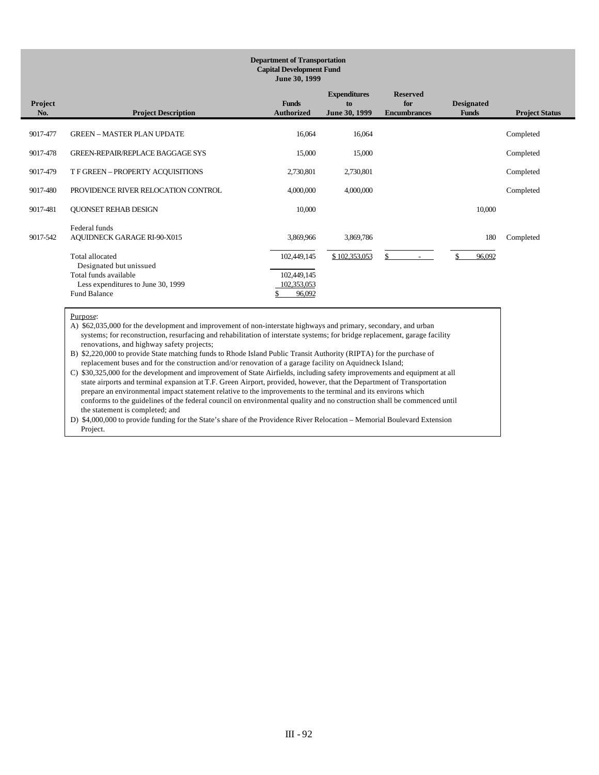#### **Department of Transportation Capital Development Fund June 30, 1999**

| Project<br>No. | <b>Project Description</b>          | <b>Funds</b><br><b>Authorized</b> | <b>Expenditures</b><br>to<br>June 30, 1999 | <b>Reserved</b><br>for<br><b>Encumbrances</b> | <b>Designated</b><br><b>Funds</b> | <b>Project Status</b> |
|----------------|-------------------------------------|-----------------------------------|--------------------------------------------|-----------------------------------------------|-----------------------------------|-----------------------|
|                |                                     |                                   |                                            |                                               |                                   |                       |
| 9017-477       | <b>GREEN - MASTER PLAN UPDATE</b>   | 16,064                            | 16,064                                     |                                               |                                   | Completed             |
| 9017-478       | GREEN-REPAIR/REPLACE BAGGAGE SYS    | 15,000                            | 15,000                                     |                                               |                                   | Completed             |
|                |                                     |                                   |                                            |                                               |                                   |                       |
| 9017-479       | T F GREEN - PROPERTY ACQUISITIONS   | 2,730,801                         | 2,730,801                                  |                                               |                                   | Completed             |
| 9017-480       | PROVIDENCE RIVER RELOCATION CONTROL | 4,000,000                         | 4,000,000                                  |                                               |                                   | Completed             |
| 9017-481       | <b>QUONSET REHAB DESIGN</b>         | 10,000                            |                                            |                                               | 10,000                            |                       |
|                | Federal funds                       |                                   |                                            |                                               |                                   |                       |
| 9017-542       | <b>AQUIDNECK GARAGE RI-90-X015</b>  | 3,869,966                         | 3,869,786                                  |                                               | 180                               | Completed             |
|                | Total allocated                     | 102,449,145                       | \$102,353,053                              |                                               | 96,092                            |                       |
|                | Designated but unissued             |                                   |                                            |                                               |                                   |                       |
|                | Total funds available               | 102,449,145                       |                                            |                                               |                                   |                       |
|                | Less expenditures to June 30, 1999  | 102,353,053                       |                                            |                                               |                                   |                       |
|                | <b>Fund Balance</b>                 | 96,092                            |                                            |                                               |                                   |                       |

#### Purpose:

A) \$62,035,000 for the development and improvement of non-interstate highways and primary, secondary, and urban systems; for reconstruction, resurfacing and rehabilitation of interstate systems; for bridge replacement, garage facility renovations, and highway safety projects;

B) \$2,220,000 to provide State matching funds to Rhode Island Public Transit Authority (RIPTA) for the purchase of replacement buses and for the construction and/or renovation of a garage facility on Aquidneck Island;

C) \$30,325,000 for the development and improvement of State Airfields, including safety improvements and equipment at all state airports and terminal expansion at T.F. Green Airport, provided, however, that the Department of Transportation prepare an environmental impact statement relative to the improvements to the terminal and its environs which conforms to the guidelines of the federal council on environmental quality and no construction shall be commenced until the statement is completed; and

D) \$4,000,000 to provide funding for the State's share of the Providence River Relocation – Memorial Boulevard Extension Project.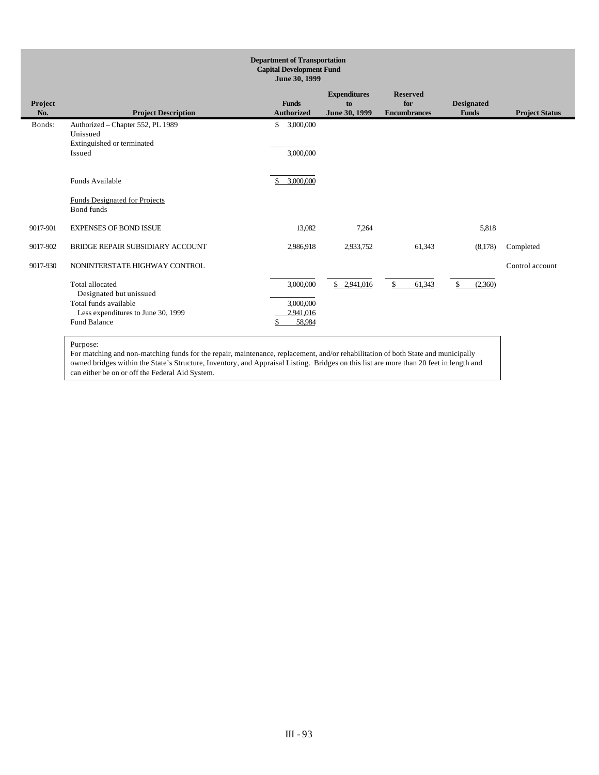|                | <b>Department of Transportation</b><br><b>Capital Development Fund</b><br>June 30, 1999                                                 |                                   |                                               |                                            |                                               |                                   |                       |  |  |
|----------------|-----------------------------------------------------------------------------------------------------------------------------------------|-----------------------------------|-----------------------------------------------|--------------------------------------------|-----------------------------------------------|-----------------------------------|-----------------------|--|--|
| Project<br>No. | <b>Project Description</b>                                                                                                              | <b>Funds</b><br><b>Authorized</b> |                                               | <b>Expenditures</b><br>to<br>June 30, 1999 | <b>Reserved</b><br>for<br><b>Encumbrances</b> | <b>Designated</b><br><b>Funds</b> | <b>Project Status</b> |  |  |
| Bonds:         | Authorized - Chapter 552, PL 1989<br>Unissued<br>Extinguished or terminated<br>Issued                                                   | \$                                | 3,000,000<br>3,000,000                        |                                            |                                               |                                   |                       |  |  |
|                | Funds Available<br><b>Funds Designated for Projects</b><br>Bond funds                                                                   |                                   | 3,000,000                                     |                                            |                                               |                                   |                       |  |  |
| 9017-901       | <b>EXPENSES OF BOND ISSUE</b>                                                                                                           |                                   | 13,082                                        | 7.264                                      |                                               | 5,818                             |                       |  |  |
| 9017-902       | BRIDGE REPAIR SUBSIDIARY ACCOUNT                                                                                                        |                                   | 2,986,918                                     | 2,933,752                                  | 61,343                                        | (8,178)                           | Completed             |  |  |
| 9017-930       | NONINTERSTATE HIGHWAY CONTROL                                                                                                           |                                   |                                               |                                            |                                               |                                   | Control account       |  |  |
|                | <b>Total allocated</b><br>Designated but unissued<br>Total funds available<br>Less expenditures to June 30, 1999<br><b>Fund Balance</b> |                                   | 3,000,000<br>3,000,000<br>2,941,016<br>58,984 | \$2,941,016                                | \$<br>61,343                                  | \$<br>(2,360)                     |                       |  |  |

For matching and non-matching funds for the repair, maintenance, replacement, and/or rehabilitation of both State and municipally owned bridges within the State's Structure, Inventory, and Appraisal Listing. Bridges on this list are more than 20 feet in length and can either be on or off the Federal Aid System.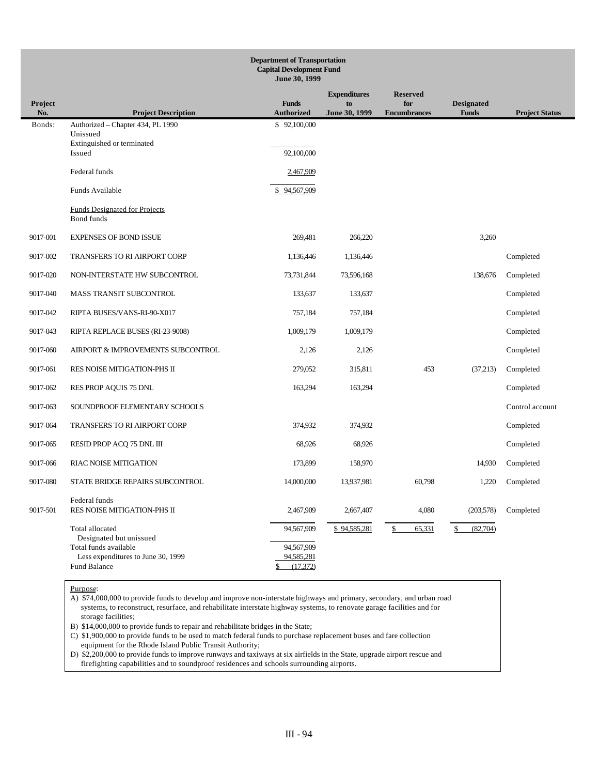|                | <b>Department of Transportation</b><br><b>Capital Development Fund</b><br>June 30, 1999 |                                             |                     |                            |                                   |                       |  |  |  |
|----------------|-----------------------------------------------------------------------------------------|---------------------------------------------|---------------------|----------------------------|-----------------------------------|-----------------------|--|--|--|
|                |                                                                                         |                                             | <b>Expenditures</b> | <b>Reserved</b>            |                                   |                       |  |  |  |
| Project<br>No. | <b>Project Description</b>                                                              | <b>Funds</b><br><b>Authorized</b>           | to<br>June 30, 1999 | for<br><b>Encumbrances</b> | <b>Designated</b><br><b>Funds</b> | <b>Project Status</b> |  |  |  |
| Bonds:         | Authorized - Chapter 434, PL 1990<br>Unissued<br>Extinguished or terminated             | \$92,100,000                                |                     |                            |                                   |                       |  |  |  |
|                | Issued                                                                                  | 92,100,000                                  |                     |                            |                                   |                       |  |  |  |
|                | Federal funds                                                                           | 2,467,909                                   |                     |                            |                                   |                       |  |  |  |
|                | Funds Available                                                                         | \$94,567,909                                |                     |                            |                                   |                       |  |  |  |
|                | <b>Funds Designated for Projects</b><br>Bond funds                                      |                                             |                     |                            |                                   |                       |  |  |  |
| 9017-001       | <b>EXPENSES OF BOND ISSUE</b>                                                           | 269,481                                     | 266,220             |                            | 3,260                             |                       |  |  |  |
| 9017-002       | <b>TRANSFERS TO RI AIRPORT CORP</b>                                                     | 1,136,446                                   | 1,136,446           |                            |                                   | Completed             |  |  |  |
| 9017-020       | NON-INTERSTATE HW SUBCONTROL                                                            | 73,731,844                                  | 73,596,168          |                            | 138,676                           | Completed             |  |  |  |
| 9017-040       | MASS TRANSIT SUBCONTROL                                                                 | 133,637                                     | 133,637             |                            |                                   | Completed             |  |  |  |
| 9017-042       | RIPTA BUSES/VANS-RI-90-X017                                                             | 757,184                                     | 757,184             |                            |                                   | Completed             |  |  |  |
| 9017-043       | RIPTA REPLACE BUSES (RI-23-9008)                                                        | 1,009,179                                   | 1,009,179           |                            |                                   | Completed             |  |  |  |
| 9017-060       | AIRPORT & IMPROVEMENTS SUBCONTROL                                                       | 2,126                                       | 2,126               |                            |                                   | Completed             |  |  |  |
| 9017-061       | RES NOISE MITIGATION-PHS II                                                             | 279,052                                     | 315,811             | 453                        | (37,213)                          | Completed             |  |  |  |
| 9017-062       | <b>RES PROP AQUIS 75 DNL</b>                                                            | 163,294                                     | 163,294             |                            |                                   | Completed             |  |  |  |
| 9017-063       | SOUNDPROOF ELEMENTARY SCHOOLS                                                           |                                             |                     |                            |                                   | Control account       |  |  |  |
| 9017-064       | <b>TRANSFERS TO RI AIRPORT CORP</b>                                                     | 374,932                                     | 374,932             |                            |                                   | Completed             |  |  |  |
| 9017-065       | RESID PROP ACQ 75 DNL III                                                               | 68,926                                      | 68,926              |                            |                                   | Completed             |  |  |  |
| 9017-066       | <b>RIAC NOISE MITIGATION</b>                                                            | 173,899                                     | 158,970             |                            | 14,930                            | Completed             |  |  |  |
| 9017-080       | STATE BRIDGE REPAIRS SUBCONTROL                                                         | 14,000,000                                  | 13,937,981          | 60,798                     | 1,220                             | Completed             |  |  |  |
| 9017-501       | Federal funds<br>RES NOISE MITIGATION-PHS II                                            | 2,467,909                                   | 2,667,407           | 4,080                      | (203, 578)                        | Completed             |  |  |  |
|                | Total allocated<br>Designated but unissued                                              | 94,567,909                                  | \$94,585,281        | 65,331<br>\$               | (82,704)                          |                       |  |  |  |
|                | Total funds available<br>Less expenditures to June 30, 1999<br>Fund Balance             | 94,567,909<br>94,585,281<br>\$<br>(17, 372) |                     |                            |                                   |                       |  |  |  |

A) \$74,000,000 to provide funds to develop and improve non-interstate highways and primary, secondary, and urban road systems, to reconstruct, resurface, and rehabilitate interstate highway systems, to renovate garage facilities and for storage facilities;

B) \$14,000,000 to provide funds to repair and rehabilitate bridges in the State;

C) \$1,900,000 to provide funds to be used to match federal funds to purchase replacement buses and fare collection equipment for the Rhode Island Public Transit Authority;

D) \$2,200,000 to provide funds to improve runways and taxiways at six airfields in the State, upgrade airport rescue and firefighting capabilities and to soundproof residences and schools surrounding airports.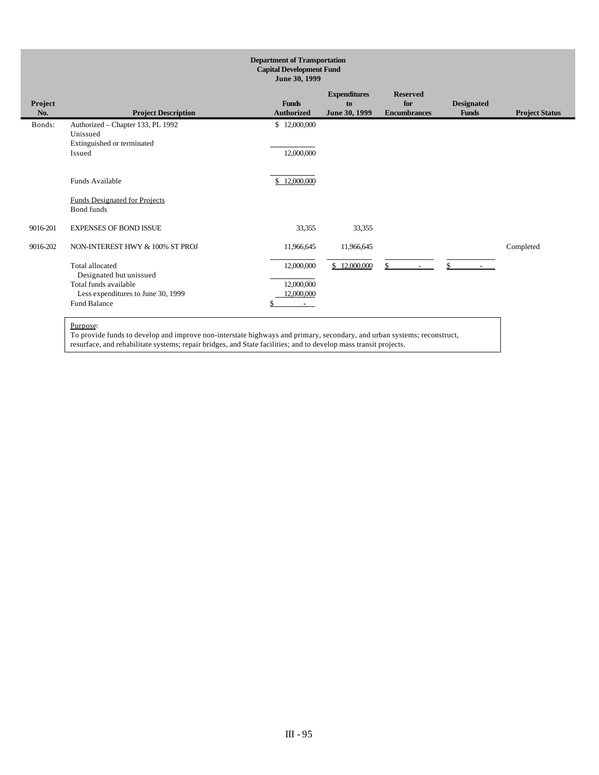| <b>Department of Transportation</b><br><b>Capital Development Fund</b><br>June 30, 1999 |                                                    |                   |                     |                     |                   |                       |  |
|-----------------------------------------------------------------------------------------|----------------------------------------------------|-------------------|---------------------|---------------------|-------------------|-----------------------|--|
|                                                                                         |                                                    |                   | <b>Expenditures</b> | <b>Reserved</b>     |                   |                       |  |
| Project                                                                                 |                                                    | <b>Funds</b>      | to                  | for                 | <b>Designated</b> |                       |  |
| No.                                                                                     | <b>Project Description</b>                         | <b>Authorized</b> | June 30, 1999       | <b>Encumbrances</b> | <b>Funds</b>      | <b>Project Status</b> |  |
| Bonds:                                                                                  | Authorized - Chapter 133, PL 1992<br>Unissued      | \$12,000,000      |                     |                     |                   |                       |  |
|                                                                                         | Extinguished or terminated                         |                   |                     |                     |                   |                       |  |
|                                                                                         | Issued                                             | 12,000,000        |                     |                     |                   |                       |  |
|                                                                                         | Funds Available                                    | \$12,000,000      |                     |                     |                   |                       |  |
|                                                                                         | <b>Funds Designated for Projects</b><br>Bond funds |                   |                     |                     |                   |                       |  |
| 9016-201                                                                                | <b>EXPENSES OF BOND ISSUE</b>                      | 33,355            | 33,355              |                     |                   |                       |  |
| 9016-202                                                                                | NON-INTEREST HWY & 100% ST PROJ                    | 11,966,645        | 11,966,645          |                     |                   | Completed             |  |
|                                                                                         | Total allocated                                    | 12,000,000        | \$12,000,000        | \$                  | \$                |                       |  |
|                                                                                         | Designated but unissued                            |                   |                     |                     |                   |                       |  |
|                                                                                         | Total funds available                              | 12,000,000        |                     |                     |                   |                       |  |
|                                                                                         | Less expenditures to June 30, 1999                 | 12,000,000        |                     |                     |                   |                       |  |
|                                                                                         | <b>Fund Balance</b>                                | $\sim$            |                     |                     |                   |                       |  |
|                                                                                         |                                                    |                   |                     |                     |                   |                       |  |

To provide funds to develop and improve non-interstate highways and primary, secondary, and urban systems; reconstruct, resurface, and rehabilitate systems; repair bridges, and State facilities; and to develop mass transit projects.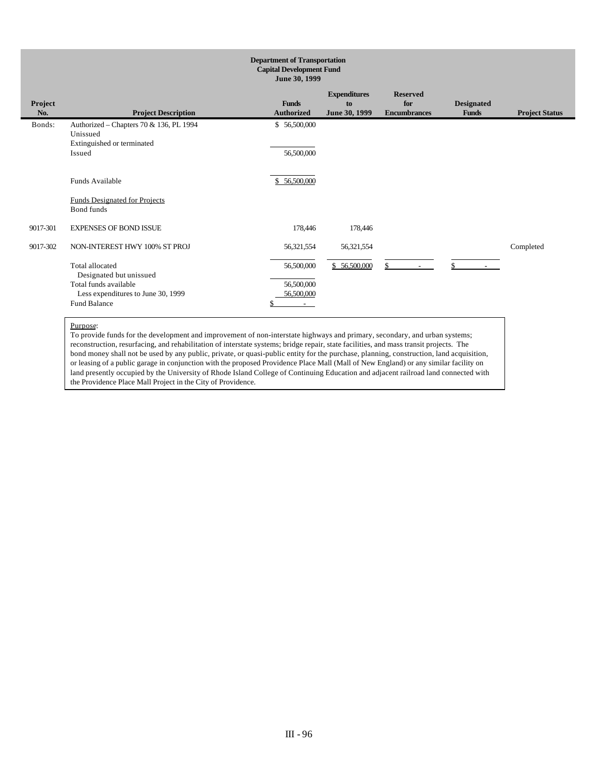|                | <b>Department of Transportation</b><br><b>Capital Development Fund</b><br>June 30, 1999 |                                   |                                            |                                               |                                   |                       |  |  |
|----------------|-----------------------------------------------------------------------------------------|-----------------------------------|--------------------------------------------|-----------------------------------------------|-----------------------------------|-----------------------|--|--|
| Project<br>No. | <b>Project Description</b>                                                              | <b>Funds</b><br><b>Authorized</b> | <b>Expenditures</b><br>to<br>June 30, 1999 | <b>Reserved</b><br>for<br><b>Encumbrances</b> | <b>Designated</b><br><b>Funds</b> | <b>Project Status</b> |  |  |
| Bonds:         | Authorized - Chapters 70 & 136, PL 1994<br>Unissued<br>Extinguished or terminated       | \$56,500,000                      |                                            |                                               |                                   |                       |  |  |
|                | Issued                                                                                  | 56,500,000                        |                                            |                                               |                                   |                       |  |  |
|                | Funds Available                                                                         | \$56,500,000                      |                                            |                                               |                                   |                       |  |  |
|                | <b>Funds Designated for Projects</b><br>Bond funds                                      |                                   |                                            |                                               |                                   |                       |  |  |
| 9017-301       | <b>EXPENSES OF BOND ISSUE</b>                                                           | 178,446                           | 178,446                                    |                                               |                                   |                       |  |  |
| 9017-302       | NON-INTEREST HWY 100% ST PROJ                                                           | 56,321,554                        | 56,321,554                                 |                                               |                                   | Completed             |  |  |
|                | Total allocated<br>Designated but unissued                                              | 56,500,000                        | \$56,500,000                               | \$.<br>$\overline{\phantom{a}}$               | $\mathcal{S}$                     |                       |  |  |
|                | Total funds available                                                                   | 56,500,000                        |                                            |                                               |                                   |                       |  |  |
|                | Less expenditures to June 30, 1999                                                      | 56,500,000                        |                                            |                                               |                                   |                       |  |  |
|                | <b>Fund Balance</b>                                                                     | $\sim$                            |                                            |                                               |                                   |                       |  |  |

To provide funds for the development and improvement of non-interstate highways and primary, secondary, and urban systems; reconstruction, resurfacing, and rehabilitation of interstate systems; bridge repair, state facilities, and mass transit projects. The bond money shall not be used by any public, private, or quasi-public entity for the purchase, planning, construction, land acquisition, or leasing of a public garage in conjunction with the proposed Providence Place Mall (Mall of New England) or any similar facility on land presently occupied by the University of Rhode Island College of Continuing Education and adjacent railroad land connected with the Providence Place Mall Project in the City of Providence.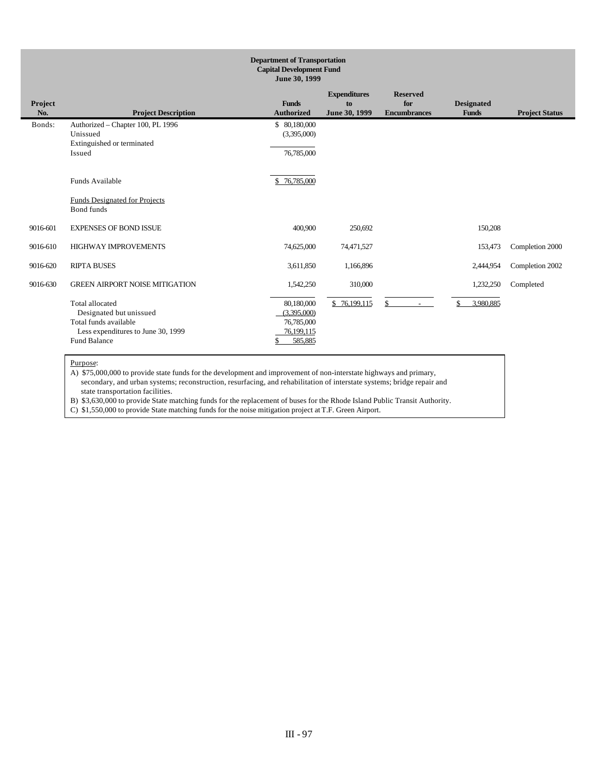|                | <b>Department of Transportation</b><br><b>Capital Development Fund</b><br>June 30, 1999                                                 |                                                                        |                                            |                                               |                                   |                       |  |  |  |
|----------------|-----------------------------------------------------------------------------------------------------------------------------------------|------------------------------------------------------------------------|--------------------------------------------|-----------------------------------------------|-----------------------------------|-----------------------|--|--|--|
| Project<br>No. | <b>Project Description</b>                                                                                                              | <b>Funds</b><br><b>Authorized</b>                                      | <b>Expenditures</b><br>to<br>June 30, 1999 | <b>Reserved</b><br>for<br><b>Encumbrances</b> | <b>Designated</b><br><b>Funds</b> | <b>Project Status</b> |  |  |  |
| Bonds:         | Authorized - Chapter 100, PL 1996<br>Unissued<br>Extinguished or terminated<br>Issued                                                   | \$ 80,180,000<br>(3,395,000)<br>76,785,000                             |                                            |                                               |                                   |                       |  |  |  |
|                | Funds Available<br><b>Funds Designated for Projects</b><br>Bond funds                                                                   | \$76,785,000                                                           |                                            |                                               |                                   |                       |  |  |  |
| 9016-601       | <b>EXPENSES OF BOND ISSUE</b>                                                                                                           | 400,900                                                                | 250,692                                    |                                               | 150,208                           |                       |  |  |  |
| 9016-610       | <b>HIGHWAY IMPROVEMENTS</b>                                                                                                             | 74,625,000                                                             | 74,471,527                                 |                                               | 153,473                           | Completion 2000       |  |  |  |
| 9016-620       | <b>RIPTA BUSES</b>                                                                                                                      | 3,611,850                                                              | 1,166,896                                  |                                               | 2,444,954                         | Completion 2002       |  |  |  |
| 9016-630       | <b>GREEN AIRPORT NOISE MITIGATION</b>                                                                                                   | 1,542,250                                                              | 310,000                                    |                                               | 1,232,250                         | Completed             |  |  |  |
|                | <b>Total allocated</b><br>Designated but unissued<br>Total funds available<br>Less expenditures to June 30, 1999<br><b>Fund Balance</b> | 80,180,000<br>(3,395,000)<br>76,785,000<br>76,199,115<br>585,885<br>\$ | \$76,199,115                               | \$<br>$\sim$                                  | \$<br>3,980,885                   |                       |  |  |  |

A) \$75,000,000 to provide state funds for the development and improvement of non-interstate highways and primary, secondary, and urban systems; reconstruction, resurfacing, and rehabilitation of interstate systems; bridge repair and state transportation facilities.

B) \$3,630,000 to provide State matching funds for the replacement of buses for the Rhode Island Public Transit Authority.

C) \$1,550,000 to provide State matching funds for the noise mitigation project at T.F. Green Airport.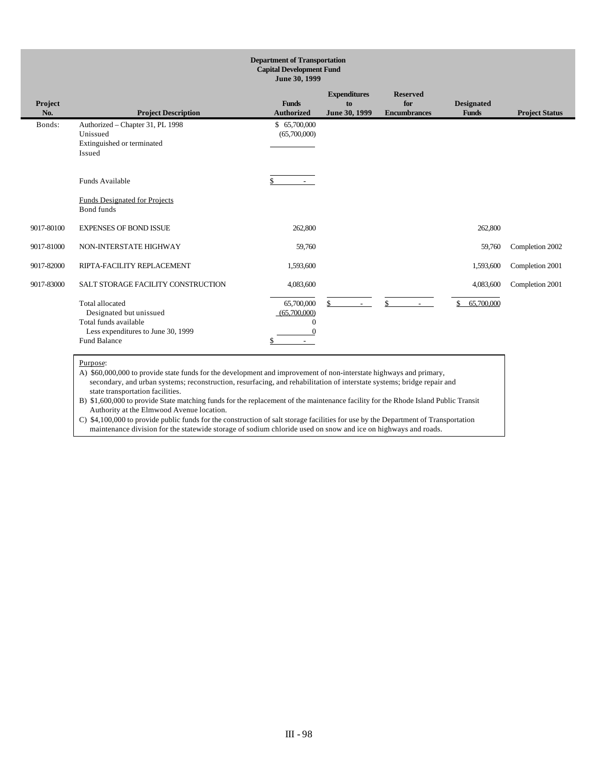|                | <b>Department of Transportation</b><br><b>Capital Development Fund</b><br>June 30, 1999                                                 |                                                  |                                            |                                               |                                   |                       |  |  |  |  |
|----------------|-----------------------------------------------------------------------------------------------------------------------------------------|--------------------------------------------------|--------------------------------------------|-----------------------------------------------|-----------------------------------|-----------------------|--|--|--|--|
| Project<br>No. | <b>Project Description</b>                                                                                                              | <b>Funds</b><br><b>Authorized</b>                | <b>Expenditures</b><br>to<br>June 30, 1999 | <b>Reserved</b><br>for<br><b>Encumbrances</b> | <b>Designated</b><br><b>Funds</b> | <b>Project Status</b> |  |  |  |  |
| Bonds:         | Authorized - Chapter 31, PL 1998<br>Unissued<br>Extinguished or terminated<br>Issued                                                    | \$65,700,000<br>(65,700,000)                     |                                            |                                               |                                   |                       |  |  |  |  |
|                | Funds Available                                                                                                                         | $\sim$                                           |                                            |                                               |                                   |                       |  |  |  |  |
|                | <b>Funds Designated for Projects</b><br>Bond funds                                                                                      |                                                  |                                            |                                               |                                   |                       |  |  |  |  |
| 9017-80100     | <b>EXPENSES OF BOND ISSUE</b>                                                                                                           | 262,800                                          |                                            |                                               | 262,800                           |                       |  |  |  |  |
| 9017-81000     | NON-INTERSTATE HIGHWAY                                                                                                                  | 59,760                                           |                                            |                                               | 59,760                            | Completion 2002       |  |  |  |  |
| 9017-82000     | RIPTA-FACILITY REPLACEMENT                                                                                                              | 1,593,600                                        |                                            |                                               | 1,593,600                         | Completion 2001       |  |  |  |  |
| 9017-83000     | SALT STORAGE FACILITY CONSTRUCTION                                                                                                      | 4,083,600                                        |                                            |                                               | 4,083,600                         | Completion 2001       |  |  |  |  |
|                | <b>Total allocated</b><br>Designated but unissued<br>Total funds available<br>Less expenditures to June 30, 1999<br><b>Fund Balance</b> | 65,700,000<br>(65,700,000)<br>$\Omega$<br>$\sim$ | \$<br>$\sim$                               | \$                                            | 65,700,000<br>\$                  |                       |  |  |  |  |

A) \$60,000,000 to provide state funds for the development and improvement of non-interstate highways and primary, secondary, and urban systems; reconstruction, resurfacing, and rehabilitation of interstate systems; bridge repair and state transportation facilities.

B) \$1,600,000 to provide State matching funds for the replacement of the maintenance facility for the Rhode Island Public Transit Authority at the Elmwood Avenue location.

C) \$4,100,000 to provide public funds for the construction of salt storage facilities for use by the Department of Transportation maintenance division for the statewide storage of sodium chloride used on snow and ice on highways and roads.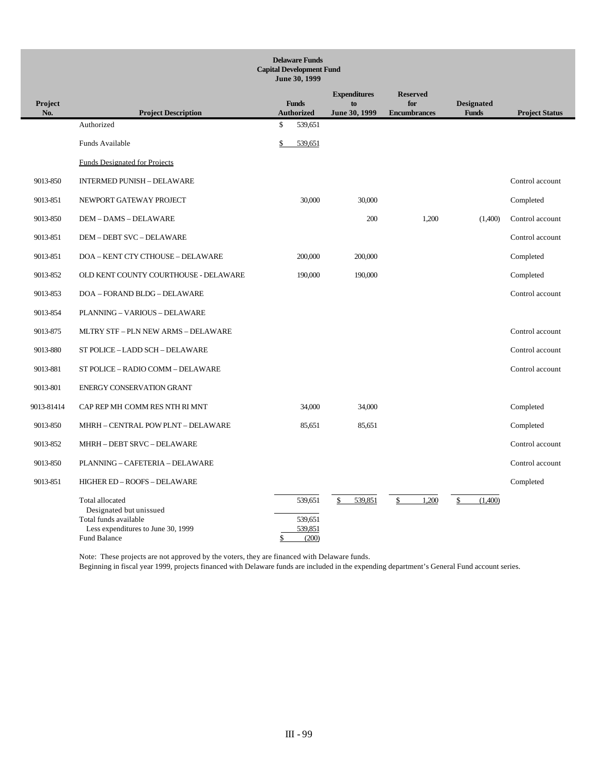|                       | <b>Delaware Funds</b><br><b>Capital Development Fund</b><br>June 30, 1999                                                 |    |                                        |                                            |                                               |                                   |                       |  |  |
|-----------------------|---------------------------------------------------------------------------------------------------------------------------|----|----------------------------------------|--------------------------------------------|-----------------------------------------------|-----------------------------------|-----------------------|--|--|
| <b>Project</b><br>No. | <b>Project Description</b>                                                                                                |    | <b>Funds</b><br><b>Authorized</b>      | <b>Expenditures</b><br>to<br>June 30, 1999 | <b>Reserved</b><br>for<br><b>Encumbrances</b> | <b>Designated</b><br><b>Funds</b> | <b>Project Status</b> |  |  |
|                       | Authorized                                                                                                                | \$ | 539.651                                |                                            |                                               |                                   |                       |  |  |
|                       | Funds Available                                                                                                           | \$ | 539,651                                |                                            |                                               |                                   |                       |  |  |
|                       | <b>Funds Designated for Projects</b>                                                                                      |    |                                        |                                            |                                               |                                   |                       |  |  |
| 9013-850              | <b>INTERMED PUNISH - DELAWARE</b>                                                                                         |    |                                        |                                            |                                               |                                   | Control account       |  |  |
| 9013-851              | NEWPORT GATEWAY PROJECT                                                                                                   |    | 30,000                                 | 30,000                                     |                                               |                                   | Completed             |  |  |
| 9013-850              | <b>DEM - DAMS - DELAWARE</b>                                                                                              |    |                                        | 200                                        | 1,200                                         | (1,400)                           | Control account       |  |  |
| 9013-851              | DEM - DEBT SVC - DELAWARE                                                                                                 |    |                                        |                                            |                                               |                                   | Control account       |  |  |
| 9013-851              | DOA - KENT CTY CTHOUSE - DELAWARE                                                                                         |    | 200,000                                | 200,000                                    |                                               |                                   | Completed             |  |  |
| 9013-852              | OLD KENT COUNTY COURTHOUSE - DELAWARE                                                                                     |    | 190,000                                | 190,000                                    |                                               |                                   | Completed             |  |  |
| 9013-853              | DOA - FORAND BLDG - DELAWARE                                                                                              |    |                                        |                                            |                                               |                                   | Control account       |  |  |
| 9013-854              | PLANNING - VARIOUS - DELAWARE                                                                                             |    |                                        |                                            |                                               |                                   |                       |  |  |
| 9013-875              | MLTRY STF - PLN NEW ARMS - DELAWARE                                                                                       |    |                                        |                                            |                                               |                                   | Control account       |  |  |
| 9013-880              | ST POLICE - LADD SCH - DELAWARE                                                                                           |    |                                        |                                            |                                               |                                   | Control account       |  |  |
| 9013-881              | ST POLICE - RADIO COMM - DELAWARE                                                                                         |    |                                        |                                            |                                               |                                   | Control account       |  |  |
| 9013-801              | <b>ENERGY CONSERVATION GRANT</b>                                                                                          |    |                                        |                                            |                                               |                                   |                       |  |  |
| 9013-81414            | CAP REP MH COMM RES NTH RI MNT                                                                                            |    | 34,000                                 | 34,000                                     |                                               |                                   | Completed             |  |  |
| 9013-850              | MHRH - CENTRAL POW PLNT - DELAWARE                                                                                        |    | 85,651                                 | 85,651                                     |                                               |                                   | Completed             |  |  |
| 9013-852              | MHRH - DEBT SRVC - DELAWARE                                                                                               |    |                                        |                                            |                                               |                                   | Control account       |  |  |
| 9013-850              | PLANNING - CAFETERIA - DELAWARE                                                                                           |    |                                        |                                            |                                               |                                   | Control account       |  |  |
| 9013-851              | HIGHER ED - ROOFS - DELAWARE                                                                                              |    |                                        |                                            |                                               |                                   | Completed             |  |  |
|                       | Total allocated<br>Designated but unissued<br>Total funds available<br>Less expenditures to June 30, 1999<br>Fund Balance | \$ | 539,651<br>539,651<br>539,851<br>(200) | 539,851<br>\$                              | 1,200<br>\$                                   | \$<br>(1,400)                     |                       |  |  |

Note: These projects are not approved by the voters, they are financed with Delaware funds. Beginning in fiscal year 1999, projects financed with Delaware funds are included in the expending department's General Fund account series.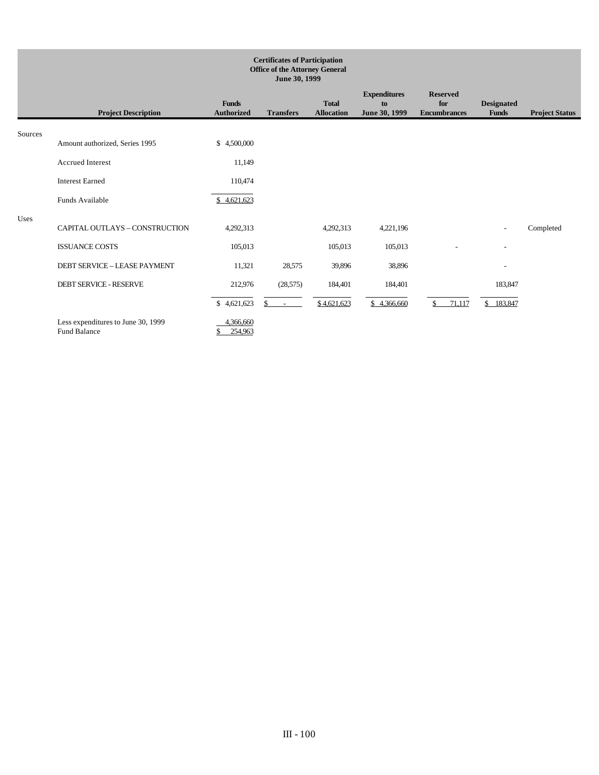|         | <b>Certificates of Participation</b><br><b>Office of the Attorney General</b><br>June 30, 1999 |                                   |                  |                                   |                                            |                                               |                                   |                       |
|---------|------------------------------------------------------------------------------------------------|-----------------------------------|------------------|-----------------------------------|--------------------------------------------|-----------------------------------------------|-----------------------------------|-----------------------|
|         | <b>Project Description</b>                                                                     | <b>Funds</b><br><b>Authorized</b> | <b>Transfers</b> | <b>Total</b><br><b>Allocation</b> | <b>Expenditures</b><br>to<br>June 30, 1999 | <b>Reserved</b><br>for<br><b>Encumbrances</b> | <b>Designated</b><br><b>Funds</b> | <b>Project Status</b> |
| Sources | Amount authorized, Series 1995                                                                 | \$4,500,000                       |                  |                                   |                                            |                                               |                                   |                       |
|         | <b>Accrued Interest</b>                                                                        | 11,149                            |                  |                                   |                                            |                                               |                                   |                       |
|         | <b>Interest Earned</b>                                                                         | 110,474                           |                  |                                   |                                            |                                               |                                   |                       |
|         | Funds Available                                                                                | \$4,621,623                       |                  |                                   |                                            |                                               |                                   |                       |
| Uses    | CAPITAL OUTLAYS - CONSTRUCTION                                                                 | 4,292,313                         |                  | 4,292,313                         | 4,221,196                                  |                                               | $\overline{\phantom{a}}$          | Completed             |
|         | <b>ISSUANCE COSTS</b>                                                                          | 105,013                           |                  | 105,013                           | 105,013                                    |                                               | $\overline{a}$                    |                       |
|         | DEBT SERVICE - LEASE PAYMENT                                                                   | 11,321                            | 28,575           | 39,896                            | 38,896                                     |                                               | $\overline{\phantom{a}}$          |                       |
|         | <b>DEBT SERVICE - RESERVE</b>                                                                  | 212,976                           | (28, 575)        | 184,401                           | 184,401                                    |                                               | 183,847                           |                       |
|         |                                                                                                | \$4,621,623                       | \$.<br>$\sim$    | \$4,621,623                       | \$4,366,660                                | \$<br>71,117                                  | \$183,847                         |                       |
|         | Less expenditures to June 30, 1999<br><b>Fund Balance</b>                                      | 4,366,660<br>254,963              |                  |                                   |                                            |                                               |                                   |                       |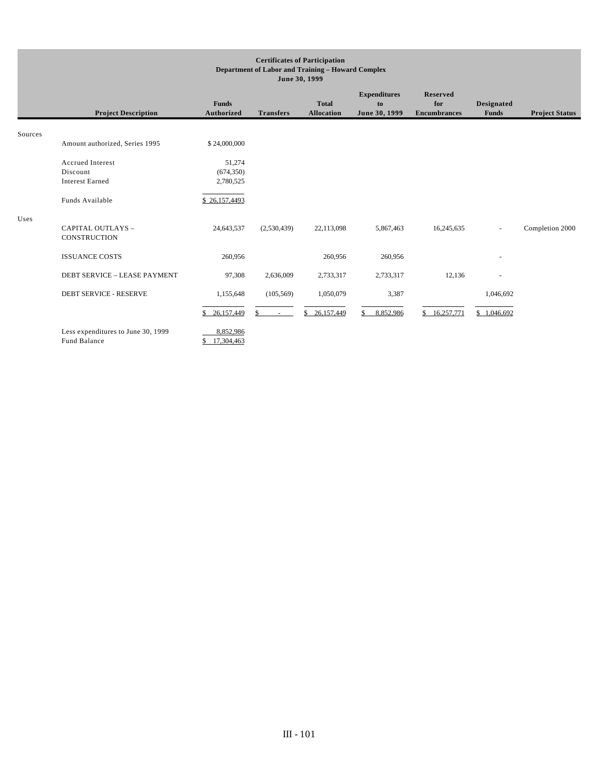#### **Certificates of Participation Department of Labor and Training – Howard Complex June 30, 1999**

|         | <b>Project Description</b>                         | <b>Funds</b><br>Authorized | <b>Transfers</b>       | <b>Total</b><br><b>Allocation</b> | <b>Expenditures</b><br>to<br>June 30, 1999 | <b>Reserved</b><br>for<br><b>Encumbrances</b> | <b>Designated</b><br><b>Funds</b> | <b>Project Status</b> |
|---------|----------------------------------------------------|----------------------------|------------------------|-----------------------------------|--------------------------------------------|-----------------------------------------------|-----------------------------------|-----------------------|
| Sources |                                                    |                            |                        |                                   |                                            |                                               |                                   |                       |
|         | Amount authorized, Series 1995                     | \$24,000,000               |                        |                                   |                                            |                                               |                                   |                       |
|         | <b>Accrued Interest</b><br>Discount                | 51,274                     |                        |                                   |                                            |                                               |                                   |                       |
|         | <b>Interest Earned</b>                             | (674, 350)<br>2,780,525    |                        |                                   |                                            |                                               |                                   |                       |
|         | Funds Available                                    | \$26,157,4493              |                        |                                   |                                            |                                               |                                   |                       |
| Uses    | CAPITAL OUTLAYS -<br><b>CONSTRUCTION</b>           | 24,643,537                 | (2,530,439)            | 22,113,098                        | 5,867,463                                  | 16,245,635                                    | $\sim$                            | Completion 2000       |
|         | <b>ISSUANCE COSTS</b>                              | 260,956                    |                        | 260,956                           | 260,956                                    |                                               |                                   |                       |
|         | DEBT SERVICE - LEASE PAYMENT                       | 97,308                     | 2,636,009              | 2,733,317                         | 2,733,317                                  | 12,136                                        |                                   |                       |
|         | <b>DEBT SERVICE - RESERVE</b>                      | 1,155,648                  | (105, 569)             | 1,050,079                         | 3,387                                      |                                               | 1,046,692                         |                       |
|         |                                                    | \$26,157,449               | $\mathbb{S}$<br>$\sim$ | \$<br>26,157,449                  | 8,852,986<br>\$                            | \$16,257,771                                  | \$1,046,692                       |                       |
|         | Less expenditures to June 30, 1999<br>Fund Balance | 8,852,986<br>17,304,463    |                        |                                   |                                            |                                               |                                   |                       |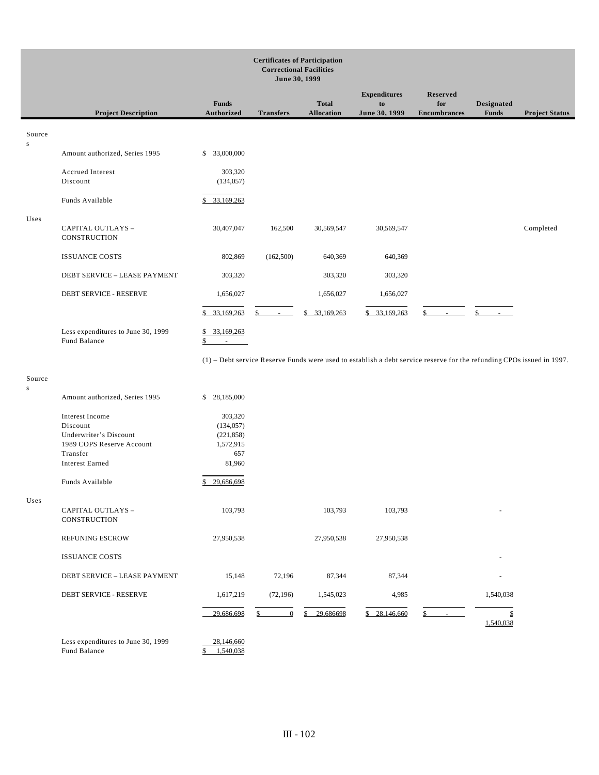#### **Certificates of Participation Correctional Facilities June 30, 1999 Project Description Funds Authorized Transfers Total Allocation Expenditures to June 30, 1999 Reserved for Encumbrances Designated Funds Project Status** Source Amount authorized, Series 1995 \$ 33,000,000 Accrued Interest 303,320 Discount (134,057) L Funds Available \$ 33,169,263 Uses CAPITAL OUTLAYS – **CONSTRUCTION** 30,407,047 162,500 30,569,547 30,569,547 Completed ISSUANCE COSTS 802,869 (162,500) 640,369 640,369 DEBT SERVICE – LEASE PAYMENT 303,320 303,320 303,320 303,320 DEBT SERVICE - RESERVE 1,656,027 1,656,027 1,656,027 1,656,027  $\overline{a}$  $$33,169,263$   $$5$   $$33,169,263$   $$33,169,263$  \$ Less expenditures to June 30, 1999 \$ 33,169,263 Fund Balance \$ (1) – Debt service Reserve Funds were used to establish a debt service reserve for the refunding CPOs issued in 1997. Source Amount authorized, Series 1995 \$ 28,185,000 Interest Income 303,320 Discount (134,057) Underwriter's Discount (221,858) 1989 COPS Reserve Account 1,572,915 Transfer 657 Interest Earned 81,960 L

| ×<br>٩ | ×<br>۹<br>۳<br>$\sim$<br>٧ |  |
|--------|----------------------------|--|

s

s

| Underwriter's Discount<br>1989 COPS Reserve Account<br>Transfer<br><b>Interest Earned</b> | (221, 858)<br>1,572,915<br>657<br>81,960 |                      |                 |                  |                       |
|-------------------------------------------------------------------------------------------|------------------------------------------|----------------------|-----------------|------------------|-----------------------|
| Funds Available                                                                           | 29,686,698<br>S.                         |                      |                 |                  |                       |
| CAPITAL OUTLAYS -<br><b>CONSTRUCTION</b>                                                  | 103,793                                  |                      | 103,793         | 103,793          |                       |
| <b>REFUNING ESCROW</b>                                                                    | 27,950,538                               |                      | 27,950,538      | 27,950,538       |                       |
| <b>ISSUANCE COSTS</b>                                                                     |                                          |                      |                 |                  |                       |
| DEBT SERVICE - LEASE PAYMENT                                                              | 15,148                                   | 72,196               | 87,344          | 87,344           |                       |
| DEBT SERVICE - RESERVE                                                                    | 1,617,219                                | (72, 196)            | 1,545,023       | 4,985            | 1,540,038             |
|                                                                                           | 29,686,698                               | $\overline{0}$<br>\$ | 29,686698<br>\$ | 28,146,660<br>\$ | \$<br>\$<br>1,540,038 |
| Less expenditures to June 30, 1999                                                        | 28,146,660<br>.                          |                      |                 |                  |                       |

Fund Balance \$ 1,540,038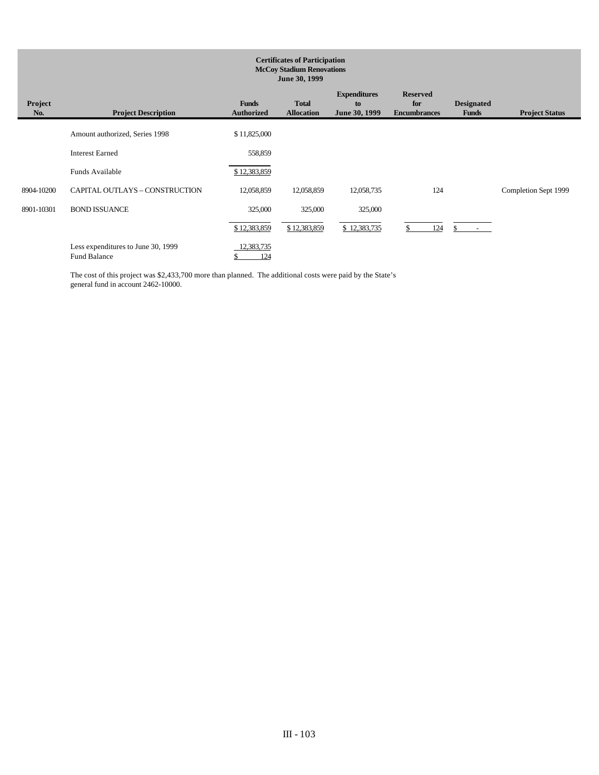|                       | <b>Certificates of Participation</b><br><b>McCoy Stadium Renovations</b><br>June 30, 1999 |                                   |                                   |                                            |                                               |                                   |                       |  |  |
|-----------------------|-------------------------------------------------------------------------------------------|-----------------------------------|-----------------------------------|--------------------------------------------|-----------------------------------------------|-----------------------------------|-----------------------|--|--|
| <b>Project</b><br>No. | <b>Project Description</b>                                                                | <b>Funds</b><br><b>Authorized</b> | <b>Total</b><br><b>Allocation</b> | <b>Expenditures</b><br>to<br>June 30, 1999 | <b>Reserved</b><br>for<br><b>Encumbrances</b> | <b>Designated</b><br><b>Funds</b> | <b>Project Status</b> |  |  |
|                       | Amount authorized, Series 1998                                                            | \$11,825,000                      |                                   |                                            |                                               |                                   |                       |  |  |
|                       | <b>Interest Earned</b>                                                                    | 558,859                           |                                   |                                            |                                               |                                   |                       |  |  |
|                       | Funds Available                                                                           | \$12,383,859                      |                                   |                                            |                                               |                                   |                       |  |  |
| 8904-10200            | CAPITAL OUTLAYS - CONSTRUCTION                                                            | 12,058,859                        | 12,058,859                        | 12,058,735                                 | 124                                           |                                   | Completion Sept 1999  |  |  |
| 8901-10301            | <b>BOND ISSUANCE</b>                                                                      | 325,000                           | 325,000                           | 325,000                                    |                                               |                                   |                       |  |  |
|                       |                                                                                           | \$12,383,859                      | \$12,383,859                      | \$12,383,735                               | 124                                           |                                   |                       |  |  |
|                       | Less expenditures to June 30, 1999<br><b>Fund Balance</b>                                 | 12,383,735<br>124                 |                                   |                                            |                                               |                                   |                       |  |  |

The cost of this project was \$2,433,700 more than planned. The additional costs were paid by the State's general fund in account 2462-10000.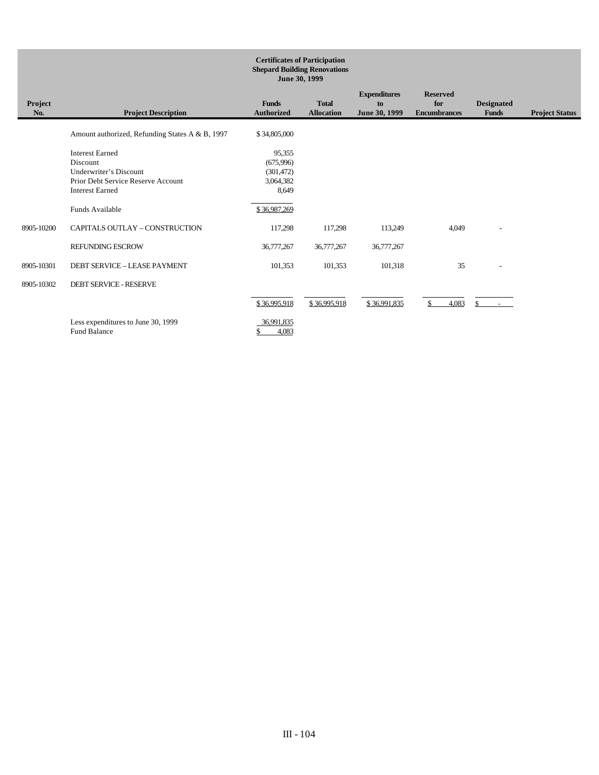|                | <b>Certificates of Participation</b><br><b>Shepard Building Renovations</b><br>June 30, 1999                                 |                                                         |                                   |                                            |                                               |                                   |                       |  |
|----------------|------------------------------------------------------------------------------------------------------------------------------|---------------------------------------------------------|-----------------------------------|--------------------------------------------|-----------------------------------------------|-----------------------------------|-----------------------|--|
| Project<br>No. | <b>Project Description</b>                                                                                                   | <b>Funds</b><br><b>Authorized</b>                       | <b>Total</b><br><b>Allocation</b> | <b>Expenditures</b><br>to<br>June 30, 1999 | <b>Reserved</b><br>for<br><b>Encumbrances</b> | <b>Designated</b><br><b>Funds</b> | <b>Project Status</b> |  |
|                | Amount authorized, Refunding States A & B, 1997                                                                              | \$34,805,000                                            |                                   |                                            |                                               |                                   |                       |  |
|                | <b>Interest Earned</b><br>Discount<br>Underwriter's Discount<br>Prior Debt Service Reserve Account<br><b>Interest Earned</b> | 95,355<br>(675,996)<br>(301, 472)<br>3,064,382<br>8,649 |                                   |                                            |                                               |                                   |                       |  |
|                | Funds Available                                                                                                              | \$36,987,269                                            |                                   |                                            |                                               |                                   |                       |  |
| 8905-10200     | CAPITALS OUTLAY - CONSTRUCTION                                                                                               | 117,298                                                 | 117,298                           | 113,249                                    | 4,049                                         | $\overline{\phantom{a}}$          |                       |  |
|                | <b>REFUNDING ESCROW</b>                                                                                                      | 36,777,267                                              | 36,777,267                        | 36,777,267                                 |                                               |                                   |                       |  |
| 8905-10301     | DEBT SERVICE - LEASE PAYMENT                                                                                                 | 101,353                                                 | 101,353                           | 101,318                                    | 35                                            | $\overline{\phantom{a}}$          |                       |  |
| 8905-10302     | <b>DEBT SERVICE - RESERVE</b>                                                                                                |                                                         |                                   |                                            |                                               |                                   |                       |  |
|                |                                                                                                                              | \$36,995,918                                            | \$36,995,918                      | \$36,991,835                               | 4,083<br>S.                                   |                                   |                       |  |
|                | Less expenditures to June 30, 1999<br><b>Fund Balance</b>                                                                    | 36.991.835<br>4,083                                     |                                   |                                            |                                               |                                   |                       |  |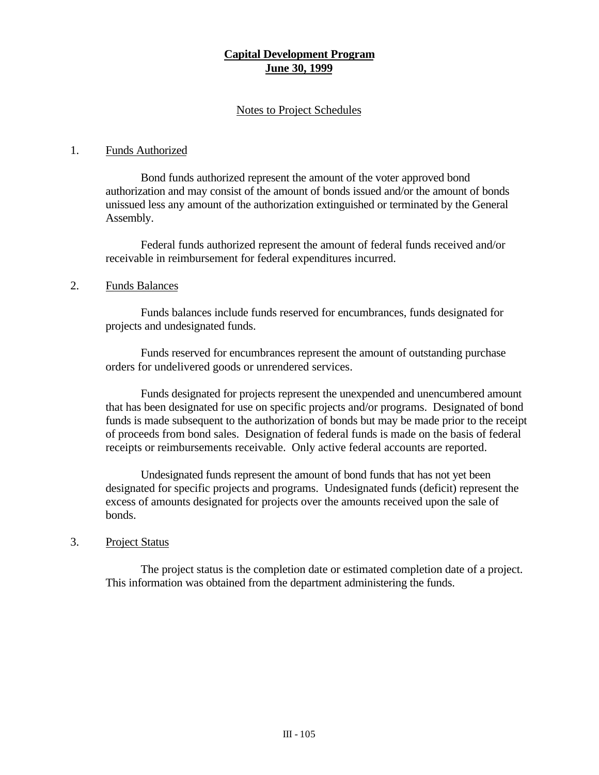# **Capital Development Program June 30, 1999**

# Notes to Project Schedules

# 1. Funds Authorized

Bond funds authorized represent the amount of the voter approved bond authorization and may consist of the amount of bonds issued and/or the amount of bonds unissued less any amount of the authorization extinguished or terminated by the General Assembly.

Federal funds authorized represent the amount of federal funds received and/or receivable in reimbursement for federal expenditures incurred.

### 2. Funds Balances

Funds balances include funds reserved for encumbrances, funds designated for projects and undesignated funds.

Funds reserved for encumbrances represent the amount of outstanding purchase orders for undelivered goods or unrendered services.

Funds designated for projects represent the unexpended and unencumbered amount that has been designated for use on specific projects and/or programs. Designated of bond funds is made subsequent to the authorization of bonds but may be made prior to the receipt of proceeds from bond sales. Designation of federal funds is made on the basis of federal receipts or reimbursements receivable. Only active federal accounts are reported.

Undesignated funds represent the amount of bond funds that has not yet been designated for specific projects and programs. Undesignated funds (deficit) represent the excess of amounts designated for projects over the amounts received upon the sale of bonds.

# 3. Project Status

The project status is the completion date or estimated completion date of a project. This information was obtained from the department administering the funds.